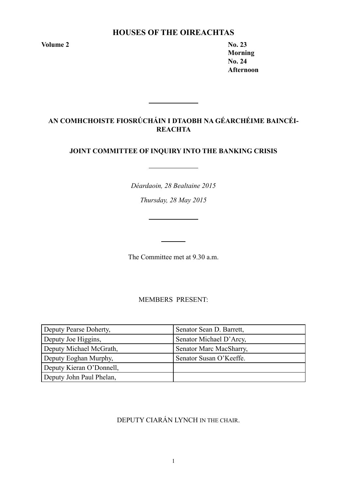# **Houses of the Oireachtas**

**Volume 2 No. 23** 

**Morning No. 24 Afternoon**

# **AN COMHCHOISTE FIOSRÚCHÁIN I DTAOBH NA GÉARCHÉIME BAINCÉI-REACHTA**

# **JOINT COMMITTEE OF INQUIRY INTO THE BANKING CRISIS**

*Déardaoin, 28 Bealtaine 2015*

*Thursday, 28 May 2015*

The Committee met at 9.30 a.m.

MEMBERS PRESENT:

| Deputy Pearse Doherty,   | Senator Sean D. Barrett, |
|--------------------------|--------------------------|
| Deputy Joe Higgins,      | Senator Michael D'Arcy,  |
| Deputy Michael McGrath,  | Senator Marc MacSharry,  |
| Deputy Eoghan Murphy,    | Senator Susan O'Keeffe.  |
| Deputy Kieran O'Donnell, |                          |
| Deputy John Paul Phelan, |                          |

DEPUTY CIARÁN LYNCH IN THE CHAIR.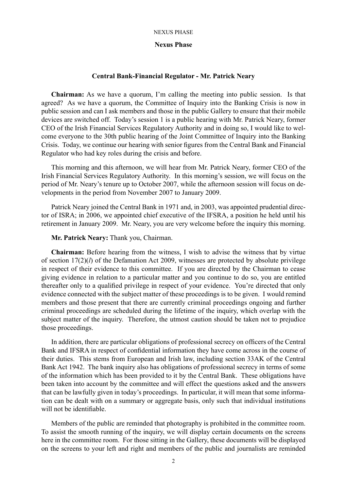### **Nexus Phase**

# **Central Bank-Financial Regulator - Mr. Patrick Neary**

**Chairman:** As we have a quorum, I'm calling the meeting into public session. Is that agreed? As we have a quorum, the Committee of Inquiry into the Banking Crisis is now in public session and can I ask members and those in the public Gallery to ensure that their mobile devices are switched off. Today's session 1 is a public hearing with Mr. Patrick Neary, former CEO of the Irish Financial Services Regulatory Authority and in doing so, I would like to welcome everyone to the 30th public hearing of the Joint Committee of Inquiry into the Banking Crisis. Today, we continue our hearing with senior figures from the Central Bank and Financial Regulator who had key roles during the crisis and before.

This morning and this afternoon, we will hear from Mr. Patrick Neary, former CEO of the Irish Financial Services Regulatory Authority. In this morning's session, we will focus on the period of Mr. Neary's tenure up to October 2007, while the afternoon session will focus on developments in the period from November 2007 to January 2009.

Patrick Neary joined the Central Bank in 1971 and, in 2003, was appointed prudential director of ISRA; in 2006, we appointed chief executive of the IFSRA, a position he held until his retirement in January 2009. Mr. Neary, you are very welcome before the inquiry this morning.

# **Mr. Patrick Neary:** Thank you, Chairman.

**Chairman:** Before hearing from the witness, I wish to advise the witness that by virtue of section 17(2)(*l*) of the Defamation Act 2009, witnesses are protected by absolute privilege in respect of their evidence to this committee. If you are directed by the Chairman to cease giving evidence in relation to a particular matter and you continue to do so, you are entitled thereafter only to a qualified privilege in respect of your evidence. You're directed that only evidence connected with the subject matter of these proceedings is to be given. I would remind members and those present that there are currently criminal proceedings ongoing and further criminal proceedings are scheduled during the lifetime of the inquiry, which overlap with the subject matter of the inquiry. Therefore, the utmost caution should be taken not to prejudice those proceedings.

In addition, there are particular obligations of professional secrecy on officers of the Central Bank and IFSRA in respect of confidential information they have come across in the course of their duties. This stems from European and Irish law, including section 33AK of the Central Bank Act 1942. The bank inquiry also has obligations of professional secrecy in terms of some of the information which has been provided to it by the Central Bank. These obligations have been taken into account by the committee and will effect the questions asked and the answers that can be lawfully given in today's proceedings. In particular, it will mean that some information can be dealt with on a summary or aggregate basis, only such that individual institutions will not be identifiable.

Members of the public are reminded that photography is prohibited in the committee room. To assist the smooth running of the inquiry, we will display certain documents on the screens here in the committee room. For those sitting in the Gallery, these documents will be displayed on the screens to your left and right and members of the public and journalists are reminded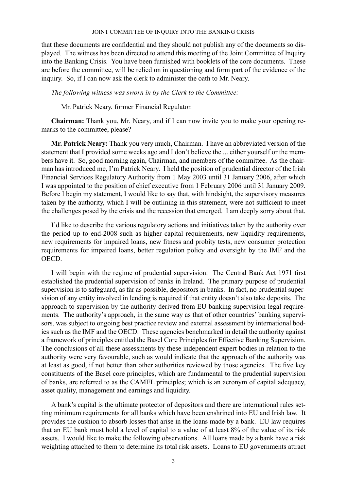that these documents are confidential and they should not publish any of the documents so displayed. The witness has been directed to attend this meeting of the Joint Committee of Inquiry into the Banking Crisis. You have been furnished with booklets of the core documents. These are before the committee, will be relied on in questioning and form part of the evidence of the inquiry. So, if I can now ask the clerk to administer the oath to Mr. Neary.

# *The following witness was sworn in by the Clerk to the Committee:*

Mr. Patrick Neary, former Financial Regulator.

**Chairman:** Thank you, Mr. Neary, and if I can now invite you to make your opening remarks to the committee, please?

**Mr. Patrick Neary:** Thank you very much, Chairman. I have an abbreviated version of the statement that I provided some weeks ago and I don't believe the ... either yourself or the members have it. So, good morning again, Chairman, and members of the committee. As the chairman has introduced me, I'm Patrick Neary. I held the position of prudential director of the Irish Financial Services Regulatory Authority from 1 May 2003 until 31 January 2006, after which I was appointed to the position of chief executive from 1 February 2006 until 31 January 2009. Before I begin my statement, I would like to say that, with hindsight, the supervisory measures taken by the authority, which I will be outlining in this statement, were not sufficient to meet the challenges posed by the crisis and the recession that emerged. I am deeply sorry about that.

I'd like to describe the various regulatory actions and initiatives taken by the authority over the period up to end-2008 such as higher capital requirements, new liquidity requirements, new requirements for impaired loans, new fitness and probity tests, new consumer protection requirements for impaired loans, better regulation policy and oversight by the IMF and the OECD.

I will begin with the regime of prudential supervision. The Central Bank Act 1971 first established the prudential supervision of banks in Ireland. The primary purpose of prudential supervision is to safeguard, as far as possible, depositors in banks. In fact, no prudential supervision of any entity involved in lending is required if that entity doesn't also take deposits. The approach to supervision by the authority derived from EU banking supervision legal requirements. The authority's approach, in the same way as that of other countries' banking supervisors, was subject to ongoing best practice review and external assessment by international bodies such as the IMF and the OECD. These agencies benchmarked in detail the authority against a framework of principles entitled the Basel Core Principles for Effective Banking Supervision. The conclusions of all these assessments by these independent expert bodies in relation to the authority were very favourable, such as would indicate that the approach of the authority was at least as good, if not better than other authorities reviewed by those agencies. The five key constituents of the Basel core principles, which are fundamental to the prudential supervision of banks, are referred to as the CAMEL principles; which is an acronym of capital adequacy, asset quality, management and earnings and liquidity.

A bank's capital is the ultimate protector of depositors and there are international rules setting minimum requirements for all banks which have been enshrined into EU and Irish law. It provides the cushion to absorb losses that arise in the loans made by a bank. EU law requires that an EU bank must hold a level of capital to a value of at least 8% of the value of its risk assets. I would like to make the following observations. All loans made by a bank have a risk weighting attached to them to determine its total risk assets. Loans to EU governments attract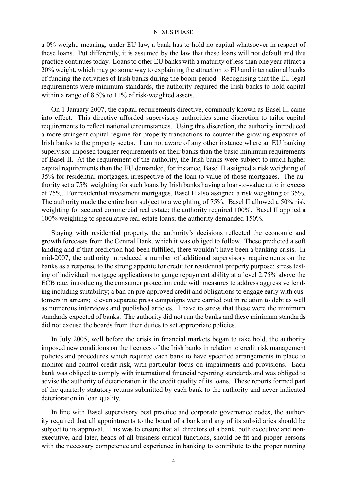a 0% weight, meaning, under EU law, a bank has to hold no capital whatsoever in respect of these loans. Put differently, it is assumed by the law that these loans will not default and this practice continues today. Loans to other EU banks with a maturity of less than one year attract a 20% weight, which may go some way to explaining the attraction to EU and international banks of funding the activities of Irish banks during the boom period. Recognising that the EU legal requirements were minimum standards, the authority required the Irish banks to hold capital within a range of 8.5% to 11% of risk-weighted assets.

On 1 January 2007, the capital requirements directive, commonly known as Basel II, came into effect. This directive afforded supervisory authorities some discretion to tailor capital requirements to reflect national circumstances. Using this discretion, the authority introduced a more stringent capital regime for property transactions to counter the growing exposure of Irish banks to the property sector. I am not aware of any other instance where an EU banking supervisor imposed tougher requirements on their banks than the basic minimum requirements of Basel II. At the requirement of the authority, the Irish banks were subject to much higher capital requirements than the EU demanded, for instance, Basel II assigned a risk weighting of 35% for residential mortgages, irrespective of the loan to value of those mortgages. The authority set a 75% weighting for such loans by Irish banks having a loan-to-value ratio in excess of 75%. For residential investment mortgages, Basel II also assigned a risk weighting of 35%. The authority made the entire loan subject to a weighting of 75%. Basel II allowed a 50% risk weighting for secured commercial real estate; the authority required 100%. Basel II applied a 100% weighting to speculative real estate loans; the authority demanded 150%.

Staying with residential property, the authority's decisions reflected the economic and growth forecasts from the Central Bank, which it was obliged to follow. These predicted a soft landing and if that prediction had been fulfilled, there wouldn't have been a banking crisis. In mid-2007, the authority introduced a number of additional supervisory requirements on the banks as a response to the strong appetite for credit for residential property purpose: stress testing of individual mortgage applications to gauge repayment ability at a level 2.75% above the ECB rate; introducing the consumer protection code with measures to address aggressive lending including suitability; a ban on pre-approved credit and obligations to engage early with customers in arrears; eleven separate press campaigns were carried out in relation to debt as well as numerous interviews and published articles. I have to stress that these were the minimum standards expected of banks. The authority did not run the banks and these minimum standards did not excuse the boards from their duties to set appropriate policies.

In July 2005, well before the crisis in financial markets began to take hold, the authority imposed new conditions on the licences of the Irish banks in relation to credit risk management policies and procedures which required each bank to have specified arrangements in place to monitor and control credit risk, with particular focus on impairments and provisions. Each bank was obliged to comply with international financial reporting standards and was obliged to advise the authority of deterioration in the credit quality of its loans. These reports formed part of the quarterly statutory returns submitted by each bank to the authority and never indicated deterioration in loan quality.

In line with Basel supervisory best practice and corporate governance codes, the authority required that all appointments to the board of a bank and any of its subsidiaries should be subject to its approval. This was to ensure that all directors of a bank, both executive and nonexecutive, and later, heads of all business critical functions, should be fit and proper persons with the necessary competence and experience in banking to contribute to the proper running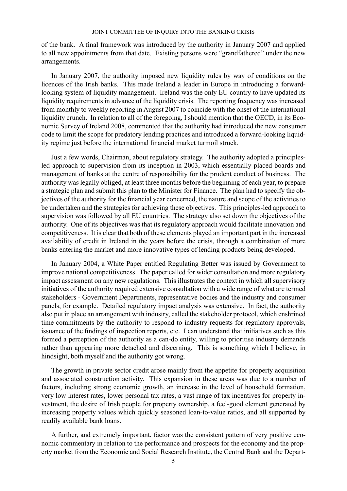of the bank. A final framework was introduced by the authority in January 2007 and applied to all new appointments from that date. Existing persons were "grandfathered" under the new arrangements.

In January 2007, the authority imposed new liquidity rules by way of conditions on the licences of the Irish banks. This made Ireland a leader in Europe in introducing a forwardlooking system of liquidity management. Ireland was the only EU country to have updated its liquidity requirements in advance of the liquidity crisis. The reporting frequency was increased from monthly to weekly reporting in August 2007 to coincide with the onset of the international liquidity crunch. In relation to all of the foregoing, I should mention that the OECD, in its Economic Survey of Ireland 2008, commented that the authority had introduced the new consumer code to limit the scope for predatory lending practices and introduced a forward-looking liquidity regime just before the international financial market turmoil struck.

Just a few words, Chairman, about regulatory strategy. The authority adopted a principlesled approach to supervision from its inception in 2003, which essentially placed boards and management of banks at the centre of responsibility for the prudent conduct of business. The authority was legally obliged, at least three months before the beginning of each year, to prepare a strategic plan and submit this plan to the Minister for Finance. The plan had to specify the objectives of the authority for the financial year concerned, the nature and scope of the activities to be undertaken and the strategies for achieving these objectives. This principles-led approach to supervision was followed by all EU countries. The strategy also set down the objectives of the authority. One of its objectives was that its regulatory approach would facilitate innovation and competitiveness. It is clear that both of these elements played an important part in the increased availability of credit in Ireland in the years before the crisis, through a combination of more banks entering the market and more innovative types of lending products being developed.

In January 2004, a White Paper entitled Regulating Better was issued by Government to improve national competitiveness. The paper called for wider consultation and more regulatory impact assessment on any new regulations. This illustrates the context in which all supervisory initiatives of the authority required extensive consultation with a wide range of what are termed stakeholders - Government Departments, representative bodies and the industry and consumer panels, for example. Detailed regulatory impact analysis was extensive. In fact, the authority also put in place an arrangement with industry, called the stakeholder protocol, which enshrined time commitments by the authority to respond to industry requests for regulatory approvals, issuance of the findings of inspection reports, etc. I can understand that initiatives such as this formed a perception of the authority as a can-do entity, willing to prioritise industry demands rather than appearing more detached and discerning. This is something which I believe, in hindsight, both myself and the authority got wrong.

The growth in private sector credit arose mainly from the appetite for property acquisition and associated construction activity. This expansion in these areas was due to a number of factors, including strong economic growth, an increase in the level of household formation, very low interest rates, lower personal tax rates, a vast range of tax incentives for property investment, the desire of Irish people for property ownership, a feel-good element generated by increasing property values which quickly seasoned loan-to-value ratios, and all supported by readily available bank loans.

A further, and extremely important, factor was the consistent pattern of very positive economic commentary in relation to the performance and prospects for the economy and the property market from the Economic and Social Research Institute, the Central Bank and the Depart-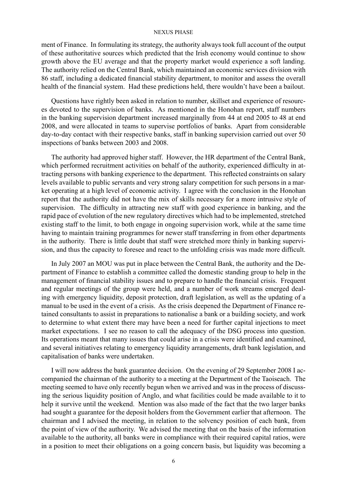ment of Finance. In formulating its strategy, the authority always took full account of the output of these authoritative sources which predicted that the Irish economy would continue to show growth above the EU average and that the property market would experience a soft landing. The authority relied on the Central Bank, which maintained an economic services division with 86 staff, including a dedicated financial stability department, to monitor and assess the overall health of the financial system. Had these predictions held, there wouldn't have been a bailout.

Questions have rightly been asked in relation to number, skillset and experience of resources devoted to the supervision of banks. As mentioned in the Honohan report, staff numbers in the banking supervision department increased marginally from 44 at end 2005 to 48 at end 2008, and were allocated in teams to supervise portfolios of banks. Apart from considerable day-to-day contact with their respective banks, staff in banking supervision carried out over 50 inspections of banks between 2003 and 2008.

The authority had approved higher staff. However, the HR department of the Central Bank, which performed recruitment activities on behalf of the authority, experienced difficulty in attracting persons with banking experience to the department. This reflected constraints on salary levels available to public servants and very strong salary competition for such persons in a market operating at a high level of economic activity. I agree with the conclusion in the Honohan report that the authority did not have the mix of skills necessary for a more intrusive style of supervision. The difficulty in attracting new staff with good experience in banking, and the rapid pace of evolution of the new regulatory directives which had to be implemented, stretched existing staff to the limit, to both engage in ongoing supervision work, while at the same time having to maintain training programmes for newer staff transferring in from other departments in the authority. There is little doubt that staff were stretched more thinly in banking supervision, and thus the capacity to foresee and react to the unfolding crisis was made more difficult.

In July 2007 an MOU was put in place between the Central Bank, the authority and the Department of Finance to establish a committee called the domestic standing group to help in the management of financial stability issues and to prepare to handle the financial crisis. Frequent and regular meetings of the group were held, and a number of work streams emerged dealing with emergency liquidity, deposit protection, draft legislation, as well as the updating of a manual to be used in the event of a crisis. As the crisis deepened the Department of Finance retained consultants to assist in preparations to nationalise a bank or a building society, and work to determine to what extent there may have been a need for further capital injections to meet market expectations. I see no reason to call the adequacy of the DSG process into question. Its operations meant that many issues that could arise in a crisis were identified and examined, and several initiatives relating to emergency liquidity arrangements, draft bank legislation, and capitalisation of banks were undertaken.

I will now address the bank guarantee decision. On the evening of 29 September 2008 I accompanied the chairman of the authority to a meeting at the Department of the Taoiseach. The meeting seemed to have only recently begun when we arrived and was in the process of discussing the serious liquidity position of Anglo, and what facilities could be made available to it to help it survive until the weekend. Mention was also made of the fact that the two larger banks had sought a guarantee for the deposit holders from the Government earlier that afternoon. The chairman and I advised the meeting, in relation to the solvency position of each bank, from the point of view of the authority. We advised the meeting that on the basis of the information available to the authority, all banks were in compliance with their required capital ratios, were in a position to meet their obligations on a going concern basis, but liquidity was becoming a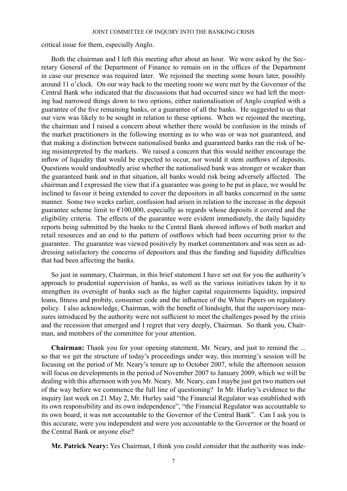critical issue for them, especially Anglo.

Both the chairman and I left this meeting after about an hour. We were asked by the Secretary General of the Department of Finance to remain on in the offices of the Department in case our presence was required later. We rejoined the meeting some hours later, possibly around 11 o'clock. On our way back to the meeting room we were met by the Governor of the Central Bank who indicated that the discussions that had occurred since we had left the meeting had narrowed things down to two options, either nationalisation of Anglo coupled with a guarantee of the five remaining banks, or a guarantee of all the banks. He suggested to us that our view was likely to be sought in relation to these options. When we rejoined the meeting, the chairman and I raised a concern about whether there would be confusion in the minds of the market practitioners in the following morning as to who was or was not guaranteed, and that making a distinction between nationalised banks and guaranteed banks ran the risk of being misinterpreted by the markets. We raised a concern that this would neither encourage the inflow of liquidity that would be expected to occur, nor would it stem outflows of deposits. Questions would undoubtedly arise whether the nationalised bank was stronger or weaker than the guaranteed bank and in that situation, all banks would risk being adversely affected. The chairman and I expressed the view that if a guarantee was going to be put in place, we would be inclined to favour it being extended to cover the depositors in all banks concerned in the same manner. Some two weeks earlier, confusion had arisen in relation to the increase in the deposit guarantee scheme limit to  $\epsilon$ 100,000, especially as regards whose deposits it covered and the eligibility criteria. The effects of the guarantee were evident immediately, the daily liquidity reports being submitted by the banks to the Central Bank showed inflows of both market and retail resources and an end to the pattern of outflows which had been occurring prior to the guarantee. The guarantee was viewed positively by market commentators and was seen as addressing satisfactory the concerns of depositors and thus the funding and liquidity difficulties that had been affecting the banks.

So just in summary, Chairman, in this brief statement I have set out for you the authority's approach to prudential supervision of banks, as well as the various initiatives taken by it to strengthen its oversight of banks such as the higher capital requirements liquidity, impaired loans, fitness and probity, consumer code and the influence of the White Papers on regulatory policy. I also acknowledge, Chairman, with the benefit of hindsight, that the supervisory measures introduced by the authority were not sufficient to meet the challenges posed by the crisis and the recession that emerged and I regret that very deeply, Chairman. So thank you, Chairman, and members of the committee for your attention.

**Chairman:** Thank you for your opening statement, Mr. Neary, and just to remind the ... so that we get the structure of today's proceedings under way, this morning's session will be focusing on the period of Mr. Neary's tenure up to October 2007, while the afternoon session will focus on developments in the period of November 2007 to January 2009, which we will be dealing with this afternoon with you Mr. Neary. Mr. Neary, can I maybe just get two matters out of the way before we commence the full line of questioning? In Mr. Hurley's evidence to the inquiry last week on 21 May 2, Mr. Hurley said "the Financial Regulator was established with its own responsibility and its own independence", "the Financial Regulator was accountable to its own board, it was not accountable to the Governor of the Central Bank". Can I ask you is this accurate, were you independent and were you accountable to the Governor or the board or the Central Bank or anyone else?

**Mr. Patrick Neary:** Yes Chairman, I think you could consider that the authority was inde-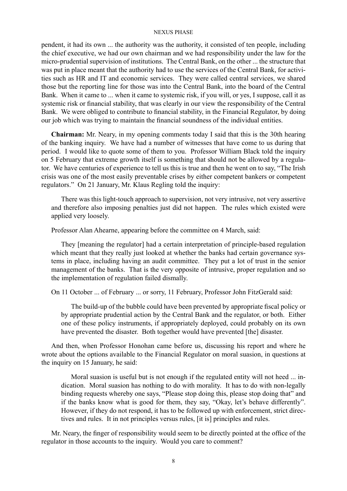pendent, it had its own ... the authority was the authority, it consisted of ten people, including the chief executive, we had our own chairman and we had responsibility under the law for the micro-prudential supervision of institutions. The Central Bank, on the other ... the structure that was put in place meant that the authority had to use the services of the Central Bank, for activities such as HR and IT and economic services. They were called central services, we shared those but the reporting line for those was into the Central Bank, into the board of the Central Bank. When it came to ... when it came to systemic risk, if you will, or yes, I suppose, call it as systemic risk or financial stability, that was clearly in our view the responsibility of the Central Bank. We were obliged to contribute to financial stability, in the Financial Regulator, by doing our job which was trying to maintain the financial soundness of the individual entities.

**Chairman:** Mr. Neary, in my opening comments today I said that this is the 30th hearing of the banking inquiry. We have had a number of witnesses that have come to us during that period. I would like to quote some of them to you. Professor William Black told the inquiry on 5 February that extreme growth itself is something that should not be allowed by a regulator. We have centuries of experience to tell us this is true and then he went on to say, "The Irish crisis was one of the most easily preventable crises by either competent bankers or competent regulators." On 21 January, Mr. Klaus Regling told the inquiry:

There was this light-touch approach to supervision, not very intrusive, not very assertive and therefore also imposing penalties just did not happen. The rules which existed were applied very loosely.

Professor Alan Ahearne, appearing before the committee on 4 March, said:

They [meaning the regulator] had a certain interpretation of principle-based regulation which meant that they really just looked at whether the banks had certain governance systems in place, including having an audit committee. They put a lot of trust in the senior management of the banks. That is the very opposite of intrusive, proper regulation and so the implementation of regulation failed dismally.

On 11 October ... of February ... or sorry, 11 February, Professor John FitzGerald said:

The build-up of the bubble could have been prevented by appropriate fiscal policy or by appropriate prudential action by the Central Bank and the regulator, or both. Either one of these policy instruments, if appropriately deployed, could probably on its own have prevented the disaster. Both together would have prevented [the] disaster.

And then, when Professor Honohan came before us, discussing his report and where he wrote about the options available to the Financial Regulator on moral suasion, in questions at the inquiry on 15 January, he said:

Moral suasion is useful but is not enough if the regulated entity will not heed ... indication. Moral suasion has nothing to do with morality. It has to do with non-legally binding requests whereby one says, "Please stop doing this, please stop doing that" and if the banks know what is good for them, they say, "Okay, let's behave differently". However, if they do not respond, it has to be followed up with enforcement, strict directives and rules. It in not principles versus rules, [it is] principles and rules.

Mr. Neary, the finger of responsibility would seem to be directly pointed at the office of the regulator in those accounts to the inquiry. Would you care to comment?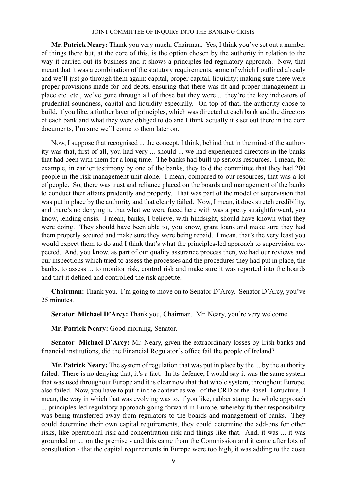**Mr. Patrick Neary:** Thank you very much, Chairman. Yes, I think you've set out a number of things there but, at the core of this, is the option chosen by the authority in relation to the way it carried out its business and it shows a principles-led regulatory approach. Now, that meant that it was a combination of the statutory requirements, some of which I outlined already and we'll just go through them again: capital, proper capital, liquidity; making sure there were proper provisions made for bad debts, ensuring that there was fit and proper management in place etc. etc., we've gone through all of those but they were ... they're the key indicators of prudential soundness, capital and liquidity especially. On top of that, the authority chose to build, if you like, a further layer of principles, which was directed at each bank and the directors of each bank and what they were obliged to do and I think actually it's set out there in the core documents, I'm sure we'll come to them later on.

Now, I suppose that recognised ... the concept, I think, behind that in the mind of the authority was that, first of all, you had very ... should ... we had experienced directors in the banks that had been with them for a long time. The banks had built up serious resources. I mean, for example, in earlier testimony by one of the banks, they told the committee that they had 200 people in the risk management unit alone. I mean, compared to our resources, that was a lot of people. So, there was trust and reliance placed on the boards and management of the banks to conduct their affairs prudently and properly. That was part of the model of supervision that was put in place by the authority and that clearly failed. Now, I mean, it does stretch credibility, and there's no denying it, that what we were faced here with was a pretty straightforward, you know, lending crisis. I mean, banks, I believe, with hindsight, should have known what they were doing. They should have been able to, you know, grant loans and make sure they had them properly secured and make sure they were being repaid. I mean, that's the very least you would expect them to do and I think that's what the principles-led approach to supervision expected. And, you know, as part of our quality assurance process then, we had our reviews and our inspections which tried to assess the processes and the procedures they had put in place, the banks, to assess ... to monitor risk, control risk and make sure it was reported into the boards and that it defined and controlled the risk appetite.

**Chairman:** Thank you. I'm going to move on to Senator D'Arcy. Senator D'Arcy, you've 25 minutes.

**Senator Michael D'Arcy:** Thank you, Chairman. Mr. Neary, you're very welcome.

**Mr. Patrick Neary:** Good morning, Senator.

**Senator Michael D'Arcy:** Mr. Neary, given the extraordinary losses by Irish banks and financial institutions, did the Financial Regulator's office fail the people of Ireland?

**Mr. Patrick Neary:** The system of regulation that was put in place by the ... by the authority failed. There is no denying that, it's a fact. In its defence, I would say it was the same system that was used throughout Europe and it is clear now that that whole system, throughout Europe, also failed. Now, you have to put it in the context as well of the CRD or the Basel II structure. I mean, the way in which that was evolving was to, if you like, rubber stamp the whole approach

... principles-led regulatory approach going forward in Europe, whereby further responsibility was being transferred away from regulators to the boards and management of banks. They could determine their own capital requirements, they could determine the add-ons for other risks, like operational risk and concentration risk and things like that. And, it was ... it was grounded on ... on the premise - and this came from the Commission and it came after lots of consultation - that the capital requirements in Europe were too high, it was adding to the costs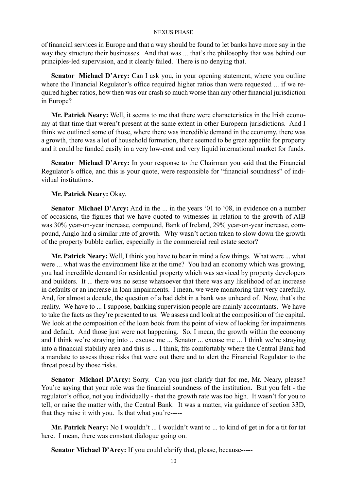of financial services in Europe and that a way should be found to let banks have more say in the way they structure their businesses. And that was ... that's the philosophy that was behind our principles-led supervision, and it clearly failed. There is no denying that.

**Senator Michael D'Arcy:** Can I ask you, in your opening statement, where you outline where the Financial Regulator's office required higher ratios than were requested ... if we required higher ratios, how then was our crash so much worse than any other financial jurisdiction in Europe?

**Mr. Patrick Neary:** Well, it seems to me that there were characteristics in the Irish economy at that time that weren't present at the same extent in other European jurisdictions. And I think we outlined some of those, where there was incredible demand in the economy, there was a growth, there was a lot of household formation, there seemed to be great appetite for property and it could be funded easily in a very low-cost and very liquid international market for funds.

**Senator Michael D'Arcy:** In your response to the Chairman you said that the Financial Regulator's office, and this is your quote, were responsible for "financial soundness" of individual institutions.

## **Mr. Patrick Neary:** Okay.

**Senator Michael D'Arcy:** And in the ... in the years '01 to '08, in evidence on a number of occasions, the figures that we have quoted to witnesses in relation to the growth of AIB was 30% year-on-year increase, compound, Bank of Ireland, 29% year-on-year increase, compound, Anglo had a similar rate of growth. Why wasn't action taken to slow down the growth of the property bubble earlier, especially in the commercial real estate sector?

**Mr. Patrick Neary:** Well, I think you have to bear in mind a few things. What were ... what were ... what was the environment like at the time? You had an economy which was growing, you had incredible demand for residential property which was serviced by property developers and builders. It ... there was no sense whatsoever that there was any likelihood of an increase in defaults or an increase in loan impairments. I mean, we were monitoring that very carefully. And, for almost a decade, the question of a bad debt in a bank was unheard of. Now, that's the reality. We have to ... I suppose, banking supervision people are mainly accountants. We have to take the facts as they're presented to us. We assess and look at the composition of the capital. We look at the composition of the loan book from the point of view of looking for impairments and default. And those just were not happening. So, I mean, the growth within the economy and I think we're straying into .. excuse me ... Senator ... excuse me ... I think we're straying into a financial stability area and this is ... I think, fits comfortably where the Central Bank had a mandate to assess those risks that were out there and to alert the Financial Regulator to the threat posed by those risks.

**Senator Michael D'Arcy:** Sorry. Can you just clarify that for me, Mr. Neary, please? You're saying that your role was the financial soundness of the institution. But you felt - the regulator's office, not you individually - that the growth rate was too high. It wasn't for you to tell, or raise the matter with, the Central Bank. It was a matter, via guidance of section 33D, that they raise it with you. Is that what you're-----

**Mr. Patrick Neary:** No I wouldn't ... I wouldn't want to ... to kind of get in for a tit for tat here. I mean, there was constant dialogue going on.

**Senator Michael D'Arcy:** If you could clarify that, please, because-----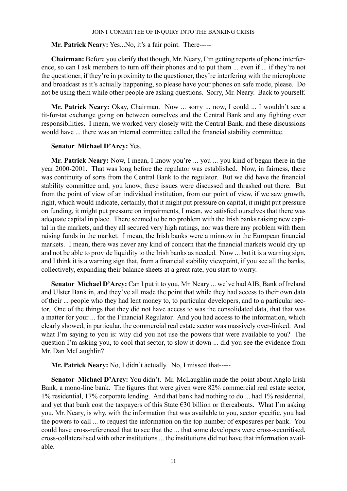# **Mr. Patrick Neary:** Yes...No, it's a fair point. There-----

**Chairman:** Before you clarify that though, Mr. Neary, I'm getting reports of phone interference, so can I ask members to turn off their phones and to put them ... even if ... if they're not the questioner, if they're in proximity to the questioner, they're interfering with the microphone and broadcast as it's actually happening, so please have your phones on safe mode, please. Do not be using them while other people are asking questions. Sorry, Mr. Neary. Back to yourself.

**Mr. Patrick Neary:** Okay, Chairman. Now ... sorry ... now, I could ... I wouldn't see a tit-for-tat exchange going on between ourselves and the Central Bank and any fighting over responsibilities. I mean, we worked very closely with the Central Bank, and these discussions would have ... there was an internal committee called the financial stability committee.

# **Senator Michael D'Arcy:** Yes.

**Mr. Patrick Neary:** Now, I mean, I know you're ... you ... you kind of began there in the year 2000-2001. That was long before the regulator was established. Now, in fairness, there was continuity of sorts from the Central Bank to the regulator. But we did have the financial stability committee and, you know, these issues were discussed and thrashed out there. But from the point of view of an individual institution, from our point of view, if we saw growth, right, which would indicate, certainly, that it might put pressure on capital, it might put pressure on funding, it might put pressure on impairments, I mean, we satisfied ourselves that there was adequate capital in place. There seemed to be no problem with the Irish banks raising new capital in the markets, and they all secured very high ratings, nor was there any problem with them raising funds in the market. I mean, the Irish banks were a minnow in the European financial markets. I mean, there was never any kind of concern that the financial markets would dry up and not be able to provide liquidity to the Irish banks as needed. Now ... but it is a warning sign, and I think it is a warning sign that, from a financial stability viewpoint, if you see all the banks, collectively, expanding their balance sheets at a great rate, you start to worry.

**Senator Michael D'Arcy:** Can I put it to you, Mr. Neary ... we've had AIB, Bank of Ireland and Ulster Bank in, and they've all made the point that while they had access to their own data of their ... people who they had lent money to, to particular developers, and to a particular sector. One of the things that they did not have access to was the consolidated data, that that was a matter for your ... for the Financial Regulator. And you had access to the information, which clearly showed, in particular, the commercial real estate sector was massively over-linked. And what I'm saying to you is: why did you not use the powers that were available to you? The question I'm asking you, to cool that sector, to slow it down ... did you see the evidence from Mr. Dan McLaughlin?

**Mr. Patrick Neary:** No, I didn't actually. No, I missed that-----

**Senator Michael D'Arcy:** You didn't. Mr. McLaughlin made the point about Anglo Irish Bank, a mono-line bank. The figures that were given were 82% commercial real estate sector, 1% residential, 17% corporate lending. And that bank had nothing to do ... had 1% residential, and yet that bank cost the taxpayers of this State €30 billion or thereabouts. What I'm asking you, Mr. Neary, is why, with the information that was available to you, sector specific, you had the powers to call ... to request the information on the top number of exposures per bank. You could have cross-referenced that to see that the ... that some developers were cross-securitised, cross-collateralised with other institutions ... the institutions did not have that information available.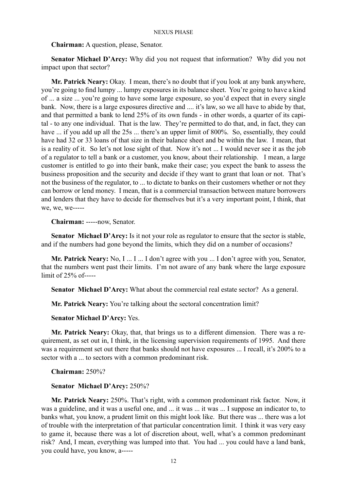**Chairman:** A question, please, Senator.

**Senator Michael D'Arcy:** Why did you not request that information? Why did you not impact upon that sector?

**Mr. Patrick Neary:** Okay. I mean, there's no doubt that if you look at any bank anywhere, you're going to find lumpy ... lumpy exposures in its balance sheet. You're going to have a kind of ... a size ... you're going to have some large exposure, so you'd expect that in every single bank. Now, there is a large exposures directive and .... it's law, so we all have to abide by that, and that permitted a bank to lend 25% of its own funds - in other words, a quarter of its capital - to any one individual. That is the law. They're permitted to do that, and, in fact, they can have ... if you add up all the 25s ... there's an upper limit of 800%. So, essentially, they could have had 32 or 33 loans of that size in their balance sheet and be within the law. I mean, that is a reality of it. So let's not lose sight of that. Now it's not ... I would never see it as the job of a regulator to tell a bank or a customer, you know, about their relationship. I mean, a large customer is entitled to go into their bank, make their case; you expect the bank to assess the business proposition and the security and decide if they want to grant that loan or not. That's not the business of the regulator, to ... to dictate to banks on their customers whether or not they can borrow or lend money. I mean, that is a commercial transaction between mature borrowers and lenders that they have to decide for themselves but it's a very important point, I think, that we, we, we-----

**Chairman:** -----now, Senator.

**Senator Michael D'Arcy:** Is it not your role as regulator to ensure that the sector is stable, and if the numbers had gone beyond the limits, which they did on a number of occasions?

**Mr. Patrick Neary:** No, I ... I ... I don't agree with you ... I don't agree with you, Senator, that the numbers went past their limits. I'm not aware of any bank where the large exposure limit of 25% of-----

**Senator Michael D'Arcy:** What about the commercial real estate sector? As a general.

**Mr. Patrick Neary:** You're talking about the sectoral concentration limit?

**Senator Michael D'Arcy:** Yes.

**Mr. Patrick Neary:** Okay, that, that brings us to a different dimension. There was a requirement, as set out in, I think, in the licensing supervision requirements of 1995. And there was a requirement set out there that banks should not have exposures ... I recall, it's 200% to a sector with a ... to sectors with a common predominant risk.

**Chairman:** 250%?

# **Senator Michael D'Arcy:** 250%?

**Mr. Patrick Neary:** 250%. That's right, with a common predominant risk factor. Now, it was a guideline, and it was a useful one, and ... it was ... it was ... I suppose an indicator to, to banks what, you know, a prudent limit on this might look like. But there was ... there was a lot of trouble with the interpretation of that particular concentration limit. I think it was very easy to game it, because there was a lot of discretion about, well, what's a common predominant risk? And, I mean, everything was lumped into that. You had ... you could have a land bank, you could have, you know, a-----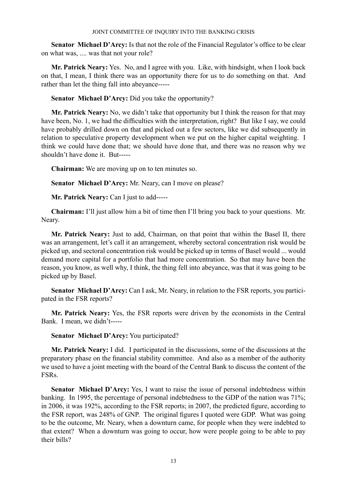**Senator Michael D'Arcy:** Is that not the role of the Financial Regulator's office to be clear on what was, .... was that not your role?

**Mr. Patrick Neary:** Yes. No, and I agree with you. Like, with hindsight, when I look back on that, I mean, I think there was an opportunity there for us to do something on that. And rather than let the thing fall into abeyance-----

**Senator Michael D'Arcy:** Did you take the opportunity?

**Mr. Patrick Neary:** No, we didn't take that opportunity but I think the reason for that may have been, No. 1, we had the difficulties with the interpretation, right? But like I say, we could have probably drilled down on that and picked out a few sectors, like we did subsequently in relation to speculative property development when we put on the higher capital weighting. I think we could have done that; we should have done that, and there was no reason why we shouldn't have done it. But-----

**Chairman:** We are moving up on to ten minutes so.

**Senator Michael D'Arcy:** Mr. Neary, can I move on please?

**Mr. Patrick Neary:** Can I just to add-----

**Chairman:** I'll just allow him a bit of time then I'll bring you back to your questions. Mr. Neary.

**Mr. Patrick Neary:** Just to add, Chairman, on that point that within the Basel II, there was an arrangement, let's call it an arrangement, whereby sectoral concentration risk would be picked up, and sectoral concentration risk would be picked up in terms of Basel would ... would demand more capital for a portfolio that had more concentration. So that may have been the reason, you know, as well why, I think, the thing fell into abeyance, was that it was going to be picked up by Basel.

**Senator Michael D'Arcy:** Can I ask, Mr. Neary, in relation to the FSR reports, you participated in the FSR reports?

**Mr. Patrick Neary:** Yes, the FSR reports were driven by the economists in the Central Bank. I mean, we didn't-----

# **Senator Michael D'Arcy:** You participated?

**Mr. Patrick Neary:** I did. I participated in the discussions, some of the discussions at the preparatory phase on the financial stability committee. And also as a member of the authority we used to have a joint meeting with the board of the Central Bank to discuss the content of the FSRs.

**Senator Michael D'Arcy:** Yes, I want to raise the issue of personal indebtedness within banking. In 1995, the percentage of personal indebtedness to the GDP of the nation was 71%; in 2006, it was 192%, according to the FSR reports; in 2007, the predicted figure, according to the FSR report, was 248% of GNP. The original figures I quoted were GDP. What was going to be the outcome, Mr. Neary, when a downturn came, for people when they were indebted to that extent? When a downturn was going to occur, how were people going to be able to pay their bills?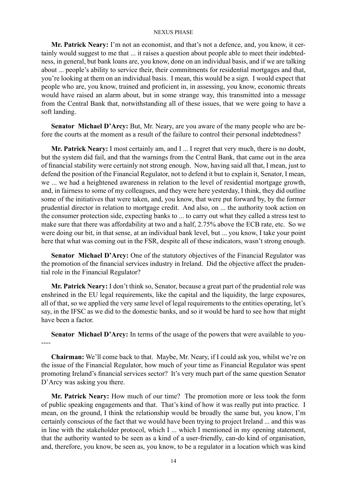**Mr. Patrick Neary:** I'm not an economist, and that's not a defence, and, you know, it certainly would suggest to me that ... it raises a question about people able to meet their indebtedness, in general, but bank loans are, you know, done on an individual basis, and if we are talking about ... people's ability to service their, their commitments for residential mortgages and that, you're looking at them on an individual basis. I mean, this would be a sign. I would expect that people who are, you know, trained and proficient in, in assessing, you know, economic threats would have raised an alarm about, but in some strange way, this transmitted into a message from the Central Bank that, notwithstanding all of these issues, that we were going to have a soft landing.

**Senator Michael D'Arcy:** But, Mr. Neary, are you aware of the many people who are before the courts at the moment as a result of the failure to control their personal indebtedness?

**Mr. Patrick Neary:** I most certainly am, and I ... I regret that very much, there is no doubt, but the system did fail, and that the warnings from the Central Bank, that came out in the area of financial stability were certainly not strong enough. Now, having said all that, I mean, just to defend the position of the Financial Regulator, not to defend it but to explain it, Senator, I mean, we ... we had a heightened awareness in relation to the level of residential mortgage growth, and, in fairness to some of my colleagues, and they were here yesterday, I think, they did outline some of the initiatives that were taken, and, you know, that were put forward by, by the former prudential director in relation to mortgage credit. And also, on ... the authority took action on the consumer protection side, expecting banks to ... to carry out what they called a stress test to make sure that there was affordability at two and a half, 2.75% above the ECB rate, etc. So we were doing our bit, in that sense, at an individual bank level, but ... you know, I take your point here that what was coming out in the FSR, despite all of these indicators, wasn't strong enough.

**Senator Michael D'Arcy:** One of the statutory objectives of the Financial Regulator was the promotion of the financial services industry in Ireland. Did the objective affect the prudential role in the Financial Regulator?

**Mr. Patrick Neary:** I don't think so, Senator, because a great part of the prudential role was enshrined in the EU legal requirements, like the capital and the liquidity, the large exposures, all of that, so we applied the very same level of legal requirements to the entities operating, let's say, in the IFSC as we did to the domestic banks, and so it would be hard to see how that might have been a factor.

**Senator Michael D'Arcy:** In terms of the usage of the powers that were available to you- ----

**Chairman:** We'll come back to that. Maybe, Mr. Neary, if I could ask you, whilst we're on the issue of the Financial Regulator, how much of your time as Financial Regulator was spent promoting Ireland's financial services sector? It's very much part of the same question Senator D'Arcy was asking you there.

**Mr. Patrick Neary:** How much of our time? The promotion more or less took the form of public speaking engagements and that. That's kind of how it was really put into practice. I mean, on the ground, I think the relationship would be broadly the same but, you know, I'm certainly conscious of the fact that we would have been trying to project Ireland ... and this was in line with the stakeholder protocol, which I ... which I mentioned in my opening statement, that the authority wanted to be seen as a kind of a user-friendly, can-do kind of organisation, and, therefore, you know, be seen as, you know, to be a regulator in a location which was kind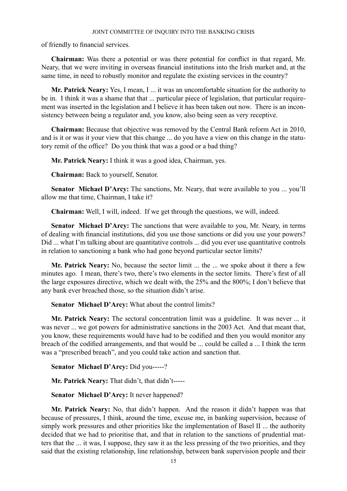of friendly to financial services.

**Chairman:** Was there a potential or was there potential for conflict in that regard, Mr. Neary, that we were inviting in overseas financial institutions into the Irish market and, at the same time, in need to robustly monitor and regulate the existing services in the country?

**Mr. Patrick Neary:** Yes, I mean, I ... it was an uncomfortable situation for the authority to be in. I think it was a shame that that ... particular piece of legislation, that particular requirement was inserted in the legislation and I believe it has been taken out now. There is an inconsistency between being a regulator and, you know, also being seen as very receptive.

**Chairman:** Because that objective was removed by the Central Bank reform Act in 2010, and is it or was it your view that this change ... do you have a view on this change in the statutory remit of the office? Do you think that was a good or a bad thing?

**Mr. Patrick Neary:** I think it was a good idea, Chairman, yes.

**Chairman:** Back to yourself, Senator.

**Senator Michael D'Arcy:** The sanctions, Mr. Neary, that were available to you ... you'll allow me that time, Chairman, I take it?

**Chairman:** Well, I will, indeed. If we get through the questions, we will, indeed.

**Senator Michael D'Arcy:** The sanctions that were available to you, Mr. Neary, in terms of dealing with financial institutions, did you use those sanctions or did you use your powers? Did ... what I'm talking about are quantitative controls ... did you ever use quantitative controls in relation to sanctioning a bank who had gone beyond particular sector limits?

**Mr. Patrick Neary:** No, because the sector limit ... the ... we spoke about it there a few minutes ago. I mean, there's two, there's two elements in the sector limits. There's first of all the large exposures directive, which we dealt with, the 25% and the 800%; I don't believe that any bank ever breached those, so the situation didn't arise.

**Senator Michael D'Arcy:** What about the control limits?

**Mr. Patrick Neary:** The sectoral concentration limit was a guideline. It was never ... it was never ... we got powers for administrative sanctions in the 2003 Act. And that meant that, you know, these requirements would have had to be codified and then you would monitor any breach of the codified arrangements, and that would be ... could be called a ... I think the term was a "prescribed breach", and you could take action and sanction that.

**Senator Michael D'Arcy:** Did you-----?

**Mr. Patrick Neary:** That didn't, that didn't-----

**Senator Michael D'Arcy:** It never happened?

**Mr. Patrick Neary:** No, that didn't happen. And the reason it didn't happen was that because of pressures, I think, around the time, excuse me, in banking supervision, because of simply work pressures and other priorities like the implementation of Basel II ... the authority decided that we had to prioritise that, and that in relation to the sanctions of prudential matters that the ... it was, I suppose, they saw it as the less pressing of the two priorities, and they said that the existing relationship, line relationship, between bank supervision people and their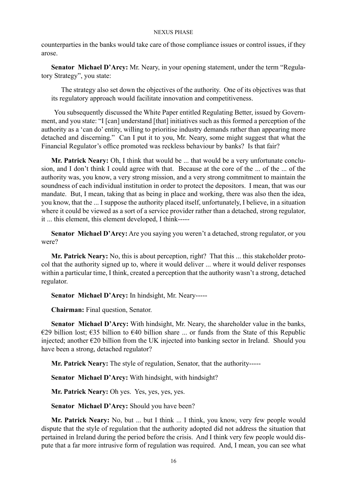counterparties in the banks would take care of those compliance issues or control issues, if they arose.

**Senator Michael D'Arcy:** Mr. Neary, in your opening statement, under the term "Regulatory Strategy", you state:

The strategy also set down the objectives of the authority. One of its objectives was that its regulatory approach would facilitate innovation and competitiveness.

 You subsequently discussed the White Paper entitled Regulating Better, issued by Government, and you state: "I [can] understand [that] initiatives such as this formed a perception of the authority as a 'can do' entity, willing to prioritise industry demands rather than appearing more detached and discerning." Can I put it to you, Mr. Neary, some might suggest that what the Financial Regulator's office promoted was reckless behaviour by banks? Is that fair?

**Mr. Patrick Neary:** Oh, I think that would be ... that would be a very unfortunate conclusion, and I don't think I could agree with that. Because at the core of the ... of the ... of the authority was, you know, a very strong mission, and a very strong commitment to maintain the soundness of each individual institution in order to protect the depositors. I mean, that was our mandate. But, I mean, taking that as being in place and working, there was also then the idea, you know, that the ... I suppose the authority placed itself, unfortunately, I believe, in a situation where it could be viewed as a sort of a service provider rather than a detached, strong regulator, it ... this element, this element developed, I think-----

**Senator Michael D'Arcy:** Are you saying you weren't a detached, strong regulator, or you were?

**Mr. Patrick Neary:** No, this is about perception, right? That this ... this stakeholder protocol that the authority signed up to, where it would deliver ... where it would deliver responses within a particular time, I think, created a perception that the authority wasn't a strong, detached regulator.

**Senator Michael D'Arcy:** In hindsight, Mr. Neary-----

**Chairman:** Final question, Senator.

**Senator Michael D'Arcy:** With hindsight, Mr. Neary, the shareholder value in the banks, €29 billion lost; €35 billion to €40 billion share ... or funds from the State of this Republic injected; another €20 billion from the UK injected into banking sector in Ireland. Should you have been a strong, detached regulator?

**Mr. Patrick Neary:** The style of regulation, Senator, that the authority-----

**Senator Michael D'Arcy:** With hindsight, with hindsight?

**Mr. Patrick Neary:** Oh yes. Yes, yes, yes, yes.

**Senator Michael D'Arcy:** Should you have been?

**Mr. Patrick Neary:** No, but ... but I think ... I think, you know, very few people would dispute that the style of regulation that the authority adopted did not address the situation that pertained in Ireland during the period before the crisis. And I think very few people would dispute that a far more intrusive form of regulation was required. And, I mean, you can see what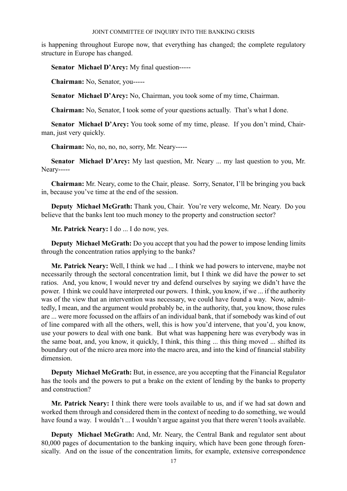is happening throughout Europe now, that everything has changed; the complete regulatory structure in Europe has changed.

**Senator Michael D'Arcy:** My final question-----

**Chairman:** No, Senator, you-----

**Senator Michael D'Arcy:** No, Chairman, you took some of my time, Chairman.

**Chairman:** No, Senator, I took some of your questions actually. That's what I done.

**Senator Michael D'Arcy:** You took some of my time, please. If you don't mind, Chairman, just very quickly.

**Chairman:** No, no, no, no, sorry, Mr. Neary-----

**Senator Michael D'Arcy:** My last question, Mr. Neary ... my last question to you, Mr. Neary-----

**Chairman:** Mr. Neary, come to the Chair, please. Sorry, Senator, I'll be bringing you back in, because you've time at the end of the session.

**Deputy Michael McGrath:** Thank you, Chair. You're very welcome, Mr. Neary. Do you believe that the banks lent too much money to the property and construction sector?

**Mr. Patrick Neary:** I do ... I do now, yes.

**Deputy Michael McGrath:** Do you accept that you had the power to impose lending limits through the concentration ratios applying to the banks?

**Mr. Patrick Neary:** Well, I think we had ... I think we had powers to intervene, maybe not necessarily through the sectoral concentration limit, but I think we did have the power to set ratios. And, you know, I would never try and defend ourselves by saying we didn't have the power. I think we could have interpreted our powers. I think, you know, if we ... if the authority was of the view that an intervention was necessary, we could have found a way. Now, admittedly, I mean, and the argument would probably be, in the authority, that, you know, those rules are ... were more focussed on the affairs of an individual bank, that if somebody was kind of out of line compared with all the others, well, this is how you'd intervene, that you'd, you know, use your powers to deal with one bank. But what was happening here was everybody was in the same boat, and, you know, it quickly, I think, this thing ... this thing moved ... shifted its boundary out of the micro area more into the macro area, and into the kind of financial stability dimension.

**Deputy Michael McGrath:** But, in essence, are you accepting that the Financial Regulator has the tools and the powers to put a brake on the extent of lending by the banks to property and construction?

**Mr. Patrick Neary:** I think there were tools available to us, and if we had sat down and worked them through and considered them in the context of needing to do something, we would have found a way. I wouldn't ... I wouldn't argue against you that there weren't tools available.

**Deputy Michael McGrath:** And, Mr. Neary, the Central Bank and regulator sent about 80,000 pages of documentation to the banking inquiry, which have been gone through forensically. And on the issue of the concentration limits, for example, extensive correspondence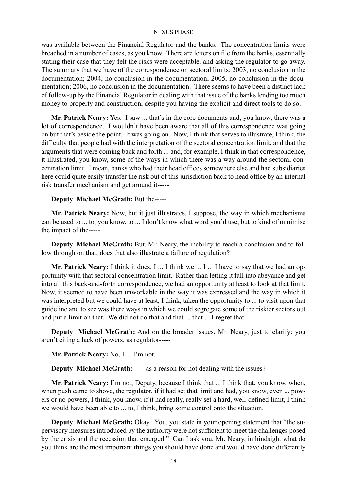was available between the Financial Regulator and the banks. The concentration limits were breached in a number of cases, as you know. There are letters on file from the banks, essentially stating their case that they felt the risks were acceptable, and asking the regulator to go away. The summary that we have of the correspondence on sectoral limits: 2003, no conclusion in the documentation; 2004, no conclusion in the documentation; 2005, no conclusion in the documentation; 2006, no conclusion in the documentation. There seems to have been a distinct lack of follow-up by the Financial Regulator in dealing with that issue of the banks lending too much money to property and construction, despite you having the explicit and direct tools to do so.

**Mr. Patrick Neary:** Yes. I saw ... that's in the core documents and, you know, there was a lot of correspondence. I wouldn't have been aware that all of this correspondence was going on but that's beside the point. It was going on. Now, I think that serves to illustrate, I think, the difficulty that people had with the interpretation of the sectoral concentration limit, and that the arguments that were coming back and forth ... and, for example, I think in that correspondence, it illustrated, you know, some of the ways in which there was a way around the sectoral concentration limit. I mean, banks who had their head offices somewhere else and had subsidiaries here could quite easily transfer the risk out of this jurisdiction back to head office by an internal risk transfer mechanism and get around it-----

# **Deputy Michael McGrath:** But the-----

**Mr. Patrick Neary:** Now, but it just illustrates, I suppose, the way in which mechanisms can be used to ... to, you know, to ... I don't know what word you'd use, but to kind of minimise the impact of the-----

**Deputy Michael McGrath:** But, Mr. Neary, the inability to reach a conclusion and to follow through on that, does that also illustrate a failure of regulation?

**Mr. Patrick Neary:** I think it does. I ... I think we ... I ... I have to say that we had an opportunity with that sectoral concentration limit. Rather than letting it fall into abeyance and get into all this back-and-forth correspondence, we had an opportunity at least to look at that limit. Now, it seemed to have been unworkable in the way it was expressed and the way in which it was interpreted but we could have at least, I think, taken the opportunity to ... to visit upon that guideline and to see was there ways in which we could segregate some of the riskier sectors out and put a limit on that. We did not do that and that ... that ... I regret that.

**Deputy Michael McGrath:** And on the broader issues, Mr. Neary, just to clarify: you aren't citing a lack of powers, as regulator-----

**Mr. Patrick Neary:** No, I ... I'm not.

**Deputy Michael McGrath:** -----as a reason for not dealing with the issues?

**Mr. Patrick Neary:** I'm not, Deputy, because I think that ... I think that, you know, when, when push came to shove, the regulator, if it had set that limit and had, you know, even ... powers or no powers, I think, you know, if it had really, really set a hard, well-defined limit, I think we would have been able to ... to, I think, bring some control onto the situation.

**Deputy Michael McGrath:** Okay. You, you state in your opening statement that "the supervisory measures introduced by the authority were not sufficient to meet the challenges posed by the crisis and the recession that emerged." Can I ask you, Mr. Neary, in hindsight what do you think are the most important things you should have done and would have done differently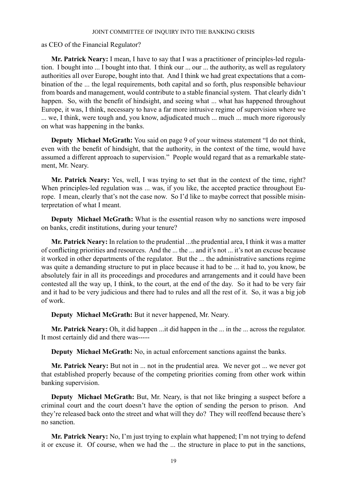as CEO of the Financial Regulator?

**Mr. Patrick Neary:** I mean, I have to say that I was a practitioner of principles-led regulation. I bought into ... I bought into that. I think our ... our ... the authority, as well as regulatory authorities all over Europe, bought into that. And I think we had great expectations that a combination of the ... the legal requirements, both capital and so forth, plus responsible behaviour from boards and management, would contribute to a stable financial system. That clearly didn't happen. So, with the benefit of hindsight, and seeing what ... what has happened throughout Europe, it was, I think, necessary to have a far more intrusive regime of supervision where we ... we, I think, were tough and, you know, adjudicated much ... much ... much more rigorously on what was happening in the banks.

**Deputy Michael McGrath:** You said on page 9 of your witness statement "I do not think, even with the benefit of hindsight, that the authority, in the context of the time, would have assumed a different approach to supervision." People would regard that as a remarkable statement, Mr. Neary.

**Mr. Patrick Neary:** Yes, well, I was trying to set that in the context of the time, right? When principles-led regulation was ... was, if you like, the accepted practice throughout Europe. I mean, clearly that's not the case now. So I'd like to maybe correct that possible misinterpretation of what I meant.

**Deputy Michael McGrath:** What is the essential reason why no sanctions were imposed on banks, credit institutions, during your tenure?

**Mr. Patrick Neary:** In relation to the prudential ...the prudential area, I think it was a matter of conflicting priorities and resources. And the ... the ... and it's not ... it's not an excuse because it worked in other departments of the regulator. But the ... the administrative sanctions regime was quite a demanding structure to put in place because it had to be ... it had to, you know, be absolutely fair in all its proceedings and procedures and arrangements and it could have been contested all the way up, I think, to the court, at the end of the day. So it had to be very fair and it had to be very judicious and there had to rules and all the rest of it. So, it was a big job of work.

**Deputy Michael McGrath:** But it never happened, Mr. Neary.

**Mr. Patrick Neary:** Oh, it did happen ...it did happen in the ... in the ... across the regulator. It most certainly did and there was-----

**Deputy Michael McGrath:** No, in actual enforcement sanctions against the banks.

**Mr. Patrick Neary:** But not in ... not in the prudential area. We never got ... we never got that established properly because of the competing priorities coming from other work within banking supervision.

**Deputy Michael McGrath:** But, Mr. Neary, is that not like bringing a suspect before a criminal court and the court doesn't have the option of sending the person to prison. And they're released back onto the street and what will they do? They will reoffend because there's no sanction.

**Mr. Patrick Neary:** No, I'm just trying to explain what happened; I'm not trying to defend it or excuse it. Of course, when we had the ... the structure in place to put in the sanctions,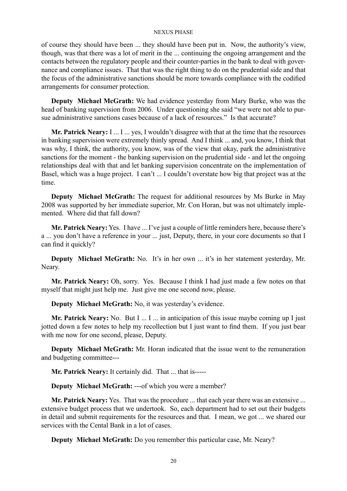of course they should have been ... they should have been put in. Now, the authority's view, though, was that there was a lot of merit in the ... continuing the ongoing arrangement and the contacts between the regulatory people and their counter-parties in the bank to deal with governance and compliance issues. That that was the right thing to do on the prudential side and that the focus of the administrative sanctions should be more towards compliance with the codified arrangements for consumer protection.

**Deputy Michael McGrath:** We had evidence yesterday from Mary Burke, who was the head of banking supervision from 2006. Under questioning she said "we were not able to pursue administrative sanctions cases because of a lack of resources." Is that accurate?

**Mr. Patrick Neary:** I ... I ... yes, I wouldn't disagree with that at the time that the resources in banking supervision were extremely thinly spread. And I think ... and, you know, I think that was why, I think, the authority, you know, was of the view that okay, park the administrative sanctions for the moment - the banking supervision on the prudential side - and let the ongoing relationships deal with that and let banking supervision concentrate on the implementation of Basel, which was a huge project. I can't ... I couldn't overstate how big that project was at the time.

**Deputy Michael McGrath:** The request for additional resources by Ms Burke in May 2008 was supported by her immediate superior, Mr. Con Horan, but was not ultimately implemented. Where did that fall down?

**Mr. Patrick Neary:** Yes. I have ... I've just a couple of little reminders here, because there's a ... you don't have a reference in your ... just, Deputy, there, in your core documents so that I can find it quickly?

**Deputy Michael McGrath:** No. It's in her own ... it's in her statement yesterday, Mr. Neary.

**Mr. Patrick Neary:** Oh, sorry. Yes. Because I think I had just made a few notes on that myself that might just help me. Just give me one second now, please.

**Deputy Michael McGrath:** No, it was yesterday's evidence.

**Mr. Patrick Neary:** No. But I ... I ... in anticipation of this issue maybe coming up I just jotted down a few notes to help my recollection but I just want to find them. If you just bear with me now for one second, please, Deputy.

**Deputy Michael McGrath:** Mr. Horan indicated that the issue went to the remuneration and budgeting committee---

**Mr. Patrick Neary:** It certainly did. That ... that is-----

**Deputy Michael McGrath:** ---of which you were a member?

**Mr. Patrick Neary:** Yes. That was the procedure ... that each year there was an extensive ... extensive budget process that we undertook. So, each department had to set out their budgets in detail and submit requirements for the resources and that. I mean, we got ... we shared our services with the Cental Bank in a lot of cases.

**Deputy Michael McGrath:** Do you remember this particular case, Mr. Neary?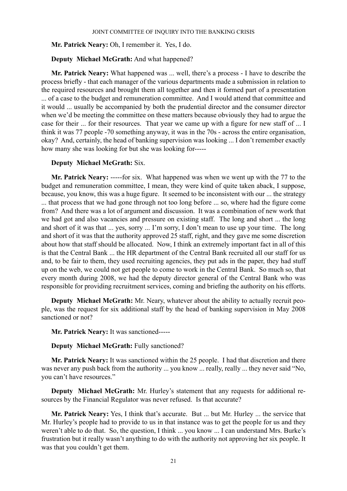# **Mr. Patrick Neary:** Oh, I remember it. Yes, I do.

# **Deputy Michael McGrath:** And what happened?

**Mr. Patrick Neary:** What happened was ... well, there's a process - I have to describe the process briefly - that each manager of the various departments made a submission in relation to the required resources and brought them all together and then it formed part of a presentation ... of a case to the budget and remuneration committee. And I would attend that committee and it would ... usually be accompanied by both the prudential director and the consumer director when we'd be meeting the committee on these matters because obviously they had to argue the case for their ... for their resources. That year we came up with a figure for new staff of ... I think it was 77 people -70 something anyway, it was in the 70s - across the entire organisation, okay? And, certainly, the head of banking supervision was looking ... I don't remember exactly how many she was looking for but she was looking for-----

# **Deputy Michael McGrath:** Six.

**Mr. Patrick Neary:** -----for six. What happened was when we went up with the 77 to the budget and remuneration committee, I mean, they were kind of quite taken aback, I suppose, because, you know, this was a huge figure. It seemed to be inconsistent with our ... the strategy ... that process that we had gone through not too long before ... so, where had the figure come from? And there was a lot of argument and discussion. It was a combination of new work that we had got and also vacancies and pressure on existing staff. The long and short ... the long and short of it was that ... yes, sorry ... I'm sorry, I don't mean to use up your time. The long and short of it was that the authority approved 25 staff, right, and they gave me some discretion about how that staff should be allocated. Now, I think an extremely important fact in all of this is that the Central Bank ... the HR department of the Central Bank recruited all our staff for us and, to be fair to them, they used recruiting agencies, they put ads in the paper, they had stuff up on the web, we could not get people to come to work in the Central Bank. So much so, that every month during 2008, we had the deputy director general of the Central Bank who was responsible for providing recruitment services, coming and briefing the authority on his efforts.

**Deputy Michael McGrath:** Mr. Neary, whatever about the ability to actually recruit people, was the request for six additional staff by the head of banking supervision in May 2008 sanctioned or not?

## **Mr. Patrick Neary:** It was sanctioned-----

## **Deputy Michael McGrath:** Fully sanctioned?

**Mr. Patrick Neary:** It was sanctioned within the 25 people. I had that discretion and there was never any push back from the authority ... you know ... really, really ... they never said "No, you can't have resources."

**Deputy Michael McGrath:** Mr. Hurley's statement that any requests for additional resources by the Financial Regulator was never refused. Is that accurate?

**Mr. Patrick Neary:** Yes, I think that's accurate. But ... but Mr. Hurley ... the service that Mr. Hurley's people had to provide to us in that instance was to get the people for us and they weren't able to do that. So, the question, I think ... you know ... I can understand Mrs. Burke's frustration but it really wasn't anything to do with the authority not approving her six people. It was that you couldn't get them.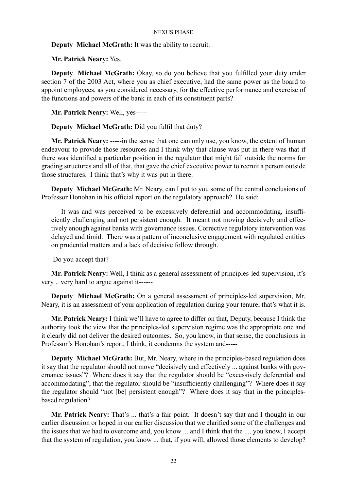# **Deputy Michael McGrath:** It was the ability to recruit.

**Mr. Patrick Neary:** Yes.

**Deputy Michael McGrath:** Okay, so do you believe that you fulfilled your duty under section 7 of the 2003 Act, where you as chief executive, had the same power as the board to appoint employees, as you considered necessary, for the effective performance and exercise of the functions and powers of the bank in each of its constituent parts?

**Mr. Patrick Neary:** Well, yes-----

**Deputy Michael McGrath:** Did you fulfil that duty?

**Mr. Patrick Neary:** -----in the sense that one can only use, you know, the extent of human endeavour to provide those resources and I think why that clause was put in there was that if there was identified a particular position in the regulator that might fall outside the norms for grading structures and all of that, that gave the chief executive power to recruit a person outside those structures. I think that's why it was put in there.

**Deputy Michael McGrath:** Mr. Neary, can I put to you some of the central conclusions of Professor Honohan in his official report on the regulatory approach? He said:

It was and was perceived to be excessively deferential and accommodating, insufficiently challenging and not persistent enough. It meant not moving decisively and effectively enough against banks with governance issues. Corrective regulatory intervention was delayed and timid. There was a pattern of inconclusive engagement with regulated entities on prudential matters and a lack of decisive follow through.

Do you accept that?

**Mr. Patrick Neary:** Well, I think as a general assessment of principles-led supervision, it's very .. very hard to argue against it------

**Deputy Michael McGrath:** On a general assessment of principles-led supervision, Mr. Neary, it is an assessment of your application of regulation during your tenure; that's what it is.

**Mr. Patrick Neary:** I think we'll have to agree to differ on that, Deputy, because I think the authority took the view that the principles-led supervision regime was the appropriate one and it clearly did not deliver the desired outcomes. So, you know, in that sense, the conclusions in Professor's Honohan's report, I think, it condemns the system and-----

**Deputy Michael McGrath:** But, Mr. Neary, where in the principles-based regulation does it say that the regulator should not move "decisively and effectively ... against banks with governance issues"? Where does it say that the regulator should be "excessively deferential and accommodating", that the regulator should be "insufficiently challenging"? Where does it say the regulator should "not [be] persistent enough"? Where does it say that in the principlesbased regulation?

**Mr. Patrick Neary:** That's ... that's a fair point. It doesn't say that and I thought in our earlier discussion or hoped in our earlier discussion that we clarified some of the challenges and the issues that we had to overcome and, you know ... and I think that the .... you know, I accept that the system of regulation, you know ... that, if you will, allowed those elements to develop?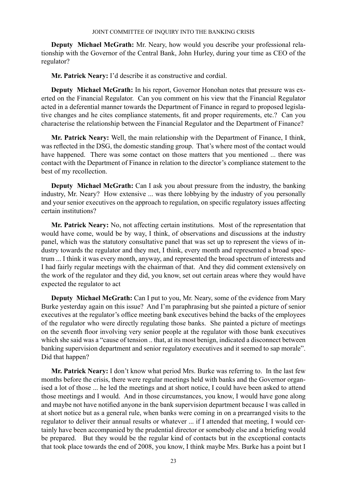**Deputy Michael McGrath:** Mr. Neary, how would you describe your professional relationship with the Governor of the Central Bank, John Hurley, during your time as CEO of the regulator?

**Mr. Patrick Neary:** I'd describe it as constructive and cordial.

**Deputy Michael McGrath:** In his report, Governor Honohan notes that pressure was exerted on the Financial Regulator. Can you comment on his view that the Financial Regulator acted in a deferential manner towards the Department of Finance in regard to proposed legislative changes and he cites compliance statements, fit and proper requirements, etc.? Can you characterise the relationship between the Financial Regulator and the Department of Finance?

**Mr. Patrick Neary:** Well, the main relationship with the Department of Finance, I think, was reflected in the DSG, the domestic standing group. That's where most of the contact would have happened. There was some contact on those matters that you mentioned ... there was contact with the Department of Finance in relation to the director's compliance statement to the best of my recollection.

**Deputy Michael McGrath:** Can I ask you about pressure from the industry, the banking industry, Mr. Neary? How extensive ... was there lobbying by the industry of you personally and your senior executives on the approach to regulation, on specific regulatory issues affecting certain institutions?

**Mr. Patrick Neary:** No, not affecting certain institutions. Most of the representation that would have come, would be by way, I think, of observations and discussions at the industry panel, which was the statutory consultative panel that was set up to represent the views of industry towards the regulator and they met, I think, every month and represented a broad spectrum ... I think it was every month, anyway, and represented the broad spectrum of interests and I had fairly regular meetings with the chairman of that. And they did comment extensively on the work of the regulator and they did, you know, set out certain areas where they would have expected the regulator to act

**Deputy Michael McGrath:** Can I put to you, Mr. Neary, some of the evidence from Mary Burke yesterday again on this issue? And I'm paraphrasing but she painted a picture of senior executives at the regulator's office meeting bank executives behind the backs of the employees of the regulator who were directly regulating those banks. She painted a picture of meetings on the seventh floor involving very senior people at the regulator with those bank executives which she said was a "cause of tension .. that, at its most benign, indicated a disconnect between banking supervision department and senior regulatory executives and it seemed to sap morale". Did that happen?

**Mr. Patrick Neary:** I don't know what period Mrs. Burke was referring to. In the last few months before the crisis, there were regular meetings held with banks and the Governor organised a lot of those ... he led the meetings and at short notice, I could have been asked to attend those meetings and I would. And in those circumstances, you know, I would have gone along and maybe not have notified anyone in the bank supervision department because I was called in at short notice but as a general rule, when banks were coming in on a prearranged visits to the regulator to deliver their annual results or whatever ... if I attended that meeting, I would certainly have been accompanied by the prudential director or somebody else and a briefing would be prepared. But they would be the regular kind of contacts but in the exceptional contacts that took place towards the end of 2008, you know, I think maybe Mrs. Burke has a point but I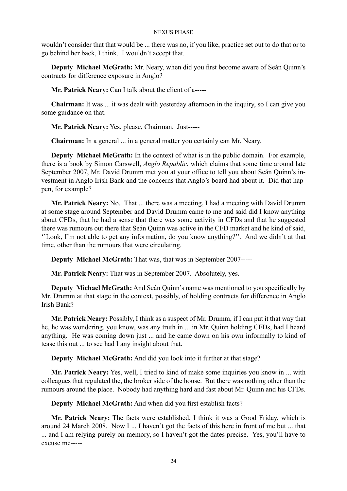wouldn't consider that that would be ... there was no, if you like, practice set out to do that or to go behind her back, I think. I wouldn't accept that.

**Deputy Michael McGrath:** Mr. Neary, when did you first become aware of Seán Quinn's contracts for difference exposure in Anglo?

**Mr. Patrick Neary:** Can I talk about the client of a-----

**Chairman:** It was ... it was dealt with yesterday afternoon in the inquiry, so I can give you some guidance on that.

**Mr. Patrick Neary:** Yes, please, Chairman. Just-----

**Chairman:** In a general ... in a general matter you certainly can Mr. Neary.

**Deputy Michael McGrath:** In the context of what is in the public domain. For example, there is a book by Simon Carswell, *Anglo Republic*, which claims that some time around late September 2007, Mr. David Drumm met you at your office to tell you about Seán Quinn's investment in Anglo Irish Bank and the concerns that Anglo's board had about it. Did that happen, for example?

**Mr. Patrick Neary:** No. That ... there was a meeting, I had a meeting with David Drumm at some stage around September and David Drumm came to me and said did I know anything about CFDs, that he had a sense that there was some activity in CFDs and that he suggested there was rumours out there that Seán Quinn was active in the CFD market and he kind of said, ''Look, I'm not able to get any information, do you know anything?''. And we didn't at that time, other than the rumours that were circulating.

**Deputy Michael McGrath:** That was, that was in September 2007-----

**Mr. Patrick Neary:** That was in September 2007. Absolutely, yes.

**Deputy Michael McGrath:** And Seán Quinn's name was mentioned to you specifically by Mr. Drumm at that stage in the context, possibly, of holding contracts for difference in Anglo Irish Bank?

**Mr. Patrick Neary:** Possibly, I think as a suspect of Mr. Drumm, if I can put it that way that he, he was wondering, you know, was any truth in ... in Mr. Quinn holding CFDs, had I heard anything. He was coming down just ... and he came down on his own informally to kind of tease this out ... to see had I any insight about that.

**Deputy Michael McGrath:** And did you look into it further at that stage?

**Mr. Patrick Neary:** Yes, well, I tried to kind of make some inquiries you know in ... with colleagues that regulated the, the broker side of the house. But there was nothing other than the rumours around the place. Nobody had anything hard and fast about Mr. Quinn and his CFDs.

**Deputy Michael McGrath:** And when did you first establish facts?

**Mr. Patrick Neary:** The facts were established, I think it was a Good Friday, which is around 24 March 2008. Now I ... I haven't got the facts of this here in front of me but ... that ... and I am relying purely on memory, so I haven't got the dates precise. Yes, you'll have to excuse me-----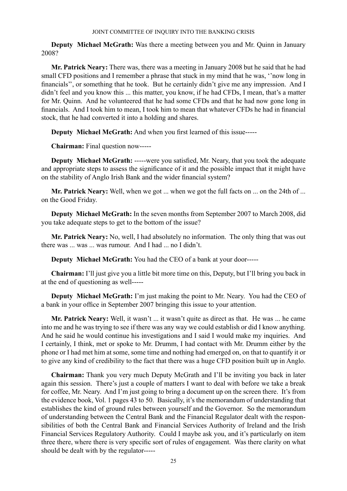**Deputy Michael McGrath:** Was there a meeting between you and Mr. Quinn in January 2008?

**Mr. Patrick Neary:** There was, there was a meeting in January 2008 but he said that he had small CFD positions and I remember a phrase that stuck in my mind that he was, ''now long in financials'', or something that he took. But he certainly didn't give me any impression. And I didn't feel and you know this ... this matter, you know, if he had CFDs, I mean, that's a matter for Mr. Quinn. And he volunteered that he had some CFDs and that he had now gone long in financials. And I took him to mean, I took him to mean that whatever CFDs he had in financial stock, that he had converted it into a holding and shares.

**Deputy Michael McGrath:** And when you first learned of this issue-----

**Chairman:** Final question now-----

**Deputy Michael McGrath:** -----were you satisfied, Mr. Neary, that you took the adequate and appropriate steps to assess the significance of it and the possible impact that it might have on the stability of Anglo Irish Bank and the wider financial system?

**Mr. Patrick Neary:** Well, when we got ... when we got the full facts on ... on the 24th of ... on the Good Friday.

**Deputy Michael McGrath:** In the seven months from September 2007 to March 2008, did you take adequate steps to get to the bottom of the issue?

**Mr. Patrick Neary:** No, well, I had absolutely no information. The only thing that was out there was ... was ... was rumour. And I had ... no I didn't.

**Deputy Michael McGrath:** You had the CEO of a bank at your door-----

**Chairman:** I'll just give you a little bit more time on this, Deputy, but I'll bring you back in at the end of questioning as well-----

**Deputy Michael McGrath:** I'm just making the point to Mr. Neary. You had the CEO of a bank in your office in September 2007 bringing this issue to your attention.

**Mr. Patrick Neary:** Well, it wasn't ... it wasn't quite as direct as that. He was ... he came into me and he was trying to see if there was any way we could establish or did I know anything. And he said he would continue his investigations and I said I would make my inquiries. And I certainly, I think, met or spoke to Mr. Drumm, I had contact with Mr. Drumm either by the phone or I had met him at some, some time and nothing had emerged on, on that to quantify it or to give any kind of credibility to the fact that there was a huge CFD position built up in Anglo.

**Chairman:** Thank you very much Deputy McGrath and I'll be inviting you back in later again this session. There's just a couple of matters I want to deal with before we take a break for coffee, Mr. Neary. And I'm just going to bring a document up on the screen there. It's from the evidence book, Vol. 1 pages 43 to 50. Basically, it's the memorandum of understanding that establishes the kind of ground rules between yourself and the Governor. So the memorandum of understanding between the Central Bank and the Financial Regulator dealt with the responsibilities of both the Central Bank and Financial Services Authority of Ireland and the Irish Financial Services Regulatory Authority. Could I maybe ask you, and it's particularly on item three there, where there is very specific sort of rules of engagement. Was there clarity on what should be dealt with by the regulator-----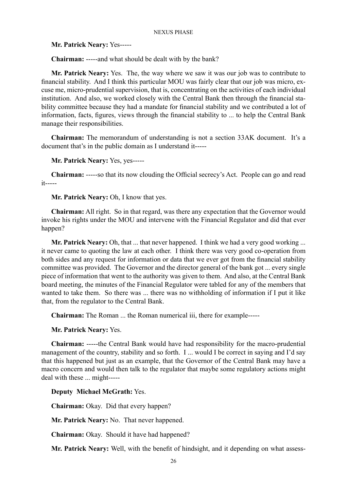**Mr. Patrick Neary:** Yes-----

**Chairman:** -----and what should be dealt with by the bank?

**Mr. Patrick Neary:** Yes. The, the way where we saw it was our job was to contribute to financial stability. And I think this particular MOU was fairly clear that our job was micro, excuse me, micro-prudential supervision, that is, concentrating on the activities of each individual institution. And also, we worked closely with the Central Bank then through the financial stability committee because they had a mandate for financial stability and we contributed a lot of information, facts, figures, views through the financial stability to ... to help the Central Bank manage their responsibilities.

**Chairman:** The memorandum of understanding is not a section 33AK document. It's a document that's in the public domain as I understand it-----

**Mr. Patrick Neary:** Yes, yes-----

**Chairman:** -----so that its now clouding the Official secrecy's Act. People can go and read it-----

**Mr. Patrick Neary:** Oh, I know that yes.

**Chairman:** All right. So in that regard, was there any expectation that the Governor would invoke his rights under the MOU and intervene with the Financial Regulator and did that ever happen?

**Mr. Patrick Neary:** Oh, that ... that never happened. I think we had a very good working ... it never came to quoting the law at each other. I think there was very good co-operation from both sides and any request for information or data that we ever got from the financial stability committee was provided. The Governor and the director general of the bank got ... every single piece of information that went to the authority was given to them. And also, at the Central Bank board meeting, the minutes of the Financial Regulator were tabled for any of the members that wanted to take them. So there was ... there was no withholding of information if I put it like that, from the regulator to the Central Bank.

**Chairman:** The Roman ... the Roman numerical iii, there for example-----

**Mr. Patrick Neary:** Yes.

**Chairman:** -----the Central Bank would have had responsibility for the macro-prudential management of the country, stability and so forth. I ... would I be correct in saying and I'd say that this happened but just as an example, that the Governor of the Central Bank may have a macro concern and would then talk to the regulator that maybe some regulatory actions might deal with these ... might-----

**Deputy Michael McGrath:** Yes.

**Chairman:** Okay. Did that every happen?

**Mr. Patrick Neary:** No. That never happened.

**Chairman:** Okay. Should it have had happened?

**Mr. Patrick Neary:** Well, with the benefit of hindsight, and it depending on what assess-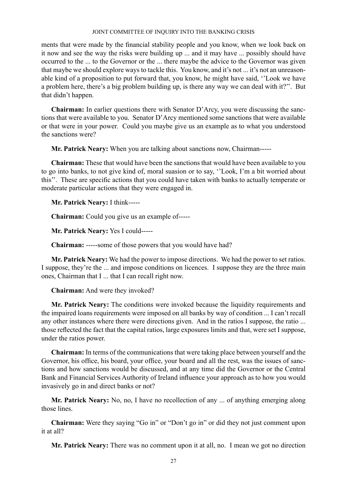ments that were made by the financial stability people and you know, when we look back on it now and see the way the risks were building up ... and it may have ... possibly should have occurred to the ... to the Governor or the ... there maybe the advice to the Governor was given that maybe we should explore ways to tackle this. You know, and it's not ... it's not an unreasonable kind of a proposition to put forward that, you know, he might have said, ''Look we have a problem here, there's a big problem building up, is there any way we can deal with it?''. But that didn't happen.

**Chairman:** In earlier questions there with Senator D'Arcy, you were discussing the sanctions that were available to you. Senator D'Arcy mentioned some sanctions that were available or that were in your power. Could you maybe give us an example as to what you understood the sanctions were?

**Mr. Patrick Neary:** When you are talking about sanctions now, Chairman-----

**Chairman:** These that would have been the sanctions that would have been available to you to go into banks, to not give kind of, moral suasion or to say, ''Look, I'm a bit worried about this''. These are specific actions that you could have taken with banks to actually temperate or moderate particular actions that they were engaged in.

**Mr. Patrick Neary:** I think-----

**Chairman:** Could you give us an example of-----

**Mr. Patrick Neary:** Yes I could-----

**Chairman:** -----some of those powers that you would have had?

**Mr. Patrick Neary:** We had the power to impose directions. We had the power to set ratios. I suppose, they're the ... and impose conditions on licences. I suppose they are the three main ones, Chairman that I ... that I can recall right now.

**Chairman:** And were they invoked?

**Mr. Patrick Neary:** The conditions were invoked because the liquidity requirements and the impaired loans requirements were imposed on all banks by way of condition ... I can't recall any other instances where there were directions given. And in the ratios I suppose, the ratio ... those reflected the fact that the capital ratios, large exposures limits and that, were set I suppose, under the ratios power.

**Chairman:** In terms of the communications that were taking place between yourself and the Governor, his office, his board, your office, your board and all the rest, was the issues of sanctions and how sanctions would be discussed, and at any time did the Governor or the Central Bank and Financial Services Authority of Ireland influence your approach as to how you would invasively go in and direct banks or not?

**Mr. Patrick Neary:** No, no, I have no recollection of any ... of anything emerging along those lines.

**Chairman:** Were they saying "Go in" or "Don't go in" or did they not just comment upon it at all?

**Mr. Patrick Neary:** There was no comment upon it at all, no. I mean we got no direction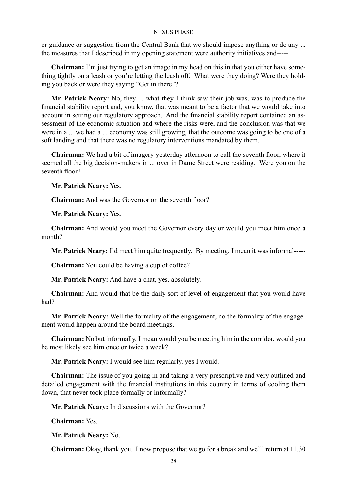or guidance or suggestion from the Central Bank that we should impose anything or do any ... the measures that I described in my opening statement were authority initiatives and-----

**Chairman:** I'm just trying to get an image in my head on this in that you either have something tightly on a leash or you're letting the leash off. What were they doing? Were they holding you back or were they saying "Get in there"?

**Mr. Patrick Neary:** No, they ... what they I think saw their job was, was to produce the financial stability report and, you know, that was meant to be a factor that we would take into account in setting our regulatory approach. And the financial stability report contained an assessment of the economic situation and where the risks were, and the conclusion was that we were in a ... we had a ... economy was still growing, that the outcome was going to be one of a soft landing and that there was no regulatory interventions mandated by them.

**Chairman:** We had a bit of imagery yesterday afternoon to call the seventh floor, where it seemed all the big decision-makers in ... over in Dame Street were residing. Were you on the seventh floor?

**Mr. Patrick Neary:** Yes.

**Chairman:** And was the Governor on the seventh floor?

**Mr. Patrick Neary:** Yes.

**Chairman:** And would you meet the Governor every day or would you meet him once a month?

**Mr. Patrick Neary:** I'd meet him quite frequently. By meeting, I mean it was informal-----

**Chairman:** You could be having a cup of coffee?

**Mr. Patrick Neary:** And have a chat, yes, absolutely.

**Chairman:** And would that be the daily sort of level of engagement that you would have had?

**Mr. Patrick Neary:** Well the formality of the engagement, no the formality of the engagement would happen around the board meetings.

**Chairman:** No but informally, I mean would you be meeting him in the corridor, would you be most likely see him once or twice a week?

**Mr. Patrick Neary:** I would see him regularly, yes I would.

**Chairman:** The issue of you going in and taking a very prescriptive and very outlined and detailed engagement with the financial institutions in this country in terms of cooling them down, that never took place formally or informally?

**Mr. Patrick Neary:** In discussions with the Governor?

**Chairman:** Yes.

**Mr. Patrick Neary:** No.

**Chairman:** Okay, thank you. I now propose that we go for a break and we'll return at 11.30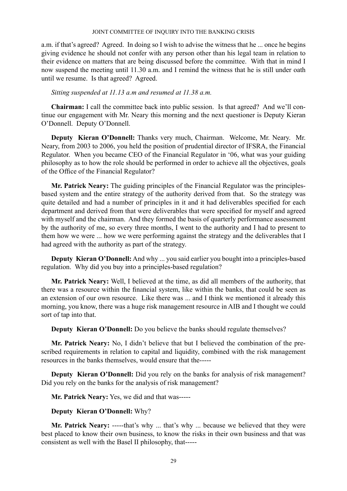a.m. if that's agreed? Agreed. In doing so I wish to advise the witness that he ... once he begins giving evidence he should not confer with any person other than his legal team in relation to their evidence on matters that are being discussed before the committee. With that in mind I now suspend the meeting until 11.30 a.m. and I remind the witness that he is still under oath until we resume. Is that agreed? Agreed.

# *Sitting suspended at 11.13 a.m and resumed at 11.38 a.m.*

**Chairman:** I call the committee back into public session. Is that agreed? And we'll continue our engagement with Mr. Neary this morning and the next questioner is Deputy Kieran O'Donnell. Deputy O'Donnell.

**Deputy Kieran O'Donnell:** Thanks very much, Chairman. Welcome, Mr. Neary. Mr. Neary, from 2003 to 2006, you held the position of prudential director of IFSRA, the Financial Regulator. When you became CEO of the Financial Regulator in '06, what was your guiding philosophy as to how the role should be performed in order to achieve all the objectives, goals of the Office of the Financial Regulator?

**Mr. Patrick Neary:** The guiding principles of the Financial Regulator was the principlesbased system and the entire strategy of the authority derived from that. So the strategy was quite detailed and had a number of principles in it and it had deliverables specified for each department and derived from that were deliverables that were specified for myself and agreed with myself and the chairman. And they formed the basis of quarterly performance assessment by the authority of me, so every three months, I went to the authority and I had to present to them how we were ... how we were performing against the strategy and the deliverables that I had agreed with the authority as part of the strategy.

**Deputy Kieran O'Donnell:** And why ... you said earlier you bought into a principles-based regulation. Why did you buy into a principles-based regulation?

**Mr. Patrick Neary:** Well, I believed at the time, as did all members of the authority, that there was a resource within the financial system, like within the banks, that could be seen as an extension of our own resource. Like there was ... and I think we mentioned it already this morning, you know, there was a huge risk management resource in AIB and I thought we could sort of tap into that.

**Deputy Kieran O'Donnell:** Do you believe the banks should regulate themselves?

**Mr. Patrick Neary:** No, I didn't believe that but I believed the combination of the prescribed requirements in relation to capital and liquidity, combined with the risk management resources in the banks themselves, would ensure that the-----

**Deputy Kieran O'Donnell:** Did you rely on the banks for analysis of risk management? Did you rely on the banks for the analysis of risk management?

**Mr. Patrick Neary:** Yes, we did and that was-----

# **Deputy Kieran O'Donnell:** Why?

**Mr. Patrick Neary:** -----that's why ... that's why ... because we believed that they were best placed to know their own business, to know the risks in their own business and that was consistent as well with the Basel II philosophy, that-----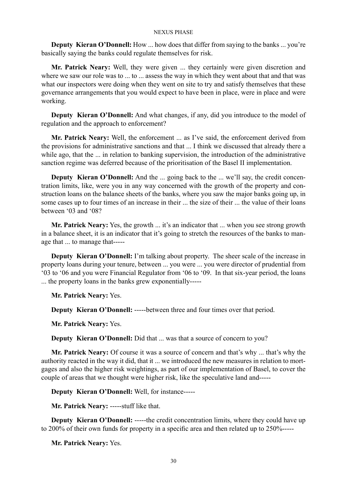**Deputy Kieran O'Donnell:** How ... how does that differ from saying to the banks ... you're basically saying the banks could regulate themselves for risk.

**Mr. Patrick Neary:** Well, they were given ... they certainly were given discretion and where we saw our role was to ... to ... assess the way in which they went about that and that was what our inspectors were doing when they went on site to try and satisfy themselves that these governance arrangements that you would expect to have been in place, were in place and were working.

**Deputy Kieran O'Donnell:** And what changes, if any, did you introduce to the model of regulation and the approach to enforcement?

**Mr. Patrick Neary:** Well, the enforcement ... as I've said, the enforcement derived from the provisions for administrative sanctions and that ... I think we discussed that already there a while ago, that the ... in relation to banking supervision, the introduction of the administrative sanction regime was deferred because of the prioritisation of the Basel II implementation.

**Deputy Kieran O'Donnell:** And the ... going back to the ... we'll say, the credit concentration limits, like, were you in any way concerned with the growth of the property and construction loans on the balance sheets of the banks, where you saw the major banks going up, in some cases up to four times of an increase in their ... the size of their ... the value of their loans between '03 and '08?

**Mr. Patrick Neary:** Yes, the growth ... it's an indicator that ... when you see strong growth in a balance sheet, it is an indicator that it's going to stretch the resources of the banks to manage that ... to manage that-----

**Deputy Kieran O'Donnell:** I'm talking about property. The sheer scale of the increase in property loans during your tenure, between ... you were ... you were director of prudential from '03 to '06 and you were Financial Regulator from '06 to '09. In that six-year period, the loans ... the property loans in the banks grew exponentially-----

**Mr. Patrick Neary:** Yes.

**Deputy Kieran O'Donnell:** -----between three and four times over that period.

**Mr. Patrick Neary:** Yes.

**Deputy Kieran O'Donnell:** Did that ... was that a source of concern to you?

**Mr. Patrick Neary:** Of course it was a source of concern and that's why ... that's why the authority reacted in the way it did, that it ... we introduced the new measures in relation to mortgages and also the higher risk weightings, as part of our implementation of Basel, to cover the couple of areas that we thought were higher risk, like the speculative land and-----

**Deputy Kieran O'Donnell:** Well, for instance-----

**Mr. Patrick Neary:** -----stuff like that.

**Deputy Kieran O'Donnell:** -----the credit concentration limits, where they could have up to 200% of their own funds for property in a specific area and then related up to 250%-----

**Mr. Patrick Neary:** Yes.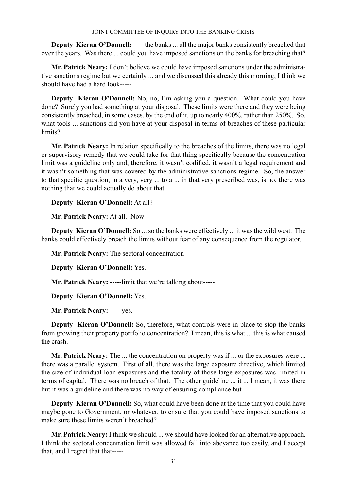**Deputy Kieran O'Donnell:** -----the banks ... all the major banks consistently breached that over the years. Was there ... could you have imposed sanctions on the banks for breaching that?

**Mr. Patrick Neary:** I don't believe we could have imposed sanctions under the administrative sanctions regime but we certainly ... and we discussed this already this morning, I think we should have had a hard look-----

**Deputy Kieran O'Donnell:** No, no, I'm asking you a question. What could you have done? Surely you had something at your disposal. These limits were there and they were being consistently breached, in some cases, by the end of it, up to nearly 400%, rather than 250%. So, what tools ... sanctions did you have at your disposal in terms of breaches of these particular limits?

**Mr. Patrick Neary:** In relation specifically to the breaches of the limits, there was no legal or supervisory remedy that we could take for that thing specifically because the concentration limit was a guideline only and, therefore, it wasn't codified, it wasn't a legal requirement and it wasn't something that was covered by the administrative sanctions regime. So, the answer to that specific question, in a very, very ... to a ... in that very prescribed was, is no, there was nothing that we could actually do about that.

**Deputy Kieran O'Donnell:** At all?

**Mr. Patrick Neary:** At all. Now-----

**Deputy Kieran O'Donnell:** So ... so the banks were effectively ... it was the wild west. The banks could effectively breach the limits without fear of any consequence from the regulator.

**Mr. Patrick Neary:** The sectoral concentration-----

**Deputy Kieran O'Donnell:** Yes.

**Mr. Patrick Neary:** -----limit that we're talking about-----

**Deputy Kieran O'Donnell:** Yes.

**Mr. Patrick Neary:** -----yes.

**Deputy Kieran O'Donnell:** So, therefore, what controls were in place to stop the banks from growing their property portfolio concentration? I mean, this is what ... this is what caused the crash.

**Mr. Patrick Neary:** The ... the concentration on property was if ... or the exposures were ... there was a parallel system. First of all, there was the large exposure directive, which limited the size of individual loan exposures and the totality of those large exposures was limited in terms of capital. There was no breach of that. The other guideline ... it ... I mean, it was there but it was a guideline and there was no way of ensuring compliance but-----

**Deputy Kieran O'Donnell:** So, what could have been done at the time that you could have maybe gone to Government, or whatever, to ensure that you could have imposed sanctions to make sure these limits weren't breached?

**Mr. Patrick Neary:** I think we should ... we should have looked for an alternative approach. I think the sectoral concentration limit was allowed fall into abeyance too easily, and I accept that, and I regret that that-----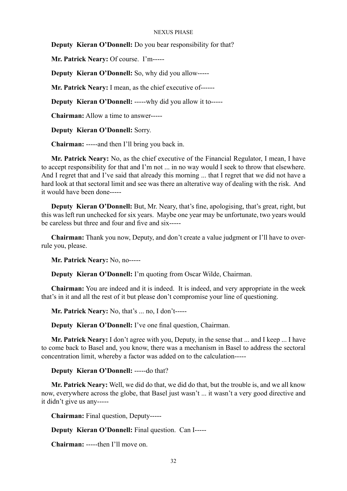**Deputy Kieran O'Donnell:** Do you bear responsibility for that?

**Mr. Patrick Neary:** Of course. I'm-----

**Deputy Kieran O'Donnell:** So, why did you allow-----

**Mr. Patrick Neary:** I mean, as the chief executive of------

**Deputy Kieran O'Donnell:** -----why did you allow it to-----

**Chairman:** Allow a time to answer-----

**Deputy Kieran O'Donnell:** Sorry.

**Chairman:** -----and then I'll bring you back in.

**Mr. Patrick Neary:** No, as the chief executive of the Financial Regulator, I mean, I have to accept responsibility for that and I'm not ... in no way would I seek to throw that elsewhere. And I regret that and I've said that already this morning ... that I regret that we did not have a hard look at that sectoral limit and see was there an alterative way of dealing with the risk. And it would have been done-----

**Deputy Kieran O'Donnell:** But, Mr. Neary, that's fine, apologising, that's great, right, but this was left run unchecked for six years. Maybe one year may be unfortunate, two years would be careless but three and four and five and six-----

**Chairman:** Thank you now, Deputy, and don't create a value judgment or I'll have to overrule you, please.

**Mr. Patrick Neary:** No, no-----

**Deputy Kieran O'Donnell:** I'm quoting from Oscar Wilde, Chairman.

**Chairman:** You are indeed and it is indeed. It is indeed, and very appropriate in the week that's in it and all the rest of it but please don't compromise your line of questioning.

**Mr. Patrick Neary:** No, that's ... no, I don't-----

**Deputy Kieran O'Donnell:** I've one final question, Chairman.

**Mr. Patrick Neary:** I don't agree with you, Deputy, in the sense that ... and I keep ... I have to come back to Basel and, you know, there was a mechanism in Basel to address the sectoral concentration limit, whereby a factor was added on to the calculation-----

**Deputy Kieran O'Donnell:** -----do that?

**Mr. Patrick Neary:** Well, we did do that, we did do that, but the trouble is, and we all know now, everywhere across the globe, that Basel just wasn't ... it wasn't a very good directive and it didn't give us any-----

**Chairman:** Final question, Deputy-----

**Deputy Kieran O'Donnell:** Final question. Can I-----

**Chairman:** -----then I'll move on.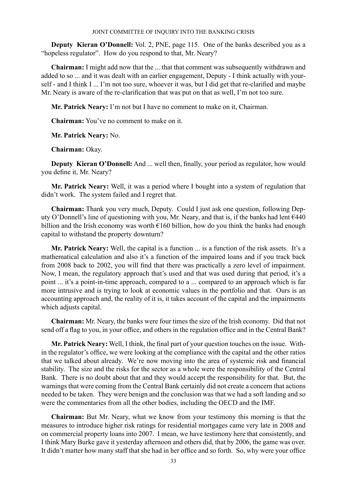**Deputy Kieran O'Donnell:** Vol. 2, PNE, page 115. One of the banks described you as a "hopeless regulator". How do you respond to that, Mr. Neary?

**Chairman:** I might add now that the ... that that comment was subsequently withdrawn and added to so ... and it was dealt with an earlier engagement, Deputy - I think actually with yourself - and I think I ... I'm not too sure, whoever it was, but I did get that re-clarified and maybe Mr. Neary is aware of the re-clarification that was put on that as well, I'm not too sure.

**Mr. Patrick Neary:** I'm not but I have no comment to make on it, Chairman.

**Chairman:** You've no comment to make on it.

**Mr. Patrick Neary:** No.

**Chairman:** Okay.

**Deputy Kieran O'Donnell:** And ... well then, finally, your period as regulator, how would you define it, Mr. Neary?

**Mr. Patrick Neary:** Well, it was a period where I bought into a system of regulation that didn't work. The system failed and I regret that.

**Chairman:** Thank you very much, Deputy. Could I just ask one question, following Deputy O'Donnell's line of questioning with you, Mr. Neary, and that is, if the banks had lent  $\epsilon$ 440 billion and the Irish economy was worth  $\epsilon$ 160 billion, how do you think the banks had enough capital to withstand the property downturn?

**Mr. Patrick Neary:** Well, the capital is a function ... is a function of the risk assets. It's a mathematical calculation and also it's a function of the impaired loans and if you track back from 2008 back to 2002, you will find that there was practically a zero level of impairment. Now, I mean, the regulatory approach that's used and that was used during that period, it's a point ... it's a point-in-time approach, compared to a ... compared to an approach which is far more intrusive and is trying to look at economic values in the portfolio and that. Ours is an accounting approach and, the reality of it is, it takes account of the capital and the impairments which adjusts capital.

**Chairman:** Mr. Neary, the banks were four times the size of the Irish economy. Did that not send off a flag to you, in your office, and others in the regulation office and in the Central Bank?

**Mr. Patrick Neary:** Well, I think, the final part of your question touches on the issue. Within the regulator's office, we were looking at the compliance with the capital and the other ratios that we talked about already. We're now moving into the area of systemic risk and financial stability. The size and the risks for the sector as a whole were the responsibility of the Central Bank. There is no doubt about that and they would accept the responsibility for that. But, the warnings that were coming from the Central Bank certainly did not create a concern that actions needed to be taken. They were benign and the conclusion was that we had a soft landing and so were the commentaries from all the other bodies, including the OECD and the IMF.

**Chairman:** But Mr. Neary, what we know from your testimony this morning is that the measures to introduce higher risk ratings for residential mortgages came very late in 2008 and on commercial property loans into 2007. I mean, we have testimony here that consistently, and I think Mary Burke gave it yesterday afternoon and others did, that by 2006, the game was over. It didn't matter how many staff that she had in her office and so forth. So, why were your office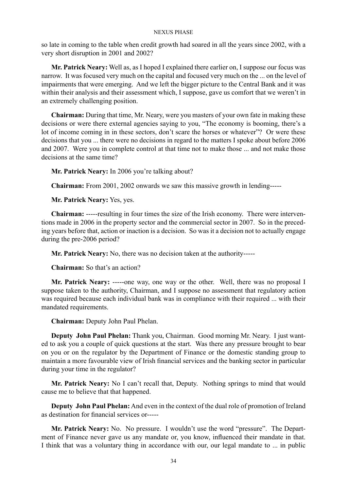so late in coming to the table when credit growth had soared in all the years since 2002, with a very short disruption in 2001 and 2002?

**Mr. Patrick Neary:** Well as, as I hoped I explained there earlier on, I suppose our focus was narrow. It was focused very much on the capital and focused very much on the ... on the level of impairments that were emerging. And we left the bigger picture to the Central Bank and it was within their analysis and their assessment which, I suppose, gave us comfort that we weren't in an extremely challenging position.

**Chairman:** During that time, Mr. Neary, were you masters of your own fate in making these decisions or were there external agencies saying to you, "The economy is booming, there's a lot of income coming in in these sectors, don't scare the horses or whatever"? Or were these decisions that you ... there were no decisions in regard to the matters I spoke about before 2006 and 2007. Were you in complete control at that time not to make those ... and not make those decisions at the same time?

**Mr. Patrick Neary:** In 2006 you're talking about?

**Chairman:** From 2001, 2002 onwards we saw this massive growth in lending-----

**Mr. Patrick Neary:** Yes, yes.

**Chairman:** -----resulting in four times the size of the Irish economy. There were interventions made in 2006 in the property sector and the commercial sector in 2007. So in the preceding years before that, action or inaction is a decision. So was it a decision not to actually engage during the pre-2006 period?

**Mr. Patrick Neary:** No, there was no decision taken at the authority-----

**Chairman:** So that's an action?

**Mr. Patrick Neary:** -----one way, one way or the other. Well, there was no proposal I suppose taken to the authority, Chairman, and I suppose no assessment that regulatory action was required because each individual bank was in compliance with their required ... with their mandated requirements.

**Chairman:** Deputy John Paul Phelan.

**Deputy John Paul Phelan:** Thank you, Chairman. Good morning Mr. Neary. I just wanted to ask you a couple of quick questions at the start. Was there any pressure brought to bear on you or on the regulator by the Department of Finance or the domestic standing group to maintain a more favourable view of Irish financial services and the banking sector in particular during your time in the regulator?

**Mr. Patrick Neary:** No I can't recall that, Deputy. Nothing springs to mind that would cause me to believe that that happened.

**Deputy John Paul Phelan:** And even in the context of the dual role of promotion of Ireland as destination for financial services or-----

**Mr. Patrick Neary:** No. No pressure. I wouldn't use the word "pressure". The Department of Finance never gave us any mandate or, you know, influenced their mandate in that. I think that was a voluntary thing in accordance with our, our legal mandate to ... in public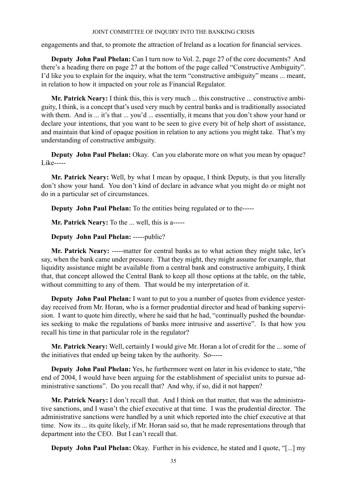engagements and that, to promote the attraction of Ireland as a location for financial services.

**Deputy John Paul Phelan:** Can I turn now to Vol. 2, page 27 of the core documents? And there's a heading there on page 27 at the bottom of the page called "Constructive Ambiguity". I'd like you to explain for the inquiry, what the term "constructive ambiguity" means ... meant, in relation to how it impacted on your role as Financial Regulator.

**Mr. Patrick Neary:** I think this, this is very much ... this constructive ... constructive ambiguity, I think, is a concept that's used very much by central banks and is traditionally associated with them. And is ... it's that ... you'd ... essentially, it means that you don't show your hand or declare your intentions, that you want to be seen to give every bit of help short of assistance, and maintain that kind of opaque position in relation to any actions you might take. That's my understanding of constructive ambiguity.

**Deputy John Paul Phelan:** Okay. Can you elaborate more on what you mean by opaque? Like-----

**Mr. Patrick Neary:** Well, by what I mean by opaque, I think Deputy, is that you literally don't show your hand. You don't kind of declare in advance what you might do or might not do in a particular set of circumstances.

**Deputy John Paul Phelan:** To the entities being regulated or to the-----

**Mr. Patrick Neary:** To the ... well, this is a-----

**Deputy John Paul Phelan:** -----public?

**Mr. Patrick Neary:** -----matter for central banks as to what action they might take, let's say, when the bank came under pressure. That they might, they might assume for example, that liquidity assistance might be available from a central bank and constructive ambiguity, I think that, that concept allowed the Central Bank to keep all those options at the table, on the table, without committing to any of them. That would be my interpretation of it.

**Deputy John Paul Phelan:** I want to put to you a number of quotes from evidence yesterday received from Mr. Horan, who is a former prudential director and head of banking supervision. I want to quote him directly, where he said that he had, "continually pushed the boundaries seeking to make the regulations of banks more intrusive and assertive". Is that how you recall his time in that particular role in the regulator?

**Mr. Patrick Neary:** Well, certainly I would give Mr. Horan a lot of credit for the ... some of the initiatives that ended up being taken by the authority. So-----

**Deputy John Paul Phelan:** Yes, he furthermore went on later in his evidence to state, "the end of 2004, I would have been arguing for the establishment of specialist units to pursue administrative sanctions". Do you recall that? And why, if so, did it not happen?

**Mr. Patrick Neary:** I don't recall that. And I think on that matter, that was the administrative sanctions, and I wasn't the chief executive at that time. I was the prudential director. The administrative sanctions were handled by a unit which reported into the chief executive at that time. Now its ... its quite likely, if Mr. Horan said so, that he made representations through that department into the CEO. But I can't recall that.

**Deputy John Paul Phelan:** Okay. Further in his evidence, he stated and I quote, "[...] my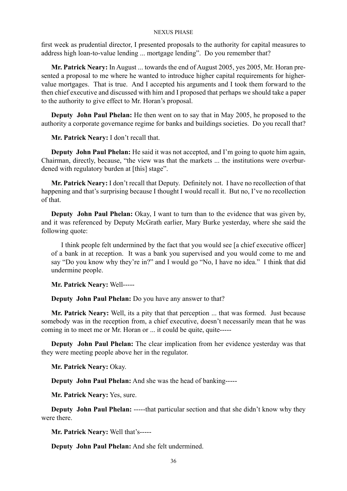first week as prudential director, I presented proposals to the authority for capital measures to address high loan-to-value lending ... mortgage lending". Do you remember that?

**Mr. Patrick Neary:** In August ... towards the end of August 2005, yes 2005, Mr. Horan presented a proposal to me where he wanted to introduce higher capital requirements for highervalue mortgages. That is true. And I accepted his arguments and I took them forward to the then chief executive and discussed with him and I proposed that perhaps we should take a paper to the authority to give effect to Mr. Horan's proposal.

**Deputy John Paul Phelan:** He then went on to say that in May 2005, he proposed to the authority a corporate governance regime for banks and buildings societies. Do you recall that?

**Mr. Patrick Neary:** I don't recall that.

**Deputy John Paul Phelan:** He said it was not accepted, and I'm going to quote him again, Chairman, directly, because, "the view was that the markets ... the institutions were overburdened with regulatory burden at [this] stage".

**Mr. Patrick Neary:** I don't recall that Deputy. Definitely not. I have no recollection of that happening and that's surprising because I thought I would recall it. But no, I've no recollection of that.

**Deputy John Paul Phelan:** Okay, I want to turn than to the evidence that was given by, and it was referenced by Deputy McGrath earlier, Mary Burke yesterday, where she said the following quote:

I think people felt undermined by the fact that you would see [a chief executive officer] of a bank in at reception. It was a bank you supervised and you would come to me and say "Do you know why they're in?" and I would go "No, I have no idea." I think that did undermine people.

**Mr. Patrick Neary:** Well-----

**Deputy John Paul Phelan:** Do you have any answer to that?

**Mr. Patrick Neary:** Well, its a pity that that perception ... that was formed. Just because somebody was in the reception from, a chief executive, doesn't necessarily mean that he was coming in to meet me or Mr. Horan or ... it could be quite, quite-----

**Deputy John Paul Phelan:** The clear implication from her evidence yesterday was that they were meeting people above her in the regulator.

**Mr. Patrick Neary:** Okay.

**Deputy John Paul Phelan:** And she was the head of banking-----

**Mr. Patrick Neary:** Yes, sure.

**Deputy John Paul Phelan:** ------that particular section and that she didn't know why they were there.

**Mr. Patrick Neary:** Well that's-----

**Deputy John Paul Phelan:** And she felt undermined.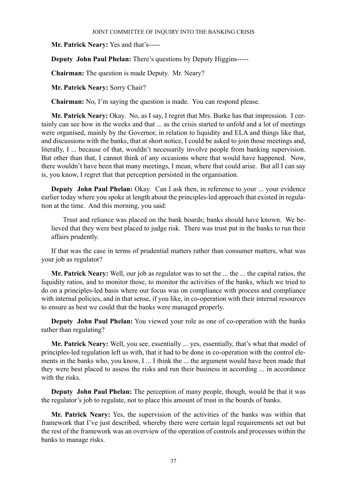**Mr. Patrick Neary:** Yes and that's-----

**Deputy John Paul Phelan:** There's questions by Deputy Higgins-----

**Chairman:** The question is made Deputy. Mr. Neary?

**Mr. Patrick Neary:** Sorry Chair?

**Chairman:** No, I'm saying the question is made. You can respond please.

**Mr. Patrick Neary:** Okay. No, as I say, I regret that Mrs. Burke has that impression. I certainly can see how in the weeks and that ... as the crisis started to unfold and a lot of meetings were organised, mainly by the Governor, in relation to liquidity and ELA and things like that, and discussions with the banks, that at short notice, I could be asked to join those meetings and, literally, I ... because of that, wouldn't necessarily involve people from banking supervision. But other than that, I cannot think of any occasions where that would have happened. Now, there wouldn't have been that many meetings, I mean, where that could arise. But all I can say is, you know, I regret that that perception persisted in the organisation.

**Deputy John Paul Phelan:** Okay. Can I ask then, in reference to your ... your evidence earlier today where you spoke at length about the principles-led approach that existed in regulation at the time. And this morning, you said:

 Trust and reliance was placed on the bank boards; banks should have known. We believed that they were best placed to judge risk. There was trust put in the banks to run their affairs prudently.

If that was the case in terms of prudential matters rather than consumer matters, what was your job as regulator?

**Mr. Patrick Neary:** Well, our job as regulator was to set the ... the ... the capital ratios, the liquidity ratios, and to monitor those, to monitor the activities of the banks, which we tried to do on a principles-led basis where our focus was on compliance with process and compliance with internal policies, and in that sense, if you like, in co-operation with their internal resources to ensure as best we could that the banks were managed properly.

**Deputy John Paul Phelan:** You viewed your role as one of co-operation with the banks rather than regulating?

**Mr. Patrick Neary:** Well, you see, essentially ... yes, essentially, that's what that model of principles-led regulation left us with, that it had to be done in co-operation with the control elements in the banks who, you know, I ... I think the ... the argument would have been made that they were best placed to assess the risks and run their business in according ... in accordance with the risks.

**Deputy John Paul Phelan:** The perception of many people, though, would be that it was the regulator's job to regulate, not to place this amount of trust in the boards of banks.

**Mr. Patrick Neary:** Yes, the supervision of the activities of the banks was within that framework that I've just described, whereby there were certain legal requirements set out but the rest of the framework was an overview of the operation of controls and processes within the banks to manage risks.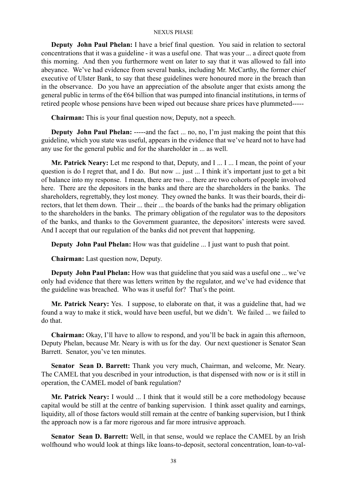**Deputy John Paul Phelan:** I have a brief final question. You said in relation to sectoral concentrations that it was a guideline - it was a useful one. That was your ... a direct quote from this morning. And then you furthermore went on later to say that it was allowed to fall into abeyance. We've had evidence from several banks, including Mr. McCarthy, the former chief executive of Ulster Bank, to say that these guidelines were honoured more in the breach than in the observance. Do you have an appreciation of the absolute anger that exists among the general public in terms of the  $\epsilon$ 64 billion that was pumped into financial institutions, in terms of retired people whose pensions have been wiped out because share prices have plummeted-----

**Chairman:** This is your final question now, Deputy, not a speech.

**Deputy John Paul Phelan:** -----and the fact ... no, no, I'm just making the point that this guideline, which you state was useful, appears in the evidence that we've heard not to have had any use for the general public and for the shareholder in ... as well.

**Mr. Patrick Neary:** Let me respond to that, Deputy, and I ... I ... I mean, the point of your question is do I regret that, and I do. But now ... just ... I think it's important just to get a bit of balance into my response. I mean, there are two ... there are two cohorts of people involved here. There are the depositors in the banks and there are the shareholders in the banks. The shareholders, regrettably, they lost money. They owned the banks. It was their boards, their directors, that let them down. Their ... their ... the boards of the banks had the primary obligation to the shareholders in the banks. The primary obligation of the regulator was to the depositors of the banks, and thanks to the Government guarantee, the depositors' interests were saved. And I accept that our regulation of the banks did not prevent that happening.

**Deputy John Paul Phelan:** How was that guideline ... I just want to push that point.

**Chairman:** Last question now, Deputy.

**Deputy John Paul Phelan:** How was that guideline that you said was a useful one ... we've only had evidence that there was letters written by the regulator, and we've had evidence that the guideline was breached. Who was it useful for? That's the point.

**Mr. Patrick Neary:** Yes. I suppose, to elaborate on that, it was a guideline that, had we found a way to make it stick, would have been useful, but we didn't. We failed ... we failed to do that.

**Chairman:** Okay, I'll have to allow to respond, and you'll be back in again this afternoon, Deputy Phelan, because Mr. Neary is with us for the day. Our next questioner is Senator Sean Barrett. Senator, you've ten minutes.

**Senator Sean D. Barrett:** Thank you very much, Chairman, and welcome, Mr. Neary. The CAMEL that you described in your introduction, is that dispensed with now or is it still in operation, the CAMEL model of bank regulation?

**Mr. Patrick Neary:** I would ... I think that it would still be a core methodology because capital would be still at the centre of banking supervision. I think asset quality and earnings, liquidity, all of those factors would still remain at the centre of banking supervision, but I think the approach now is a far more rigorous and far more intrusive approach.

**Senator Sean D. Barrett:** Well, in that sense, would we replace the CAMEL by an Irish wolfhound who would look at things like loans-to-deposit, sectoral concentration, loan-to-val-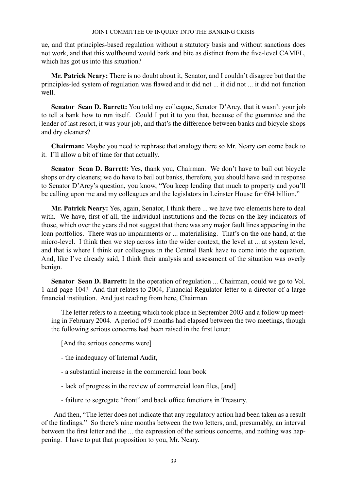ue, and that principles-based regulation without a statutory basis and without sanctions does not work, and that this wolfhound would bark and bite as distinct from the five-level CAMEL, which has got us into this situation?

**Mr. Patrick Neary:** There is no doubt about it, Senator, and I couldn't disagree but that the principles-led system of regulation was flawed and it did not ... it did not ... it did not function well.

**Senator Sean D. Barrett:** You told my colleague, Senator D'Arcy, that it wasn't your job to tell a bank how to run itself. Could I put it to you that, because of the guarantee and the lender of last resort, it was your job, and that's the difference between banks and bicycle shops and dry cleaners?

**Chairman:** Maybe you need to rephrase that analogy there so Mr. Neary can come back to it. I'll allow a bit of time for that actually.

**Senator Sean D. Barrett:** Yes, thank you, Chairman. We don't have to bail out bicycle shops or dry cleaners; we do have to bail out banks, therefore, you should have said in response to Senator D'Arcy's question, you know, "You keep lending that much to property and you'll be calling upon me and my colleagues and the legislators in Leinster House for €64 billion."

**Mr. Patrick Neary:** Yes, again, Senator, I think there ... we have two elements here to deal with. We have, first of all, the individual institutions and the focus on the key indicators of those, which over the years did not suggest that there was any major fault lines appearing in the loan portfolios. There was no impairments or ... materialising. That's on the one hand, at the micro-level. I think then we step across into the wider context, the level at ... at system level, and that is where I think our colleagues in the Central Bank have to come into the equation. And, like I've already said, I think their analysis and assessment of the situation was overly benign.

**Senator Sean D. Barrett:** In the operation of regulation ... Chairman, could we go to Vol. 1 and page 104? And that relates to 2004, Financial Regulator letter to a director of a large financial institution. And just reading from here, Chairman.

The letter refers to a meeting which took place in September 2003 and a follow up meeting in February 2004. A period of 9 months had elapsed between the two meetings, though the following serious concerns had been raised in the first letter:

[And the serious concerns were]

- the inadequacy of Internal Audit,
- a substantial increase in the commercial loan book
- lack of progress in the review of commercial loan files, [and]
- failure to segregate "front" and back office functions in Treasury.

 And then, "The letter does not indicate that any regulatory action had been taken as a result of the findings." So there's nine months between the two letters, and, presumably, an interval between the first letter and the ... the expression of the serious concerns, and nothing was happening. I have to put that proposition to you, Mr. Neary.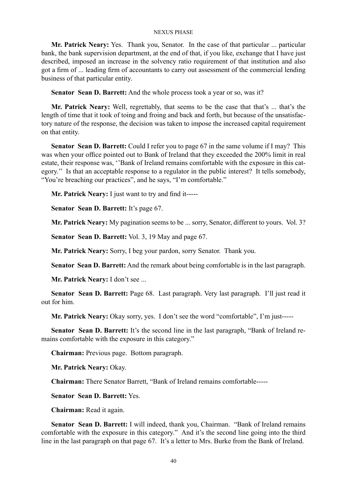**Mr. Patrick Neary:** Yes. Thank you, Senator. In the case of that particular ... particular bank, the bank supervision department, at the end of that, if you like, exchange that I have just described, imposed an increase in the solvency ratio requirement of that institution and also got a firm of ... leading firm of accountants to carry out assessment of the commercial lending business of that particular entity.

**Senator Sean D. Barrett:** And the whole process took a year or so, was it?

**Mr. Patrick Neary:** Well, regrettably, that seems to be the case that that's ... that's the length of time that it took of toing and froing and back and forth, but because of the unsatisfactory nature of the response, the decision was taken to impose the increased capital requirement on that entity.

**Senator Sean D. Barrett:** Could I refer you to page 67 in the same volume if I may? This was when your office pointed out to Bank of Ireland that they exceeded the 200% limit in real estate, their response was, ''Bank of Ireland remains comfortable with the exposure in this category.'' Is that an acceptable response to a regulator in the public interest? It tells somebody, "You're breaching our practices", and he says, "I'm comfortable."

**Mr. Patrick Neary:** I just want to try and find it-----

**Senator Sean D. Barrett:** It's page 67.

**Mr. Patrick Neary:** My pagination seems to be ... sorry, Senator, different to yours. Vol. 3?

**Senator Sean D. Barrett:** Vol. 3, 19 May and page 67.

**Mr. Patrick Neary:** Sorry, I beg your pardon, sorry Senator. Thank you.

**Senator Sean D. Barrett:** And the remark about being comfortable is in the last paragraph.

**Mr. Patrick Neary:** I don't see ...

**Senator Sean D. Barrett:** Page 68. Last paragraph. Very last paragraph. I'll just read it out for him.

**Mr. Patrick Neary:** Okay sorry, yes. I don't see the word "comfortable", I'm just-----

Senator Sean D. Barrett: It's the second line in the last paragraph, "Bank of Ireland remains comfortable with the exposure in this category."

**Chairman:** Previous page. Bottom paragraph.

**Mr. Patrick Neary:** Okay.

**Chairman:** There Senator Barrett, "Bank of Ireland remains comfortable-----

**Senator Sean D. Barrett:** Yes.

**Chairman:** Read it again.

**Senator Sean D. Barrett:** I will indeed, thank you, Chairman. "Bank of Ireland remains comfortable with the exposure in this category." And it's the second line going into the third line in the last paragraph on that page 67. It's a letter to Mrs. Burke from the Bank of Ireland.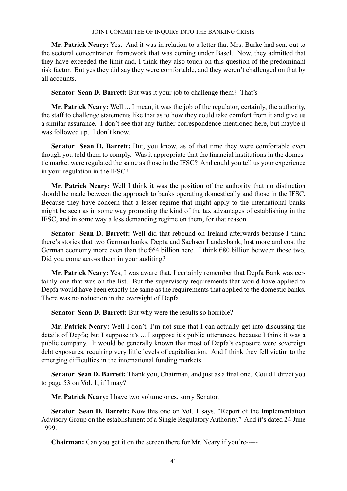**Mr. Patrick Neary:** Yes. And it was in relation to a letter that Mrs. Burke had sent out to the sectoral concentration framework that was coming under Basel. Now, they admitted that they have exceeded the limit and, I think they also touch on this question of the predominant risk factor. But yes they did say they were comfortable, and they weren't challenged on that by all accounts.

**Senator Sean D. Barrett:** But was it your job to challenge them? That's-----

**Mr. Patrick Neary:** Well ... I mean, it was the job of the regulator, certainly, the authority, the staff to challenge statements like that as to how they could take comfort from it and give us a similar assurance. I don't see that any further correspondence mentioned here, but maybe it was followed up. I don't know.

**Senator Sean D. Barrett:** But, you know, as of that time they were comfortable even though you told them to comply. Was it appropriate that the financial institutions in the domestic market were regulated the same as those in the IFSC? And could you tell us your experience in your regulation in the IFSC?

**Mr. Patrick Neary:** Well I think it was the position of the authority that no distinction should be made between the approach to banks operating domestically and those in the IFSC. Because they have concern that a lesser regime that might apply to the international banks might be seen as in some way promoting the kind of the tax advantages of establishing in the IFSC, and in some way a less demanding regime on them, for that reason.

**Senator Sean D. Barrett:** Well did that rebound on Ireland afterwards because I think there's stories that two German banks, Depfa and Sachsen Landesbank, lost more and cost the German economy more even than the  $664$  billion here. I think  $680$  billion between those two. Did you come across them in your auditing?

**Mr. Patrick Neary:** Yes, I was aware that, I certainly remember that Depfa Bank was certainly one that was on the list. But the supervisory requirements that would have applied to Depfa would have been exactly the same as the requirements that applied to the domestic banks. There was no reduction in the oversight of Depfa.

**Senator Sean D. Barrett:** But why were the results so horrible?

**Mr. Patrick Neary:** Well I don't, I'm not sure that I can actually get into discussing the details of Depfa; but I suppose it's ... I suppose it's public utterances, because I think it was a public company. It would be generally known that most of Depfa's exposure were sovereign debt exposures, requiring very little levels of capitalisation. And I think they fell victim to the emerging difficulties in the international funding markets.

**Senator Sean D. Barrett:** Thank you, Chairman, and just as a final one. Could I direct you to page 53 on Vol. 1, if I may?

**Mr. Patrick Neary:** I have two volume ones, sorry Senator.

**Senator Sean D. Barrett:** Now this one on Vol. 1 says, "Report of the Implementation Advisory Group on the establishment of a Single Regulatory Authority." And it's dated 24 June 1999.

**Chairman:** Can you get it on the screen there for Mr. Neary if you're-----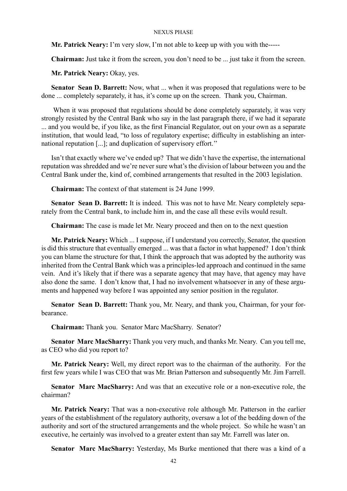**Mr. Patrick Neary:** I'm very slow, I'm not able to keep up with you with the-----

**Chairman:** Just take it from the screen, you don't need to be ... just take it from the screen.

**Mr. Patrick Neary:** Okay, yes.

**Senator Sean D. Barrett:** Now, what ... when it was proposed that regulations were to be done ... completely separately, it has, it's come up on the screen. Thank you, Chairman.

 When it was proposed that regulations should be done completely separately, it was very strongly resisted by the Central Bank who say in the last paragraph there, if we had it separate  $\overline{a}$ ... and you would be, if you like, as the first Financial Regulator, out on your own as a separate institution, that would lead, "to loss of regulatory expertise; difficulty in establishing an international reputation [...]; and duplication of supervisory effort.''

Isn't that exactly where we've ended up? That we didn't have the expertise, the international reputation was shredded and we're never sure what's the division of labour between you and the Central Bank under the, kind of, combined arrangements that resulted in the 2003 legislation.

**Chairman:** The context of that statement is 24 June 1999.

**Senator Sean D. Barrett:** It is indeed. This was not to have Mr. Neary completely separately from the Central bank, to include him in, and the case all these evils would result.

**Chairman:** The case is made let Mr. Neary proceed and then on to the next question

**Mr. Patrick Neary:** Which ... I suppose, if I understand you correctly, Senator, the question is did this structure that eventually emerged ... was that a factor in what happened? I don't think you can blame the structure for that, I think the approach that was adopted by the authority was inherited from the Central Bank which was a principles-led approach and continued in the same vein. And it's likely that if there was a separate agency that may have, that agency may have also done the same. I don't know that, I had no involvement whatsoever in any of these arguments and happened way before I was appointed any senior position in the regulator.

**Senator Sean D. Barrett:** Thank you, Mr. Neary, and thank you, Chairman, for your forbearance.

**Chairman:** Thank you. Senator Marc MacSharry. Senator?

**Senator Marc MacSharry:** Thank you very much, and thanks Mr. Neary. Can you tell me, as CEO who did you report to?

**Mr. Patrick Neary:** Well, my direct report was to the chairman of the authority. For the first few years while I was CEO that was Mr. Brian Patterson and subsequently Mr. Jim Farrell.

**Senator Marc MacSharry:** And was that an executive role or a non-executive role, the chairman?

**Mr. Patrick Neary:** That was a non-executive role although Mr. Patterson in the earlier years of the establishment of the regulatory authority, oversaw a lot of the bedding down of the authority and sort of the structured arrangements and the whole project. So while he wasn't an executive, he certainly was involved to a greater extent than say Mr. Farrell was later on.

**Senator Marc MacSharry:** Yesterday, Ms Burke mentioned that there was a kind of a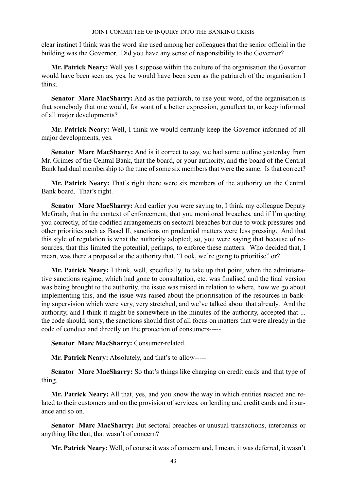clear instinct I think was the word she used among her colleagues that the senior official in the building was the Governor. Did you have any sense of responsibility to the Governor?

**Mr. Patrick Neary:** Well yes I suppose within the culture of the organisation the Governor would have been seen as, yes, he would have been seen as the patriarch of the organisation I think.

**Senator Marc MacSharry:** And as the patriarch, to use your word, of the organisation is that somebody that one would, for want of a better expression, genuflect to, or keep informed of all major developments?

**Mr. Patrick Neary:** Well, I think we would certainly keep the Governor informed of all major developments, yes.

**Senator Marc MacSharry:** And is it correct to say, we had some outline yesterday from Mr. Grimes of the Central Bank, that the board, or your authority, and the board of the Central Bank had dual membership to the tune of some six members that were the same. Is that correct?

**Mr. Patrick Neary:** That's right there were six members of the authority on the Central Bank board. That's right.

**Senator Marc MacSharry:** And earlier you were saying to, I think my colleague Deputy McGrath, that in the context of enforcement, that you monitored breaches, and if I'm quoting you correctly, of the codified arrangements on sectoral breaches but due to work pressures and other priorities such as Basel II, sanctions on prudential matters were less pressing. And that this style of regulation is what the authority adopted; so, you were saying that because of resources, that this limited the potential, perhaps, to enforce these matters. Who decided that, I mean, was there a proposal at the authority that, "Look, we're going to prioritise" or?

**Mr. Patrick Neary:** I think, well, specifically, to take up that point, when the administrative sanctions regime, which had gone to consultation, etc. was finalised and the final version was being brought to the authority, the issue was raised in relation to where, how we go about implementing this, and the issue was raised about the prioritisation of the resources in banking supervision which were very, very stretched, and we've talked about that already. And the authority, and I think it might be somewhere in the minutes of the authority, accepted that ... the code should, sorry, the sanctions should first of all focus on matters that were already in the code of conduct and directly on the protection of consumers-----

**Senator Marc MacSharry:** Consumer-related.

**Mr. Patrick Neary:** Absolutely, and that's to allow-----

**Senator Marc MacSharry:** So that's things like charging on credit cards and that type of thing.

**Mr. Patrick Neary:** All that, yes, and you know the way in which entities reacted and related to their customers and on the provision of services, on lending and credit cards and insurance and so on.

**Senator Marc MacSharry:** But sectoral breaches or unusual transactions, interbanks or anything like that, that wasn't of concern?

**Mr. Patrick Neary:** Well, of course it was of concern and, I mean, it was deferred, it wasn't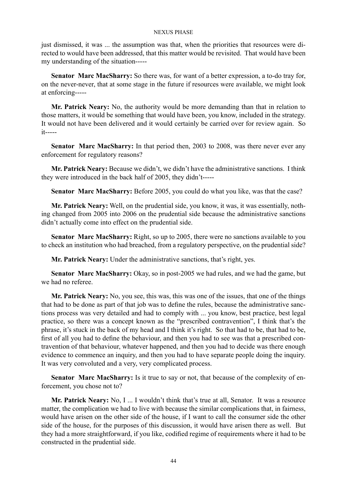just dismissed, it was ... the assumption was that, when the priorities that resources were directed to would have been addressed, that this matter would be revisited. That would have been my understanding of the situation-----

**Senator Marc MacSharry:** So there was, for want of a better expression, a to-do tray for, on the never-never, that at some stage in the future if resources were available, we might look at enforcing-----

**Mr. Patrick Neary:** No, the authority would be more demanding than that in relation to those matters, it would be something that would have been, you know, included in the strategy. It would not have been delivered and it would certainly be carried over for review again. So it-----

**Senator Marc MacSharry:** In that period then, 2003 to 2008, was there never ever any enforcement for regulatory reasons?

**Mr. Patrick Neary:** Because we didn't, we didn't have the administrative sanctions. I think they were introduced in the back half of 2005, they didn't-----

**Senator Marc MacSharry:** Before 2005, you could do what you like, was that the case?

**Mr. Patrick Neary:** Well, on the prudential side, you know, it was, it was essentially, nothing changed from 2005 into 2006 on the prudential side because the administrative sanctions didn't actually come into effect on the prudential side.

**Senator Marc MacSharry:** Right, so up to 2005, there were no sanctions available to you to check an institution who had breached, from a regulatory perspective, on the prudential side?

**Mr. Patrick Neary:** Under the administrative sanctions, that's right, yes.

**Senator Marc MacSharry:** Okay, so in post-2005 we had rules, and we had the game, but we had no referee.

**Mr. Patrick Neary:** No, you see, this was, this was one of the issues, that one of the things that had to be done as part of that job was to define the rules, because the administrative sanctions process was very detailed and had to comply with ... you know, best practice, best legal practice, so there was a concept known as the "prescribed contravention", I think that's the phrase, it's stuck in the back of my head and I think it's right. So that had to be, that had to be, first of all you had to define the behaviour, and then you had to see was that a prescribed contravention of that behaviour, whatever happened, and then you had to decide was there enough evidence to commence an inquiry, and then you had to have separate people doing the inquiry. It was very convoluted and a very, very complicated process.

**Senator Marc MacSharry:** Is it true to say or not, that because of the complexity of enforcement, you chose not to?

**Mr. Patrick Neary:** No, I ... I wouldn't think that's true at all, Senator. It was a resource matter, the complication we had to live with because the similar complications that, in fairness, would have arisen on the other side of the house, if I want to call the consumer side the other side of the house, for the purposes of this discussion, it would have arisen there as well. But they had a more straightforward, if you like, codified regime of requirements where it had to be constructed in the prudential side.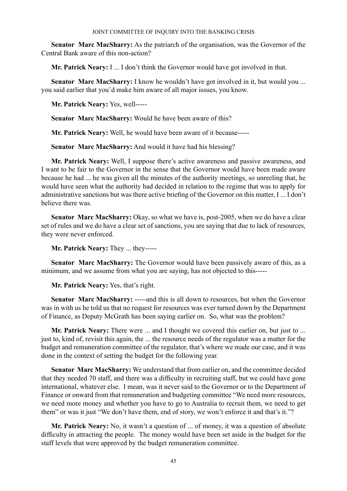**Senator Marc MacSharry:** As the patriarch of the organisation, was the Governor of the Central Bank aware of this non-action?

**Mr. Patrick Neary:** I ... I don't think the Governor would have got involved in that.

Senator Marc MacSharry: I know he wouldn't have got involved in it, but would you ... you said earlier that you'd make him aware of all major issues, you know.

**Mr. Patrick Neary:** Yes, well-----

**Senator Marc MacSharry:** Would he have been aware of this?

**Mr. Patrick Neary:** Well, he would have been aware of it because-----

**Senator Marc MacSharry:** And would it have had his blessing?

**Mr. Patrick Neary:** Well, I suppose there's active awareness and passive awareness, and I want to be fair to the Governor in the sense that the Governor would have been made aware because he had ... he was given all the minutes of the authority meetings, so unreeling that, he would have seen what the authority had decided in relation to the regime that was to apply for administrative sanctions but was there active briefing of the Governor on this matter, I ... I don't believe there was.

**Senator Marc MacSharry:** Okay, so what we have is, post-2005, when we do have a clear set of rules and we do have a clear set of sanctions, you are saying that due to lack of resources, they were never enforced.

**Mr. Patrick Neary:** They ... they-----

**Senator Marc MacSharry:** The Governor would have been passively aware of this, as a minimum, and we assume from what you are saying, has not objected to this-----

**Mr. Patrick Neary:** Yes, that's right.

**Senator Marc MacSharry:** -----and this is all down to resources, but when the Governor was in with us he told us that no request for resources was ever turned down by the Department of Finance, as Deputy McGrath has been saying earlier on. So, what was the problem?

**Mr. Patrick Neary:** There were ... and I thought we covered this earlier on, but just to ... just to, kind of, revisit this again, the ... the resource needs of the regulator was a matter for the budget and remuneration committee of the regulator, that's where we made our case, and it was done in the context of setting the budget for the following year.

**Senator Marc MacSharry:** We understand that from earlier on, and the committee decided that they needed 70 staff, and there was a difficulty in recruiting staff, but we could have gone international, whatever else. I mean, was it never said to the Governor or to the Department of Finance or onward from that remuneration and budgeting committee "We need more resources, we need more money and whether you have to go to Australia to recruit them, we need to get them" or was it just "We don't have them, end of story, we won't enforce it and that's it."?

**Mr. Patrick Neary:** No, it wasn't a question of ... of money, it was a question of absolute difficulty in attracting the people. The money would have been set aside in the budget for the staff levels that were approved by the budget remuneration committee.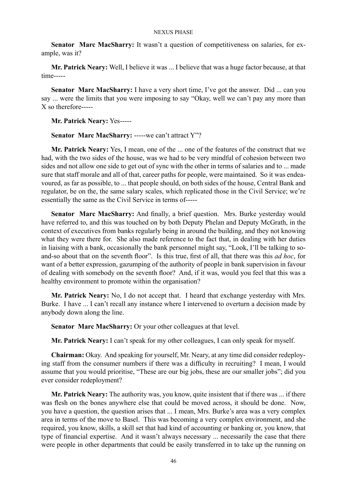Senator Marc MacSharry: It wasn't a question of competitiveness on salaries, for example, was it?

**Mr. Patrick Neary:** Well, I believe it was ... I believe that was a huge factor because, at that time-----

**Senator Marc MacSharry:** I have a very short time, I've got the answer. Did ... can you say ... were the limits that you were imposing to say "Okay, well we can't pay any more than X so therefore-----

**Mr. Patrick Neary:** Yes-----

**Senator Marc MacSharry: -----we can't attract Y"?** 

**Mr. Patrick Neary:** Yes, I mean, one of the ... one of the features of the construct that we had, with the two sides of the house, was we had to be very mindful of cohesion between two sides and not allow one side to get out of sync with the other in terms of salaries and to ... made sure that staff morale and all of that, career paths for people, were maintained. So it was endeavoured, as far as possible, to ... that people should, on both sides of the house, Central Bank and regulator, be on the, the same salary scales, which replicated those in the Civil Service; we're essentially the same as the Civil Service in terms of-----

**Senator Marc MacSharry:** And finally, a brief question. Mrs. Burke yesterday would have referred to, and this was touched on by both Deputy Phelan and Deputy McGrath, in the context of executives from banks regularly being in around the building, and they not knowing what they were there for. She also made reference to the fact that, in dealing with her duties in liaising with a bank, occasionally the bank personnel might say, "Look, I'll be talking to soand-so about that on the seventh floor". Is this true, first of all, that there was this *ad hoc*, for want of a better expression, gazumping of the authority of people in bank supervision in favour of dealing with somebody on the seventh floor? And, if it was, would you feel that this was a healthy environment to promote within the organisation?

**Mr. Patrick Neary:** No, I do not accept that. I heard that exchange yesterday with Mrs. Burke. I have ... I can't recall any instance where I intervened to overturn a decision made by anybody down along the line.

**Senator Marc MacSharry:** Or your other colleagues at that level.

**Mr. Patrick Neary:** I can't speak for my other colleagues, I can only speak for myself.

**Chairman:** Okay. And speaking for yourself, Mr. Neary, at any time did consider redeploying staff from the consumer numbers if there was a difficulty in recruiting? I mean, I would assume that you would prioritise, "These are our big jobs, these are our smaller jobs"; did you ever consider redeployment?

**Mr. Patrick Neary:** The authority was, you know, quite insistent that if there was ... if there was flesh on the bones anywhere else that could be moved across, it should be done. Now, you have a question, the question arises that ... I mean, Mrs. Burke's area was a very complex area in terms of the move to Basel. This was becoming a very complex environment, and she required, you know, skills, a skill set that had kind of accounting or banking or, you know, that type of financial expertise. And it wasn't always necessary ... necessarily the case that there were people in other departments that could be easily transferred in to take up the running on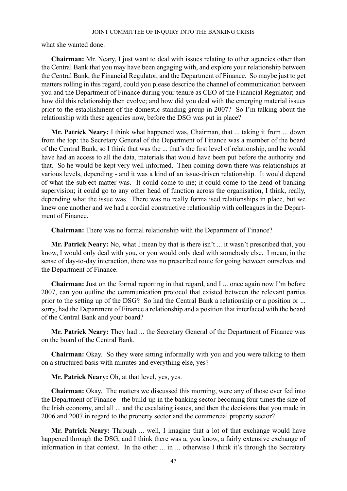what she wanted done.

**Chairman:** Mr. Neary, I just want to deal with issues relating to other agencies other than the Central Bank that you may have been engaging with, and explore your relationship between the Central Bank, the Financial Regulator, and the Department of Finance. So maybe just to get matters rolling in this regard, could you please describe the channel of communication between you and the Department of Finance during your tenure as CEO of the Financial Regulator; and how did this relationship then evolve; and how did you deal with the emerging material issues prior to the establishment of the domestic standing group in 2007? So I'm talking about the relationship with these agencies now, before the DSG was put in place?

**Mr. Patrick Neary:** I think what happened was, Chairman, that ... taking it from ... down from the top: the Secretary General of the Department of Finance was a member of the board of the Central Bank, so I think that was the ... that's the first level of relationship, and he would have had an access to all the data, materials that would have been put before the authority and that. So he would be kept very well informed. Then coming down there was relationships at various levels, depending - and it was a kind of an issue-driven relationship. It would depend of what the subject matter was. It could come to me; it could come to the head of banking supervision; it could go to any other head of function across the organisation, I think, really, depending what the issue was. There was no really formalised relationships in place, but we knew one another and we had a cordial constructive relationship with colleagues in the Department of Finance.

**Chairman:** There was no formal relationship with the Department of Finance?

**Mr. Patrick Neary:** No, what I mean by that is there isn't ... it wasn't prescribed that, you know, I would only deal with you, or you would only deal with somebody else. I mean, in the sense of day-to-day interaction, there was no prescribed route for going between ourselves and the Department of Finance.

**Chairman:** Just on the formal reporting in that regard, and I ... once again now I'm before 2007, can you outline the communication protocol that existed between the relevant parties prior to the setting up of the DSG? So had the Central Bank a relationship or a position or ... sorry, had the Department of Finance a relationship and a position that interfaced with the board of the Central Bank and your board?

**Mr. Patrick Neary:** They had ... the Secretary General of the Department of Finance was on the board of the Central Bank.

**Chairman:** Okay. So they were sitting informally with you and you were talking to them on a structured basis with minutes and everything else, yes?

**Mr. Patrick Neary:** Oh, at that level, yes, yes.

**Chairman:** Okay. The matters we discussed this morning, were any of those ever fed into the Department of Finance - the build-up in the banking sector becoming four times the size of the Irish economy, and all ... and the escalating issues, and then the decisions that you made in 2006 and 2007 in regard to the property sector and the commercial property sector?

**Mr. Patrick Neary:** Through ... well, I imagine that a lot of that exchange would have happened through the DSG, and I think there was a, you know, a fairly extensive exchange of information in that context. In the other ... in ... otherwise I think it's through the Secretary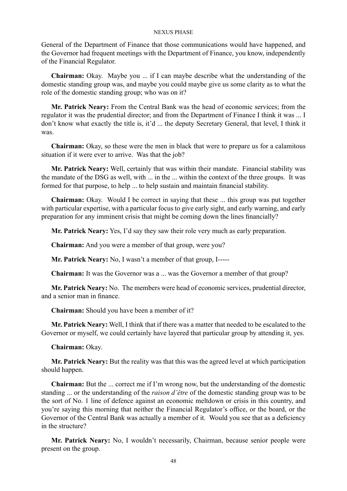General of the Department of Finance that those communications would have happened, and the Governor had frequent meetings with the Department of Finance, you know, independently of the Financial Regulator.

**Chairman:** Okay. Maybe you ... if I can maybe describe what the understanding of the domestic standing group was, and maybe you could maybe give us some clarity as to what the role of the domestic standing group; who was on it?

**Mr. Patrick Neary:** From the Central Bank was the head of economic services; from the regulator it was the prudential director; and from the Department of Finance I think it was ... I don't know what exactly the title is, it'd ... the deputy Secretary General, that level, I think it was.

**Chairman:** Okay, so these were the men in black that were to prepare us for a calamitous situation if it were ever to arrive. Was that the job?

**Mr. Patrick Neary:** Well, certainly that was within their mandate. Financial stability was the mandate of the DSG as well, with ... in the ... within the context of the three groups. It was formed for that purpose, to help ... to help sustain and maintain financial stability.

**Chairman:** Okay. Would I be correct in saying that these ... this group was put together with particular expertise, with a particular focus to give early sight, and early warning, and early preparation for any imminent crisis that might be coming down the lines financially?

**Mr. Patrick Neary:** Yes, I'd say they saw their role very much as early preparation.

**Chairman:** And you were a member of that group, were you?

**Mr. Patrick Neary:** No, I wasn't a member of that group, I-----

**Chairman:** It was the Governor was a ... was the Governor a member of that group?

**Mr. Patrick Neary:** No. The members were head of economic services, prudential director, and a senior man in finance.

**Chairman:** Should you have been a member of it?

**Mr. Patrick Neary:** Well, I think that if there was a matter that needed to be escalated to the Governor or myself, we could certainly have layered that particular group by attending it, yes.

**Chairman:** Okay.

**Mr. Patrick Neary:** But the reality was that this was the agreed level at which participation should happen.

**Chairman:** But the ... correct me if I'm wrong now, but the understanding of the domestic standing ... or the understanding of the *raison d'être* of the domestic standing group was to be the sort of No. 1 line of defence against an economic meltdown or crisis in this country, and you're saying this morning that neither the Financial Regulator's office, or the board, or the Governor of the Central Bank was actually a member of it. Would you see that as a deficiency in the structure?

**Mr. Patrick Neary:** No, I wouldn't necessarily, Chairman, because senior people were present on the group.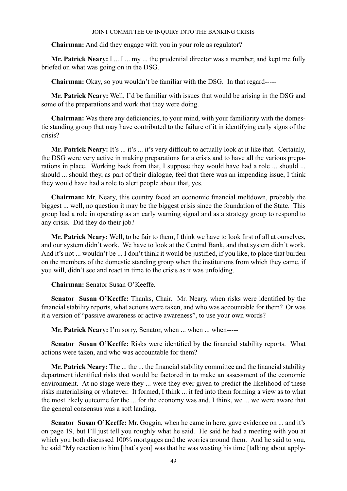**Chairman:** And did they engage with you in your role as regulator?

**Mr. Patrick Neary:** I ... I ... my ... the prudential director was a member, and kept me fully briefed on what was going on in the DSG.

**Chairman:** Okay, so you wouldn't be familiar with the DSG. In that regard-----

**Mr. Patrick Neary:** Well, I'd be familiar with issues that would be arising in the DSG and some of the preparations and work that they were doing.

**Chairman:** Was there any deficiencies, to your mind, with your familiarity with the domestic standing group that may have contributed to the failure of it in identifying early signs of the crisis?

**Mr. Patrick Neary:** It's ... it's ... it's very difficult to actually look at it like that. Certainly, the DSG were very active in making preparations for a crisis and to have all the various preparations in place. Working back from that, I suppose they would have had a role ... should ... should ... should they, as part of their dialogue, feel that there was an impending issue, I think they would have had a role to alert people about that, yes.

**Chairman:** Mr. Neary, this country faced an economic financial meltdown, probably the biggest ... well, no question it may be the biggest crisis since the foundation of the State. This group had a role in operating as an early warning signal and as a strategy group to respond to any crisis. Did they do their job?

**Mr. Patrick Neary:** Well, to be fair to them, I think we have to look first of all at ourselves, and our system didn't work. We have to look at the Central Bank, and that system didn't work. And it's not ... wouldn't be ... I don't think it would be justified, if you like, to place that burden on the members of the domestic standing group when the institutions from which they came, if you will, didn't see and react in time to the crisis as it was unfolding.

**Chairman:** Senator Susan O'Keeffe.

**Senator Susan O'Keeffe:** Thanks, Chair. Mr. Neary, when risks were identified by the financial stability reports, what actions were taken, and who was accountable for them? Or was it a version of "passive awareness or active awareness", to use your own words?

**Mr. Patrick Neary:** I'm sorry, Senator, when ... when ... when-----

**Senator Susan O'Keeffe:** Risks were identified by the financial stability reports. What actions were taken, and who was accountable for them?

**Mr. Patrick Neary:** The ... the ... the financial stability committee and the financial stability department identified risks that would be factored in to make an assessment of the economic environment. At no stage were they ... were they ever given to predict the likelihood of these risks materialising or whatever. It formed, I think ... it fed into them forming a view as to what the most likely outcome for the ... for the economy was and, I think, we ... we were aware that the general consensus was a soft landing.

**Senator Susan O'Keeffe:** Mr. Goggin, when he came in here, gave evidence on ... and it's on page 19, but I'll just tell you roughly what he said. He said he had a meeting with you at which you both discussed 100% mortgages and the worries around them. And he said to you, he said "My reaction to him [that's you] was that he was wasting his time [talking about apply-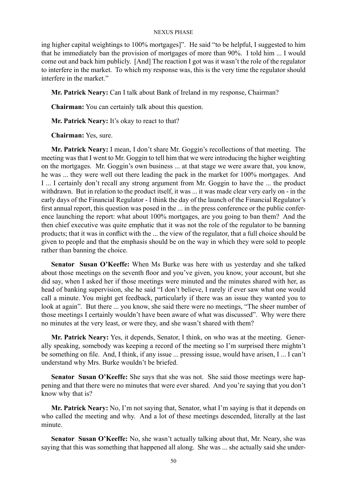ing higher capital weightings to 100% mortgages]". He said "to be helpful, I suggested to him that he immediately ban the provision of mortgages of more than 90%. I told him ... I would come out and back him publicly. [And] The reaction I got was it wasn't the role of the regulator to interfere in the market. To which my response was, this is the very time the regulator should interfere in the market."

**Mr. Patrick Neary:** Can I talk about Bank of Ireland in my response, Chairman?

**Chairman:** You can certainly talk about this question.

**Mr. Patrick Neary:** It's okay to react to that?

**Chairman:** Yes, sure.

**Mr. Patrick Neary:** I mean, I don't share Mr. Goggin's recollections of that meeting. The meeting was that I went to Mr. Goggin to tell him that we were introducing the higher weighting on the mortgages. Mr. Goggin's own business ... at that stage we were aware that, you know, he was ... they were well out there leading the pack in the market for 100% mortgages. And I ... I certainly don't recall any strong argument from Mr. Goggin to have the ... the product withdrawn. But in relation to the product itself, it was ... it was made clear very early on - in the early days of the Financial Regulator - I think the day of the launch of the Financial Regulator's first annual report, this question was posed in the ... in the press conference or the public conference launching the report: what about 100% mortgages, are you going to ban them? And the then chief executive was quite emphatic that it was not the role of the regulator to be banning products; that it was in conflict with the ... the view of the regulator, that a full choice should be given to people and that the emphasis should be on the way in which they were sold to people rather than banning the choice.

**Senator Susan O'Keeffe:** When Ms Burke was here with us yesterday and she talked about those meetings on the seventh floor and you've given, you know, your account, but she did say, when I asked her if those meetings were minuted and the minutes shared with her, as head of banking supervision, she he said "I don't believe, I rarely if ever saw what one would call a minute. You might get feedback, particularly if there was an issue they wanted you to look at again". But there ... you know, she said there were no meetings, "The sheer number of those meetings I certainly wouldn't have been aware of what was discussed". Why were there no minutes at the very least, or were they, and she wasn't shared with them?

**Mr. Patrick Neary:** Yes, it depends, Senator, I think, on who was at the meeting. Generally speaking, somebody was keeping a record of the meeting so I'm surprised there mightn't be something on file. And, I think, if any issue ... pressing issue, would have arisen, I ... I can't understand why Mrs. Burke wouldn't be briefed.

**Senator Susan O'Keeffe:** She says that she was not. She said those meetings were happening and that there were no minutes that were ever shared. And you're saying that you don't know why that is?

**Mr. Patrick Neary:** No, I'm not saying that, Senator, what I'm saying is that it depends on who called the meeting and why. And a lot of these meetings descended, literally at the last minute.

**Senator Susan O'Keeffe:** No, she wasn't actually talking about that, Mr. Neary, she was saying that this was something that happened all along. She was ... she actually said she under-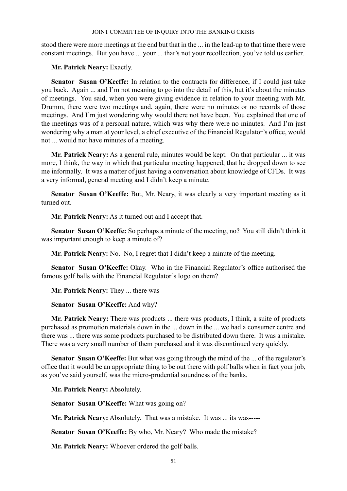stood there were more meetings at the end but that in the ... in the lead-up to that time there were constant meetings. But you have ... your ... that's not your recollection, you've told us earlier.

**Mr. Patrick Neary:** Exactly.

Senator Susan O'Keeffe: In relation to the contracts for difference, if I could just take you back. Again ... and I'm not meaning to go into the detail of this, but it's about the minutes of meetings. You said, when you were giving evidence in relation to your meeting with Mr. Drumm, there were two meetings and, again, there were no minutes or no records of those meetings. And I'm just wondering why would there not have been. You explained that one of the meetings was of a personal nature, which was why there were no minutes. And I'm just wondering why a man at your level, a chief executive of the Financial Regulator's office, would not ... would not have minutes of a meeting.

**Mr. Patrick Neary:** As a general rule, minutes would be kept. On that particular ... it was more, I think, the way in which that particular meeting happened, that he dropped down to see me informally. It was a matter of just having a conversation about knowledge of CFDs. It was a very informal, general meeting and I didn't keep a minute.

**Senator Susan O'Keeffe:** But, Mr. Neary, it was clearly a very important meeting as it turned out.

**Mr. Patrick Neary:** As it turned out and I accept that.

**Senator Susan O'Keeffe:** So perhaps a minute of the meeting, no? You still didn't think it was important enough to keep a minute of?

**Mr. Patrick Neary:** No. No, I regret that I didn't keep a minute of the meeting.

**Senator Susan O'Keeffe:** Okay. Who in the Financial Regulator's office authorised the famous golf balls with the Financial Regulator's logo on them?

**Mr. Patrick Neary:** They ... there was-----

**Senator Susan O'Keeffe:** And why?

**Mr. Patrick Neary:** There was products ... there was products, I think, a suite of products purchased as promotion materials down in the ... down in the ... we had a consumer centre and there was ... there was some products purchased to be distributed down there. It was a mistake. There was a very small number of them purchased and it was discontinued very quickly.

**Senator Susan O'Keeffe:** But what was going through the mind of the ... of the regulator's office that it would be an appropriate thing to be out there with golf balls when in fact your job, as you've said yourself, was the micro-prudential soundness of the banks.

**Mr. Patrick Neary:** Absolutely.

**Senator Susan O'Keeffe:** What was going on?

**Mr. Patrick Neary:** Absolutely. That was a mistake. It was ... its was-----

**Senator Susan O'Keeffe:** By who, Mr. Neary? Who made the mistake?

**Mr. Patrick Neary:** Whoever ordered the golf balls.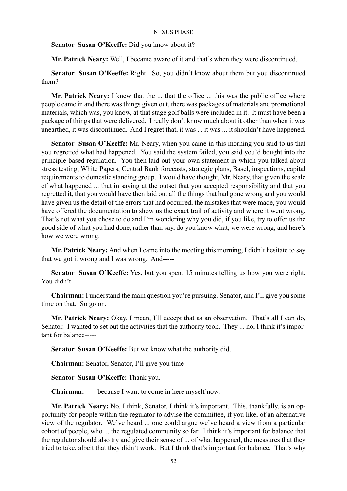**Senator Susan O'Keeffe:** Did you know about it?

**Mr. Patrick Neary:** Well, I became aware of it and that's when they were discontinued.

**Senator Susan O'Keeffe:** Right. So, you didn't know about them but you discontinued them?

**Mr. Patrick Neary:** I knew that the ... that the office ... this was the public office where people came in and there was things given out, there was packages of materials and promotional materials, which was, you know, at that stage golf balls were included in it. It must have been a package of things that were delivered. I really don't know much about it other than when it was unearthed, it was discontinued. And I regret that, it was ... it was ... it shouldn't have happened.

**Senator Susan O'Keeffe:** Mr. Neary, when you came in this morning you said to us that you regretted what had happened. You said the system failed, you said you'd bought into the principle-based regulation. You then laid out your own statement in which you talked about stress testing, White Papers, Central Bank forecasts, strategic plans, Basel, inspections, capital requirements to domestic standing group. I would have thought, Mr. Neary, that given the scale of what happened ... that in saying at the outset that you accepted responsibility and that you regretted it, that you would have then laid out all the things that had gone wrong and you would have given us the detail of the errors that had occurred, the mistakes that were made, you would have offered the documentation to show us the exact trail of activity and where it went wrong. That's not what you chose to do and I'm wondering why you did, if you like, try to offer us the good side of what you had done, rather than say, do you know what, we were wrong, and here's how we were wrong.

**Mr. Patrick Neary:** And when I came into the meeting this morning, I didn't hesitate to say that we got it wrong and I was wrong. And-----

**Senator Susan O'Keeffe:** Yes, but you spent 15 minutes telling us how you were right. You didn't-----

**Chairman:** I understand the main question you're pursuing, Senator, and I'll give you some time on that. So go on.

**Mr. Patrick Neary:** Okay, I mean, I'll accept that as an observation. That's all I can do, Senator. I wanted to set out the activities that the authority took. They ... no, I think it's important for balance-----

**Senator Susan O'Keeffe:** But we know what the authority did.

**Chairman:** Senator, Senator, I'll give you time-----

**Senator Susan O'Keeffe:** Thank you.

**Chairman:** -----because I want to come in here myself now.

**Mr. Patrick Neary:** No, I think, Senator, I think it's important. This, thankfully, is an opportunity for people within the regulator to advise the committee, if you like, of an alternative view of the regulator. We've heard ... one could argue we've heard a view from a particular cohort of people, who ... the regulated community so far. I think it's important for balance that the regulator should also try and give their sense of ... of what happened, the measures that they tried to take, albeit that they didn't work. But I think that's important for balance. That's why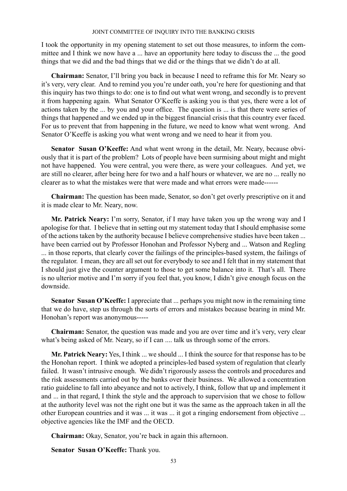I took the opportunity in my opening statement to set out those measures, to inform the committee and I think we now have a ... have an opportunity here today to discuss the ... the good things that we did and the bad things that we did or the things that we didn't do at all.

**Chairman:** Senator, I'll bring you back in because I need to reframe this for Mr. Neary so it's very, very clear. And to remind you you're under oath, you're here for questioning and that this inquiry has two things to do: one is to find out what went wrong, and secondly is to prevent it from happening again. What Senator O'Keeffe is asking you is that yes, there were a lot of actions taken by the ... by you and your office. The question is ... is that there were series of things that happened and we ended up in the biggest financial crisis that this country ever faced. For us to prevent that from happening in the future, we need to know what went wrong. And Senator O'Keeffe is asking you what went wrong and we need to hear it from you.

**Senator Susan O'Keeffe:** And what went wrong in the detail, Mr. Neary, because obviously that it is part of the problem? Lots of people have been surmising about might and might not have happened. You were central, you were there, as were your colleagues. And yet, we are still no clearer, after being here for two and a half hours or whatever, we are no ... really no clearer as to what the mistakes were that were made and what errors were made------

**Chairman:** The question has been made, Senator, so don't get overly prescriptive on it and it is made clear to Mr. Neary, now.

**Mr. Patrick Neary:** I'm sorry, Senator, if I may have taken you up the wrong way and I apologise for that. I believe that in setting out my statement today that I should emphasise some of the actions taken by the authority because I believe comprehensive studies have been taken ... have been carried out by Professor Honohan and Professor Nyberg and ... Watson and Regling ... in those reports, that clearly cover the failings of the principles-based system, the failings of the regulator. I mean, they are all set out for everybody to see and I felt that in my statement that I should just give the counter argument to those to get some balance into it. That's all. There is no ulterior motive and I'm sorry if you feel that, you know, I didn't give enough focus on the downside.

**Senator Susan O'Keeffe:** I appreciate that ... perhaps you might now in the remaining time that we do have, step us through the sorts of errors and mistakes because bearing in mind Mr. Honohan's report was anonymous-----

**Chairman:** Senator, the question was made and you are over time and it's very, very clear what's being asked of Mr. Neary, so if I can .... talk us through some of the errors.

**Mr. Patrick Neary:** Yes, I think ... we should ... I think the source for that response has to be the Honohan report. I think we adopted a principles-led based system of regulation that clearly failed. It wasn't intrusive enough. We didn't rigorously assess the controls and procedures and the risk assessments carried out by the banks over their business. We allowed a concentration ratio guideline to fall into abeyance and not to actively, I think, follow that up and implement it and ... in that regard, I think the style and the approach to supervision that we chose to follow at the authority level was not the right one but it was the same as the approach taken in all the other European countries and it was ... it was ... it got a ringing endorsement from objective ... objective agencies like the IMF and the OECD.

**Chairman:** Okay, Senator, you're back in again this afternoon.

**Senator Susan O'Keeffe:** Thank you.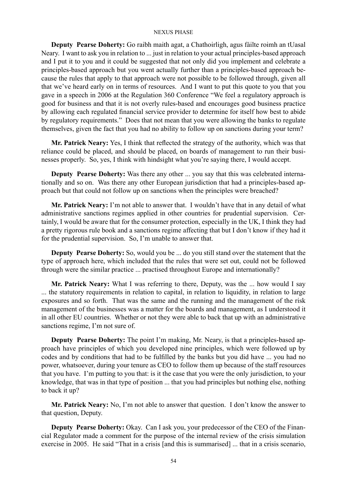**Deputy Pearse Doherty:** Go raibh maith agat, a Chathoirligh, agus fáilte roimh an tUasal Neary. I want to ask you in relation to ... just in relation to your actual principles-based approach and I put it to you and it could be suggested that not only did you implement and celebrate a principles-based approach but you went actually further than a principles-based approach because the rules that apply to that approach were not possible to be followed through, given all that we've heard early on in terms of resources. And I want to put this quote to you that you gave in a speech in 2006 at the Regulation 360 Conference "We feel a regulatory approach is good for business and that it is not overly rules-based and encourages good business practice by allowing each regulated financial service provider to determine for itself how best to abide by regulatory requirements." Does that not mean that you were allowing the banks to regulate themselves, given the fact that you had no ability to follow up on sanctions during your term?

**Mr. Patrick Neary:** Yes, I think that reflected the strategy of the authority, which was that reliance could be placed, and should be placed, on boards of management to run their businesses properly. So, yes, I think with hindsight what you're saying there, I would accept.

**Deputy Pearse Doherty:** Was there any other ... you say that this was celebrated internationally and so on. Was there any other European jurisdiction that had a principles-based approach but that could not follow up on sanctions when the principles were breached?

**Mr. Patrick Neary:** I'm not able to answer that. I wouldn't have that in any detail of what administrative sanctions regimes applied in other countries for prudential supervision. Certainly, I would be aware that for the consumer protection, especially in the UK, I think they had a pretty rigorous rule book and a sanctions regime affecting that but I don't know if they had it for the prudential supervision. So, I'm unable to answer that.

**Deputy Pearse Doherty:** So, would you be ... do you still stand over the statement that the type of approach here, which included that the rules that were set out, could not be followed through were the similar practice ... practised throughout Europe and internationally?

**Mr. Patrick Neary:** What I was referring to there, Deputy, was the ... how would I say ... the statutory requirements in relation to capital, in relation to liquidity, in relation to large exposures and so forth. That was the same and the running and the management of the risk management of the businesses was a matter for the boards and management, as I understood it in all other EU countries. Whether or not they were able to back that up with an administrative sanctions regime, I'm not sure of.

**Deputy Pearse Doherty:** The point I'm making, Mr. Neary, is that a principles-based approach have principles of which you developed nine principles, which were followed up by codes and by conditions that had to be fulfilled by the banks but you did have ... you had no power, whatsoever, during your tenure as CEO to follow them up because of the staff resources that you have. I'm putting to you that: is it the case that you were the only jurisdiction, to your knowledge, that was in that type of position ... that you had principles but nothing else, nothing to back it up?

**Mr. Patrick Neary:** No, I'm not able to answer that question. I don't know the answer to that question, Deputy.

**Deputy Pearse Doherty:** Okay. Can I ask you, your predecessor of the CEO of the Financial Regulator made a comment for the purpose of the internal review of the crisis simulation exercise in 2005. He said "That in a crisis [and this is summarised] ... that in a crisis scenario,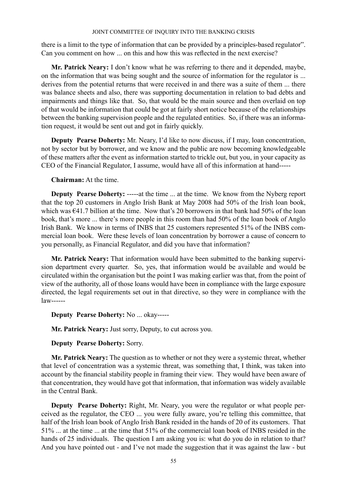there is a limit to the type of information that can be provided by a principles-based regulator". Can you comment on how ... on this and how this was reflected in the next exercise?

**Mr. Patrick Neary:** I don't know what he was referring to there and it depended, maybe, on the information that was being sought and the source of information for the regulator is ... derives from the potential returns that were received in and there was a suite of them ... there was balance sheets and also, there was supporting documentation in relation to bad debts and impairments and things like that. So, that would be the main source and then overlaid on top of that would be information that could be got at fairly short notice because of the relationships between the banking supervision people and the regulated entities. So, if there was an information request, it would be sent out and got in fairly quickly.

**Deputy Pearse Doherty:** Mr. Neary, I'd like to now discuss, if I may, loan concentration, not by sector but by borrower, and we know and the public are now becoming knowledgeable of these matters after the event as information started to trickle out, but you, in your capacity as CEO of the Financial Regulator, I assume, would have all of this information at hand-----

# **Chairman:** At the time.

**Deputy Pearse Doherty:** -----at the time ... at the time. We know from the Nyberg report that the top 20 customers in Anglo Irish Bank at May 2008 had 50% of the Irish loan book, which was  $\epsilon$ 41.7 billion at the time. Now that's 20 borrowers in that bank had 50% of the loan book, that's more ... there's more people in this room than had 50% of the loan book of Anglo Irish Bank. We know in terms of INBS that 25 customers represented 51% of the INBS commercial loan book. Were these levels of loan concentration by borrower a cause of concern to you personally, as Financial Regulator, and did you have that information?

**Mr. Patrick Neary:** That information would have been submitted to the banking supervision department every quarter. So, yes, that information would be available and would be circulated within the organisation but the point I was making earlier was that, from the point of view of the authority, all of those loans would have been in compliance with the large exposure directed, the legal requirements set out in that directive, so they were in compliance with the law------

# **Deputy Pearse Doherty:** No ... okay-----

**Mr. Patrick Neary:** Just sorry, Deputy, to cut across you.

### **Deputy Pearse Doherty:** Sorry.

**Mr. Patrick Neary:** The question as to whether or not they were a systemic threat, whether that level of concentration was a systemic threat, was something that, I think, was taken into account by the financial stability people in framing their view. They would have been aware of that concentration, they would have got that information, that information was widely available in the Central Bank.

**Deputy Pearse Doherty:** Right, Mr. Neary, you were the regulator or what people perceived as the regulator, the CEO ... you were fully aware, you're telling this committee, that half of the Irish loan book of Anglo Irish Bank resided in the hands of 20 of its customers. That 51% ... at the time ... at the time that 51% of the commercial loan book of INBS resided in the hands of 25 individuals. The question I am asking you is: what do you do in relation to that? And you have pointed out - and I've not made the suggestion that it was against the law - but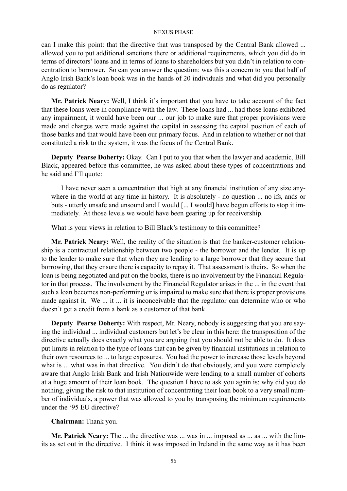can I make this point: that the directive that was transposed by the Central Bank allowed ... allowed you to put additional sanctions there or additional requirements, which you did do in terms of directors' loans and in terms of loans to shareholders but you didn't in relation to concentration to borrower. So can you answer the question: was this a concern to you that half of Anglo Irish Bank's loan book was in the hands of 20 individuals and what did you personally do as regulator?

**Mr. Patrick Neary:** Well, I think it's important that you have to take account of the fact that these loans were in compliance with the law. These loans had ... had those loans exhibited any impairment, it would have been our ... our job to make sure that proper provisions were made and charges were made against the capital in assessing the capital position of each of those banks and that would have been our primary focus. And in relation to whether or not that constituted a risk to the system, it was the focus of the Central Bank.

**Deputy Pearse Doherty:** Okay. Can I put to you that when the lawyer and academic, Bill Black, appeared before this committee, he was asked about these types of concentrations and he said and I'll quote:

I have never seen a concentration that high at any financial institution of any size anywhere in the world at any time in history. It is absolutely - no question ... no ifs, ands or buts - utterly unsafe and unsound and I would [... I would] have begun efforts to stop it immediately. At those levels we would have been gearing up for receivership.

What is your views in relation to Bill Black's testimony to this committee?

**Mr. Patrick Neary:** Well, the reality of the situation is that the banker-customer relationship is a contractual relationship between two people - the borrower and the lender. It is up to the lender to make sure that when they are lending to a large borrower that they secure that borrowing, that they ensure there is capacity to repay it. That assessment is theirs. So when the loan is being negotiated and put on the books, there is no involvement by the Financial Regulator in that process. The involvement by the Financial Regulator arises in the ... in the event that such a loan becomes non-performing or is impaired to make sure that there is proper provisions made against it. We ... it ... it is inconceivable that the regulator can determine who or who doesn't get a credit from a bank as a customer of that bank.

**Deputy Pearse Doherty:** With respect, Mr. Neary, nobody is suggesting that you are saying the individual ... individual customers but let's be clear in this here: the transposition of the directive actually does exactly what you are arguing that you should not be able to do. It does put limits in relation to the type of loans that can be given by financial institutions in relation to their own resources to ... to large exposures. You had the power to increase those levels beyond what is ... what was in that directive. You didn't do that obviously, and you were completely aware that Anglo Irish Bank and Irish Nationwide were lending to a small number of cohorts at a huge amount of their loan book. The question I have to ask you again is: why did you do nothing, giving the risk to that institution of concentrating their loan book to a very small number of individuals, a power that was allowed to you by transposing the minimum requirements under the '95 EU directive?

# **Chairman:** Thank you.

**Mr. Patrick Neary:** The ... the directive was ... was in ... imposed as ... as ... with the limits as set out in the directive. I think it was imposed in Ireland in the same way as it has been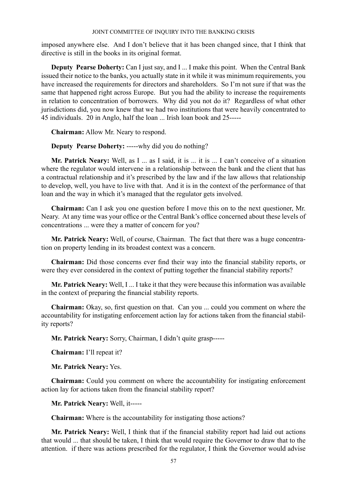imposed anywhere else. And I don't believe that it has been changed since, that I think that directive is still in the books in its original format.

**Deputy Pearse Doherty:** Can I just say, and I ... I make this point. When the Central Bank issued their notice to the banks, you actually state in it while it was minimum requirements, you have increased the requirements for directors and shareholders. So I'm not sure if that was the same that happened right across Europe. But you had the ability to increase the requirements in relation to concentration of borrowers. Why did you not do it? Regardless of what other jurisdictions did, you now knew that we had two institutions that were heavily concentrated to 45 individuals. 20 in Anglo, half the loan ... Irish loan book and 25-----

**Chairman:** Allow Mr. Neary to respond.

**Deputy Pearse Doherty:** -----why did you do nothing?

**Mr. Patrick Neary:** Well, as I ... as I said, it is ... it is ... I can't conceive of a situation where the regulator would intervene in a relationship between the bank and the client that has a contractual relationship and it's prescribed by the law and if the law allows that relationship to develop, well, you have to live with that. And it is in the context of the performance of that loan and the way in which it's managed that the regulator gets involved.

**Chairman:** Can I ask you one question before I move this on to the next questioner, Mr. Neary. At any time was your office or the Central Bank's office concerned about these levels of concentrations ... were they a matter of concern for you?

**Mr. Patrick Neary:** Well, of course, Chairman. The fact that there was a huge concentration on property lending in its broadest context was a concern.

**Chairman:** Did those concerns ever find their way into the financial stability reports, or were they ever considered in the context of putting together the financial stability reports?

**Mr. Patrick Neary:** Well, I ... I take it that they were because this information was available in the context of preparing the financial stability reports.

**Chairman:** Okay, so, first question on that. Can you ... could you comment on where the accountability for instigating enforcement action lay for actions taken from the financial stability reports?

**Mr. Patrick Neary:** Sorry, Chairman, I didn't quite grasp-----

**Chairman:** I'll repeat it?

**Mr. Patrick Neary:** Yes.

**Chairman:** Could you comment on where the accountability for instigating enforcement action lay for actions taken from the financial stability report?

**Mr. Patrick Neary:** Well, it-----

**Chairman:** Where is the accountability for instigating those actions?

**Mr. Patrick Neary:** Well, I think that if the financial stability report had laid out actions that would ... that should be taken, I think that would require the Governor to draw that to the attention. if there was actions prescribed for the regulator, I think the Governor would advise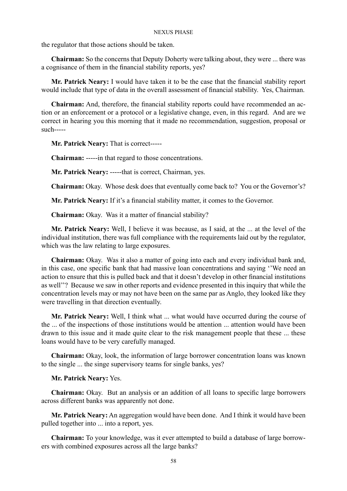the regulator that those actions should be taken.

**Chairman:** So the concerns that Deputy Doherty were talking about, they were ... there was a cognisance of them in the financial stability reports, yes?

**Mr. Patrick Neary:** I would have taken it to be the case that the financial stability report would include that type of data in the overall assessment of financial stability. Yes, Chairman.

**Chairman:** And, therefore, the financial stability reports could have recommended an action or an enforcement or a protocol or a legislative change, even, in this regard. And are we correct in hearing you this morning that it made no recommendation, suggestion, proposal or such-----

**Mr. Patrick Neary:** That is correct-----

**Chairman:** -----in that regard to those concentrations.

**Mr. Patrick Neary:** -----that is correct, Chairman, yes.

**Chairman:** Okay. Whose desk does that eventually come back to? You or the Governor's?

**Mr. Patrick Neary:** If it's a financial stability matter, it comes to the Governor.

**Chairman:** Okay. Was it a matter of financial stability?

**Mr. Patrick Neary:** Well, I believe it was because, as I said, at the ... at the level of the individual institution, there was full compliance with the requirements laid out by the regulator, which was the law relating to large exposures.

**Chairman:** Okay. Was it also a matter of going into each and every individual bank and, in this case, one specific bank that had massive loan concentrations and saying ''We need an action to ensure that this is pulled back and that it doesn't develop in other financial institutions as well''? Because we saw in other reports and evidence presented in this inquiry that while the concentration levels may or may not have been on the same par as Anglo, they looked like they were travelling in that direction eventually.

**Mr. Patrick Neary:** Well, I think what ... what would have occurred during the course of the ... of the inspections of those institutions would be attention ... attention would have been drawn to this issue and it made quite clear to the risk management people that these ... these loans would have to be very carefully managed.

**Chairman:** Okay, look, the information of large borrower concentration loans was known to the single ... the singe supervisory teams for single banks, yes?

### **Mr. Patrick Neary:** Yes.

**Chairman:** Okay. But an analysis or an addition of all loans to specific large borrowers across different banks was apparently not done.

**Mr. Patrick Neary:** An aggregation would have been done. And I think it would have been pulled together into ... into a report, yes.

**Chairman:** To your knowledge, was it ever attempted to build a database of large borrowers with combined exposures across all the large banks?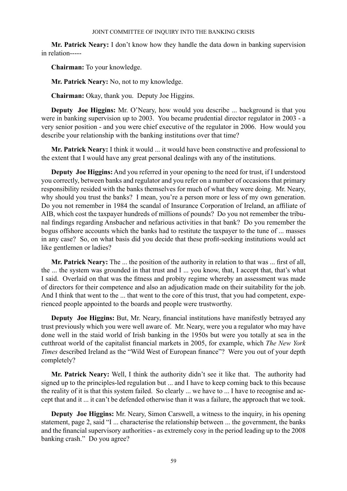**Mr. Patrick Neary:** I don't know how they handle the data down in banking supervision in relation-----

**Chairman:** To your knowledge.

**Mr. Patrick Neary:** No, not to my knowledge.

**Chairman:** Okay, thank you. Deputy Joe Higgins.

**Deputy Joe Higgins:** Mr. O'Neary, how would you describe ... background is that you were in banking supervision up to 2003. You became prudential director regulator in 2003 - a very senior position - and you were chief executive of the regulator in 2006. How would you describe your relationship with the banking institutions over that time?

**Mr. Patrick Neary:** I think it would ... it would have been constructive and professional to the extent that I would have any great personal dealings with any of the institutions.

**Deputy Joe Higgins:** And you referred in your opening to the need for trust, if I understood you correctly, between banks and regulator and you refer on a number of occasions that primary responsibility resided with the banks themselves for much of what they were doing. Mr. Neary, why should you trust the banks? I mean, you're a person more or less of my own generation. Do you not remember in 1984 the scandal of Insurance Corporation of Ireland, an affiliate of AIB, which cost the taxpayer hundreds of millions of pounds? Do you not remember the tribunal findings regarding Ansbacher and nefarious activities in that bank? Do you remember the bogus offshore accounts which the banks had to restitute the taxpayer to the tune of ... masses in any case? So, on what basis did you decide that these profit-seeking institutions would act like gentlemen or ladies?

**Mr. Patrick Neary:** The ... the position of the authority in relation to that was ... first of all, the ... the system was grounded in that trust and I ... you know, that, I accept that, that's what I said. Overlaid on that was the fitness and probity regime whereby an assessment was made of directors for their competence and also an adjudication made on their suitability for the job. And I think that went to the ... that went to the core of this trust, that you had competent, experienced people appointed to the boards and people were trustworthy.

**Deputy Joe Higgins:** But, Mr. Neary, financial institutions have manifestly betrayed any trust previously which you were well aware of. Mr. Neary, were you a regulator who may have done well in the staid world of Irish banking in the 1950s but were you totally at sea in the cutthroat world of the capitalist financial markets in 2005, for example, which *The New York Times* described Ireland as the "Wild West of European finance"? Were you out of your depth completely?

**Mr. Patrick Neary:** Well, I think the authority didn't see it like that. The authority had signed up to the principles-led regulation but ... and I have to keep coming back to this because the reality of it is that this system failed. So clearly ... we have to ... I have to recognise and accept that and it ... it can't be defended otherwise than it was a failure, the approach that we took.

**Deputy Joe Higgins:** Mr. Neary, Simon Carswell, a witness to the inquiry, in his opening statement, page 2, said "I ... characterise the relationship between ... the government, the banks and the financial supervisory authorities - as extremely cosy in the period leading up to the 2008 banking crash." Do you agree?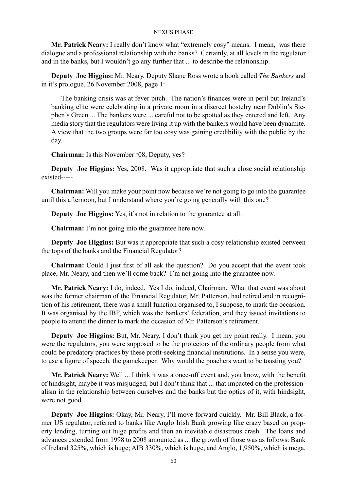**Mr. Patrick Neary:** I really don't know what "extremely cosy" means. I mean, was there dialogue and a professional relationship with the banks? Certainly, at all levels in the regulator and in the banks, but I wouldn't go any further that ... to describe the relationship.

**Deputy Joe Higgins:** Mr. Neary, Deputy Shane Ross wrote a book called *The Bankers* and in it's prologue, 26 November 2008, page 1:

The banking crisis was at fever pitch. The nation's finances were in peril but Ireland's banking elite were celebrating in a private room in a discreet hostelry near Dublin's Stephen's Green ... The bankers were ... careful not to be spotted as they entered and left. Any media story that the regulators were living it up with the bankers would have been dynamite. A view that the two groups were far too cosy was gaining credibility with the public by the day.

**Chairman:** Is this November '08, Deputy, yes?

**Deputy Joe Higgins:** Yes, 2008. Was it appropriate that such a close social relationship existed-----

**Chairman:** Will you make your point now because we're not going to go into the guarantee until this afternoon, but I understand where you're going generally with this one?

**Deputy Joe Higgins:** Yes, it's not in relation to the guarantee at all.

**Chairman:** I'm not going into the guarantee here now.

**Deputy Joe Higgins:** But was it appropriate that such a cosy relationship existed between the tops of the banks and the Financial Regulator?

**Chairman:** Could I just first of all ask the question? Do you accept that the event took place, Mr. Neary, and then we'll come back? I'm not going into the guarantee now.

**Mr. Patrick Neary:** I do, indeed. Yes I do, indeed, Chairman. What that event was about was the former chairman of the Financial Regulator, Mr. Patterson, had retired and in recognition of his retirement, there was a small function organised to, I suppose, to mark the occasion. It was organised by the IBF, which was the bankers' federation, and they issued invitations to people to attend the dinner to mark the occasion of Mr. Patterson's retirement.

**Deputy Joe Higgins:** But, Mr. Neary, I don't think you get my point really. I mean, you were the regulators, you were supposed to be the protectors of the ordinary people from what could be predatory practices by these profit-seeking financial institutions. In a sense you were, to use a figure of speech, the gamekeeper. Why would the poachers want to be toasting you?

**Mr. Patrick Neary:** Well ... I think it was a once-off event and, you know, with the benefit of hindsight, maybe it was misjudged, but I don't think that ... that impacted on the professionalism in the relationship between ourselves and the banks but the optics of it, with hindsight, were not good.

**Deputy Joe Higgins:** Okay, Mr. Neary, I'll move forward quickly. Mr. Bill Black, a former US regulator, referred to banks like Anglo Irish Bank growing like crazy based on property lending, turning out huge profits and then an inevitable disastrous crash. The loans and advances extended from 1998 to 2008 amounted as ... the growth of those was as follows: Bank of Ireland 325%, which is huge; AIB 330%, which is huge, and Anglo, 1,950%, which is mega.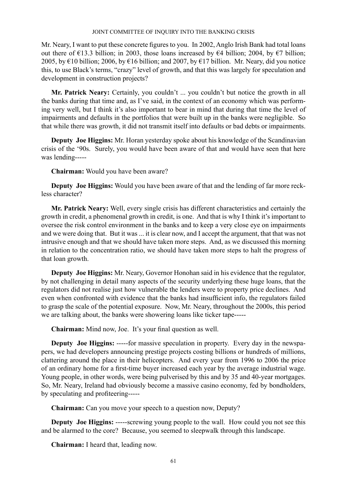Mr. Neary, I want to put these concrete figures to you. In 2002, Anglo Irish Bank had total loans out there of  $\epsilon$ 13.3 billion; in 2003, those loans increased by  $\epsilon$ 4 billion; 2004, by  $\epsilon$ 7 billion; 2005, by €10 billion; 2006, by €16 billion; and 2007, by €17 billion. Mr. Neary, did you notice this, to use Black's terms, "crazy" level of growth, and that this was largely for speculation and development in construction projects?

**Mr. Patrick Neary:** Certainly, you couldn't ... you couldn't but notice the growth in all the banks during that time and, as I've said, in the context of an economy which was performing very well, but I think it's also important to bear in mind that during that time the level of impairments and defaults in the portfolios that were built up in the banks were negligible. So that while there was growth, it did not transmit itself into defaults or bad debts or impairments.

**Deputy Joe Higgins:** Mr. Horan yesterday spoke about his knowledge of the Scandinavian crisis of the '90s. Surely, you would have been aware of that and would have seen that here was lending-----

**Chairman:** Would you have been aware?

**Deputy Joe Higgins:** Would you have been aware of that and the lending of far more reckless character?

**Mr. Patrick Neary:** Well, every single crisis has different characteristics and certainly the growth in credit, a phenomenal growth in credit, is one. And that is why I think it's important to oversee the risk control environment in the banks and to keep a very close eye on impairments and we were doing that. But it was ... it is clear now, and I accept the argument, that that was not intrusive enough and that we should have taken more steps. And, as we discussed this morning in relation to the concentration ratio, we should have taken more steps to halt the progress of that loan growth.

**Deputy Joe Higgins:** Mr. Neary, Governor Honohan said in his evidence that the regulator, by not challenging in detail many aspects of the security underlying these huge loans, that the regulators did not realise just how vulnerable the lenders were to property price declines. And even when confronted with evidence that the banks had insufficient info, the regulators failed to grasp the scale of the potential exposure. Now, Mr. Neary, throughout the 2000s, this period we are talking about, the banks were showering loans like ticker tape-----

**Chairman:** Mind now, Joe. It's your final question as well.

**Deputy Joe Higgins:** -----for massive speculation in property. Every day in the newspapers, we had developers announcing prestige projects costing billions or hundreds of millions, clattering around the place in their helicopters. And every year from 1996 to 2006 the price of an ordinary home for a first-time buyer increased each year by the average industrial wage. Young people, in other words, were being pulverised by this and by 35 and 40-year mortgages. So, Mr. Neary, Ireland had obviously become a massive casino economy, fed by bondholders, by speculating and profiteering-----

**Chairman:** Can you move your speech to a question now, Deputy?

**Deputy Joe Higgins:** -----screwing young people to the wall. How could you not see this and be alarmed to the core? Because, you seemed to sleepwalk through this landscape.

**Chairman:** I heard that, leading now.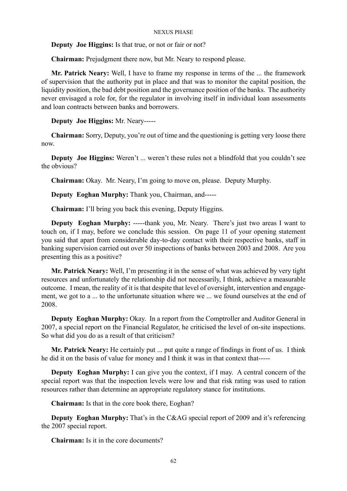**Deputy Joe Higgins:** Is that true, or not or fair or not?

**Chairman:** Prejudgment there now, but Mr. Neary to respond please.

**Mr. Patrick Neary:** Well, I have to frame my response in terms of the ... the framework of supervision that the authority put in place and that was to monitor the capital position, the liquidity position, the bad debt position and the governance position of the banks. The authority never envisaged a role for, for the regulator in involving itself in individual loan assessments and loan contracts between banks and borrowers.

**Deputy Joe Higgins:** Mr. Neary-----

**Chairman:** Sorry, Deputy, you're out of time and the questioning is getting very loose there now.

**Deputy Joe Higgins:** Weren't ... weren't these rules not a blindfold that you couldn't see the obvious?

**Chairman:** Okay. Mr. Neary, I'm going to move on, please. Deputy Murphy.

**Deputy Eoghan Murphy:** Thank you, Chairman, and-----

**Chairman:** I'll bring you back this evening, Deputy Higgins.

**Deputy Eoghan Murphy:** -----thank you, Mr. Neary. There's just two areas I want to touch on, if I may, before we conclude this session. On page 11 of your opening statement you said that apart from considerable day-to-day contact with their respective banks, staff in banking supervision carried out over 50 inspections of banks between 2003 and 2008. Are you presenting this as a positive?

**Mr. Patrick Neary:** Well, I'm presenting it in the sense of what was achieved by very tight resources and unfortunately the relationship did not necessarily, I think, achieve a measurable outcome. I mean, the reality of it is that despite that level of oversight, intervention and engagement, we got to a ... to the unfortunate situation where we ... we found ourselves at the end of 2008.

**Deputy Eoghan Murphy:** Okay. In a report from the Comptroller and Auditor General in 2007, a special report on the Financial Regulator, he criticised the level of on-site inspections. So what did you do as a result of that criticism?

**Mr. Patrick Neary:** He certainly put ... put quite a range of findings in front of us. I think he did it on the basis of value for money and I think it was in that context that-----

**Deputy Eoghan Murphy:** I can give you the context, if I may. A central concern of the special report was that the inspection levels were low and that risk rating was used to ration resources rather than determine an appropriate regulatory stance for institutions.

**Chairman:** Is that in the core book there, Eoghan?

**Deputy Eoghan Murphy:** That's in the C&AG special report of 2009 and it's referencing the 2007 special report.

**Chairman:** Is it in the core documents?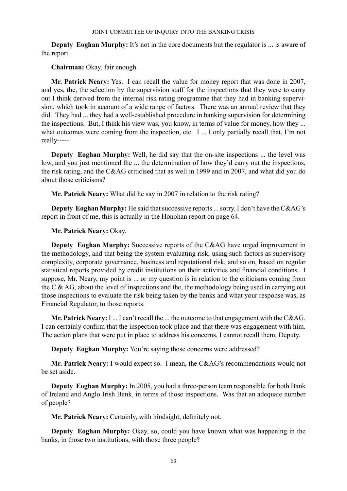**Deputy Eoghan Murphy:** It's not in the core documents but the regulator is ... is aware of the report.

**Chairman:** Okay, fair enough.

**Mr. Patrick Neary:** Yes. I can recall the value for money report that was done in 2007, and yes, the, the selection by the supervision staff for the inspections that they were to carry out I think derived from the internal risk rating programme that they had in banking supervision, which took in account of a wide range of factors. There was an annual review that they did. They had ... they had a well-established procedure in banking supervision for determining the inspections. But, I think his view was, you know, in terms of value for money, how they ... what outcomes were coming from the inspection, etc. I ... I only partially recall that, I'm not really-----

**Deputy Eoghan Murphy:** Well, he did say that the on-site inspections ... the level was low, and you just mentioned the ... the determination of how they'd carry out the inspections, the risk rating, and the C&AG criticised that as well in 1999 and in 2007, and what did you do about those criticisms?

**Mr. Patrick Neary:** What did he say in 2007 in relation to the risk rating?

**Deputy Eoghan Murphy:** He said that successive reports ... sorry, I don't have the C&AG's report in front of me, this is actually in the Honohan report on page 64.

**Mr. Patrick Neary:** Okay.

**Deputy Eoghan Murphy:** Successive reports of the C&AG have urged improvement in the methodology, and that being the system evaluating risk, using such factors as supervisory complexity, corporate governance, business and reputational risk, and so on, based on regular statistical reports provided by credit institutions on their activities and financial conditions. I suppose, Mr. Neary, my point is ... or my question is in relation to the criticisms coming from the C & AG, about the level of inspections and the, the methodology being used in carrying out those inspections to evaluate the risk being taken by the banks and what your response was, as Financial Regulator, to those reports.

**Mr. Patrick Neary:** I ... I can't recall the ... the outcome to that engagement with the C&AG. I can certainly confirm that the inspection took place and that there was engagement with him. The action plans that were put in place to address his concerns, I cannot recall them, Deputy.

**Deputy Eoghan Murphy:** You're saying those concerns were addressed?

**Mr. Patrick Neary:** I would expect so. I mean, the C&AG's recommendations would not be set aside.

**Deputy Eoghan Murphy:** In 2005, you had a three-person team responsible for both Bank of Ireland and Anglo Irish Bank, in terms of those inspections. Was that an adequate number of people?

**Mr. Patrick Neary:** Certainly, with hindsight, definitely not.

**Deputy Eoghan Murphy:** Okay, so, could you have known what was happening in the banks, in those two institutions, with those three people?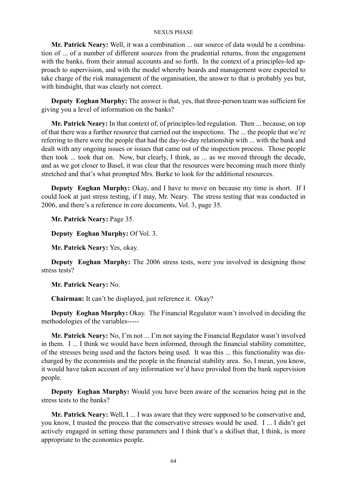**Mr. Patrick Neary:** Well, it was a combination ... our source of data would be a combination of ... of a number of different sources from the prudential returns, from the engagement with the banks, from their annual accounts and so forth. In the context of a principles-led approach to supervision, and with the model whereby boards and management were expected to take charge of the risk management of the organisation, the answer to that is probably yes but, with hindsight, that was clearly not correct.

**Deputy Eoghan Murphy:** The answer is that, yes, that three-person team was sufficient for giving you a level of information on the banks?

**Mr. Patrick Neary:** In that context of, of principles-led regulation. Then ... because, on top of that there was a further resource that carried out the inspections. The ... the people that we're referring to there were the people that had the day-to-day relationship with ... with the bank and dealt with any ongoing issues or issues that came out of the inspection process. Those people then took ... took that on. Now, but clearly, I think, as ... as we moved through the decade, and as we got closer to Basel, it was clear that the resources were becoming much more thinly stretched and that's what prompted Mrs. Burke to look for the additional resources.

**Deputy Eoghan Murphy:** Okay, and I have to move on because my time is short. If I could look at just stress testing, if I may, Mr. Neary. The stress testing that was conducted in 2006, and there's a reference in core documents, Vol. 3, page 35.

**Mr. Patrick Neary:** Page 35.

**Deputy Eoghan Murphy:** Of Vol. 3.

**Mr. Patrick Neary:** Yes, okay.

**Deputy Eoghan Murphy:** The 2006 stress tests, were you involved in designing those stress tests?

**Mr. Patrick Neary:** No.

**Chairman:** It can't be displayed, just reference it. Okay?

**Deputy Eoghan Murphy:** Okay. The Financial Regulator wasn't involved in deciding the methodologies of the variables-----

**Mr. Patrick Neary:** No, I'm not ... I'm not saying the Financial Regulator wasn't involved in them. I ... I think we would have been informed, through the financial stability committee, of the stresses being used and the factors being used. It was this ... this functionality was discharged by the economists and the people in the financial stability area. So, I mean, you know, it would have taken account of any information we'd have provided from the bank supervision people.

**Deputy Eoghan Murphy:** Would you have been aware of the scenarios being put in the stress tests to the banks?

**Mr. Patrick Neary:** Well, I ... I was aware that they were supposed to be conservative and, you know, I trusted the process that the conservative stresses would be used. I ... I didn't get actively engaged in setting those parameters and I think that's a skillset that, I think, is more appropriate to the economics people.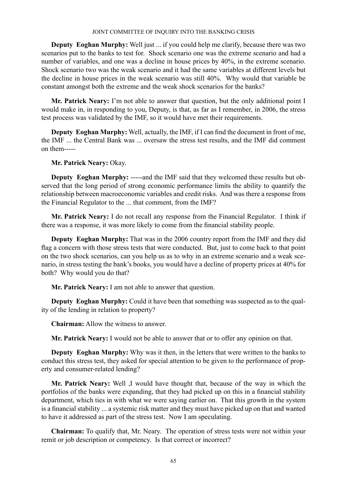**Deputy Eoghan Murphy:** Well just ... if you could help me clarify, because there was two scenarios put to the banks to test for. Shock scenario one was the extreme scenario and had a number of variables, and one was a decline in house prices by 40%, in the extreme scenario. Shock scenario two was the weak scenario and it had the same variables at different levels but the decline in house prices in the weak scenario was still 40%. Why would that variable be constant amongst both the extreme and the weak shock scenarios for the banks?

**Mr. Patrick Neary:** I'm not able to answer that question, but the only additional point I would make in, in responding to you, Deputy, is that, as far as I remember, in 2006, the stress test process was validated by the IMF, so it would have met their requirements.

**Deputy Eoghan Murphy:** Well, actually, the IMF, if I can find the document in front of me, the IMF ... the Central Bank was ... oversaw the stress test results, and the IMF did comment on them-----

**Mr. Patrick Neary:** Okay.

**Deputy Eoghan Murphy:** -----and the IMF said that they welcomed these results but observed that the long period of strong economic performance limits the ability to quantify the relationship between macroeconomic variables and credit risks. And was there a response from the Financial Regulator to the ... that comment, from the IMF?

**Mr. Patrick Neary:** I do not recall any response from the Financial Regulator. I think if there was a response, it was more likely to come from the financial stability people.

**Deputy Eoghan Murphy:** That was in the 2006 country report from the IMF and they did flag a concern with those stress tests that were conducted. But, just to come back to that point on the two shock scenarios, can you help us as to why in an extreme scenario and a weak scenario, in stress testing the bank's books, you would have a decline of property prices at 40% for both? Why would you do that?

**Mr. Patrick Neary:** I am not able to answer that question.

**Deputy Eoghan Murphy:** Could it have been that something was suspected as to the quality of the lending in relation to property?

**Chairman:** Allow the witness to answer.

**Mr. Patrick Neary:** I would not be able to answer that or to offer any opinion on that.

**Deputy Eoghan Murphy:** Why was it then, in the letters that were written to the banks to conduct this stress test, they asked for special attention to be given to the performance of property and consumer-related lending?

**Mr. Patrick Neary:** Well ,I would have thought that, because of the way in which the portfolios of the banks were expanding, that they had picked up on this in a financial stability department, which ties in with what we were saying earlier on. That this growth in the system is a financial stability ... a systemic risk matter and they must have picked up on that and wanted to have it addressed as part of the stress test. Now I am speculating.

**Chairman:** To qualify that, Mr. Neary. The operation of stress tests were not within your remit or job description or competency. Is that correct or incorrect?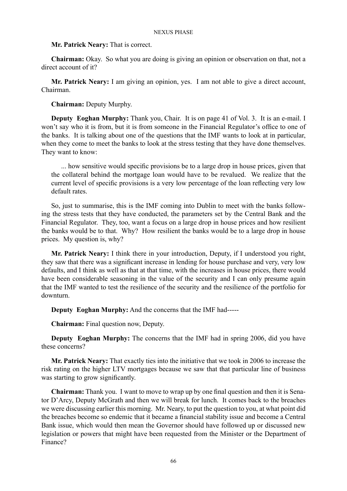### **Mr. Patrick Neary:** That is correct.

**Chairman:** Okay. So what you are doing is giving an opinion or observation on that, not a direct account of it?

**Mr. Patrick Neary:** I am giving an opinion, yes. I am not able to give a direct account, Chairman.

**Chairman:** Deputy Murphy.

**Deputy Eoghan Murphy:** Thank you, Chair. It is on page 41 of Vol. 3. It is an e-mail. I won't say who it is from, but it is from someone in the Financial Regulator's office to one of the banks. It is talking about one of the questions that the IMF wants to look at in particular, when they come to meet the banks to look at the stress testing that they have done themselves. They want to know:

... how sensitive would specific provisions be to a large drop in house prices, given that the collateral behind the mortgage loan would have to be revalued. We realize that the current level of specific provisions is a very low percentage of the loan reflecting very low default rates.

So, just to summarise, this is the IMF coming into Dublin to meet with the banks following the stress tests that they have conducted, the parameters set by the Central Bank and the Financial Regulator. They, too, want a focus on a large drop in house prices and how resilient the banks would be to that. Why? How resilient the banks would be to a large drop in house prices. My question is, why?

**Mr. Patrick Neary:** I think there in your introduction, Deputy, if I understood you right, they saw that there was a significant increase in lending for house purchase and very, very low defaults, and I think as well as that at that time, with the increases in house prices, there would have been considerable seasoning in the value of the security and I can only presume again that the IMF wanted to test the resilience of the security and the resilience of the portfolio for downturn.

**Deputy Eoghan Murphy:** And the concerns that the IMF had-----

**Chairman:** Final question now, Deputy.

**Deputy Eoghan Murphy:** The concerns that the IMF had in spring 2006, did you have these concerns?

**Mr. Patrick Neary:** That exactly ties into the initiative that we took in 2006 to increase the risk rating on the higher LTV mortgages because we saw that that particular line of business was starting to grow significantly.

**Chairman:** Thank you. I want to move to wrap up by one final question and then it is Senator D'Arcy, Deputy McGrath and then we will break for lunch. It comes back to the breaches we were discussing earlier this morning. Mr. Neary, to put the question to you, at what point did the breaches become so endemic that it became a financial stability issue and become a Central Bank issue, which would then mean the Governor should have followed up or discussed new legislation or powers that might have been requested from the Minister or the Department of Finance?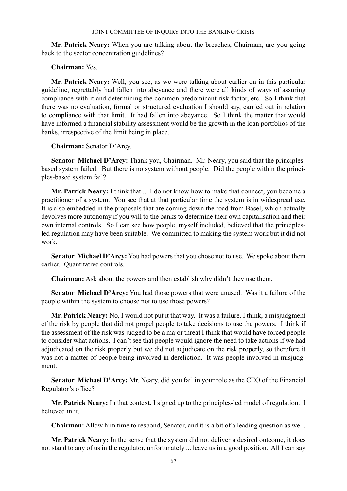**Mr. Patrick Neary:** When you are talking about the breaches, Chairman, are you going back to the sector concentration guidelines?

# **Chairman:** Yes.

**Mr. Patrick Neary:** Well, you see, as we were talking about earlier on in this particular guideline, regrettably had fallen into abeyance and there were all kinds of ways of assuring compliance with it and determining the common predominant risk factor, etc. So I think that there was no evaluation, formal or structured evaluation I should say, carried out in relation to compliance with that limit. It had fallen into abeyance. So I think the matter that would have informed a financial stability assessment would be the growth in the loan portfolios of the banks, irrespective of the limit being in place.

**Chairman:** Senator D'Arcy.

**Senator Michael D'Arcy:** Thank you, Chairman. Mr. Neary, you said that the principlesbased system failed. But there is no system without people. Did the people within the principles-based system fail?

**Mr. Patrick Neary:** I think that ... I do not know how to make that connect, you become a practitioner of a system. You see that at that particular time the system is in widespread use. It is also embedded in the proposals that are coming down the road from Basel, which actually devolves more autonomy if you will to the banks to determine their own capitalisation and their own internal controls. So I can see how people, myself included, believed that the principlesled regulation may have been suitable. We committed to making the system work but it did not work.

**Senator Michael D'Arcy:** You had powers that you chose not to use. We spoke about them earlier. Quantitative controls.

**Chairman:** Ask about the powers and then establish why didn't they use them.

**Senator Michael D'Arcy:** You had those powers that were unused. Was it a failure of the people within the system to choose not to use those powers?

**Mr. Patrick Neary:** No, I would not put it that way. It was a failure, I think, a misjudgment of the risk by people that did not propel people to take decisions to use the powers. I think if the assessment of the risk was judged to be a major threat I think that would have forced people to consider what actions. I can't see that people would ignore the need to take actions if we had adjudicated on the risk properly but we did not adjudicate on the risk properly, so therefore it was not a matter of people being involved in dereliction. It was people involved in misjudgment.

**Senator Michael D'Arcy:** Mr. Neary, did you fail in your role as the CEO of the Financial Regulator's office?

**Mr. Patrick Neary:** In that context, I signed up to the principles-led model of regulation. I believed in it.

**Chairman:** Allow him time to respond, Senator, and it is a bit of a leading question as well.

**Mr. Patrick Neary:** In the sense that the system did not deliver a desired outcome, it does not stand to any of us in the regulator, unfortunately ... leave us in a good position. All I can say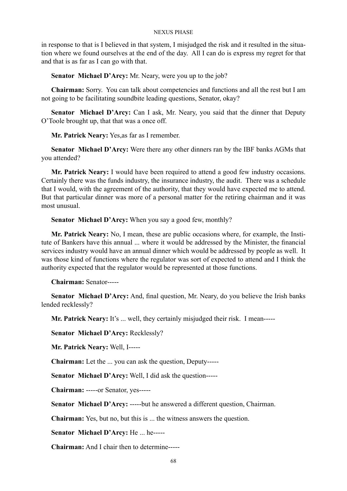in response to that is I believed in that system, I misjudged the risk and it resulted in the situation where we found ourselves at the end of the day. All I can do is express my regret for that and that is as far as I can go with that.

**Senator Michael D'Arcy:** Mr. Neary, were you up to the job?

**Chairman:** Sorry. You can talk about competencies and functions and all the rest but I am not going to be facilitating soundbite leading questions, Senator, okay?

**Senator Michael D'Arcy:** Can I ask, Mr. Neary, you said that the dinner that Deputy O'Toole brought up, that that was a once off.

**Mr. Patrick Neary:** Yes,as far as I remember.

**Senator Michael D'Arcy:** Were there any other dinners ran by the IBF banks AGMs that you attended?

**Mr. Patrick Neary:** I would have been required to attend a good few industry occasions. Certainly there was the funds industry, the insurance industry, the audit. There was a schedule that I would, with the agreement of the authority, that they would have expected me to attend. But that particular dinner was more of a personal matter for the retiring chairman and it was most unusual.

**Senator Michael D'Arcy:** When you say a good few, monthly?

**Mr. Patrick Neary:** No, I mean, these are public occasions where, for example, the Institute of Bankers have this annual ... where it would be addressed by the Minister, the financial services industry would have an annual dinner which would be addressed by people as well. It was those kind of functions where the regulator was sort of expected to attend and I think the authority expected that the regulator would be represented at those functions.

**Chairman:** Senator-----

**Senator Michael D'Arcy:** And, final question, Mr. Neary, do you believe the Irish banks lended recklessly?

**Mr. Patrick Neary:** It's ... well, they certainly misjudged their risk. I mean-----

**Senator Michael D'Arcy:** Recklessly?

**Mr. Patrick Neary:** Well, I-----

**Chairman:** Let the ... you can ask the question, Deputy-----

**Senator Michael D'Arcy:** Well, I did ask the question-----

**Chairman:** -----or Senator, yes-----

**Senator Michael D'Arcy:** -----but he answered a different question, Chairman.

**Chairman:** Yes, but no, but this is ... the witness answers the question.

**Senator Michael D'Arcy:** He ... he-----

**Chairman:** And I chair then to determine-----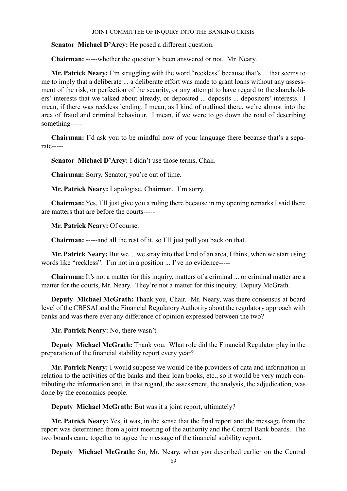**Senator Michael D'Arcy:** He posed a different question.

**Chairman:** -----whether the question's been answered or not. Mr. Neary.

**Mr. Patrick Neary:** I'm struggling with the word "reckless" because that's ... that seems to me to imply that a deliberate ... a deliberate effort was made to grant loans without any assessment of the risk, or perfection of the security, or any attempt to have regard to the shareholders' interests that we talked about already, or deposited ... deposits ... depositors' interests. I mean, if there was reckless lending, I mean, as I kind of outlined there, we're almost into the area of fraud and criminal behaviour. I mean, if we were to go down the road of describing something-----

**Chairman:** I'd ask you to be mindful now of your language there because that's a separate-----

**Senator Michael D'Arcy:** I didn't use those terms, Chair.

**Chairman:** Sorry, Senator, you're out of time.

**Mr. Patrick Neary:** I apologise, Chairman. I'm sorry.

**Chairman:** Yes, I'll just give you a ruling there because in my opening remarks I said there are matters that are before the courts-----

**Mr. Patrick Neary:** Of course.

**Chairman:** -----and all the rest of it, so I'll just pull you back on that.

**Mr. Patrick Neary:** But we ... we stray into that kind of an area, I think, when we start using words like "reckless". I'm not in a position ... I've no evidence-----

**Chairman:** It's not a matter for this inquiry, matters of a criminal ... or criminal matter are a matter for the courts, Mr. Neary. They're not a matter for this inquiry. Deputy McGrath.

**Deputy Michael McGrath:** Thank you, Chair. Mr. Neary, was there consensus at board level of the CBFSAI and the Financial Regulatory Authority about the regulatory approach with banks and was there ever any difference of opinion expressed between the two?

**Mr. Patrick Neary:** No, there wasn't.

**Deputy Michael McGrath:** Thank you. What role did the Financial Regulator play in the preparation of the financial stability report every year?

**Mr. Patrick Neary:** I would suppose we would be the providers of data and information in relation to the activities of the banks and their loan books, etc., so it would be very much contributing the information and, in that regard, the assessment, the analysis, the adjudication, was done by the economics people.

**Deputy Michael McGrath:** But was it a joint report, ultimately?

**Mr. Patrick Neary:** Yes, it was, in the sense that the final report and the message from the report was determined from a joint meeting of the authority and the Central Bank boards. The two boards came together to agree the message of the financial stability report.

**Deputy Michael McGrath:** So, Mr. Neary, when you described earlier on the Central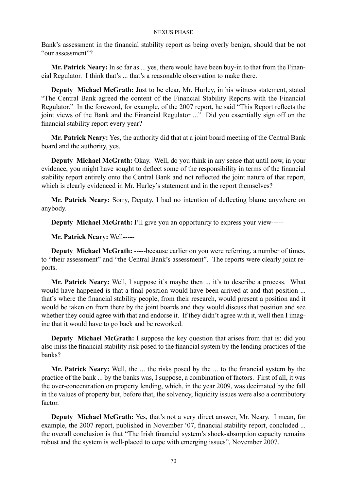Bank's assessment in the financial stability report as being overly benign, should that be not "our assessment"?

**Mr. Patrick Neary:** In so far as ... yes, there would have been buy-in to that from the Financial Regulator. I think that's ... that's a reasonable observation to make there.

**Deputy Michael McGrath:** Just to be clear, Mr. Hurley, in his witness statement, stated "The Central Bank agreed the content of the Financial Stability Reports with the Financial Regulator." In the foreword, for example, of the 2007 report, he said "This Report reflects the joint views of the Bank and the Financial Regulator ..." Did you essentially sign off on the financial stability report every year?

**Mr. Patrick Neary:** Yes, the authority did that at a joint board meeting of the Central Bank board and the authority, yes.

**Deputy Michael McGrath:** Okay. Well, do you think in any sense that until now, in your evidence, you might have sought to deflect some of the responsibility in terms of the financial stability report entirely onto the Central Bank and not reflected the joint nature of that report, which is clearly evidenced in Mr. Hurley's statement and in the report themselves?

**Mr. Patrick Neary:** Sorry, Deputy, I had no intention of deflecting blame anywhere on anybody.

**Deputy Michael McGrath:** I'll give you an opportunity to express your view-----

**Mr. Patrick Neary:** Well-----

**Deputy Michael McGrath:** -----because earlier on you were referring, a number of times, to "their assessment" and "the Central Bank's assessment". The reports were clearly joint reports.

**Mr. Patrick Neary:** Well, I suppose it's maybe then ... it's to describe a process. What would have happened is that a final position would have been arrived at and that position ... that's where the financial stability people, from their research, would present a position and it would be taken on from there by the joint boards and they would discuss that position and see whether they could agree with that and endorse it. If they didn't agree with it, well then I imagine that it would have to go back and be reworked.

**Deputy Michael McGrath:** I suppose the key question that arises from that is: did you also miss the financial stability risk posed to the financial system by the lending practices of the banks?

**Mr. Patrick Neary:** Well, the ... the risks posed by the ... to the financial system by the practice of the bank ... by the banks was, I suppose, a combination of factors. First of all, it was the over-concentration on property lending, which, in the year 2009, was decimated by the fall in the values of property but, before that, the solvency, liquidity issues were also a contributory factor.

**Deputy Michael McGrath:** Yes, that's not a very direct answer, Mr. Neary. I mean, for example, the 2007 report, published in November '07, financial stability report, concluded ... the overall conclusion is that "The Irish financial system's shock-absorption capacity remains robust and the system is well-placed to cope with emerging issues", November 2007.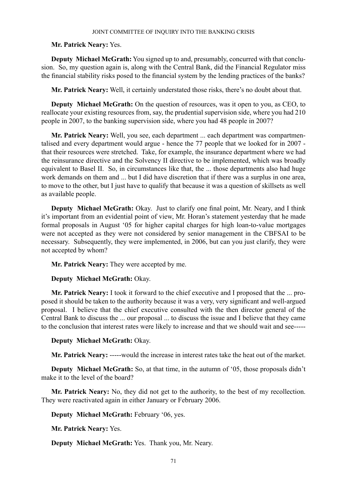# **Mr. Patrick Neary:** Yes.

**Deputy Michael McGrath:** You signed up to and, presumably, concurred with that conclusion. So, my question again is, along with the Central Bank, did the Financial Regulator miss the financial stability risks posed to the financial system by the lending practices of the banks?

**Mr. Patrick Neary:** Well, it certainly understated those risks, there's no doubt about that.

**Deputy Michael McGrath:** On the question of resources, was it open to you, as CEO, to reallocate your existing resources from, say, the prudential supervision side, where you had 210 people in 2007, to the banking supervision side, where you had 48 people in 2007?

**Mr. Patrick Neary:** Well, you see, each department ... each department was compartmentalised and every department would argue - hence the 77 people that we looked for in 2007 that their resources were stretched. Take, for example, the insurance department where we had the reinsurance directive and the Solvency II directive to be implemented, which was broadly equivalent to Basel II. So, in circumstances like that, the ... those departments also had huge work demands on them and ... but I did have discretion that if there was a surplus in one area, to move to the other, but I just have to qualify that because it was a question of skillsets as well as available people.

**Deputy Michael McGrath:** Okay. Just to clarify one final point, Mr. Neary, and I think it's important from an evidential point of view, Mr. Horan's statement yesterday that he made formal proposals in August '05 for higher capital charges for high loan-to-value mortgages were not accepted as they were not considered by senior management in the CBFSAI to be necessary. Subsequently, they were implemented, in 2006, but can you just clarify, they were not accepted by whom?

**Mr. Patrick Neary:** They were accepted by me.

# **Deputy Michael McGrath:** Okay.

**Mr. Patrick Neary:** I took it forward to the chief executive and I proposed that the ... proposed it should be taken to the authority because it was a very, very significant and well-argued proposal. I believe that the chief executive consulted with the then director general of the Central Bank to discuss the ... our proposal ... to discuss the issue and I believe that they came to the conclusion that interest rates were likely to increase and that we should wait and see-----

# **Deputy Michael McGrath:** Okay.

**Mr. Patrick Neary:** -----would the increase in interest rates take the heat out of the market.

**Deputy Michael McGrath:** So, at that time, in the autumn of '05, those proposals didn't make it to the level of the board?

**Mr. Patrick Neary:** No, they did not get to the authority, to the best of my recollection. They were reactivated again in either January or February 2006.

**Deputy Michael McGrath:** February '06, yes.

**Mr. Patrick Neary:** Yes.

**Deputy Michael McGrath:** Yes. Thank you, Mr. Neary.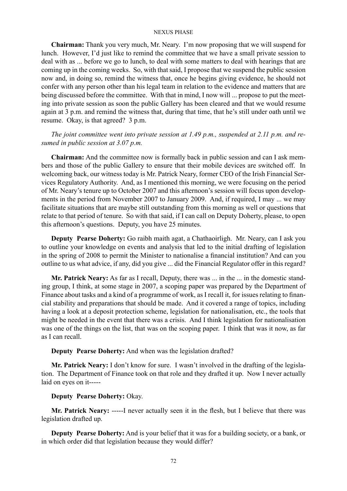**Chairman:** Thank you very much, Mr. Neary. I'm now proposing that we will suspend for lunch. However, I'd just like to remind the committee that we have a small private session to deal with as ... before we go to lunch, to deal with some matters to deal with hearings that are coming up in the coming weeks. So, with that said, I propose that we suspend the public session now and, in doing so, remind the witness that, once he begins giving evidence, he should not confer with any person other than his legal team in relation to the evidence and matters that are being discussed before the committee. With that in mind, I now will ... propose to put the meeting into private session as soon the public Gallery has been cleared and that we would resume again at 3 p.m. and remind the witness that, during that time, that he's still under oath until we resume. Okay, is that agreed? 3 p.m.

*The joint committee went into private session at 1.49 p.m., suspended at 2.11 p.m. and resumed in public session at 3.07 p.m.*

**Chairman:** And the committee now is formally back in public session and can I ask members and those of the public Gallery to ensure that their mobile devices are switched off. In welcoming back, our witness today is Mr. Patrick Neary, former CEO of the Irish Financial Services Regulatory Authority. And, as I mentioned this morning, we were focusing on the period of Mr. Neary's tenure up to October 2007 and this afternoon's session will focus upon developments in the period from November 2007 to January 2009. And, if required, I may ... we may facilitate situations that are maybe still outstanding from this morning as well or questions that relate to that period of tenure. So with that said, if I can call on Deputy Doherty, please, to open this afternoon's questions. Deputy, you have 25 minutes.

**Deputy Pearse Doherty:** Go raibh maith agat, a Chathaoirligh. Mr. Neary, can I ask you to outline your knowledge on events and analysis that led to the initial drafting of legislation in the spring of 2008 to permit the Minister to nationalise a financial institution? And can you outline to us what advice, if any, did you give ... did the Financial Regulator offer in this regard?

Mr. Patrick Neary: As far as I recall, Deputy, there was ... in the ... in the domestic standing group, I think, at some stage in 2007, a scoping paper was prepared by the Department of Finance about tasks and a kind of a programme of work, as I recall it, for issues relating to financial stability and preparations that should be made. And it covered a range of topics, including having a look at a deposit protection scheme, legislation for nationalisation, etc., the tools that might be needed in the event that there was a crisis. And I think legislation for nationalisation was one of the things on the list, that was on the scoping paper. I think that was it now, as far as I can recall.

**Deputy Pearse Doherty:** And when was the legislation drafted?

**Mr. Patrick Neary:** I don't know for sure. I wasn't involved in the drafting of the legislation. The Department of Finance took on that role and they drafted it up. Now I never actually laid on eyes on it-----

# **Deputy Pearse Doherty:** Okay.

**Mr. Patrick Neary:** -----I never actually seen it in the flesh, but I believe that there was legislation drafted up.

**Deputy Pearse Doherty:** And is your belief that it was for a building society, or a bank, or in which order did that legislation because they would differ?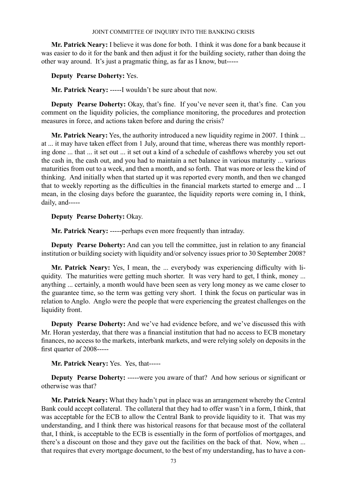**Mr. Patrick Neary:** I believe it was done for both. I think it was done for a bank because it was easier to do it for the bank and then adjust it for the building society, rather than doing the other way around. It's just a pragmatic thing, as far as I know, but-----

**Deputy Pearse Doherty:** Yes.

**Mr. Patrick Neary:** -----I wouldn't be sure about that now.

**Deputy Pearse Doherty:** Okay, that's fine. If you've never seen it, that's fine. Can you comment on the liquidity policies, the compliance monitoring, the procedures and protection measures in force, and actions taken before and during the crisis?

**Mr. Patrick Neary:** Yes, the authority introduced a new liquidity regime in 2007. I think ... at ... it may have taken effect from 1 July, around that time, whereas there was monthly reporting done ... that ... it set out ... it set out a kind of a schedule of cashflows whereby you set out the cash in, the cash out, and you had to maintain a net balance in various maturity ... various maturities from out to a week, and then a month, and so forth. That was more or less the kind of thinking. And initially when that started up it was reported every month, and then we changed that to weekly reporting as the difficulties in the financial markets started to emerge and ... I mean, in the closing days before the guarantee, the liquidity reports were coming in, I think, daily, and-----

**Deputy Pearse Doherty:** Okay.

**Mr. Patrick Neary:** -----perhaps even more frequently than intraday.

**Deputy Pearse Doherty:** And can you tell the committee, just in relation to any financial institution or building society with liquidity and/or solvency issues prior to 30 September 2008?

**Mr. Patrick Neary:** Yes, I mean, the ... everybody was experiencing difficulty with liquidity. The maturities were getting much shorter. It was very hard to get, I think, money ... anything ... certainly, a month would have been seen as very long money as we came closer to the guarantee time, so the term was getting very short. I think the focus on particular was in relation to Anglo. Anglo were the people that were experiencing the greatest challenges on the liquidity front.

**Deputy Pearse Doherty:** And we've had evidence before, and we've discussed this with Mr. Horan yesterday, that there was a financial institution that had no access to ECB monetary finances, no access to the markets, interbank markets, and were relying solely on deposits in the first quarter of 2008-----

**Mr. Patrick Neary:** Yes. Yes, that-----

**Deputy Pearse Doherty:** -----were you aware of that? And how serious or significant or otherwise was that?

**Mr. Patrick Neary:** What they hadn't put in place was an arrangement whereby the Central Bank could accept collateral. The collateral that they had to offer wasn't in a form, I think, that was acceptable for the ECB to allow the Central Bank to provide liquidity to it. That was my understanding, and I think there was historical reasons for that because most of the collateral that, I think, is acceptable to the ECB is essentially in the form of portfolios of mortgages, and there's a discount on those and they gave out the facilities on the back of that. Now, when ... that requires that every mortgage document, to the best of my understanding, has to have a con-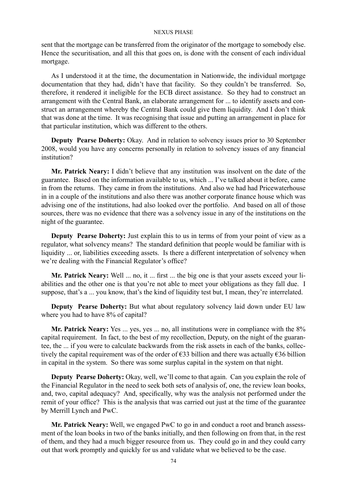sent that the mortgage can be transferred from the originator of the mortgage to somebody else. Hence the securitisation, and all this that goes on, is done with the consent of each individual mortgage.

As I understood it at the time, the documentation in Nationwide, the individual mortgage documentation that they had, didn't have that facility. So they couldn't be transferred. So, therefore, it rendered it ineligible for the ECB direct assistance. So they had to construct an arrangement with the Central Bank, an elaborate arrangement for ... to identify assets and construct an arrangement whereby the Central Bank could give them liquidity. And I don't think that was done at the time. It was recognising that issue and putting an arrangement in place for that particular institution, which was different to the others.

**Deputy Pearse Doherty:** Okay. And in relation to solvency issues prior to 30 September 2008, would you have any concerns personally in relation to solvency issues of any financial institution?

**Mr. Patrick Neary:** I didn't believe that any institution was insolvent on the date of the guarantee. Based on the information available to us, which ... I've talked about it before, came in from the returns. They came in from the institutions. And also we had had Pricewaterhouse in in a couple of the institutions and also there was another corporate finance house which was advising one of the institutions, had also looked over the portfolio. And based on all of those sources, there was no evidence that there was a solvency issue in any of the institutions on the night of the guarantee.

**Deputy Pearse Doherty:** Just explain this to us in terms of from your point of view as a regulator, what solvency means? The standard definition that people would be familiar with is liquidity ... or, liabilities exceeding assets. Is there a different interpretation of solvency when we're dealing with the Financial Regulator's office?

**Mr. Patrick Neary:** Well ... no, it ... first ... the big one is that your assets exceed your liabilities and the other one is that you're not able to meet your obligations as they fall due. I suppose, that's a ... you know, that's the kind of liquidity test but, I mean, they're interrelated.

**Deputy Pearse Doherty:** But what about regulatory solvency laid down under EU law where you had to have 8% of capital?

**Mr. Patrick Neary:** Yes ... yes, yes ... no, all institutions were in compliance with the 8% capital requirement. In fact, to the best of my recollection, Deputy, on the night of the guarantee, the ... if you were to calculate backwards from the risk assets in each of the banks, collectively the capital requirement was of the order of  $\epsilon$ 33 billion and there was actually  $\epsilon$ 36 billion in capital in the system. So there was some surplus capital in the system on that night.

**Deputy Pearse Doherty:** Okay, well, we'll come to that again. Can you explain the role of the Financial Regulator in the need to seek both sets of analysis of, one, the review loan books, and, two, capital adequacy? And, specifically, why was the analysis not performed under the remit of your office? This is the analysis that was carried out just at the time of the guarantee by Merrill Lynch and PwC.

**Mr. Patrick Neary:** Well, we engaged PwC to go in and conduct a root and branch assessment of the loan books in two of the banks initially, and then following on from that, in the rest of them, and they had a much bigger resource from us. They could go in and they could carry out that work promptly and quickly for us and validate what we believed to be the case.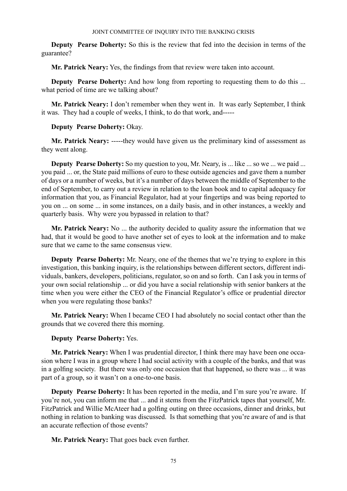**Deputy Pearse Doherty:** So this is the review that fed into the decision in terms of the guarantee?

**Mr. Patrick Neary:** Yes, the findings from that review were taken into account.

**Deputy Pearse Doherty:** And how long from reporting to requesting them to do this ... what period of time are we talking about?

**Mr. Patrick Neary:** I don't remember when they went in. It was early September, I think it was. They had a couple of weeks, I think, to do that work, and-----

# **Deputy Pearse Doherty:** Okay.

**Mr. Patrick Neary:** -----they would have given us the preliminary kind of assessment as they went along.

**Deputy Pearse Doherty:** So my question to you, Mr. Neary, is ... like ... so we ... we paid ... you paid ... or, the State paid millions of euro to these outside agencies and gave them a number of days or a number of weeks, but it's a number of days between the middle of September to the end of September, to carry out a review in relation to the loan book and to capital adequacy for information that you, as Financial Regulator, had at your fingertips and was being reported to you on ... on some ... in some instances, on a daily basis, and in other instances, a weekly and quarterly basis. Why were you bypassed in relation to that?

**Mr. Patrick Neary:** No ... the authority decided to quality assure the information that we had, that it would be good to have another set of eyes to look at the information and to make sure that we came to the same consensus view.

**Deputy Pearse Doherty:** Mr. Neary, one of the themes that we're trying to explore in this investigation, this banking inquiry, is the relationships between different sectors, different individuals, bankers, developers, politicians, regulator, so on and so forth. Can I ask you in terms of your own social relationship ... or did you have a social relationship with senior bankers at the time when you were either the CEO of the Financial Regulator's office or prudential director when you were regulating those banks?

**Mr. Patrick Neary:** When I became CEO I had absolutely no social contact other than the grounds that we covered there this morning.

# **Deputy Pearse Doherty:** Yes.

**Mr. Patrick Neary:** When I was prudential director, I think there may have been one occasion where I was in a group where I had social activity with a couple of the banks, and that was in a golfing society. But there was only one occasion that that happened, so there was ... it was part of a group, so it wasn't on a one-to-one basis.

**Deputy Pearse Doherty:** It has been reported in the media, and I'm sure you're aware. If you're not, you can inform me that ... and it stems from the FitzPatrick tapes that yourself, Mr. FitzPatrick and Willie McAteer had a golfing outing on three occasions, dinner and drinks, but nothing in relation to banking was discussed. Is that something that you're aware of and is that an accurate reflection of those events?

**Mr. Patrick Neary:** That goes back even further.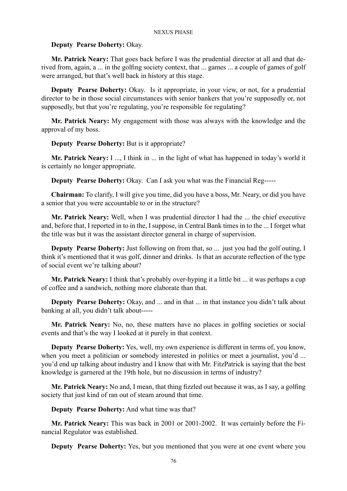# **Deputy Pearse Doherty:** Okay.

**Mr. Patrick Neary:** That goes back before I was the prudential director at all and that derived from, again, a ... in the golfing society context, that ... games ... a couple of games of golf were arranged, but that's well back in history at this stage.

**Deputy Pearse Doherty:** Okay. Is it appropriate, in your view, or not, for a prudential director to be in those social circumstances with senior bankers that you're supposedly or, not supposedly, but that you're regulating, you're responsible for regulating?

**Mr. Patrick Neary:** My engagement with those was always with the knowledge and the approval of my boss.

**Deputy Pearse Doherty:** But is it appropriate?

**Mr. Patrick Neary:** I ..., I think in ... in the light of what has happened in today's world it is certainly no longer appropriate.

**Deputy Pearse Doherty:** Okay. Can I ask you what was the Financial Reg-----

**Chairman:** To clarify, I will give you time, did you have a boss, Mr. Neary, or did you have a senior that you were accountable to or in the structure?

**Mr. Patrick Neary:** Well, when I was prudential director I had the ... the chief executive and, before that, I reported in to in the, I suppose, in Central Bank times in to the ... I forget what the title was but it was the assistant director general in charge of supervision.

**Deputy Pearse Doherty:** Just following on from that, so ... just you had the golf outing, I think it's mentioned that it was golf, dinner and drinks. Is that an accurate reflection of the type of social event we're talking about?

**Mr. Patrick Neary:** I think that's probably over-hyping it a little bit ... it was perhaps a cup of coffee and a sandwich, nothing more elaborate than that.

**Deputy Pearse Doherty:** Okay, and ... and in that ... in that instance you didn't talk about banking at all, you didn't talk about-----

**Mr. Patrick Neary:** No, no, these matters have no places in golfing societies or social events and that's the way I looked at it purely in that context.

**Deputy Pearse Doherty:** Yes, well, my own experience is different in terms of, you know, when you meet a politician or somebody interested in politics or meet a journalist, you'd ... you'd end up talking about industry and I know that with Mr. FitzPatrick is saying that the best knowledge is garnered at the 19th hole, but no discussion in terms of industry?

**Mr. Patrick Neary:** No and, I mean, that thing fizzled out because it was, as I say, a golfing society that just kind of ran out of steam around that time.

**Deputy Pearse Doherty:** And what time was that?

**Mr. Patrick Neary:** This was back in 2001 or 2001-2002. It was certainly before the Financial Regulator was established.

**Deputy Pearse Doherty:** Yes, but you mentioned that you were at one event where you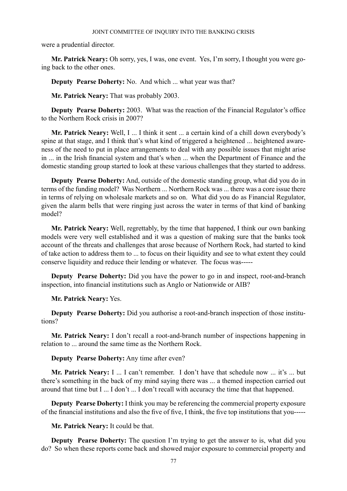were a prudential director.

**Mr. Patrick Neary:** Oh sorry, yes, I was, one event. Yes, I'm sorry, I thought you were going back to the other ones.

**Deputy Pearse Doherty:** No. And which ... what year was that?

**Mr. Patrick Neary:** That was probably 2003.

**Deputy Pearse Doherty:** 2003. What was the reaction of the Financial Regulator's office to the Northern Rock crisis in 2007?

**Mr. Patrick Neary:** Well, I ... I think it sent ... a certain kind of a chill down everybody's spine at that stage, and I think that's what kind of triggered a heightened ... heightened awareness of the need to put in place arrangements to deal with any possible issues that might arise in ... in the Irish financial system and that's when ... when the Department of Finance and the domestic standing group started to look at these various challenges that they started to address.

**Deputy Pearse Doherty:** And, outside of the domestic standing group, what did you do in terms of the funding model? Was Northern ... Northern Rock was ... there was a core issue there in terms of relying on wholesale markets and so on. What did you do as Financial Regulator, given the alarm bells that were ringing just across the water in terms of that kind of banking model?

**Mr. Patrick Neary:** Well, regrettably, by the time that happened, I think our own banking models were very well established and it was a question of making sure that the banks took account of the threats and challenges that arose because of Northern Rock, had started to kind of take action to address them to ... to focus on their liquidity and see to what extent they could conserve liquidity and reduce their lending or whatever. The focus was-----

**Deputy Pearse Doherty:** Did you have the power to go in and inspect, root-and-branch inspection, into financial institutions such as Anglo or Nationwide or AIB?

**Mr. Patrick Neary:** Yes.

**Deputy Pearse Doherty:** Did you authorise a root-and-branch inspection of those institutions?

**Mr. Patrick Neary:** I don't recall a root-and-branch number of inspections happening in relation to ... around the same time as the Northern Rock.

## **Deputy Pearse Doherty:** Any time after even?

**Mr. Patrick Neary:** I ... I can't remember. I don't have that schedule now ... it's ... but there's something in the back of my mind saying there was ... a themed inspection carried out around that time but I ... I don't ... I don't recall with accuracy the time that that happened.

**Deputy Pearse Doherty:** I think you may be referencing the commercial property exposure of the financial institutions and also the five of five, I think, the five top institutions that you-----

**Mr. Patrick Neary:** It could be that.

**Deputy Pearse Doherty:** The question I'm trying to get the answer to is, what did you do? So when these reports come back and showed major exposure to commercial property and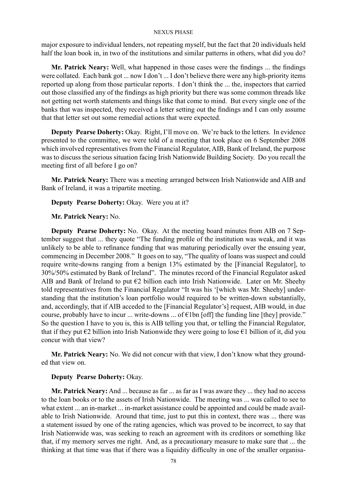major exposure to individual lenders, not repeating myself, but the fact that 20 individuals held half the loan book in, in two of the institutions and similar patterns in others, what did you do?

**Mr. Patrick Neary:** Well, what happened in those cases were the findings ... the findings were collated. Each bank got ... now I don't ... I don't believe there were any high-priority items reported up along from those particular reports. I don't think the ... the, inspectors that carried out those classified any of the findings as high priority but there was some common threads like not getting net worth statements and things like that come to mind. But every single one of the banks that was inspected, they received a letter setting out the findings and I can only assume that that letter set out some remedial actions that were expected.

**Deputy Pearse Doherty:** Okay. Right, I'll move on. We're back to the letters. In evidence presented to the committee, we were told of a meeting that took place on 6 September 2008 which involved representatives from the Financial Regulator, AIB, Bank of Ireland, the purpose was to discuss the serious situation facing Irish Nationwide Building Society. Do you recall the meeting first of all before I go on?

**Mr. Patrick Neary:** There was a meeting arranged between Irish Nationwide and AIB and Bank of Ireland, it was a tripartite meeting.

# **Deputy Pearse Doherty:** Okay. Were you at it?

# **Mr. Patrick Neary:** No.

**Deputy Pearse Doherty:** No. Okay. At the meeting board minutes from AIB on 7 September suggest that ... they quote "The funding profile of the institution was weak, and it was unlikely to be able to refinance funding that was maturing periodically over the ensuing year, commencing in December 2008." It goes on to say, "The quality of loans was suspect and could require write-downs ranging from a benign 13% estimated by the [Financial Regulator], to 30%/50% estimated by Bank of Ireland". The minutes record of the Financial Regulator asked AIB and Bank of Ireland to put  $E2$  billion each into Irish Nationwide. Later on Mr. Sheehy told representatives from the Financial Regulator "It was his '[which was Mr. Sheehy] understanding that the institution's loan portfolio would required to be written-down substantially, and, accordingly, that if AIB acceded to the [Financial Regulator's] request, AIB would, in due course, probably have to incur ... write-downs ... of  $\epsilon$ 1bn [off] the funding line [they] provide." So the question I have to you is, this is AIB telling you that, or telling the Financial Regulator, that if they put  $\epsilon$ 2 billion into Irish Nationwide they were going to lose  $\epsilon$ 1 billion of it, did you concur with that view?

**Mr. Patrick Neary:** No. We did not concur with that view, I don't know what they grounded that view on.

# **Deputy Pearse Doherty:** Okay.

**Mr. Patrick Neary:** And ... because as far ... as far as I was aware they ... they had no access to the loan books or to the assets of Irish Nationwide. The meeting was ... was called to see to what extent ... an in-market ... in-market assistance could be appointed and could be made available to Irish Nationwide. Around that time, just to put this in context, there was ... there was a statement issued by one of the rating agencies, which was proved to be incorrect, to say that Irish Nationwide was, was seeking to reach an agreement with its creditors or something like that, if my memory serves me right. And, as a precautionary measure to make sure that ... the thinking at that time was that if there was a liquidity difficulty in one of the smaller organisa-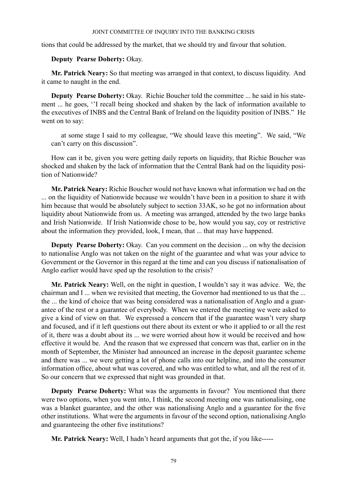tions that could be addressed by the market, that we should try and favour that solution.

# **Deputy Pearse Doherty:** Okay.

**Mr. Patrick Neary:** So that meeting was arranged in that context, to discuss liquidity. And it came to naught in the end.

**Deputy Pearse Doherty:** Okay. Richie Boucher told the committee ... he said in his statement ... he goes, ''I recall being shocked and shaken by the lack of information available to the executives of INBS and the Central Bank of Ireland on the liquidity position of INBS." He went on to say:

at some stage I said to my colleague, "We should leave this meeting". We said, "We can't carry on this discussion".

How can it be, given you were getting daily reports on liquidity, that Richie Boucher was shocked and shaken by the lack of information that the Central Bank had on the liquidity position of Nationwide?

**Mr. Patrick Neary:** Richie Boucher would not have known what information we had on the ... on the liquidity of Nationwide because we wouldn't have been in a position to share it with him because that would be absolutely subject to section 33AK, so he got no information about liquidity about Nationwide from us. A meeting was arranged, attended by the two large banks and Irish Nationwide. If Irish Nationwide chose to be, how would you say, coy or restrictive about the information they provided, look, I mean, that ... that may have happened.

**Deputy Pearse Doherty:** Okay. Can you comment on the decision ... on why the decision to nationalise Anglo was not taken on the night of the guarantee and what was your advice to Government or the Governor in this regard at the time and can you discuss if nationalisation of Anglo earlier would have sped up the resolution to the crisis?

**Mr. Patrick Neary:** Well, on the night in question, I wouldn't say it was advice. We, the chairman and I ... when we revisited that meeting, the Governor had mentioned to us that the ... the ... the kind of choice that was being considered was a nationalisation of Anglo and a guarantee of the rest or a guarantee of everybody. When we entered the meeting we were asked to give a kind of view on that. We expressed a concern that if the guarantee wasn't very sharp and focused, and if it left questions out there about its extent or who it applied to or all the rest of it, there was a doubt about its ... we were worried about how it would be received and how effective it would be. And the reason that we expressed that concern was that, earlier on in the month of September, the Minister had announced an increase in the deposit guarantee scheme and there was ... we were getting a lot of phone calls into our helpline, and into the consumer information office, about what was covered, and who was entitled to what, and all the rest of it. So our concern that we expressed that night was grounded in that.

**Deputy Pearse Doherty:** What was the arguments in favour? You mentioned that there were two options, when you went into, I think, the second meeting one was nationalising, one was a blanket guarantee, and the other was nationalising Anglo and a guarantee for the five other institutions. What were the arguments in favour of the second option, nationalising Anglo and guaranteeing the other five institutions?

**Mr. Patrick Neary:** Well, I hadn't heard arguments that got the, if you like-----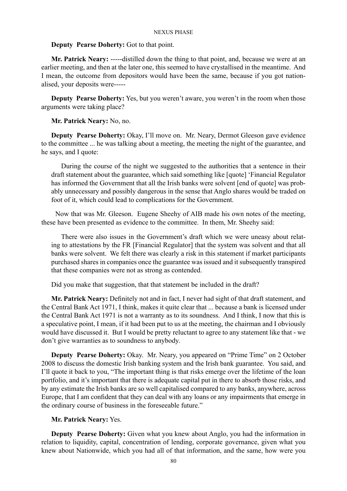# **Deputy Pearse Doherty:** Got to that point.

**Mr. Patrick Neary:** -----distilled down the thing to that point, and, because we were at an earlier meeting, and then at the later one, this seemed to have crystallised in the meantime. And I mean, the outcome from depositors would have been the same, because if you got nationalised, your deposits were-----

**Deputy Pearse Doherty:** Yes, but you weren't aware, you weren't in the room when those arguments were taking place?

**Mr. Patrick Neary:** No, no.

**Deputy Pearse Doherty:** Okay, I'll move on. Mr. Neary, Dermot Gleeson gave evidence to the committee ... he was talking about a meeting, the meeting the night of the guarantee, and he says, and I quote:

During the course of the night we suggested to the authorities that a sentence in their draft statement about the guarantee, which said something like [quote] 'Financial Regulator has informed the Government that all the Irish banks were solvent [end of quote] was probably unnecessary and possibly dangerous in the sense that Anglo shares would be traded on foot of it, which could lead to complications for the Government.

 Now that was Mr. Gleeson. Eugene Sheehy of AIB made his own notes of the meeting, these have been presented as evidence to the committee. In them, Mr. Sheehy said:

There were also issues in the Government's draft which we were uneasy about relating to attestations by the FR [Financial Regulator] that the system was solvent and that all banks were solvent. We felt there was clearly a risk in this statement if market participants purchased shares in companies once the guarantee was issued and it subsequently transpired that these companies were not as strong as contended.

Did you make that suggestion, that that statement be included in the draft?

**Mr. Patrick Neary:** Definitely not and in fact, I never had sight of that draft statement, and the Central Bank Act 1971, I think, makes it quite clear that ... because a bank is licensed under the Central Bank Act 1971 is not a warranty as to its soundness. And I think, I now that this is a speculative point, I mean, if it had been put to us at the meeting, the chairman and I obviously would have discussed it. But I would be pretty reluctant to agree to any statement like that - we don't give warranties as to soundness to anybody.

**Deputy Pearse Doherty:** Okay. Mr. Neary, you appeared on "Prime Time" on 2 October 2008 to discuss the domestic Irish banking system and the Irish bank guarantee. You said, and I'll quote it back to you, "The important thing is that risks emerge over the lifetime of the loan portfolio, and it's important that there is adequate capital put in there to absorb those risks, and by any estimate the Irish banks are so well capitalised compared to any banks, anywhere, across Europe, that I am confident that they can deal with any loans or any impairments that emerge in the ordinary course of business in the foreseeable future."

# **Mr. Patrick Neary:** Yes.

**Deputy Pearse Doherty:** Given what you knew about Anglo, you had the information in relation to liquidity, capital, concentration of lending, corporate governance, given what you knew about Nationwide, which you had all of that information, and the same, how were you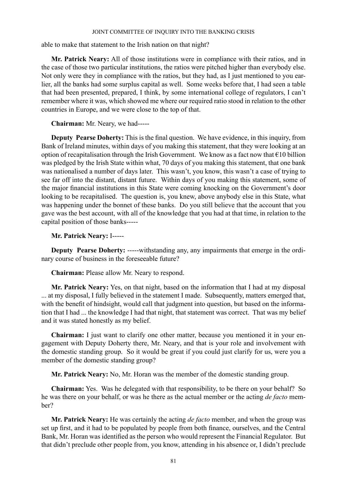able to make that statement to the Irish nation on that night?

**Mr. Patrick Neary:** All of those institutions were in compliance with their ratios, and in the case of those two particular institutions, the ratios were pitched higher than everybody else. Not only were they in compliance with the ratios, but they had, as I just mentioned to you earlier, all the banks had some surplus capital as well. Some weeks before that, I had seen a table that had been presented, prepared, I think, by some international college of regulators, I can't remember where it was, which showed me where our required ratio stood in relation to the other countries in Europe, and we were close to the top of that.

**Chairman:** Mr. Neary, we had-----

**Deputy Pearse Doherty:** This is the final question. We have evidence, in this inquiry, from Bank of Ireland minutes, within days of you making this statement, that they were looking at an option of recapitalisation through the Irish Government. We know as a fact now that  $\epsilon$ 10 billion was pledged by the Irish State within what, 70 days of you making this statement, that one bank was nationalised a number of days later. This wasn't, you know, this wasn't a case of trying to see far off into the distant, distant future. Within days of you making this statement, some of the major financial institutions in this State were coming knocking on the Government's door looking to be recapitalised. The question is, you knew, above anybody else in this State, what was happening under the bonnet of these banks. Do you still believe that the account that you gave was the best account, with all of the knowledge that you had at that time, in relation to the capital position of those banks-----

**Mr. Patrick Neary:** I-----

**Deputy Pearse Doherty:** -----withstanding any, any impairments that emerge in the ordinary course of business in the foreseeable future?

**Chairman:** Please allow Mr. Neary to respond.

**Mr. Patrick Neary:** Yes, on that night, based on the information that I had at my disposal ... at my disposal, I fully believed in the statement I made. Subsequently, matters emerged that, with the benefit of hindsight, would call that judgment into question, but based on the information that I had ... the knowledge I had that night, that statement was correct. That was my belief and it was stated honestly as my belief.

**Chairman:** I just want to clarify one other matter, because you mentioned it in your engagement with Deputy Doherty there, Mr. Neary, and that is your role and involvement with the domestic standing group. So it would be great if you could just clarify for us, were you a member of the domestic standing group?

**Mr. Patrick Neary:** No, Mr. Horan was the member of the domestic standing group.

**Chairman:** Yes. Was he delegated with that responsibility, to be there on your behalf? So he was there on your behalf, or was he there as the actual member or the acting *de facto* member?

**Mr. Patrick Neary:** He was certainly the acting *de facto* member, and when the group was set up first, and it had to be populated by people from both finance, ourselves, and the Central Bank, Mr. Horan was identified as the person who would represent the Financial Regulator. But that didn't preclude other people from, you know, attending in his absence or, I didn't preclude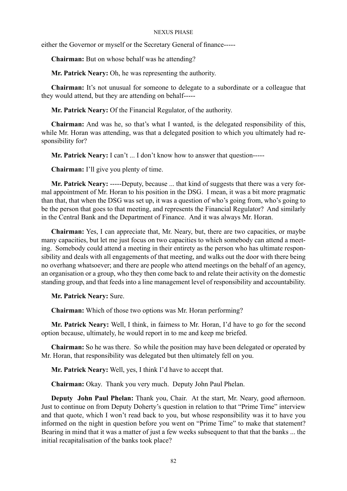either the Governor or myself or the Secretary General of finance-----

**Chairman:** But on whose behalf was he attending?

**Mr. Patrick Neary:** Oh, he was representing the authority.

**Chairman:** It's not unusual for someone to delegate to a subordinate or a colleague that they would attend, but they are attending on behalf-----

**Mr. Patrick Neary:** Of the Financial Regulator, of the authority.

**Chairman:** And was he, so that's what I wanted, is the delegated responsibility of this, while Mr. Horan was attending, was that a delegated position to which you ultimately had responsibility for?

**Mr. Patrick Neary:** I can't ... I don't know how to answer that question-----

**Chairman:** I'll give you plenty of time.

**Mr. Patrick Neary:** -----Deputy, because ... that kind of suggests that there was a very formal appointment of Mr. Horan to his position in the DSG. I mean, it was a bit more pragmatic than that, that when the DSG was set up, it was a question of who's going from, who's going to be the person that goes to that meeting, and represents the Financial Regulator? And similarly in the Central Bank and the Department of Finance. And it was always Mr. Horan.

**Chairman:** Yes, I can appreciate that, Mr. Neary, but, there are two capacities, or maybe many capacities, but let me just focus on two capacities to which somebody can attend a meeting. Somebody could attend a meeting in their entirety as the person who has ultimate responsibility and deals with all engagements of that meeting, and walks out the door with there being no overhang whatsoever; and there are people who attend meetings on the behalf of an agency, an organisation or a group, who they then come back to and relate their activity on the domestic standing group, and that feeds into a line management level of responsibility and accountability.

**Mr. Patrick Neary:** Sure.

**Chairman:** Which of those two options was Mr. Horan performing?

**Mr. Patrick Neary:** Well, I think, in fairness to Mr. Horan, I'd have to go for the second option because, ultimately, he would report in to me and keep me briefed.

**Chairman:** So he was there. So while the position may have been delegated or operated by Mr. Horan, that responsibility was delegated but then ultimately fell on you.

**Mr. Patrick Neary:** Well, yes, I think I'd have to accept that.

**Chairman:** Okay. Thank you very much. Deputy John Paul Phelan.

**Deputy John Paul Phelan:** Thank you, Chair. At the start, Mr. Neary, good afternoon. Just to continue on from Deputy Doherty's question in relation to that "Prime Time" interview and that quote, which I won't read back to you, but whose responsibility was it to have you informed on the night in question before you went on "Prime Time" to make that statement? Bearing in mind that it was a matter of just a few weeks subsequent to that that the banks ... the initial recapitalisation of the banks took place?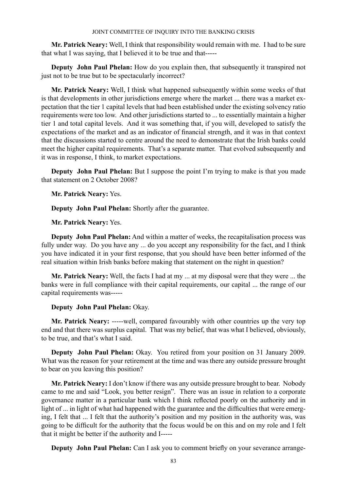**Mr. Patrick Neary:** Well, I think that responsibility would remain with me. I had to be sure that what I was saying, that I believed it to be true and that-----

**Deputy John Paul Phelan:** How do you explain then, that subsequently it transpired not just not to be true but to be spectacularly incorrect?

**Mr. Patrick Neary:** Well, I think what happened subsequently within some weeks of that is that developments in other jurisdictions emerge where the market ... there was a market expectation that the tier 1 capital levels that had been established under the existing solvency ratio requirements were too low. And other jurisdictions started to ... to essentially maintain a higher tier 1 and total capital levels. And it was something that, if you will, developed to satisfy the expectations of the market and as an indicator of financial strength, and it was in that context that the discussions started to centre around the need to demonstrate that the Irish banks could meet the higher capital requirements. That's a separate matter. That evolved subsequently and it was in response, I think, to market expectations.

**Deputy John Paul Phelan:** But I suppose the point I'm trying to make is that you made that statement on 2 October 2008?

**Mr. Patrick Neary:** Yes.

**Deputy John Paul Phelan:** Shortly after the guarantee.

**Mr. Patrick Neary:** Yes.

**Deputy John Paul Phelan:** And within a matter of weeks, the recapitalisation process was fully under way. Do you have any ... do you accept any responsibility for the fact, and I think you have indicated it in your first response, that you should have been better informed of the real situation within Irish banks before making that statement on the night in question?

**Mr. Patrick Neary:** Well, the facts I had at my ... at my disposal were that they were ... the banks were in full compliance with their capital requirements, our capital ... the range of our capital requirements was-----

**Deputy John Paul Phelan:** Okay.

**Mr. Patrick Neary:** -----well, compared favourably with other countries up the very top end and that there was surplus capital. That was my belief, that was what I believed, obviously, to be true, and that's what I said.

**Deputy John Paul Phelan:** Okay. You retired from your position on 31 January 2009. What was the reason for your retirement at the time and was there any outside pressure brought to bear on you leaving this position?

**Mr. Patrick Neary:** I don't know if there was any outside pressure brought to bear. Nobody came to me and said "Look, you better resign". There was an issue in relation to a corporate governance matter in a particular bank which I think reflected poorly on the authority and in light of ... in light of what had happened with the guarantee and the difficulties that were emerging, I felt that ... I felt that the authority's position and my position in the authority was, was going to be difficult for the authority that the focus would be on this and on my role and I felt that it might be better if the authority and I-----

**Deputy John Paul Phelan:** Can I ask you to comment briefly on your severance arrange-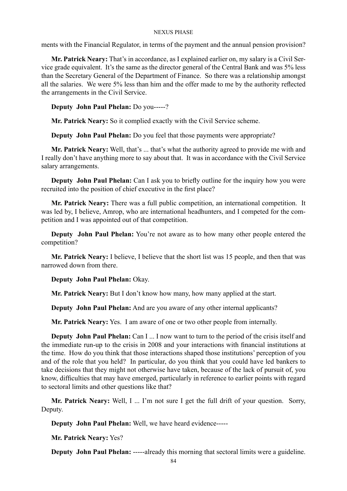ments with the Financial Regulator, in terms of the payment and the annual pension provision?

**Mr. Patrick Neary:** That's in accordance, as I explained earlier on, my salary is a Civil Service grade equivalent. It's the same as the director general of the Central Bank and was 5% less than the Secretary General of the Department of Finance. So there was a relationship amongst all the salaries. We were 5% less than him and the offer made to me by the authority reflected the arrangements in the Civil Service.

**Deputy John Paul Phelan:** Do you-----?

**Mr. Patrick Neary:** So it complied exactly with the Civil Service scheme.

**Deputy John Paul Phelan:** Do you feel that those payments were appropriate?

**Mr. Patrick Neary:** Well, that's ... that's what the authority agreed to provide me with and I really don't have anything more to say about that. It was in accordance with the Civil Service salary arrangements.

**Deputy John Paul Phelan:** Can I ask you to briefly outline for the inquiry how you were recruited into the position of chief executive in the first place?

**Mr. Patrick Neary:** There was a full public competition, an international competition. It was led by, I believe, Amrop, who are international headhunters, and I competed for the competition and I was appointed out of that competition.

**Deputy John Paul Phelan:** You're not aware as to how many other people entered the competition?

**Mr. Patrick Neary:** I believe, I believe that the short list was 15 people, and then that was narrowed down from there.

**Deputy John Paul Phelan:** Okay.

**Mr. Patrick Neary:** But I don't know how many, how many applied at the start.

**Deputy John Paul Phelan:** And are you aware of any other internal applicants?

**Mr. Patrick Neary:** Yes. I am aware of one or two other people from internally.

**Deputy John Paul Phelan:** Can I ... I now want to turn to the period of the crisis itself and the immediate run-up to the crisis in 2008 and your interactions with financial institutions at the time. How do you think that those interactions shaped those institutions' perception of you and of the role that you held? In particular, do you think that you could have led bankers to take decisions that they might not otherwise have taken, because of the lack of pursuit of, you know, difficulties that may have emerged, particularly in reference to earlier points with regard to sectoral limits and other questions like that?

**Mr. Patrick Neary:** Well, I ... I'm not sure I get the full drift of your question. Sorry, Deputy.

**Deputy John Paul Phelan:** Well, we have heard evidence-----

**Mr. Patrick Neary:** Yes?

**Deputy John Paul Phelan:** -----already this morning that sectoral limits were a guideline.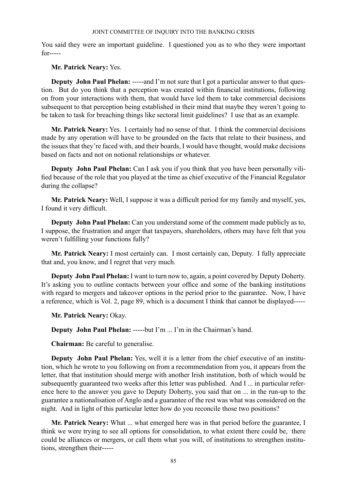You said they were an important guideline. I questioned you as to who they were important for-----

**Mr. Patrick Neary:** Yes.

**Deputy John Paul Phelan:** -----and I'm not sure that I got a particular answer to that question. But do you think that a perception was created within financial institutions, following on from your interactions with them, that would have led them to take commercial decisions subsequent to that perception being established in their mind that maybe they weren't going to be taken to task for breaching things like sectoral limit guidelines? I use that as an example.

**Mr. Patrick Neary:** Yes. I certainly had no sense of that. I think the commercial decisions made by any operation will have to be grounded on the facts that relate to their business, and the issues that they're faced with, and their boards, I would have thought, would make decisions based on facts and not on notional relationships or whatever.

**Deputy John Paul Phelan:** Can I ask you if you think that you have been personally vilified because of the role that you played at the time as chief executive of the Financial Regulator during the collapse?

**Mr. Patrick Neary:** Well, I suppose it was a difficult period for my family and myself, yes, I found it very difficult.

**Deputy John Paul Phelan:** Can you understand some of the comment made publicly as to, I suppose, the frustration and anger that taxpayers, shareholders, others may have felt that you weren't fulfilling your functions fully?

**Mr. Patrick Neary:** I most certainly can. I most certainly can, Deputy. I fully appreciate that and, you know, and I regret that very much.

**Deputy John Paul Phelan:** I want to turn now to, again, a point covered by Deputy Doherty. It's asking you to outline contacts between your office and some of the banking institutions with regard to mergers and takeover options in the period prior to the guarantee. Now, I have a reference, which is Vol. 2, page 89, which is a document I think that cannot be displayed-----

**Mr. Patrick Neary:** Okay.

**Deputy John Paul Phelan:** -----but I'm ... I'm in the Chairman's hand.

**Chairman:** Be careful to generalise.

**Deputy John Paul Phelan:** Yes, well it is a letter from the chief executive of an institution, which he wrote to you following on from a recommendation from you, it appears from the letter, that that institution should merge with another Irish institution, both of which would be subsequently guaranteed two weeks after this letter was published. And I ... in particular reference here to the answer you gave to Deputy Doherty, you said that on ... in the run-up to the guarantee a nationalisation of Anglo and a guarantee of the rest was what was considered on the night. And in light of this particular letter how do you reconcile those two positions?

**Mr. Patrick Neary:** What ... what emerged here was in that period before the guarantee, I think we were trying to see all options for consolidation, to what extent there could be, there could be alliances or mergers, or call them what you will, of institutions to strengthen institutions, strengthen their-----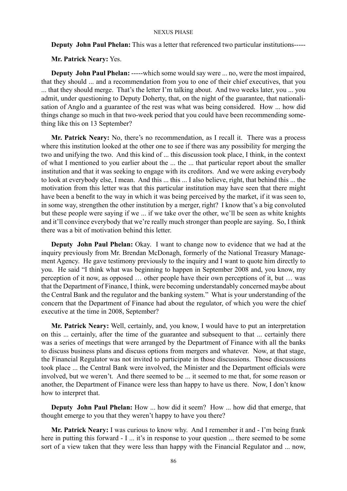**Deputy John Paul Phelan:** This was a letter that referenced two particular institutions-----

**Mr. Patrick Neary:** Yes.

**Deputy John Paul Phelan:** -----which some would say were ... no, were the most impaired, that they should ... and a recommendation from you to one of their chief executives, that you ... that they should merge. That's the letter I'm talking about. And two weeks later, you ... you admit, under questioning to Deputy Doherty, that, on the night of the guarantee, that nationalisation of Anglo and a guarantee of the rest was what was being considered. How ... how did things change so much in that two-week period that you could have been recommending something like this on 13 September?

**Mr. Patrick Neary:** No, there's no recommendation, as I recall it. There was a process where this institution looked at the other one to see if there was any possibility for merging the two and unifying the two. And this kind of ... this discussion took place, I think, in the context of what I mentioned to you earlier about the ... the ... that particular report about the smaller institution and that it was seeking to engage with its creditors. And we were asking everybody to look at everybody else, I mean. And this ... this ... I also believe, right, that behind this ... the motivation from this letter was that this particular institution may have seen that there might have been a benefit to the way in which it was being perceived by the market, if it was seen to, in some way, strengthen the other institution by a merger, right? I know that's a big convoluted but these people were saying if we ... if we take over the other, we'll be seen as white knights and it'll convince everybody that we're really much stronger than people are saying. So, I think there was a bit of motivation behind this letter.

**Deputy John Paul Phelan:** Okay. I want to change now to evidence that we had at the inquiry previously from Mr. Brendan McDonagh, formerly of the National Treasury Management Agency. He gave testimony previously to the inquiry and I want to quote him directly to you. He said "I think what was beginning to happen in September 2008 and, you know, my perception of it now, as opposed … other people have their own perceptions of it, but … was that the Department of Finance, I think, were becoming understandably concerned maybe about the Central Bank and the regulator and the banking system." What is your understanding of the concern that the Department of Finance had about the regulator, of which you were the chief executive at the time in 2008, September?

**Mr. Patrick Neary:** Well, certainly, and, you know, I would have to put an interpretation on this ... certainly, after the time of the guarantee and subsequent to that ... certainly there was a series of meetings that were arranged by the Department of Finance with all the banks to discuss business plans and discuss options from mergers and whatever. Now, at that stage, the Financial Regulator was not invited to participate in those discussions. Those discussions took place ... the Central Bank were involved, the Minister and the Department officials were involved, but we weren't. And there seemed to be ... it seemed to me that, for some reason or another, the Department of Finance were less than happy to have us there. Now, I don't know how to interpret that.

**Deputy John Paul Phelan:** How ... how did it seem? How ... how did that emerge, that thought emerge to you that they weren't happy to have you there?

**Mr. Patrick Neary:** I was curious to know why. And I remember it and - I'm being frank here in putting this forward - I ... it's in response to your question ... there seemed to be some sort of a view taken that they were less than happy with the Financial Regulator and ... now,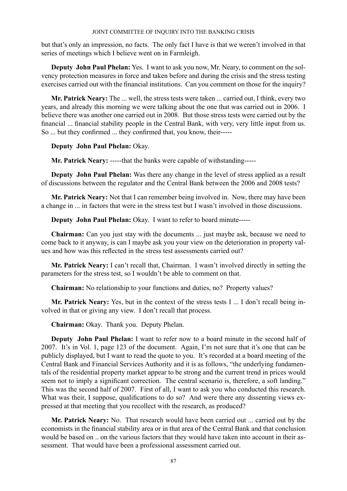but that's only an impression, no facts. The only fact I have is that we weren't involved in that series of meetings which I believe went on in Farmleigh.

**Deputy John Paul Phelan:** Yes. I want to ask you now, Mr. Neary, to comment on the solvency protection measures in force and taken before and during the crisis and the stress testing exercises carried out with the financial institutions. Can you comment on those for the inquiry?

**Mr. Patrick Neary:** The ... well, the stress tests were taken ... carried out, I think, every two years, and already this morning we were talking about the one that was carried out in 2006. I believe there was another one carried out in 2008. But those stress tests were carried out by the financial ... financial stability people in the Central Bank, with very, very little input from us. So ... but they confirmed ... they confirmed that, you know, their-----

# **Deputy John Paul Phelan:** Okay.

**Mr. Patrick Neary:** -----that the banks were capable of withstanding-----

**Deputy John Paul Phelan:** Was there any change in the level of stress applied as a result of discussions between the regulator and the Central Bank between the 2006 and 2008 tests?

**Mr. Patrick Neary:** Not that I can remember being involved in. Now, there may have been a change in ... in factors that were in the stress test but I wasn't involved in those discussions.

**Deputy John Paul Phelan:** Okay. I want to refer to board minute-----

**Chairman:** Can you just stay with the documents ... just maybe ask, because we need to come back to it anyway, is can I maybe ask you your view on the deterioration in property values and how was this reflected in the stress test assessments carried out?

**Mr. Patrick Neary:** I can't recall that, Chairman. I wasn't involved directly in setting the parameters for the stress test, so I wouldn't be able to comment on that.

**Chairman:** No relationship to your functions and duties, no? Property values?

**Mr. Patrick Neary:** Yes, but in the context of the stress tests I ... I don't recall being involved in that or giving any view. I don't recall that process.

**Chairman:** Okay. Thank you. Deputy Phelan.

**Deputy John Paul Phelan:** I want to refer now to a board minute in the second half of 2007. It's in Vol. 1, page 123 of the document. Again, I'm not sure that it's one that can be publicly displayed, but I want to read the quote to you. It's recorded at a board meeting of the Central Bank and Financial Services Authority and it is as follows, "the underlying fundamentals of the residential property market appear to be strong and the current trend in prices would seem not to imply a significant correction. The central scenario is, therefore, a soft landing." This was the second half of 2007. First of all, I want to ask you who conducted this research. What was their, I suppose, qualifications to do so? And were there any dissenting views expressed at that meeting that you recollect with the research, as produced?

**Mr. Patrick Neary:** No. That research would have been carried out ... carried out by the economists in the financial stability area or in that area of the Central Bank and that conclusion would be based on .. on the various factors that they would have taken into account in their assessment. That would have been a professional assessment carried out.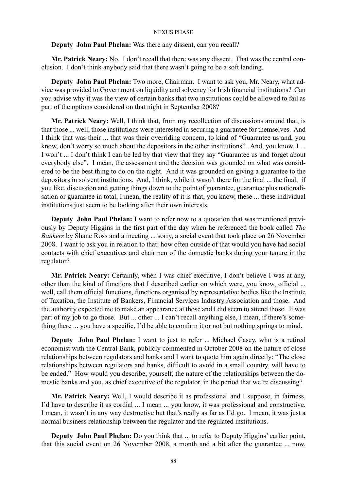## **Deputy John Paul Phelan:** Was there any dissent, can you recall?

**Mr. Patrick Neary:** No. I don't recall that there was any dissent. That was the central conclusion. I don't think anybody said that there wasn't going to be a soft landing.

**Deputy John Paul Phelan:** Two more, Chairman. I want to ask you, Mr. Neary, what advice was provided to Government on liquidity and solvency for Irish financial institutions? Can you advise why it was the view of certain banks that two institutions could be allowed to fail as part of the options considered on that night in September 2008?

**Mr. Patrick Neary:** Well, I think that, from my recollection of discussions around that, is that those ... well, those institutions were interested in securing a guarantee for themselves. And I think that was their ... that was their overriding concern, to kind of "Guarantee us and, you know, don't worry so much about the depositors in the other institutions". And, you know, I ... I won't ... I don't think I can be led by that view that they say "Guarantee us and forget about everybody else". I mean, the assessment and the decision was grounded on what was considered to be the best thing to do on the night. And it was grounded on giving a guarantee to the depositors in solvent institutions. And, I think, while it wasn't there for the final ... the final, if you like, discussion and getting things down to the point of guarantee, guarantee plus nationalisation or guarantee in total, I mean, the reality of it is that, you know, these ... these individual institutions just seem to be looking after their own interests.

**Deputy John Paul Phelan:** I want to refer now to a quotation that was mentioned previously by Deputy Higgins in the first part of the day when he referenced the book called *The Bankers* by Shane Ross and a meeting ... sorry, a social event that took place on 26 November 2008. I want to ask you in relation to that: how often outside of that would you have had social contacts with chief executives and chairmen of the domestic banks during your tenure in the regulator?

**Mr. Patrick Neary:** Certainly, when I was chief executive, I don't believe I was at any, other than the kind of functions that I described earlier on which were, you know, official ... well, call them official functions, functions organised by representative bodies like the Institute of Taxation, the Institute of Bankers, Financial Services Industry Association and those. And the authority expected me to make an appearance at those and I did seem to attend those. It was part of my job to go those. But ... other ... I can't recall anything else, I mean, if there's something there ... you have a specific, I'd be able to confirm it or not but nothing springs to mind.

**Deputy John Paul Phelan:** I want to just to refer ... Michael Casey, who is a retired economist with the Central Bank, publicly commented in October 2008 on the nature of close relationships between regulators and banks and I want to quote him again directly: "The close relationships between regulators and banks, difficult to avoid in a small country, will have to be ended." How would you describe, yourself, the nature of the relationships between the domestic banks and you, as chief executive of the regulator, in the period that we're discussing?

**Mr. Patrick Neary:** Well, I would describe it as professional and I suppose, in fairness, I'd have to describe it as cordial ... I mean ... you know, it was professional and constructive. I mean, it wasn't in any way destructive but that's really as far as I'd go. I mean, it was just a normal business relationship between the regulator and the regulated institutions.

**Deputy John Paul Phelan:** Do you think that ... to refer to Deputy Higgins' earlier point, that this social event on 26 November 2008, a month and a bit after the guarantee ... now,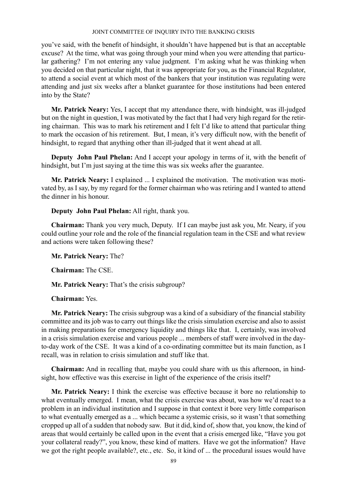you've said, with the benefit of hindsight, it shouldn't have happened but is that an acceptable excuse? At the time, what was going through your mind when you were attending that particular gathering? I'm not entering any value judgment. I'm asking what he was thinking when you decided on that particular night, that it was appropriate for you, as the Financial Regulator, to attend a social event at which most of the bankers that your institution was regulating were attending and just six weeks after a blanket guarantee for those institutions had been entered into by the State?

**Mr. Patrick Neary:** Yes, I accept that my attendance there, with hindsight, was ill-judged but on the night in question, I was motivated by the fact that I had very high regard for the retiring chairman. This was to mark his retirement and I felt I'd like to attend that particular thing to mark the occasion of his retirement. But, I mean, it's very difficult now, with the benefit of hindsight, to regard that anything other than ill-judged that it went ahead at all.

**Deputy John Paul Phelan:** And I accept your apology in terms of it, with the benefit of hindsight, but I'm just saying at the time this was six weeks after the guarantee.

**Mr. Patrick Neary:** I explained ... I explained the motivation. The motivation was motivated by, as I say, by my regard for the former chairman who was retiring and I wanted to attend the dinner in his honour.

**Deputy John Paul Phelan:** All right, thank you.

**Chairman:** Thank you very much, Deputy. If I can maybe just ask you, Mr. Neary, if you could outline your role and the role of the financial regulation team in the CSE and what review and actions were taken following these?

**Mr. Patrick Neary:** The?

**Chairman:** The CSE.

**Mr. Patrick Neary:** That's the crisis subgroup?

**Chairman:** Yes.

**Mr. Patrick Neary:** The crisis subgroup was a kind of a subsidiary of the financial stability committee and its job was to carry out things like the crisis simulation exercise and also to assist in making preparations for emergency liquidity and things like that. I, certainly, was involved in a crisis simulation exercise and various people ... members of staff were involved in the dayto-day work of the CSE. It was a kind of a co-ordinating committee but its main function, as I recall, was in relation to crisis simulation and stuff like that.

**Chairman:** And in recalling that, maybe you could share with us this afternoon, in hindsight, how effective was this exercise in light of the experience of the crisis itself?

**Mr. Patrick Neary:** I think the exercise was effective because it bore no relationship to what eventually emerged. I mean, what the crisis exercise was about, was how we'd react to a problem in an individual institution and I suppose in that context it bore very little comparison to what eventually emerged as a ... which became a systemic crisis, so it wasn't that something cropped up all of a sudden that nobody saw. But it did, kind of, show that, you know, the kind of areas that would certainly be called upon in the event that a crisis emerged like, "Have you got your collateral ready?", you know, these kind of matters. Have we got the information? Have we got the right people available?, etc., etc. So, it kind of ... the procedural issues would have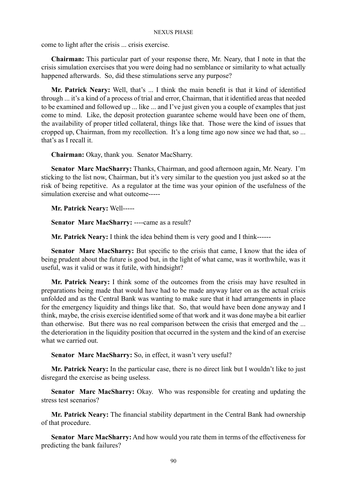come to light after the crisis ... crisis exercise.

**Chairman:** This particular part of your response there, Mr. Neary, that I note in that the crisis simulation exercises that you were doing had no semblance or similarity to what actually happened afterwards. So, did these stimulations serve any purpose?

**Mr. Patrick Neary:** Well, that's ... I think the main benefit is that it kind of identified through ... it's a kind of a process of trial and error, Chairman, that it identified areas that needed to be examined and followed up ... like ... and I've just given you a couple of examples that just come to mind. Like, the deposit protection guarantee scheme would have been one of them, the availability of proper titled collateral, things like that. Those were the kind of issues that cropped up, Chairman, from my recollection. It's a long time ago now since we had that, so ... that's as I recall it.

**Chairman:** Okay, thank you. Senator MacSharry.

**Senator Marc MacSharry:** Thanks, Chairman, and good afternoon again, Mr. Neary. I'm sticking to the list now, Chairman, but it's very similar to the question you just asked so at the risk of being repetitive. As a regulator at the time was your opinion of the usefulness of the simulation exercise and what outcome-----

**Mr. Patrick Neary:** Well-----

**Senator Marc MacSharry:** ----came as a result?

**Mr. Patrick Neary:** I think the idea behind them is very good and I think------

**Senator Marc MacSharry:** But specific to the crisis that came, I know that the idea of being prudent about the future is good but, in the light of what came, was it worthwhile, was it useful, was it valid or was it futile, with hindsight?

**Mr. Patrick Neary:** I think some of the outcomes from the crisis may have resulted in preparations being made that would have had to be made anyway later on as the actual crisis unfolded and as the Central Bank was wanting to make sure that it had arrangements in place for the emergency liquidity and things like that. So, that would have been done anyway and I think, maybe, the crisis exercise identified some of that work and it was done maybe a bit earlier than otherwise. But there was no real comparison between the crisis that emerged and the ... the deterioration in the liquidity position that occurred in the system and the kind of an exercise what we carried out.

**Senator Marc MacSharry:** So, in effect, it wasn't very useful?

**Mr. Patrick Neary:** In the particular case, there is no direct link but I wouldn't like to just disregard the exercise as being useless.

**Senator Marc MacSharry:** Okay. Who was responsible for creating and updating the stress test scenarios?

**Mr. Patrick Neary:** The financial stability department in the Central Bank had ownership of that procedure.

**Senator Marc MacSharry:** And how would you rate them in terms of the effectiveness for predicting the bank failures?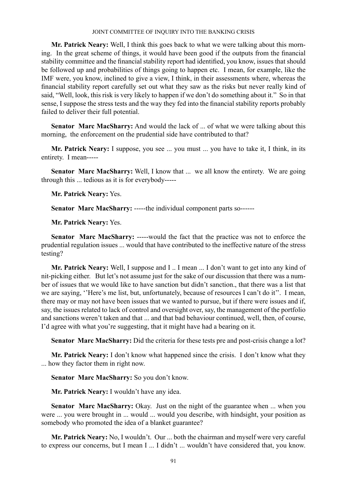**Mr. Patrick Neary:** Well, I think this goes back to what we were talking about this morning. In the great scheme of things, it would have been good if the outputs from the financial stability committee and the financial stability report had identified, you know, issues that should be followed up and probabilities of things going to happen etc. I mean, for example, like the IMF were, you know, inclined to give a view, I think, in their assessments where, whereas the financial stability report carefully set out what they saw as the risks but never really kind of said, "Well, look, this risk is very likely to happen if we don't do something about it." So in that sense, I suppose the stress tests and the way they fed into the financial stability reports probably failed to deliver their full potential.

**Senator Marc MacSharry:** And would the lack of ... of what we were talking about this morning, the enforcement on the prudential side have contributed to that?

**Mr. Patrick Neary:** I suppose, you see ... you must ... you have to take it, I think, in its entirety. I mean-----

Senator Marc MacSharry: Well, I know that ... we all know the entirety. We are going through this ... tedious as it is for everybody-----

**Mr. Patrick Neary:** Yes.

**Senator Marc MacSharry:** -----the individual component parts so------

**Mr. Patrick Neary:** Yes.

**Senator Marc MacSharry:** -----would the fact that the practice was not to enforce the prudential regulation issues ... would that have contributed to the ineffective nature of the stress testing?

**Mr. Patrick Neary:** Well, I suppose and I .. I mean ... I don't want to get into any kind of nit-picking either. But let's not assume just for the sake of our discussion that there was a number of issues that we would like to have sanction but didn't sanction., that there was a list that we are saying, ''Here's me list, but, unfortunately, because of resources I can't do it''. I mean, there may or may not have been issues that we wanted to pursue, but if there were issues and if, say, the issues related to lack of control and oversight over, say, the management of the portfolio and sanctions weren't taken and that ... and that bad behaviour continued, well, then, of course, I'd agree with what you're suggesting, that it might have had a bearing on it.

**Senator Marc MacSharry:** Did the criteria for these tests pre and post-crisis change a lot?

**Mr. Patrick Neary:** I don't know what happened since the crisis. I don't know what they ... how they factor them in right now.

**Senator Marc MacSharry:** So you don't know.

**Mr. Patrick Neary:** I wouldn't have any idea.

**Senator Marc MacSharry:** Okay. Just on the night of the guarantee when ... when you were ... you were brought in ... would ... would you describe, with hindsight, your position as somebody who promoted the idea of a blanket guarantee?

**Mr. Patrick Neary:** No, I wouldn't. Our ... both the chairman and myself were very careful to express our concerns, but I mean I ... I didn't ... wouldn't have considered that, you know.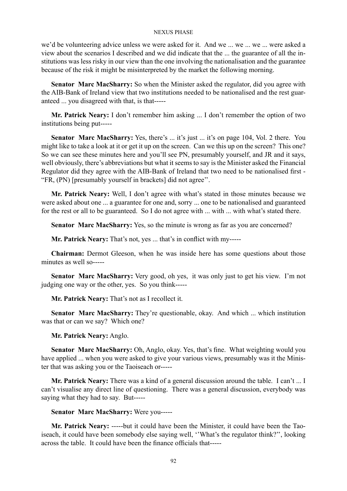we'd be volunteering advice unless we were asked for it. And we ... we ... we ... were asked a view about the scenarios I described and we did indicate that the ... the guarantee of all the institutions was less risky in our view than the one involving the nationalisation and the guarantee because of the risk it might be misinterpreted by the market the following morning.

**Senator Marc MacSharry:** So when the Minister asked the regulator, did you agree with the AIB-Bank of Ireland view that two institutions needed to be nationalised and the rest guaranteed ... you disagreed with that, is that-----

**Mr. Patrick Neary:** I don't remember him asking ... I don't remember the option of two institutions being put-----

Senator Marc MacSharry: Yes, there's ... it's just ... it's on page 104, Vol. 2 there. You might like to take a look at it or get it up on the screen. Can we this up on the screen? This one? So we can see these minutes here and you'll see PN, presumably yourself, and JR and it says, well obviously, there's abbreviations but what it seems to say is the Minister asked the Financial Regulator did they agree with the AIB-Bank of Ireland that two need to be nationalised first - "FR, (PN) [presumably yourself in brackets] did not agree''.

**Mr. Patrick Neary:** Well, I don't agree with what's stated in those minutes because we were asked about one ... a guarantee for one and, sorry ... one to be nationalised and guaranteed for the rest or all to be guaranteed. So I do not agree with ... with ... with what's stated there.

**Senator Marc MacSharry:** Yes, so the minute is wrong as far as you are concerned?

**Mr. Patrick Neary:** That's not, yes ... that's in conflict with my-----

**Chairman:** Dermot Gleeson, when he was inside here has some questions about those minutes as well so-----

**Senator Marc MacSharry:** Very good, oh yes, it was only just to get his view. I'm not judging one way or the other, yes. So you think-----

**Mr. Patrick Neary:** That's not as I recollect it.

**Senator Marc MacSharry:** They're questionable, okay. And which ... which institution was that or can we say? Which one?

**Mr. Patrick Neary:** Anglo.

**Senator Marc MacSharry:** Oh, Anglo, okay. Yes, that's fine. What weighting would you have applied ... when you were asked to give your various views, presumably was it the Minister that was asking you or the Taoiseach or-----

**Mr. Patrick Neary:** There was a kind of a general discussion around the table. I can't ... I can't visualise any direct line of questioning. There was a general discussion, everybody was saying what they had to say. But-----

# **Senator Marc MacSharry:** Were you-----

**Mr. Patrick Neary:** -----but it could have been the Minister, it could have been the Taoiseach, it could have been somebody else saying well, ''What's the regulator think?'', looking across the table. It could have been the finance officials that-----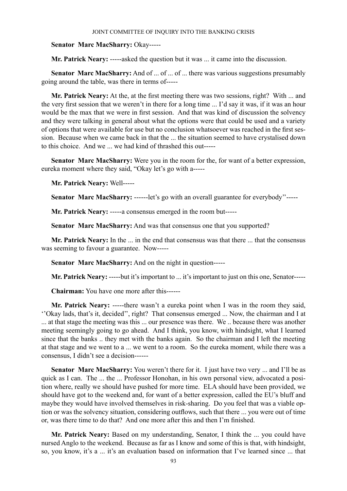# **Senator Marc MacSharry:** Okay-----

**Mr. Patrick Neary:** -----asked the question but it was ... it came into the discussion.

**Senator Marc MacSharry:** And of ... of ... of ... there was various suggestions presumably going around the table, was there in terms of-----

**Mr. Patrick Neary:** At the, at the first meeting there was two sessions, right? With ... and the very first session that we weren't in there for a long time ... I'd say it was, if it was an hour would be the max that we were in first session. And that was kind of discussion the solvency and they were talking in general about what the options were that could be used and a variety of options that were available for use but no conclusion whatsoever was reached in the first session. Because when we came back in that the ... the situation seemed to have crystalised down to this choice. And we we had kind of thrashed this out-----

**Senator Marc MacSharry:** Were you in the room for the, for want of a better expression, eureka moment where they said, "Okay let's go with a-----

**Mr. Patrick Neary:** Well-----

**Senator Marc MacSharry:** ------let's go with an overall guarantee for everybody"-----

**Mr. Patrick Neary:** -----a consensus emerged in the room but-----

**Senator Marc MacSharry:** And was that consensus one that you supported?

**Mr. Patrick Neary:** In the ... in the end that consensus was that there ... that the consensus was seeming to favour a guarantee. Now-----

**Senator Marc MacSharry:** And on the night in question-----

**Mr. Patrick Neary:** -----but it's important to ... it's important to just on this one, Senator-----

**Chairman:** You have one more after this------

**Mr. Patrick Neary:** -----there wasn't a eureka point when I was in the room they said, ''Okay lads, that's it, decided'', right? That consensus emerged ... Now, the chairman and I at ... at that stage the meeting was this ... our presence was there. We .. because there was another meeting seemingly going to go ahead. And I think, you know, with hindsight, what I learned since that the banks .. they met with the banks again. So the chairman and I left the meeting at that stage and we went to a ... we went to a room. So the eureka moment, while there was a consensus, I didn't see a decision------

**Senator Marc MacSharry:** You weren't there for it. I just have two very ... and I'll be as quick as I can. The ... the ... Professor Honohan, in his own personal view, advocated a position where, really we should have pushed for more time. ELA should have been provided, we should have got to the weekend and, for want of a better expression, called the EU's bluff and maybe they would have involved themselves in risk-sharing. Do you feel that was a viable option or was the solvency situation, considering outflows, such that there ... you were out of time or, was there time to do that? And one more after this and then I'm finished.

**Mr. Patrick Neary:** Based on my understanding, Senator, I think the ... you could have nursed Anglo to the weekend. Because as far as I know and some of this is that, with hindsight, so, you know, it's a ... it's an evaluation based on information that I've learned since ... that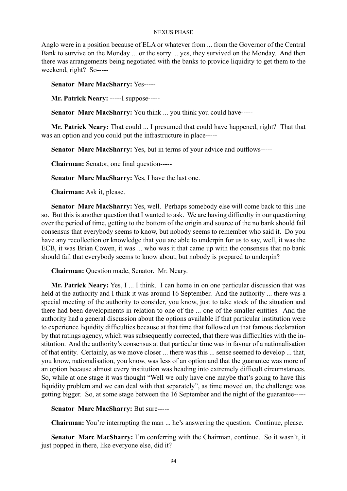Anglo were in a position because of ELA or whatever from ... from the Governor of the Central Bank to survive on the Monday ... or the sorry ... yes, they survived on the Monday. And then there was arrangements being negotiated with the banks to provide liquidity to get them to the weekend, right? So-----

**Senator Marc MacSharry:** Yes-----

**Mr. Patrick Neary:** -----I suppose-----

**Senator Marc MacSharry:** You think ... you think you could have-----

**Mr. Patrick Neary:** That could ... I presumed that could have happened, right? That that was an option and you could put the infrastructure in place-----

**Senator Marc MacSharry:** Yes, but in terms of your advice and outflows-----

**Chairman:** Senator, one final question-----

**Senator Marc MacSharry:** Yes, I have the last one.

**Chairman:** Ask it, please.

**Senator Marc MacSharry:** Yes, well. Perhaps somebody else will come back to this line so. But this is another question that I wanted to ask. We are having difficulty in our questioning over the period of time, getting to the bottom of the origin and source of the no bank should fail consensus that everybody seems to know, but nobody seems to remember who said it. Do you have any recollection or knowledge that you are able to underpin for us to say, well, it was the ECB, it was Brian Cowen, it was ... who was it that came up with the consensus that no bank should fail that everybody seems to know about, but nobody is prepared to underpin?

**Chairman:** Question made, Senator. Mr. Neary.

**Mr. Patrick Neary:** Yes, I ... I think. I can home in on one particular discussion that was held at the authority and I think it was around 16 September. And the authority ... there was a special meeting of the authority to consider, you know, just to take stock of the situation and there had been developments in relation to one of the ... one of the smaller entities. And the authority had a general discussion about the options available if that particular institution were to experience liquidity difficulties because at that time that followed on that famous declaration by that ratings agency, which was subsequently corrected, that there was difficulties with the institution. And the authority's consensus at that particular time was in favour of a nationalisation of that entity. Certainly, as we move closer ... there was this ... sense seemed to develop ... that, you know, nationalisation, you know, was less of an option and that the guarantee was more of an option because almost every institution was heading into extremely difficult circumstances. So, while at one stage it was thought "Well we only have one maybe that's going to have this liquidity problem and we can deal with that separately", as time moved on, the challenge was getting bigger. So, at some stage between the 16 September and the night of the guarantee-----

**Senator Marc MacSharry:** But sure-----

**Chairman:** You're interrupting the man ... he's answering the question. Continue, please.

Senator Marc MacSharry: I'm conferring with the Chairman, continue. So it wasn't, it just popped in there, like everyone else, did it?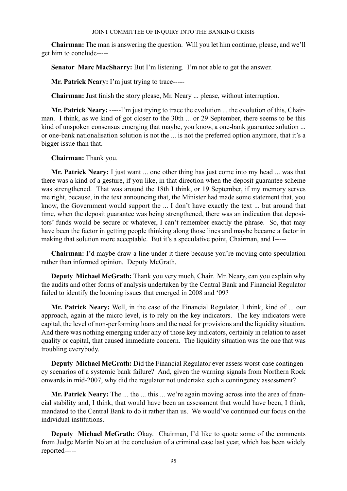**Chairman:** The man is answering the question. Will you let him continue, please, and we'll get him to conclude-----

**Senator Marc MacSharry:** But I'm listening. I'm not able to get the answer.

**Mr. Patrick Neary:** I'm just trying to trace-----

**Chairman:** Just finish the story please, Mr. Neary ... please, without interruption.

**Mr. Patrick Neary:** -----I'm just trying to trace the evolution ... the evolution of this, Chairman. I think, as we kind of got closer to the 30th ... or 29 September, there seems to be this kind of unspoken consensus emerging that maybe, you know, a one-bank guarantee solution ... or one-bank nationalisation solution is not the ... is not the preferred option anymore, that it's a bigger issue than that.

**Chairman:** Thank you.

**Mr. Patrick Neary:** I just want ... one other thing has just come into my head ... was that there was a kind of a gesture, if you like, in that direction when the deposit guarantee scheme was strengthened. That was around the 18th I think, or 19 September, if my memory serves me right, because, in the text announcing that, the Minister had made some statement that, you know, the Government would support the ... I don't have exactly the text ... but around that time, when the deposit guarantee was being strengthened, there was an indication that depositors' funds would be secure or whatever, I can't remember exactly the phrase. So, that may have been the factor in getting people thinking along those lines and maybe became a factor in making that solution more acceptable. But it's a speculative point, Chairman, and I-----

**Chairman:** I'd maybe draw a line under it there because you're moving onto speculation rather than informed opinion. Deputy McGrath.

**Deputy Michael McGrath:** Thank you very much, Chair. Mr. Neary, can you explain why the audits and other forms of analysis undertaken by the Central Bank and Financial Regulator failed to identify the looming issues that emerged in 2008 and '09?

**Mr. Patrick Neary:** Well, in the case of the Financial Regulator, I think, kind of ... our approach, again at the micro level, is to rely on the key indicators. The key indicators were capital, the level of non-performing loans and the need for provisions and the liquidity situation. And there was nothing emerging under any of those key indicators, certainly in relation to asset quality or capital, that caused immediate concern. The liquidity situation was the one that was troubling everybody.

**Deputy Michael McGrath:** Did the Financial Regulator ever assess worst-case contingency scenarios of a systemic bank failure? And, given the warning signals from Northern Rock onwards in mid-2007, why did the regulator not undertake such a contingency assessment?

**Mr. Patrick Neary:** The ... the ... this ... we're again moving across into the area of financial stability and, I think, that would have been an assessment that would have been, I think, mandated to the Central Bank to do it rather than us. We would've continued our focus on the individual institutions.

**Deputy Michael McGrath:** Okay. Chairman, I'd like to quote some of the comments from Judge Martin Nolan at the conclusion of a criminal case last year, which has been widely reported-----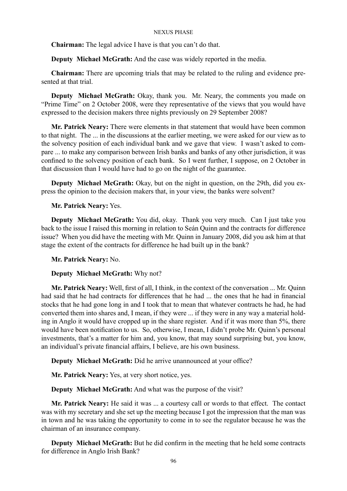**Chairman:** The legal advice I have is that you can't do that.

**Deputy Michael McGrath:** And the case was widely reported in the media.

**Chairman:** There are upcoming trials that may be related to the ruling and evidence presented at that trial.

**Deputy Michael McGrath:** Okay, thank you. Mr. Neary, the comments you made on "Prime Time" on 2 October 2008, were they representative of the views that you would have expressed to the decision makers three nights previously on 29 September 2008?

**Mr. Patrick Neary:** There were elements in that statement that would have been common to that night. The ... in the discussions at the earlier meeting, we were asked for our view as to the solvency position of each individual bank and we gave that view. I wasn't asked to compare ... to make any comparison between Irish banks and banks of any other jurisdiction, it was confined to the solvency position of each bank. So I went further, I suppose, on 2 October in that discussion than I would have had to go on the night of the guarantee.

**Deputy Michael McGrath:** Okay, but on the night in question, on the 29th, did you express the opinion to the decision makers that, in your view, the banks were solvent?

# **Mr. Patrick Neary:** Yes.

**Deputy Michael McGrath:** You did, okay. Thank you very much. Can I just take you back to the issue I raised this morning in relation to Seán Quinn and the contracts for difference issue? When you did have the meeting with Mr. Quinn in January 2008, did you ask him at that stage the extent of the contracts for difference he had built up in the bank?

**Mr. Patrick Neary:** No.

# **Deputy Michael McGrath:** Why not?

**Mr. Patrick Neary:** Well, first of all, I think, in the context of the conversation ... Mr. Quinn had said that he had contracts for differences that he had ... the ones that he had in financial stocks that he had gone long in and I took that to mean that whatever contracts he had, he had converted them into shares and, I mean, if they were ... if they were in any way a material holding in Anglo it would have cropped up in the share register. And if it was more than 5%, there would have been notification to us. So, otherwise, I mean, I didn't probe Mr. Quinn's personal investments, that's a matter for him and, you know, that may sound surprising but, you know, an individual's private financial affairs, I believe, are his own business.

**Deputy Michael McGrath:** Did he arrive unannounced at your office?

**Mr. Patrick Neary:** Yes, at very short notice, yes.

**Deputy Michael McGrath:** And what was the purpose of the visit?

**Mr. Patrick Neary:** He said it was ... a courtesy call or words to that effect. The contact was with my secretary and she set up the meeting because I got the impression that the man was in town and he was taking the opportunity to come in to see the regulator because he was the chairman of an insurance company.

**Deputy Michael McGrath:** But he did confirm in the meeting that he held some contracts for difference in Anglo Irish Bank?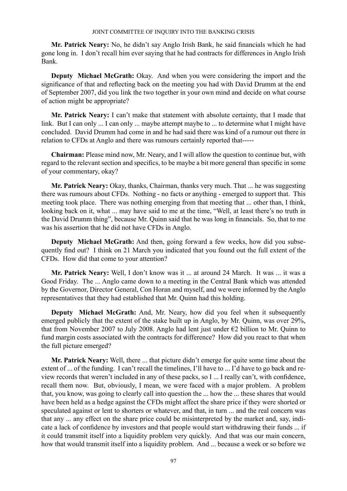**Mr. Patrick Neary:** No, he didn't say Anglo Irish Bank, he said financials which he had gone long in. I don't recall him ever saying that he had contracts for differences in Anglo Irish Bank.

**Deputy Michael McGrath:** Okay. And when you were considering the import and the significance of that and reflecting back on the meeting you had with David Drumm at the end of September 2007, did you link the two together in your own mind and decide on what course of action might be appropriate?

**Mr. Patrick Neary:** I can't make that statement with absolute certainty, that I made that link. But I can only ... I can only ... maybe attempt maybe to ... to determine what I might have concluded. David Drumm had come in and he had said there was kind of a rumour out there in relation to CFDs at Anglo and there was rumours certainly reported that-----

**Chairman:** Please mind now, Mr. Neary, and I will allow the question to continue but, with regard to the relevant section and specifics, to be maybe a bit more general than specific in some of your commentary, okay?

**Mr. Patrick Neary:** Okay, thanks, Chairman, thanks very much. That ... he was suggesting there was rumours about CFDs. Nothing - no facts or anything - emerged to support that. This meeting took place. There was nothing emerging from that meeting that ... other than, I think, looking back on it, what ... may have said to me at the time, "Well, at least there's no truth in the David Drumm thing", because Mr. Quinn said that he was long in financials. So, that to me was his assertion that he did not have CFDs in Anglo.

**Deputy Michael McGrath:** And then, going forward a few weeks, how did you subsequently find out? I think on 21 March you indicated that you found out the full extent of the CFDs. How did that come to your attention?

**Mr. Patrick Neary:** Well, I don't know was it ... at around 24 March. It was ... it was a Good Friday. The ... Anglo came down to a meeting in the Central Bank which was attended by the Governor, Director General, Con Horan and myself, and we were informed by the Anglo representatives that they had established that Mr. Quinn had this holding.

**Deputy Michael McGrath:** And, Mr. Neary, how did you feel when it subsequently emerged publicly that the extent of the stake built up in Anglo, by Mr. Quinn, was over 29%, that from November 2007 to July 2008. Anglo had lent just under  $\epsilon$ 2 billion to Mr. Quinn to fund margin costs associated with the contracts for difference? How did you react to that when the full picture emerged?

**Mr. Patrick Neary:** Well, there ... that picture didn't emerge for quite some time about the extent of ... of the funding. I can't recall the timelines, I'll have to ... I'd have to go back and review records that weren't included in any of these packs, so I ... I really can't, with confidence, recall them now. But, obviously, I mean, we were faced with a major problem. A problem that, you know, was going to clearly call into question the ... how the ... these shares that would have been held as a hedge against the CFDs might affect the share price if they were shorted or speculated against or lent to shorters or whatever, and that, in turn ... and the real concern was that any ... any effect on the share price could be misinterpreted by the market and, say, indicate a lack of confidence by investors and that people would start withdrawing their funds ... if it could transmit itself into a liquidity problem very quickly. And that was our main concern, how that would transmit itself into a liquidity problem. And ... because a week or so before we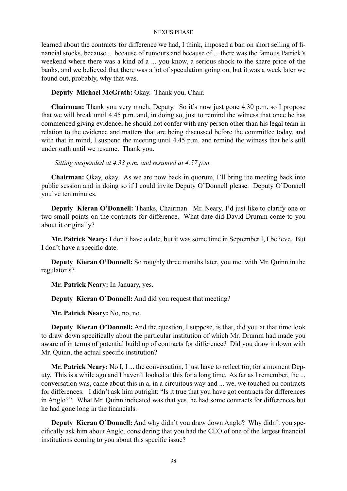learned about the contracts for difference we had, I think, imposed a ban on short selling of financial stocks, because ... because of rumours and because of ... there was the famous Patrick's weekend where there was a kind of a ... you know, a serious shock to the share price of the banks, and we believed that there was a lot of speculation going on, but it was a week later we found out, probably, why that was.

# **Deputy Michael McGrath:** Okay. Thank you, Chair.

**Chairman:** Thank you very much, Deputy. So it's now just gone 4.30 p.m. so I propose that we will break until 4.45 p.m. and, in doing so, just to remind the witness that once he has commenced giving evidence, he should not confer with any person other than his legal team in relation to the evidence and matters that are being discussed before the committee today, and with that in mind, I suspend the meeting until 4.45 p.m. and remind the witness that he's still under oath until we resume. Thank you.

 *Sitting suspended at 4.33 p.m. and resumed at 4.57 p.m.*

**Chairman:** Okay, okay. As we are now back in quorum, I'll bring the meeting back into public session and in doing so if I could invite Deputy O'Donnell please. Deputy O'Donnell you've ten minutes.

**Deputy Kieran O'Donnell:** Thanks, Chairman. Mr. Neary, I'd just like to clarify one or two small points on the contracts for difference. What date did David Drumm come to you about it originally?

**Mr. Patrick Neary:** I don't have a date, but it was some time in September I, I believe. But I don't have a specific date.

**Deputy Kieran O'Donnell:** So roughly three months later, you met with Mr. Quinn in the regulator's?

**Mr. Patrick Neary:** In January, yes.

**Deputy Kieran O'Donnell:** And did you request that meeting?

**Mr. Patrick Neary:** No, no, no.

**Deputy Kieran O'Donnell:** And the question, I suppose, is that, did you at that time look to draw down specifically about the particular institution of which Mr. Drumm had made you aware of in terms of potential build up of contracts for difference? Did you draw it down with Mr. Quinn, the actual specific institution?

**Mr. Patrick Neary:** No I, I ... the conversation, I just have to reflect for, for a moment Deputy. This is a while ago and I haven't looked at this for a long time. As far as I remember, the ... conversation was, came about this in a, in a circuitous way and ... we, we touched on contracts for differences. I didn't ask him outright: "Is it true that you have got contracts for differences in Anglo?". What Mr. Quinn indicated was that yes, he had some contracts for differences but he had gone long in the financials.

**Deputy Kieran O'Donnell:** And why didn't you draw down Anglo? Why didn't you specifically ask him about Anglo, considering that you had the CEO of one of the largest financial institutions coming to you about this specific issue?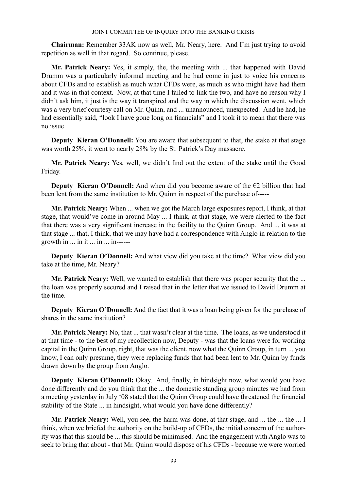**Chairman:** Remember 33AK now as well, Mr. Neary, here. And I'm just trying to avoid repetition as well in that regard. So continue, please.

**Mr. Patrick Neary:** Yes, it simply, the, the meeting with ... that happened with David Drumm was a particularly informal meeting and he had come in just to voice his concerns about CFDs and to establish as much what CFDs were, as much as who might have had them and it was in that context. Now, at that time I failed to link the two, and have no reason why I didn't ask him, it just is the way it transpired and the way in which the discussion went, which was a very brief courtesy call on Mr. Quinn, and ... unannounced, unexpected. And he had, he had essentially said, "look I have gone long on financials" and I took it to mean that there was no issue.

**Deputy Kieran O'Donnell:** You are aware that subsequent to that, the stake at that stage was worth 25%, it went to nearly 28% by the St. Patrick's Day massacre.

**Mr. Patrick Neary:** Yes, well, we didn't find out the extent of the stake until the Good Friday.

**Deputy Kieran O'Donnell:** And when did you become aware of the  $\epsilon$ 2 billion that had been lent from the same institution to Mr. Quinn in respect of the purchase of-----

**Mr. Patrick Neary:** When ... when we got the March large exposures report, I think, at that stage, that would've come in around May ... I think, at that stage, we were alerted to the fact that there was a very significant increase in the facility to the Quinn Group. And ... it was at that stage ... that, I think, that we may have had a correspondence with Anglo in relation to the growth in ... in it ... in ... in------

**Deputy Kieran O'Donnell:** And what view did you take at the time? What view did you take at the time, Mr. Neary?

**Mr. Patrick Neary:** Well, we wanted to establish that there was proper security that the ... the loan was properly secured and I raised that in the letter that we issued to David Drumm at the time.

**Deputy Kieran O'Donnell:** And the fact that it was a loan being given for the purchase of shares in the same institution?

**Mr. Patrick Neary:** No, that ... that wasn't clear at the time. The loans, as we understood it at that time - to the best of my recollection now, Deputy - was that the loans were for working capital in the Quinn Group, right, that was the client, now what the Quinn Group, in turn ... you know, I can only presume, they were replacing funds that had been lent to Mr. Quinn by funds drawn down by the group from Anglo.

**Deputy Kieran O'Donnell:** Okay. And, finally, in hindsight now, what would you have done differently and do you think that the ... the domestic standing group minutes we had from a meeting yesterday in July '08 stated that the Quinn Group could have threatened the financial stability of the State ... in hindsight, what would you have done differently?

**Mr. Patrick Neary:** Well, you see, the harm was done, at that stage, and ... the ... the ... I think, when we briefed the authority on the build-up of CFDs, the initial concern of the authority was that this should be ... this should be minimised. And the engagement with Anglo was to seek to bring that about - that Mr. Quinn would dispose of his CFDs - because we were worried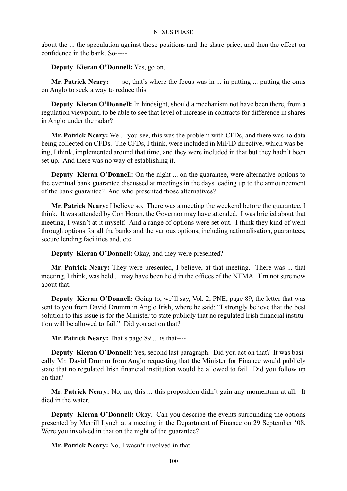about the ... the speculation against those positions and the share price, and then the effect on confidence in the bank. So-----

**Deputy Kieran O'Donnell:** Yes, go on.

**Mr. Patrick Neary: -----**so, that's where the focus was in ... in putting ... putting the onus on Anglo to seek a way to reduce this.

**Deputy Kieran O'Donnell:** In hindsight, should a mechanism not have been there, from a regulation viewpoint, to be able to see that level of increase in contracts for difference in shares in Anglo under the radar?

**Mr. Patrick Neary:** We ... you see, this was the problem with CFDs, and there was no data being collected on CFDs. The CFDs, I think, were included in MiFID directive, which was being, I think, implemented around that time, and they were included in that but they hadn't been set up. And there was no way of establishing it.

**Deputy Kieran O'Donnell:** On the night ... on the guarantee, were alternative options to the eventual bank guarantee discussed at meetings in the days leading up to the announcement of the bank guarantee? And who presented those alternatives?

**Mr. Patrick Neary:** I believe so. There was a meeting the weekend before the guarantee, I think. It was attended by Con Horan, the Governor may have attended. I was briefed about that meeting, I wasn't at it myself. And a range of options were set out. I think they kind of went through options for all the banks and the various options, including nationalisation, guarantees, secure lending facilities and, etc.

**Deputy Kieran O'Donnell:** Okay, and they were presented?

**Mr. Patrick Neary:** They were presented, I believe, at that meeting. There was ... that meeting, I think, was held ... may have been held in the offices of the NTMA. I'm not sure now about that.

**Deputy Kieran O'Donnell:** Going to, we'll say, Vol. 2, PNE, page 89, the letter that was sent to you from David Drumm in Anglo Irish, where he said: "I strongly believe that the best solution to this issue is for the Minister to state publicly that no regulated Irish financial institution will be allowed to fail." Did you act on that?

**Mr. Patrick Neary:** That's page 89 ... is that----

**Deputy Kieran O'Donnell:** Yes, second last paragraph. Did you act on that? It was basically Mr. David Drumm from Anglo requesting that the Minister for Finance would publicly state that no regulated Irish financial institution would be allowed to fail. Did you follow up on that?

**Mr. Patrick Neary:** No, no, this ... this proposition didn't gain any momentum at all. It died in the water.

**Deputy Kieran O'Donnell:** Okay. Can you describe the events surrounding the options presented by Merrill Lynch at a meeting in the Department of Finance on 29 September '08. Were you involved in that on the night of the guarantee?

**Mr. Patrick Neary:** No, I wasn't involved in that.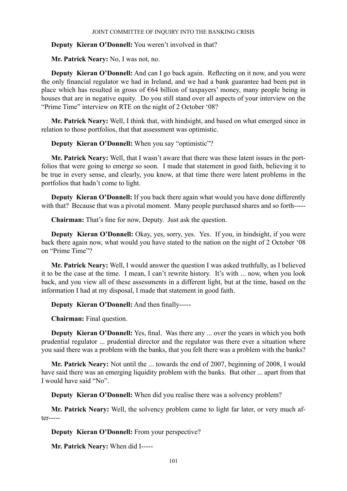# **Deputy Kieran O'Donnell:** You weren't involved in that?

**Mr. Patrick Neary:** No, I was not, no.

**Deputy Kieran O'Donnell:** And can I go back again. Reflecting on it now, and you were the only financial regulator we had in Ireland, and we had a bank guarantee had been put in place which has resulted in gross of  $\epsilon$ 64 billion of taxpayers' money, many people being in houses that are in negative equity. Do you still stand over all aspects of your interview on the "Prime Time" interview on RTE on the night of 2 October '08?

**Mr. Patrick Neary:** Well, I think that, with hindsight, and based on what emerged since in relation to those portfolios, that that assessment was optimistic.

**Deputy Kieran O'Donnell:** When you say "optimistic"?

**Mr. Patrick Neary:** Well, that I wasn't aware that there was these latent issues in the portfolios that were going to emerge so soon. I made that statement in good faith, believing it to be true in every sense, and clearly, you know, at that time there were latent problems in the portfolios that hadn't come to light.

**Deputy Kieran O'Donnell:** If you back there again what would you have done differently with that? Because that was a pivotal moment. Many people purchased shares and so forth-----

**Chairman:** That's fine for now, Deputy. Just ask the question.

**Deputy Kieran O'Donnell:** Okay, yes, sorry, yes. Yes. If you, in hindsight, if you were back there again now, what would you have stated to the nation on the night of 2 October '08 on "Prime Time"?

**Mr. Patrick Neary:** Well, I would answer the question I was asked truthfully, as I believed it to be the case at the time. I mean, I can't rewrite history. It's with ... now, when you look back, and you view all of these assessments in a different light, but at the time, based on the information I had at my disposal, I made that statement in good faith.

**Deputy Kieran O'Donnell:** And then finally-----

**Chairman:** Final question.

**Deputy Kieran O'Donnell:** Yes, final. Was there any ... over the years in which you both prudential regulator ... prudential director and the regulator was there ever a situation where you said there was a problem with the banks, that you felt there was a problem with the banks?

**Mr. Patrick Neary:** Not until the ... towards the end of 2007, beginning of 2008, I would have said there was an emerging liquidity problem with the banks. But other ... apart from that I would have said "No".

**Deputy Kieran O'Donnell:** When did you realise there was a solvency problem?

**Mr. Patrick Neary:** Well, the solvency problem came to light far later, or very much after-----

**Deputy Kieran O'Donnell:** From your perspective?

**Mr. Patrick Neary:** When did I-----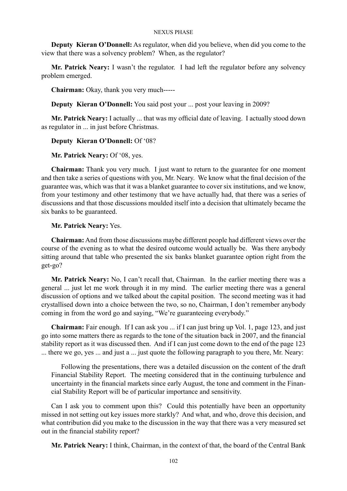**Deputy Kieran O'Donnell:** As regulator, when did you believe, when did you come to the view that there was a solvency problem? When, as the regulator?

**Mr. Patrick Neary:** I wasn't the regulator. I had left the regulator before any solvency problem emerged.

**Chairman:** Okay, thank you very much-----

**Deputy Kieran O'Donnell:** You said post your ... post your leaving in 2009?

**Mr. Patrick Neary:** I actually ... that was my official date of leaving. I actually stood down as regulator in ... in just before Christmas.

# **Deputy Kieran O'Donnell:** Of '08?

**Mr. Patrick Neary:** Of '08, yes.

**Chairman:** Thank you very much. I just want to return to the guarantee for one moment and then take a series of questions with you, Mr. Neary. We know what the final decision of the guarantee was, which was that it was a blanket guarantee to cover six institutions, and we know, from your testimony and other testimony that we have actually had, that there was a series of discussions and that those discussions moulded itself into a decision that ultimately became the six banks to be guaranteed.

# **Mr. Patrick Neary:** Yes.

**Chairman:** And from those discussions maybe different people had different views over the course of the evening as to what the desired outcome would actually be. Was there anybody sitting around that table who presented the six banks blanket guarantee option right from the get-go?

**Mr. Patrick Neary:** No, I can't recall that, Chairman. In the earlier meeting there was a general ... just let me work through it in my mind. The earlier meeting there was a general discussion of options and we talked about the capital position. The second meeting was it had crystallised down into a choice between the two, so no, Chairman, I don't remember anybody coming in from the word go and saying, "We're guaranteeing everybody."

**Chairman:** Fair enough. If I can ask you ... if I can just bring up Vol. 1, page 123, and just go into some matters there as regards to the tone of the situation back in 2007, and the financial stability report as it was discussed then. And if I can just come down to the end of the page 123 ... there we go, yes ... and just a ... just quote the following paragraph to you there, Mr. Neary:

Following the presentations, there was a detailed discussion on the content of the draft Financial Stability Report. The meeting considered that in the continuing turbulence and uncertainty in the financial markets since early August, the tone and comment in the Financial Stability Report will be of particular importance and sensitivity.

Can I ask you to comment upon this? Could this potentially have been an opportunity missed in not setting out key issues more starkly? And what, and who, drove this decision, and what contribution did you make to the discussion in the way that there was a very measured set out in the financial stability report?

**Mr. Patrick Neary:** I think, Chairman, in the context of that, the board of the Central Bank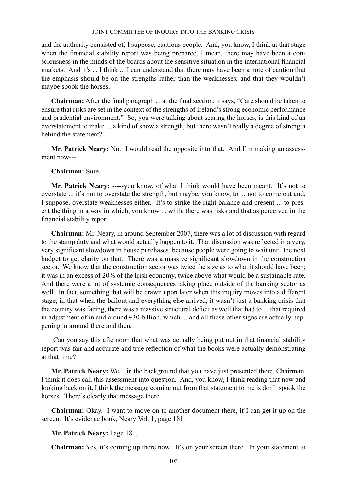and the authority consisted of, I suppose, cautious people. And, you know, I think at that stage when the financial stability report was being prepared, I mean, there may have been a consciousness in the minds of the boards about the sensitive situation in the international financial markets. And it's ... I think ... I can understand that there may have been a note of caution that the emphasis should be on the strengths rather than the weaknesses, and that they wouldn't maybe spook the horses.

**Chairman:** After the final paragraph ... at the final section, it says, "Care should be taken to ensure that risks are set in the context of the strengths of Ireland's strong economic performance and prudential environment." So, you were talking about scaring the horses, is this kind of an overstatement to make ... a kind of show a strength, but there wasn't really a degree of strength behind the statement?

**Mr. Patrick Neary:** No. I would read the opposite into that. And I'm making an assessment now---

# **Chairman:** Sure.

**Mr. Patrick Neary:** -----you know, of what I think would have been meant. It's not to overstate ... it's not to overstate the strength, but maybe, you know, to ... not to come out and, I suppose, overstate weaknesses either. It's to strike the right balance and present ... to present the thing in a way in which, you know ... while there was risks and that as perceived in the financial stability report.

**Chairman:** Mr. Neary, in around September 2007, there was a lot of discussion with regard to the stamp duty and what would actually happen to it. That discussion was reflected in a very, very significant slowdown in house purchases, because people were going to wait until the next budget to get clarity on that. There was a massive significant slowdown in the construction sector. We know that the construction sector was twice the size as to what it should have been; it was in an excess of 20% of the Irish economy, twice above what would be a sustainable rate. And there were a lot of systemic consequences taking place outside of the banking sector as well. In fact, something that will be drawn upon later when this inquiry moves into a different stage, in that when the bailout and everything else arrived, it wasn't just a banking crisis that the country was facing, there was a massive structural deficit as well that had to ... that required in adjustment of in and around  $\epsilon$ 30 billion, which ... and all those other signs are actually happening in around there and then.

 Can you say this afternoon that what was actually being put out in that financial stability report was fair and accurate and true reflection of what the books were actually demonstrating at that time?

**Mr. Patrick Neary:** Well, in the background that you have just presented there, Chairman, I think it does call this assessment into question. And, you know, I think reading that now and looking back on it, I think the message coming out from that statement to me is don't spook the horses. There's clearly that message there.

**Chairman:** Okay. I want to move on to another document there, if I can get it up on the screen. It's evidence book, Neary Vol. 1, page 181.

# **Mr. Patrick Neary:** Page 181.

**Chairman:** Yes, it's coming up there now. It's on your screen there. In your statement to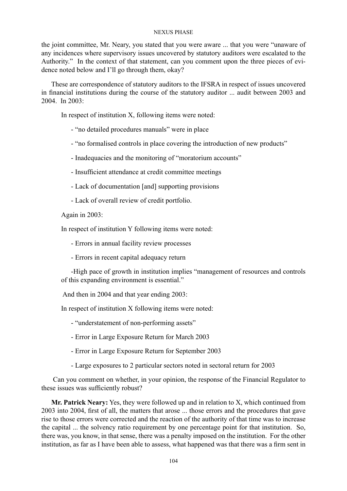the joint committee, Mr. Neary, you stated that you were aware ... that you were "unaware of any incidences where supervisory issues uncovered by statutory auditors were escalated to the Authority." In the context of that statement, can you comment upon the three pieces of evidence noted below and I'll go through them, okay?

These are correspondence of statutory auditors to the IFSRA in respect of issues uncovered in financial institutions during the course of the statutory auditor ... audit between 2003 and  $2004$  In  $2003$ 

In respect of institution X, following items were noted:

- "no detailed procedures manuals" were in place

- "no formalised controls in place covering the introduction of new products"
- Inadequacies and the monitoring of "moratorium accounts"
- Insufficient attendance at credit committee meetings
- Lack of documentation [and] supporting provisions
- Lack of overall review of credit portfolio.

Again in 2003:

In respect of institution Y following items were noted:

- Errors in annual facility review processes

- Errors in recent capital adequacy return

-High pace of growth in institution implies "management of resources and controls of this expanding environment is essential."

And then in 2004 and that year ending 2003:

In respect of institution X following items were noted:

- "understatement of non-performing assets"
- Error in Large Exposure Return for March 2003
- Error in Large Exposure Return for September 2003
- Large exposures to 2 particular sectors noted in sectoral return for 2003

 Can you comment on whether, in your opinion, the response of the Financial Regulator to these issues was sufficiently robust?

**Mr. Patrick Neary:** Yes, they were followed up and in relation to X, which continued from 2003 into 2004, first of all, the matters that arose ... those errors and the procedures that gave rise to those errors were corrected and the reaction of the authority of that time was to increase the capital ... the solvency ratio requirement by one percentage point for that institution. So, there was, you know, in that sense, there was a penalty imposed on the institution. For the other institution, as far as I have been able to assess, what happened was that there was a firm sent in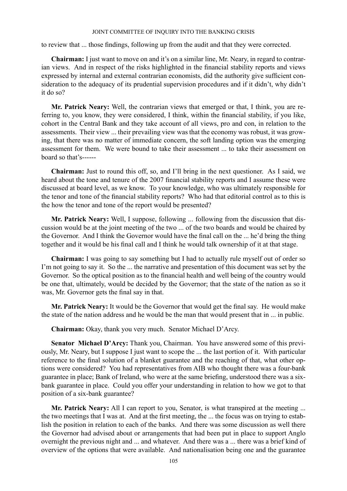to review that ... those findings, following up from the audit and that they were corrected.

**Chairman:** I just want to move on and it's on a similar line, Mr. Neary, in regard to contrarian views. And in respect of the risks highlighted in the financial stability reports and views expressed by internal and external contrarian economists, did the authority give sufficient consideration to the adequacy of its prudential supervision procedures and if it didn't, why didn't it do so?

**Mr. Patrick Neary:** Well, the contrarian views that emerged or that, I think, you are referring to, you know, they were considered, I think, within the financial stability, if you like, cohort in the Central Bank and they take account of all views, pro and con, in relation to the assessments. Their view ... their prevailing view was that the economy was robust, it was growing, that there was no matter of immediate concern, the soft landing option was the emerging assessment for them. We were bound to take their assessment ... to take their assessment on board so that's------

**Chairman:** Just to round this off, so, and I'll bring in the next questioner. As I said, we heard about the tone and tenure of the 2007 financial stability reports and I assume these were discussed at board level, as we know. To your knowledge, who was ultimately responsible for the tenor and tone of the financial stability reports? Who had that editorial control as to this is the how the tenor and tone of the report would be presented?

**Mr. Patrick Neary:** Well, I suppose, following ... following from the discussion that discussion would be at the joint meeting of the two ... of the two boards and would be chaired by the Governor. And I think the Governor would have the final call on the ... he'd bring the thing together and it would be his final call and I think he would talk ownership of it at that stage.

**Chairman:** I was going to say something but I had to actually rule myself out of order so I'm not going to say it. So the ... the narrative and presentation of this document was set by the Governor. So the optical position as to the financial health and well being of the country would be one that, ultimately, would be decided by the Governor; that the state of the nation as so it was, Mr. Governor gets the final say in that.

**Mr. Patrick Neary:** It would be the Governor that would get the final say. He would make the state of the nation address and he would be the man that would present that in ... in public.

**Chairman:** Okay, thank you very much. Senator Michael D'Arcy.

**Senator Michael D'Arcy:** Thank you, Chairman. You have answered some of this previously, Mr. Neary, but I suppose I just want to scope the ... the last portion of it. With particular reference to the final solution of a blanket guarantee and the reaching of that, what other options were considered? You had representatives from AIB who thought there was a four-bank guarantee in place; Bank of Ireland, who were at the same briefing, understood there was a sixbank guarantee in place. Could you offer your understanding in relation to how we got to that position of a six-bank guarantee?

**Mr. Patrick Neary:** All I can report to you, Senator, is what transpired at the meeting ... the two meetings that I was at. And at the first meeting, the ... the focus was on trying to establish the position in relation to each of the banks. And there was some discussion as well there the Governor had advised about or arrangements that had been put in place to support Anglo overnight the previous night and ... and whatever. And there was a ... there was a brief kind of overview of the options that were available. And nationalisation being one and the guarantee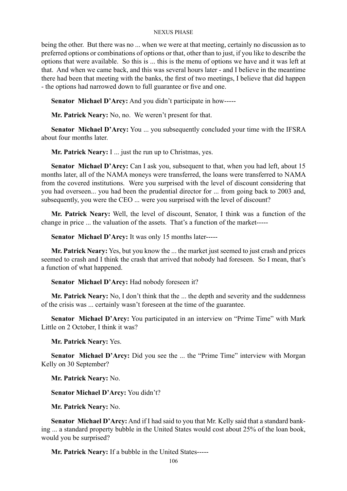being the other. But there was no ... when we were at that meeting, certainly no discussion as to preferred options or combinations of options or that, other than to just, if you like to describe the options that were available. So this is ... this is the menu of options we have and it was left at that. And when we came back, and this was several hours later - and I believe in the meantime there had been that meeting with the banks, the first of two meetings, I believe that did happen - the options had narrowed down to full guarantee or five and one.

**Senator Michael D'Arcy:** And you didn't participate in how-----

**Mr. Patrick Neary:** No, no. We weren't present for that.

**Senator Michael D'Arcy:** You ... you subsequently concluded your time with the IFSRA about four months later.

**Mr. Patrick Neary:** I ... just the run up to Christmas, yes.

**Senator Michael D'Arcy:** Can I ask you, subsequent to that, when you had left, about 15 months later, all of the NAMA moneys were transferred, the loans were transferred to NAMA from the covered institutions. Were you surprised with the level of discount considering that you had overseen... you had been the prudential director for ... from going back to 2003 and, subsequently, you were the CEO ... were you surprised with the level of discount?

**Mr. Patrick Neary:** Well, the level of discount, Senator, I think was a function of the change in price ... the valuation of the assets. That's a function of the market-----

**Senator Michael D'Arcy:** It was only 15 months later-----

**Mr. Patrick Neary:** Yes, but you know the ... the market just seemed to just crash and prices seemed to crash and I think the crash that arrived that nobody had foreseen. So I mean, that's a function of what happened.

Senator Michael D'Arcy: Had nobody foreseen it?

**Mr. Patrick Neary:** No, I don't think that the ... the depth and severity and the suddenness of the crisis was ... certainly wasn't foreseen at the time of the guarantee.

**Senator Michael D'Arcy:** You participated in an interview on "Prime Time" with Mark Little on 2 October, I think it was?

**Mr. Patrick Neary:** Yes.

**Senator Michael D'Arcy:** Did you see the ... the "Prime Time" interview with Morgan Kelly on 30 September?

**Mr. Patrick Neary:** No.

**Senator Michael D'Arcy:** You didn't?

**Mr. Patrick Neary:** No.

**Senator Michael D'Arcy:** And if I had said to you that Mr. Kelly said that a standard banking ... a standard property bubble in the United States would cost about 25% of the loan book, would you be surprised?

**Mr. Patrick Neary:** If a bubble in the United States-----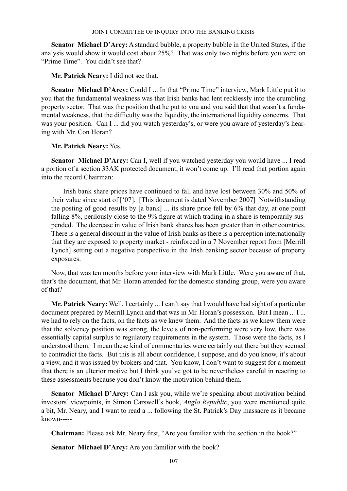**Senator Michael D'Arcy:** A standard bubble, a property bubble in the United States, if the analysis would show it would cost about 25%? That was only two nights before you were on "Prime Time". You didn't see that?

**Mr. Patrick Neary:** I did not see that.

**Senator Michael D'Arcy:** Could I ... In that "Prime Time" interview, Mark Little put it to you that the fundamental weakness was that Irish banks had lent recklessly into the crumbling property sector. That was the position that he put to you and you said that that wasn't a fundamental weakness, that the difficulty was the liquidity, the international liquidity concerns. That was your position. Can I ... did you watch yesterday's, or were you aware of yesterday's hearing with Mr. Con Horan?

# **Mr. Patrick Neary:** Yes.

**Senator Michael D'Arcy:** Can I, well if you watched yesterday you would have ... I read a portion of a section 33AK protected document, it won't come up. I'll read that portion again into the record Chairman:

 Irish bank share prices have continued to fall and have lost between 30% and 50% of their value since start of ['07]. [This document is dated November 2007] Notwithstanding the posting of good results by [a bank] ... its share price fell by 6% that day, at one point falling 8%, perilously close to the 9% figure at which trading in a share is temporarily suspended. The decrease in value of Irish bank shares has been greater than in other countries. There is a general discount in the value of Irish banks as there is a perception internationally that they are exposed to property market - reinforced in a 7 November report from [Merrill Lynch] setting out a negative perspective in the Irish banking sector because of property exposures.

Now, that was ten months before your interview with Mark Little. Were you aware of that, that's the document, that Mr. Horan attended for the domestic standing group, were you aware of that?

**Mr. Patrick Neary:** Well, I certainly ... I can't say that I would have had sight of a particular document prepared by Merrill Lynch and that was in Mr. Horan's possession. But I mean ... I ... we had to rely on the facts, on the facts as we knew them. And the facts as we knew them were that the solvency position was strong, the levels of non-performing were very low, there was essentially capital surplus to regulatory requirements in the system. Those were the facts, as I understood them. I mean these kind of commentaries were certainly out there but they seemed to contradict the facts. But this is all about confidence, I suppose, and do you know, it's about a view, and it was issued by brokers and that. You know, I don't want to suggest for a moment that there is an ulterior motive but I think you've got to be nevertheless careful in reacting to these assessments because you don't know the motivation behind them.

**Senator Michael D'Arcy:** Can I ask you, while we're speaking about motivation behind investors' viewpoints, in Simon Carswell's book, *Anglo Republic*, you were mentioned quite a bit, Mr. Neary, and I want to read a ... following the St. Patrick's Day massacre as it became known-----

**Chairman:** Please ask Mr. Neary first, "Are you familiar with the section in the book?"

**Senator Michael D'Arcy:** Are you familiar with the book?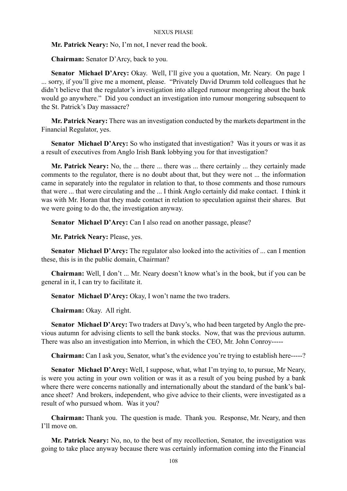**Mr. Patrick Neary:** No, I'm not, I never read the book.

**Chairman:** Senator D'Arcy, back to you.

**Senator Michael D'Arcy:** Okay. Well, I'll give you a quotation, Mr. Neary. On page 1 ... sorry, if you'll give me a moment, please. "Privately David Drumm told colleagues that he didn't believe that the regulator's investigation into alleged rumour mongering about the bank would go anywhere." Did you conduct an investigation into rumour mongering subsequent to the St. Patrick's Day massacre?

**Mr. Patrick Neary:** There was an investigation conducted by the markets department in the Financial Regulator, yes.

**Senator Michael D'Arcy:** So who instigated that investigation? Was it yours or was it as a result of executives from Anglo Irish Bank lobbying you for that investigation?

**Mr. Patrick Neary:** No, the ... there ... there was ... there certainly ... they certainly made comments to the regulator, there is no doubt about that, but they were not ... the information came in separately into the regulator in relation to that, to those comments and those rumours that were ... that were circulating and the ... I think Anglo certainly did make contact. I think it was with Mr. Horan that they made contact in relation to speculation against their shares. But we were going to do the, the investigation anyway.

**Senator Michael D'Arcy:** Can I also read on another passage, please?

**Mr. Patrick Neary:** Please, yes.

**Senator Michael D'Arcy:** The regulator also looked into the activities of ... can I mention these, this is in the public domain, Chairman?

**Chairman:** Well, I don't ... Mr. Neary doesn't know what's in the book, but if you can be general in it, I can try to facilitate it.

**Senator Michael D'Arcy:** Okay, I won't name the two traders.

**Chairman:** Okay. All right.

**Senator Michael D'Arcy:** Two traders at Davy's, who had been targeted by Anglo the previous autumn for advising clients to sell the bank stocks. Now, that was the previous autumn. There was also an investigation into Merrion, in which the CEO, Mr. John Conroy-----

**Chairman:** Can I ask you, Senator, what's the evidence you're trying to establish here-----?

**Senator Michael D'Arcy:** Well, I suppose, what, what I'm trying to, to pursue, Mr Neary, is were you acting in your own volition or was it as a result of you being pushed by a bank where there were concerns nationally and internationally about the standard of the bank's balance sheet? And brokers, independent, who give advice to their clients, were investigated as a result of who pursued whom. Was it you?

**Chairman:** Thank you. The question is made. Thank you. Response, Mr. Neary, and then I'll move on.

**Mr. Patrick Neary:** No, no, to the best of my recollection, Senator, the investigation was going to take place anyway because there was certainly information coming into the Financial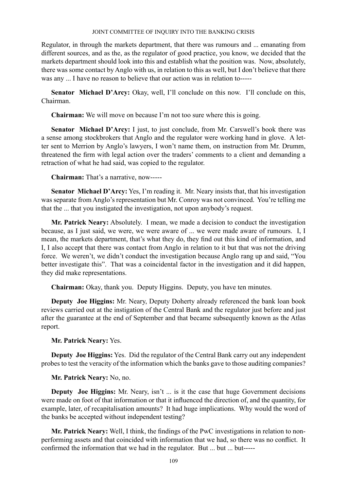Regulator, in through the markets department, that there was rumours and ... emanating from different sources, and as the, as the regulator of good practice, you know, we decided that the markets department should look into this and establish what the position was. Now, absolutely, there was some contact by Anglo with us, in relation to this as well, but I don't believe that there was any ... I have no reason to believe that our action was in relation to-----

Senator Michael D'Arcy: Okay, well, I'll conclude on this now. I'll conclude on this, Chairman.

**Chairman:** We will move on because I'm not too sure where this is going.

**Senator Michael D'Arcy:** I just, to just conclude, from Mr. Carswell's book there was a sense among stockbrokers that Anglo and the regulator were working hand in glove. A letter sent to Merrion by Anglo's lawyers, I won't name them, on instruction from Mr. Drumm, threatened the firm with legal action over the traders' comments to a client and demanding a retraction of what he had said, was copied to the regulator.

**Chairman:** That's a narrative, now-----

**Senator Michael D'Arcy:** Yes, I'm reading it. Mr. Neary insists that, that his investigation was separate from Anglo's representation but Mr. Conroy was not convinced. You're telling me that the ... that you instigated the investigation, not upon anybody's request.

**Mr. Patrick Neary:** Absolutely. I mean, we made a decision to conduct the investigation because, as I just said, we were, we were aware of ... we were made aware of rumours. I, I mean, the markets department, that's what they do, they find out this kind of information, and I, I also accept that there was contact from Anglo in relation to it but that was not the driving force. We weren't, we didn't conduct the investigation because Anglo rang up and said, "You better investigate this". That was a coincidental factor in the investigation and it did happen, they did make representations.

**Chairman:** Okay, thank you. Deputy Higgins. Deputy, you have ten minutes.

**Deputy Joe Higgins:** Mr. Neary, Deputy Doherty already referenced the bank loan book reviews carried out at the instigation of the Central Bank and the regulator just before and just after the guarantee at the end of September and that became subsequently known as the Atlas report.

**Mr. Patrick Neary:** Yes.

**Deputy Joe Higgins:** Yes. Did the regulator of the Central Bank carry out any independent probes to test the veracity of the information which the banks gave to those auditing companies?

**Mr. Patrick Neary:** No, no.

**Deputy Joe Higgins:** Mr. Neary, isn't ... is it the case that huge Government decisions were made on foot of that information or that it influenced the direction of, and the quantity, for example, later, of recapitalisation amounts? It had huge implications. Why would the word of the banks be accepted without independent testing?

**Mr. Patrick Neary:** Well, I think, the findings of the PwC investigations in relation to nonperforming assets and that coincided with information that we had, so there was no conflict. It confirmed the information that we had in the regulator. But ... but ... but-----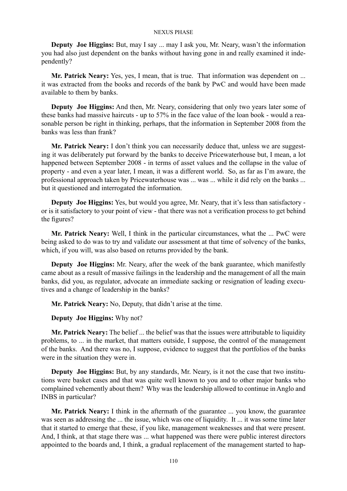**Deputy Joe Higgins:** But, may I say ... may I ask you, Mr. Neary, wasn't the information you had also just dependent on the banks without having gone in and really examined it independently?

**Mr. Patrick Neary:** Yes, yes, I mean, that is true. That information was dependent on ... it was extracted from the books and records of the bank by PwC and would have been made available to them by banks.

**Deputy Joe Higgins:** And then, Mr. Neary, considering that only two years later some of these banks had massive haircuts - up to 57% in the face value of the loan book - would a reasonable person be right in thinking, perhaps, that the information in September 2008 from the banks was less than frank?

**Mr. Patrick Neary:** I don't think you can necessarily deduce that, unless we are suggesting it was deliberately put forward by the banks to deceive Pricewaterhouse but, I mean, a lot happened between September 2008 - in terms of asset values and the collapse in the value of property - and even a year later, I mean, it was a different world. So, as far as I'm aware, the professional approach taken by Pricewaterhouse was ... was ... while it did rely on the banks ... but it questioned and interrogated the information.

**Deputy Joe Higgins:** Yes, but would you agree, Mr. Neary, that it's less than satisfactory or is it satisfactory to your point of view - that there was not a verification process to get behind the figures?

**Mr. Patrick Neary:** Well, I think in the particular circumstances, what the ... PwC were being asked to do was to try and validate our assessment at that time of solvency of the banks, which, if you will, was also based on returns provided by the bank.

**Deputy Joe Higgins:** Mr. Neary, after the week of the bank guarantee, which manifestly came about as a result of massive failings in the leadership and the management of all the main banks, did you, as regulator, advocate an immediate sacking or resignation of leading executives and a change of leadership in the banks?

**Mr. Patrick Neary:** No, Deputy, that didn't arise at the time.

**Deputy Joe Higgins:** Why not?

**Mr. Patrick Neary:** The belief ... the belief was that the issues were attributable to liquidity problems, to ... in the market, that matters outside, I suppose, the control of the management of the banks. And there was no, I suppose, evidence to suggest that the portfolios of the banks were in the situation they were in.

**Deputy Joe Higgins:** But, by any standards, Mr. Neary, is it not the case that two institutions were basket cases and that was quite well known to you and to other major banks who complained vehemently about them? Why was the leadership allowed to continue in Anglo and INBS in particular?

**Mr. Patrick Neary:** I think in the aftermath of the guarantee ... you know, the guarantee was seen as addressing the ... the issue, which was one of liquidity. It ... it was some time later that it started to emerge that these, if you like, management weaknesses and that were present. And, I think, at that stage there was ... what happened was there were public interest directors appointed to the boards and, I think, a gradual replacement of the management started to hap-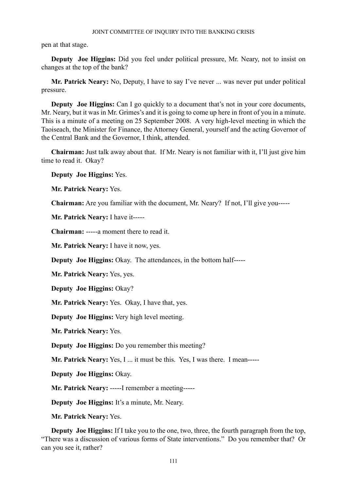pen at that stage.

**Deputy Joe Higgins:** Did you feel under political pressure, Mr. Neary, not to insist on changes at the top of the bank?

**Mr. Patrick Neary:** No, Deputy, I have to say I've never ... was never put under political pressure.

**Deputy** Joe Higgins: Can I go quickly to a document that's not in your core documents, Mr. Neary, but it was in Mr. Grimes's and it is going to come up here in front of you in a minute. This is a minute of a meeting on 25 September 2008. A very high-level meeting in which the Taoiseach, the Minister for Finance, the Attorney General, yourself and the acting Governor of the Central Bank and the Governor, I think, attended

**Chairman:** Just talk away about that. If Mr. Neary is not familiar with it, I'll just give him time to read it. Okay?

**Deputy Joe Higgins:** Yes.

**Mr. Patrick Neary:** Yes.

**Chairman:** Are you familiar with the document, Mr. Neary? If not, I'll give you-----

**Mr. Patrick Neary:** I have it-----

**Chairman:** -----a moment there to read it.

**Mr. Patrick Neary:** I have it now, yes.

**Deputy Joe Higgins:** Okay. The attendances, in the bottom half-----

**Mr. Patrick Neary:** Yes, yes.

**Deputy Joe Higgins:** Okay?

**Mr. Patrick Neary:** Yes. Okay, I have that, yes.

**Deputy Joe Higgins:** Very high level meeting.

**Mr. Patrick Neary:** Yes.

**Deputy Joe Higgins:** Do you remember this meeting?

**Mr. Patrick Neary:** Yes, I ... it must be this. Yes, I was there. I mean-----

**Deputy Joe Higgins:** Okay.

**Mr. Patrick Neary:** -----I remember a meeting-----

**Deputy Joe Higgins:** It's a minute, Mr. Neary.

**Mr. Patrick Neary:** Yes.

**Deputy Joe Higgins:** If I take you to the one, two, three, the fourth paragraph from the top, "There was a discussion of various forms of State interventions." Do you remember that? Or can you see it, rather?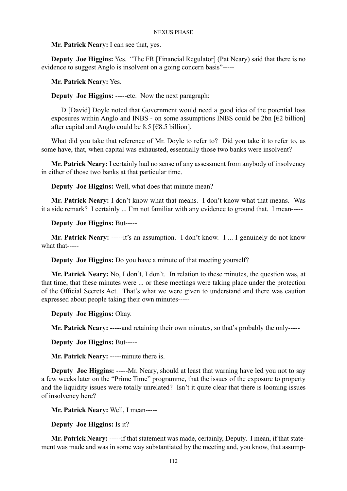**Mr. Patrick Neary:** I can see that, yes.

**Deputy Joe Higgins:** Yes. "The FR [Financial Regulator] (Pat Neary) said that there is no evidence to suggest Anglo is insolvent on a going concern basis"-----

**Mr. Patrick Neary:** Yes.

**Deputy Joe Higgins:** -----etc. Now the next paragraph:

D [David] Doyle noted that Government would need a good idea of the potential loss exposures within Anglo and INBS - on some assumptions INBS could be 2bn  $[62$  billion] after capital and Anglo could be 8.5 [ $€8.5$  billion].

What did you take that reference of Mr. Doyle to refer to? Did you take it to refer to, as some have, that, when capital was exhausted, essentially those two banks were insolvent?

**Mr. Patrick Neary:** I certainly had no sense of any assessment from anybody of insolvency in either of those two banks at that particular time.

**Deputy Joe Higgins:** Well, what does that minute mean?

**Mr. Patrick Neary:** I don't know what that means. I don't know what that means. Was it a side remark? I certainly ... I'm not familiar with any evidence to ground that. I mean-----

**Deputy Joe Higgins:** But-----

**Mr. Patrick Neary: -----it's an assumption.** I don't know. I ... I genuinely do not know what that-----

**Deputy Joe Higgins:** Do you have a minute of that meeting yourself?

**Mr. Patrick Neary:** No, I don't, I don't. In relation to these minutes, the question was, at that time, that these minutes were ... or these meetings were taking place under the protection of the Official Secrets Act. That's what we were given to understand and there was caution expressed about people taking their own minutes-----

**Deputy Joe Higgins:** Okay.

**Mr. Patrick Neary:** -----and retaining their own minutes, so that's probably the only-----

**Deputy Joe Higgins:** But-----

**Mr. Patrick Neary:** -----minute there is.

**Deputy Joe Higgins:** -----Mr. Neary, should at least that warning have led you not to say a few weeks later on the "Prime Time" programme, that the issues of the exposure to property and the liquidity issues were totally unrelated? Isn't it quite clear that there is looming issues of insolvency here?

**Mr. Patrick Neary:** Well, I mean-----

**Deputy Joe Higgins:** Is it?

**Mr. Patrick Neary:** -----if that statement was made, certainly, Deputy. I mean, if that statement was made and was in some way substantiated by the meeting and, you know, that assump-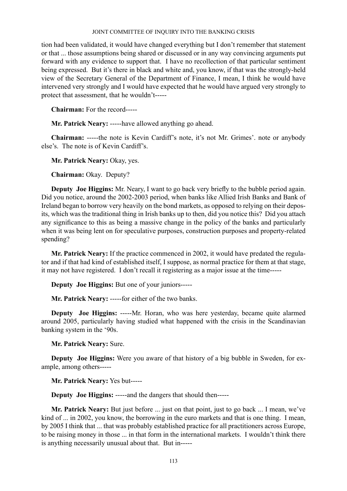tion had been validated, it would have changed everything but I don't remember that statement or that ... those assumptions being shared or discussed or in any way convincing arguments put forward with any evidence to support that. I have no recollection of that particular sentiment being expressed. But it's there in black and white and, you know, if that was the strongly-held view of the Secretary General of the Department of Finance, I mean, I think he would have intervened very strongly and I would have expected that he would have argued very strongly to protect that assessment, that he wouldn't-----

**Chairman:** For the record-----

**Mr. Patrick Neary:** -----have allowed anything go ahead.

**Chairman:** -----the note is Kevin Cardiff's note, it's not Mr. Grimes'. note or anybody else's. The note is of Kevin Cardiff's.

**Mr. Patrick Neary:** Okay, yes.

**Chairman:** Okay. Deputy?

**Deputy Joe Higgins:** Mr. Neary, I want to go back very briefly to the bubble period again. Did you notice, around the 2002-2003 period, when banks like Allied Irish Banks and Bank of Ireland began to borrow very heavily on the bond markets, as opposed to relying on their deposits, which was the traditional thing in Irish banks up to then, did you notice this? Did you attach any significance to this as being a massive change in the policy of the banks and particularly when it was being lent on for speculative purposes, construction purposes and property-related spending?

**Mr. Patrick Neary:** If the practice commenced in 2002, it would have predated the regulator and if that had kind of established itself, I suppose, as normal practice for them at that stage, it may not have registered. I don't recall it registering as a major issue at the time-----

**Deputy Joe Higgins:** But one of your juniors-----

**Mr. Patrick Neary:** -----for either of the two banks.

**Deputy Joe Higgins:** -----Mr. Horan, who was here yesterday, became quite alarmed around 2005, particularly having studied what happened with the crisis in the Scandinavian banking system in the '90s.

**Mr. Patrick Neary:** Sure.

**Deputy Joe Higgins:** Were you aware of that history of a big bubble in Sweden, for example, among others-----

**Mr. Patrick Neary:** Yes but-----

**Deputy Joe Higgins:** -----and the dangers that should then-----

**Mr. Patrick Neary:** But just before ... just on that point, just to go back ... I mean, we've kind of ... in 2002, you know, the borrowing in the euro markets and that is one thing. I mean, by 2005 I think that ... that was probably established practice for all practitioners across Europe, to be raising money in those ... in that form in the international markets. I wouldn't think there is anything necessarily unusual about that. But in-----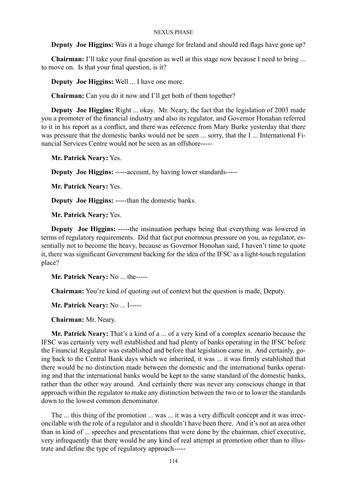**Deputy Joe Higgins:** Was it a huge change for Ireland and should red flags have gone up?

**Chairman:** I'll take your final question as well at this stage now because I need to bring ... to move on. Is that your final question, is it?

**Deputy Joe Higgins:** Well ... I have one more.

**Chairman:** Can you do it now and I'll get both of them together?

**Deputy Joe Higgins:** Right ... okay. Mr. Neary, the fact that the legislation of 2003 made you a promoter of the financial industry and also its regulator, and Governor Honahan referred to it in his report as a conflict, and there was reference from Mary Burke yesterday that there was pressure that the domestic banks would not be seen ... sorry, that the I ... International Financial Services Centre would not be seen as an offshore-----

**Mr. Patrick Neary:** Yes.

**Deputy Joe Higgins:** -----account, by having lower standards-----

**Mr. Patrick Neary:** Yes.

**Deputy Joe Higgins:** -----than the domestic banks.

**Mr. Patrick Neary:** Yes.

**Deputy Joe Higgins:** -----the insinuation perhaps being that everything was lowered in terms of regulatory requirements. Did that fact put enormous pressure on you, as regulator, essentially not to become the heavy, because as Governor Honohan said, I haven't time to quote it, there was significant Government backing for the idea of the IFSC as a light-touch regulation place?

**Mr. Patrick Neary:** No ... the-----

**Chairman:** You're kind of quoting out of context but the question is made, Deputy.

**Mr. Patrick Neary:** No ... I-----

**Chairman:** Mr. Neary.

**Mr. Patrick Neary:** That's a kind of a ... of a very kind of a complex scenario because the IFSC was certainly very well established and had plenty of banks operating in the IFSC before the Financial Regulator was established and before that legislation came in. And certainly, going back to the Central Bank days which we inherited, it was ... it was firmly established that there would be no distinction made between the domestic and the international banks operating and that the international banks would be kept to the same standard of the domestic banks, rather than the other way around. And certainly there was never any conscious change in that approach within the regulator to make any distinction between the two or to lower the standards down to the lowest common denominator.

The ... this thing of the promotion ... was ... it was a very difficult concept and it was irreconcilable with the role of a regulator and it shouldn't have been there. And it's not an area other than in kind of ... speeches and presentations that were done by the chairman, chief executive, very infrequently that there would be any kind of real attempt at promotion other than to illustrate and define the type of regulatory approach-----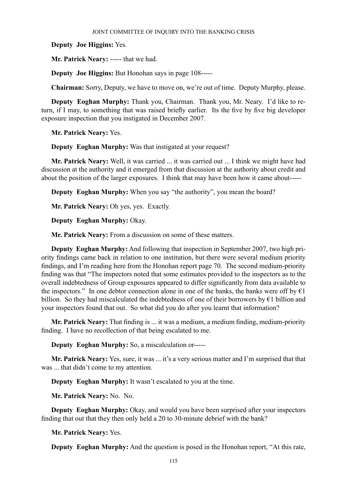**Deputy Joe Higgins:** Yes.

**Mr. Patrick Neary:** ----- that we had.

**Deputy Joe Higgins:** But Honohan says in page 108-----

**Chairman:** Sorry, Deputy, we have to move on, we're out of time. Deputy Murphy, please.

**Deputy Eoghan Murphy:** Thank you, Chairman. Thank you, Mr. Neary. I'd like to return, if I may, to something that was raised briefly earlier. Its the five by five big developer exposure inspection that you instigated in December 2007.

**Mr. Patrick Neary:** Yes.

**Deputy Eoghan Murphy:** Was that instigated at your request?

**Mr. Patrick Neary:** Well, it was carried ... it was carried out ... I think we might have had discussion at the authority and it emerged from that discussion at the authority about credit and about the position of the larger exposures. I think that may have been how it came about-----

**Deputy Eoghan Murphy:** When you say "the authority", you mean the board?

**Mr. Patrick Neary:** Oh yes, yes. Exactly.

**Deputy Eoghan Murphy:** Okay.

**Mr. Patrick Neary:** From a discussion on some of these matters.

**Deputy Eoghan Murphy:** And following that inspection in September 2007, two high priority findings came back in relation to one institution, but there were several medium priority findings, and I'm reading here from the Honohan report page 70. The second medium-priority finding was that "The inspectors noted that some estimates provided to the inspectors as to the overall indebtedness of Group exposures appeared to differ significantly from data available to the inspectors." In one debtor connection alone in one of the banks, the banks were off by  $\epsilon_1$ billion. So they had miscalculated the indebtedness of one of their borrowers by €1 billion and your inspectors found that out. So what did you do after you learnt that information?

**Mr. Patrick Neary:** That finding is ... it was a medium, a medium finding, medium-priority finding. I have no recollection of that being escalated to me.

**Deputy Eoghan Murphy:** So, a miscalculation or-----

**Mr. Patrick Neary:** Yes, sure, it was ... it's a very serious matter and I'm surprised that that was ... that didn't come to my attention.

**Deputy Eoghan Murphy:** It wasn't escalated to you at the time.

**Mr. Patrick Neary:** No. No.

**Deputy Eoghan Murphy:** Okay, and would you have been surprised after your inspectors finding that out that they then only held a 20 to 30-minute debrief with the bank?

**Mr. Patrick Neary:** Yes.

**Deputy Eoghan Murphy:** And the question is posed in the Honohan report, "At this rate,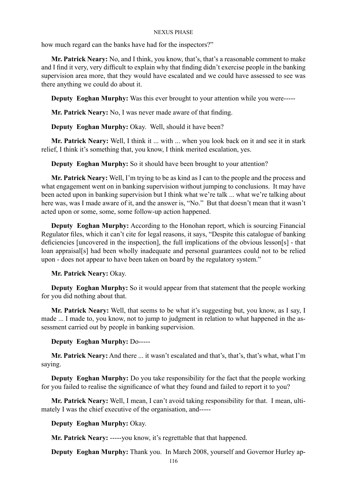how much regard can the banks have had for the inspectors?"

**Mr. Patrick Neary:** No, and I think, you know, that's, that's a reasonable comment to make and I find it very, very difficult to explain why that finding didn't exercise people in the banking supervision area more, that they would have escalated and we could have assessed to see was there anything we could do about it.

**Deputy Eoghan Murphy:** Was this ever brought to your attention while you were-----

**Mr. Patrick Neary:** No, I was never made aware of that finding.

**Deputy Eoghan Murphy:** Okay. Well, should it have been?

**Mr. Patrick Neary:** Well, I think it ... with ... when you look back on it and see it in stark relief, I think it's something that, you know, I think merited escalation, yes.

**Deputy Eoghan Murphy:** So it should have been brought to your attention?

**Mr. Patrick Neary:** Well, I'm trying to be as kind as I can to the people and the process and what engagement went on in banking supervision without jumping to conclusions. It may have been acted upon in banking supervision but I think what we're talk ... what we're talking about here was, was I made aware of it, and the answer is, "No." But that doesn't mean that it wasn't acted upon or some, some, some follow-up action happened.

**Deputy Eoghan Murphy:** According to the Honohan report, which is sourcing Financial Regulator files, which it can't cite for legal reasons, it says, "Despite this catalogue of banking deficiencies [uncovered in the inspection], the full implications of the obvious lesson[s] - that loan appraisal[s] had been wholly inadequate and personal guarantees could not to be relied upon - does not appear to have been taken on board by the regulatory system."

# **Mr. Patrick Neary:** Okay.

**Deputy Eoghan Murphy:** So it would appear from that statement that the people working for you did nothing about that.

**Mr. Patrick Neary:** Well, that seems to be what it's suggesting but, you know, as I say, I made ... I made to, you know, not to jump to judgment in relation to what happened in the assessment carried out by people in banking supervision.

# **Deputy Eoghan Murphy:** Do-----

**Mr. Patrick Neary:** And there ... it wasn't escalated and that's, that's, that's what, what I'm saying.

**Deputy Eoghan Murphy:** Do you take responsibility for the fact that the people working for you failed to realise the significance of what they found and failed to report it to you?

**Mr. Patrick Neary:** Well, I mean, I can't avoid taking responsibility for that. I mean, ultimately I was the chief executive of the organisation, and-----

# **Deputy Eoghan Murphy:** Okay.

**Mr. Patrick Neary:** -----you know, it's regrettable that that happened.

**Deputy Eoghan Murphy:** Thank you. In March 2008, yourself and Governor Hurley ap-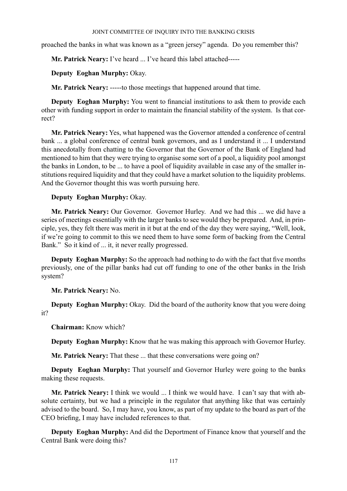proached the banks in what was known as a "green jersey" agenda. Do you remember this?

**Mr. Patrick Neary:** I've heard ... I've heard this label attached-----

**Deputy Eoghan Murphy:** Okay.

**Mr. Patrick Neary:** -----to those meetings that happened around that time.

**Deputy Eoghan Murphy:** You went to financial institutions to ask them to provide each other with funding support in order to maintain the financial stability of the system. Is that correct?

**Mr. Patrick Neary:** Yes, what happened was the Governor attended a conference of central bank ... a global conference of central bank governors, and as I understand it ... I understand this anecdotally from chatting to the Governor that the Governor of the Bank of England had mentioned to him that they were trying to organise some sort of a pool, a liquidity pool amongst the banks in London, to be ... to have a pool of liquidity available in case any of the smaller institutions required liquidity and that they could have a market solution to the liquidity problems. And the Governor thought this was worth pursuing here.

# **Deputy Eoghan Murphy:** Okay.

**Mr. Patrick Neary:** Our Governor. Governor Hurley. And we had this ... we did have a series of meetings essentially with the larger banks to see would they be prepared. And, in principle, yes, they felt there was merit in it but at the end of the day they were saying, "Well, look, if we're going to commit to this we need them to have some form of backing from the Central Bank." So it kind of ... it, it never really progressed.

**Deputy Eoghan Murphy:** So the approach had nothing to do with the fact that five months previously, one of the pillar banks had cut off funding to one of the other banks in the Irish system?

**Mr. Patrick Neary:** No.

**Deputy Eoghan Murphy:** Okay. Did the board of the authority know that you were doing it?

**Chairman:** Know which?

**Deputy Eoghan Murphy:** Know that he was making this approach with Governor Hurley.

**Mr. Patrick Neary:** That these ... that these conversations were going on?

**Deputy Eoghan Murphy:** That yourself and Governor Hurley were going to the banks making these requests.

**Mr. Patrick Neary:** I think we would ... I think we would have. I can't say that with absolute certainty, but we had a principle in the regulator that anything like that was certainly advised to the board. So, I may have, you know, as part of my update to the board as part of the CEO briefing, I may have included references to that.

**Deputy Eoghan Murphy:** And did the Deportment of Finance know that yourself and the Central Bank were doing this?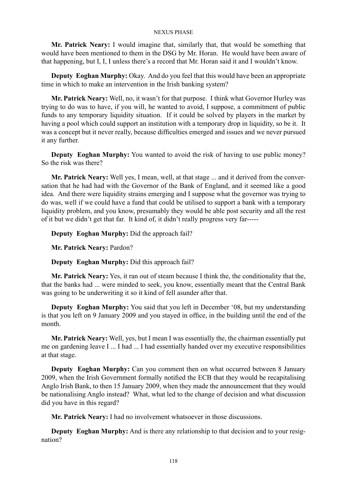**Mr. Patrick Neary:** I would imagine that, similarly that, that would be something that would have been mentioned to them in the DSG by Mr. Horan. He would have been aware of that happening, but I, I, I unless there's a record that Mr. Horan said it and I wouldn't know.

**Deputy Eoghan Murphy:** Okay. And do you feel that this would have been an appropriate time in which to make an intervention in the Irish banking system?

**Mr. Patrick Neary:** Well, no, it wasn't for that purpose. I think what Governor Hurley was trying to do was to have, if you will, he wanted to avoid, I suppose, a commitment of public funds to any temporary liquidity situation. If it could be solved by players in the market by having a pool which could support an institution with a temporary drop in liquidity, so be it. It was a concept but it never really, because difficulties emerged and issues and we never pursued it any further.

**Deputy Eoghan Murphy:** You wanted to avoid the risk of having to use public money? So the risk was there?

**Mr. Patrick Neary:** Well yes, I mean, well, at that stage ... and it derived from the conversation that he had had with the Governor of the Bank of England, and it seemed like a good idea. And there were liquidity strains emerging and I suppose what the governor was trying to do was, well if we could have a fund that could be utilised to support a bank with a temporary liquidity problem, and you know, presumably they would be able post security and all the rest of it but we didn't get that far. It kind of, it didn't really progress very far-----

**Deputy Eoghan Murphy:** Did the approach fail?

**Mr. Patrick Neary:** Pardon?

**Deputy Eoghan Murphy:** Did this approach fail?

**Mr. Patrick Neary:** Yes, it ran out of steam because I think the, the conditionality that the, that the banks had ... were minded to seek, you know, essentially meant that the Central Bank was going to be underwriting it so it kind of fell asunder after that.

**Deputy Eoghan Murphy:** You said that you left in December '08, but my understanding is that you left on 9 January 2009 and you stayed in office, in the building until the end of the month.

**Mr. Patrick Neary:** Well, yes, but I mean I was essentially the, the chairman essentially put me on gardening leave I ... I had ... I had essentially handed over my executive responsibilities at that stage.

**Deputy Eoghan Murphy:** Can you comment then on what occurred between 8 January 2009, when the Irish Government formally notified the ECB that they would be recapitalising Anglo Irish Bank, to then 15 January 2009, when they made the announcement that they would be nationalising Anglo instead? What, what led to the change of decision and what discussion did you have in this regard?

**Mr. Patrick Neary:** I had no involvement whatsoever in those discussions.

**Deputy Eoghan Murphy:** And is there any relationship to that decision and to your resignation?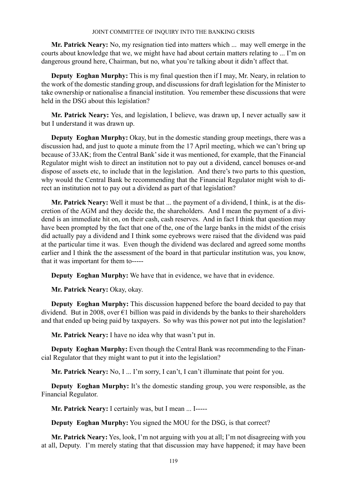**Mr. Patrick Neary:** No, my resignation tied into matters which ... may well emerge in the courts about knowledge that we, we might have had about certain matters relating to ... I'm on dangerous ground here, Chairman, but no, what you're talking about it didn't affect that.

**Deputy Eoghan Murphy:** This is my final question then if I may, Mr. Neary, in relation to the work of the domestic standing group, and discussions for draft legislation for the Minister to take ownership or nationalise a financial institution. You remember these discussions that were held in the DSG about this legislation?

**Mr. Patrick Neary:** Yes, and legislation, I believe, was drawn up, I never actually saw it but I understand it was drawn up.

**Deputy Eoghan Murphy:** Okay, but in the domestic standing group meetings, there was a discussion had, and just to quote a minute from the 17 April meeting, which we can't bring up because of 33AK; from the Central Bank' side it was mentioned, for example, that the Financial Regulator might wish to direct an institution not to pay out a dividend, cancel bonuses or-and dispose of assets etc, to include that in the legislation. And there's two parts to this question, why would the Central Bank be recommending that the Financial Regulator might wish to direct an institution not to pay out a dividend as part of that legislation?

**Mr. Patrick Neary:** Well it must be that ... the payment of a dividend, I think, is at the discretion of the AGM and they decide the, the shareholders. And I mean the payment of a dividend is an immediate hit on, on their cash, cash reserves. And in fact I think that question may have been prompted by the fact that one of the, one of the large banks in the midst of the crisis did actually pay a dividend and I think some eyebrows were raised that the dividend was paid at the particular time it was. Even though the dividend was declared and agreed some months earlier and I think the the assessment of the board in that particular institution was, you know, that it was important for them to-----

**Deputy Eoghan Murphy:** We have that in evidence, we have that in evidence.

**Mr. Patrick Neary:** Okay, okay.

**Deputy Eoghan Murphy:** This discussion happened before the board decided to pay that dividend. But in 2008, over  $\epsilon$ 1 billion was paid in dividends by the banks to their shareholders and that ended up being paid by taxpayers. So why was this power not put into the legislation?

**Mr. Patrick Neary:** I have no idea why that wasn't put in.

**Deputy Eoghan Murphy:** Even though the Central Bank was recommending to the Financial Regulator that they might want to put it into the legislation?

**Mr. Patrick Neary:** No, I ... I'm sorry, I can't, I can't illuminate that point for you.

**Deputy Eoghan Murphy:** It's the domestic standing group, you were responsible, as the Financial Regulator.

**Mr. Patrick Neary:** I certainly was, but I mean ... I-----

**Deputy Eoghan Murphy:** You signed the MOU for the DSG, is that correct?

**Mr. Patrick Neary:** Yes, look, I'm not arguing with you at all; I'm not disagreeing with you at all, Deputy. I'm merely stating that that discussion may have happened; it may have been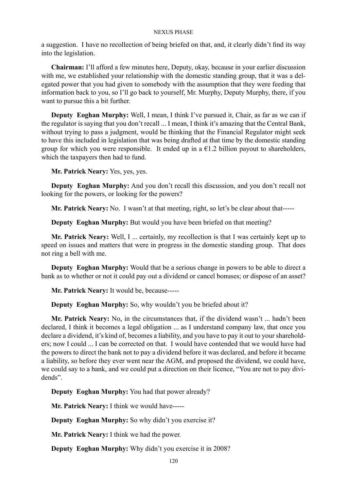a suggestion. I have no recollection of being briefed on that, and, it clearly didn't find its way into the legislation.

**Chairman:** I'll afford a few minutes here, Deputy, okay, because in your earlier discussion with me, we established your relationship with the domestic standing group, that it was a delegated power that you had given to somebody with the assumption that they were feeding that information back to you, so I'll go back to yourself, Mr. Murphy, Deputy Murphy, there, if you want to pursue this a bit further.

**Deputy Eoghan Murphy:** Well, I mean, I think I've pursued it, Chair, as far as we can if the regulator is saying that you don't recall ... I mean, I think it's amazing that the Central Bank, without trying to pass a judgment, would be thinking that the Financial Regulator might seek to have this included in legislation that was being drafted at that time by the domestic standing group for which you were responsible. It ended up in a  $\epsilon$ 1.2 billion payout to shareholders, which the taxpayers then had to fund.

**Mr. Patrick Neary:** Yes, yes, yes.

**Deputy Eoghan Murphy:** And you don't recall this discussion, and you don't recall not looking for the powers, or looking for the powers?

**Mr. Patrick Neary:** No. I wasn't at that meeting, right, so let's be clear about that-----

**Deputy Eoghan Murphy:** But would you have been briefed on that meeting?

**Mr. Patrick Neary:** Well, I ... certainly, my recollection is that I was certainly kept up to speed on issues and matters that were in progress in the domestic standing group. That does not ring a bell with me.

**Deputy Eoghan Murphy:** Would that be a serious change in powers to be able to direct a bank as to whether or not it could pay out a dividend or cancel bonuses; or dispose of an asset?

**Mr. Patrick Neary:** It would be, because-----

**Deputy Eoghan Murphy:** So, why wouldn't you be briefed about it?

**Mr. Patrick Neary:** No, in the circumstances that, if the dividend wasn't ... hadn't been declared, I think it becomes a legal obligation ... as I understand company law, that once you declare a dividend, it's kind of, becomes a liability, and you have to pay it out to your shareholders; now I could ... I can be corrected on that. I would have contended that we would have had the powers to direct the bank not to pay a dividend before it was declared, and before it became a liability, so before they ever went near the AGM, and proposed the dividend, we could have, we could say to a bank, and we could put a direction on their licence, "You are not to pay dividends".

**Deputy Eoghan Murphy:** You had that power already?

**Mr. Patrick Neary:** I think we would have-----

**Deputy Eoghan Murphy:** So why didn't you exercise it?

**Mr. Patrick Neary:** I think we had the power.

**Deputy Eoghan Murphy:** Why didn't you exercise it in 2008?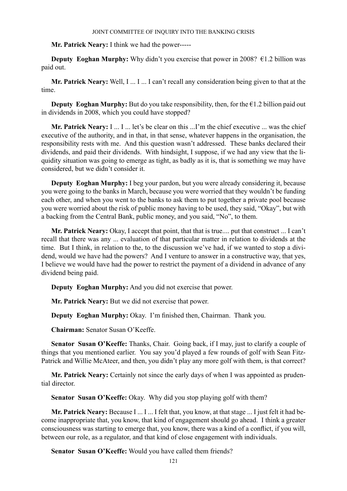**Mr. Patrick Neary:** I think we had the power-----

**Deputy Eoghan Murphy:** Why didn't you exercise that power in 2008?  $\epsilon$ 1.2 billion was paid out.

**Mr. Patrick Neary:** Well, I ... I ... I can't recall any consideration being given to that at the time.

**Deputy Eoghan Murphy:** But do you take responsibility, then, for the  $\epsilon$ 1.2 billion paid out in dividends in 2008, which you could have stopped?

**Mr. Patrick Neary:** I ... I ... let's be clear on this ...I'm the chief executive ... was the chief executive of the authority, and in that, in that sense, whatever happens in the organisation, the responsibility rests with me. And this question wasn't addressed. These banks declared their dividends, and paid their dividends. With hindsight, I suppose, if we had any view that the liquidity situation was going to emerge as tight, as badly as it is, that is something we may have considered, but we didn't consider it.

**Deputy Eoghan Murphy:** I beg your pardon, but you were already considering it, because you were going to the banks in March, because you were worried that they wouldn't be funding each other, and when you went to the banks to ask them to put together a private pool because you were worried about the risk of public money having to be used, they said, "Okay", but with a backing from the Central Bank, public money, and you said, "No", to them.

**Mr. Patrick Neary:** Okay, I accept that point, that that is true.... put that construct ... I can't recall that there was any ... evaluation of that particular matter in relation to dividends at the time. But I think, in relation to the, to the discussion we've had, if we wanted to stop a dividend, would we have had the powers? And I venture to answer in a constructive way, that yes, I believe we would have had the power to restrict the payment of a dividend in advance of any dividend being paid.

**Deputy Eoghan Murphy:** And you did not exercise that power.

**Mr. Patrick Neary:** But we did not exercise that power.

**Deputy Eoghan Murphy:** Okay. I'm finished then, Chairman. Thank you.

**Chairman:** Senator Susan O'Keeffe.

Senator Susan O'Keeffe: Thanks, Chair. Going back, if I may, just to clarify a couple of things that you mentioned earlier. You say you'd played a few rounds of golf with Sean Fitz-Patrick and Willie McAteer, and then, you didn't play any more golf with them, is that correct?

**Mr. Patrick Neary:** Certainly not since the early days of when I was appointed as prudential director.

**Senator Susan O'Keeffe:** Okay. Why did you stop playing golf with them?

**Mr. Patrick Neary:** Because I ... I ... I felt that, you know, at that stage ... I just felt it had become inappropriate that, you know, that kind of engagement should go ahead. I think a greater consciousness was starting to emerge that, you know, there was a kind of a conflict, if you will, between our role, as a regulator, and that kind of close engagement with individuals.

**Senator Susan O'Keeffe:** Would you have called them friends?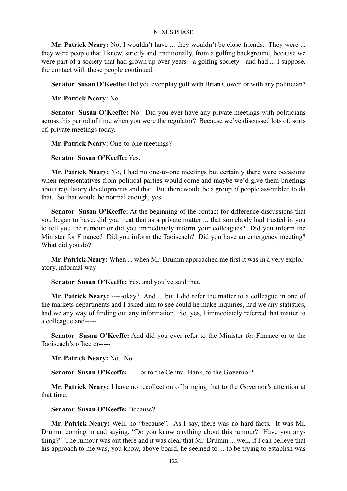**Mr. Patrick Neary:** No, I wouldn't have ... they wouldn't be close friends. They were ... they were people that I knew, strictly and traditionally, from a golfing background, because we were part of a society that had grown up over years - a golfing society - and had ... I suppose, the contact with those people continued.

**Senator Susan O'Keeffe:** Did you ever play golf with Brian Cowen or with any politician?

**Mr. Patrick Neary:** No.

**Senator Susan O'Keeffe:** No. Did you ever have any private meetings with politicians across this period of time when you were the regulator? Because we've discussed lots of, sorts of, private meetings today.

**Mr. Patrick Neary:** One-to-one meetings?

**Senator Susan O'Keeffe:** Yes.

**Mr. Patrick Neary:** No, I had no one-to-one meetings but certainly there were occasions when representatives from political parties would come and maybe we'd give them briefings about regulatory developments and that. But there would be a group of people assembled to do that. So that would be normal enough, yes.

**Senator Susan O'Keeffe:** At the beginning of the contact for difference discussions that you began to have, did you treat that as a private matter ... that somebody had trusted in you to tell you the rumour or did you immediately inform your colleagues? Did you inform the Minister for Finance? Did you inform the Taoiseach? Did you have an emergency meeting? What did you do?

**Mr. Patrick Neary:** When ... when Mr. Drumm approached me first it was in a very exploratory, informal way-----

**Senator Susan O'Keeffe:** Yes, and you've said that.

**Mr. Patrick Neary:** -----okay? And ... but I did refer the matter to a colleague in one of the markets departments and I asked him to see could he make inquiries, had we any statistics, had we any way of finding out any information. So, yes, I immediately referred that matter to a colleague and-----

**Senator Susan O'Keeffe:** And did you ever refer to the Minister for Finance or to the Taoiseach's office or-----

**Mr. Patrick Neary:** No. No.

Senator Susan O'Keeffe: -----or to the Central Bank, to the Governor?

**Mr. Patrick Neary:** I have no recollection of bringing that to the Governor's attention at that time.

**Senator Susan O'Keeffe:** Because?

**Mr. Patrick Neary:** Well, no "because". As I say, there was no hard facts. It was Mr. Drumm coming in and saying, "Do you know anything about this rumour? Have you anything?" The rumour was out there and it was clear that Mr. Drumm ... well, if I can believe that his approach to me was, you know, above board, he seemed to ... to be trying to establish was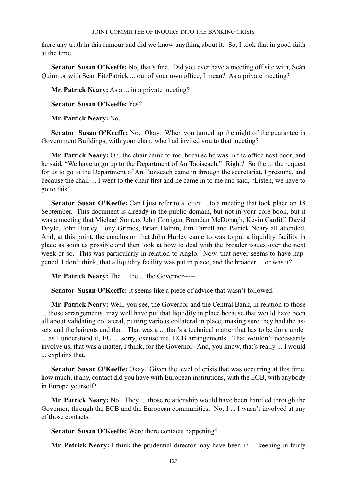there any truth in this rumour and did we know anything about it. So, I took that in good faith at the time.

**Senator Susan O'Keeffe:** No, that's fine. Did you ever have a meeting off site with, Seán Quinn or with Seán FitzPatrick ... out of your own office, I mean? As a private meeting?

**Mr. Patrick Neary:** As a ... in a private meeting?

**Senator Susan O'Keeffe:** Yes?

**Mr. Patrick Neary:** No.

**Senator Susan O'Keeffe:** No. Okay. When you turned up the night of the guarantee in Government Buildings, with your chair, who had invited you to that meeting?

**Mr. Patrick Neary:** Oh, the chair came to me, because he was in the office next door, and he said, "We have to go up to the Department of An Taoiseach." Right? So the ... the request for us to go to the Department of An Taoiseach came in through the secretariat, I presume, and because the chair ... I went to the chair first and he came in to me and said, "Listen, we have to go to this".

Senator Susan O'Keeffe: Can I just refer to a letter ... to a meeting that took place on 18 September. This document is already in the public domain, but not in your core book, but it was a meeting that Michael Somers John Corrigan, Brendan McDonagh, Kevin Cardiff, David Doyle, John Hurley, Tony Grimes, Brian Halpin, Jim Farrell and Patrick Neary all attended. And, at this point, the conclusion that John Hurley came to was to put a liquidity facility in place as soon as possible and then look at how to deal with the broader issues over the next week or so. This was particularly in relation to Anglo. Now, that never seems to have happened, I don't think, that a liquidity facility was put in place, and the broader ... or was it?

**Mr. Patrick Neary:** The ... the ... the Governor-----

**Senator Susan O'Keeffe:** It seems like a piece of advice that wasn't followed.

**Mr. Patrick Neary:** Well, you see, the Governor and the Central Bank, in relation to those ... those arrangements, may well have put that liquidity in place because that would have been all about validating collateral, putting various collateral in place, making sure they had the assets and the haircuts and that. That was a ... that's a technical matter that has to be done under ... as I understood it, EU ... sorry, excuse me, ECB arrangements. That wouldn't necessarily involve us, that was a matter, I think, for the Governor. And, you know, that's really ... I would ... explains that.

**Senator Susan O'Keeffe:** Okay. Given the level of crisis that was occurring at this time, how much, if any, contact did you have with European institutions, with the ECB, with anybody in Europe yourself?

**Mr. Patrick Neary:** No. They ... those relationship would have been handled through the Governor, through the ECB and the European communities. No, I ... I wasn't involved at any of those contacts.

**Senator Susan O'Keeffe:** Were there contacts happening?

**Mr. Patrick Neary:** I think the prudential director may have been in ... keeping in fairly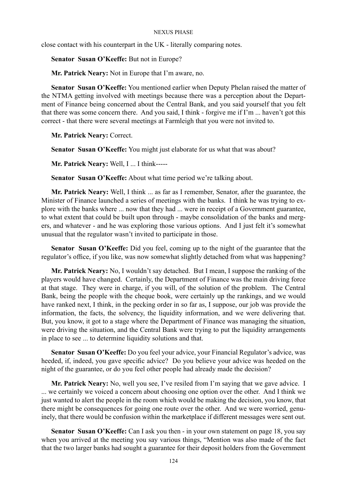close contact with his counterpart in the UK - literally comparing notes.

**Senator Susan O'Keeffe:** But not in Europe?

**Mr. Patrick Neary:** Not in Europe that I'm aware, no.

**Senator Susan O'Keeffe:** You mentioned earlier when Deputy Phelan raised the matter of the NTMA getting involved with meetings because there was a perception about the Department of Finance being concerned about the Central Bank, and you said yourself that you felt that there was some concern there. And you said, I think - forgive me if I'm ... haven't got this correct - that there were several meetings at Farmleigh that you were not invited to.

**Mr. Patrick Neary:** Correct.

**Senator Susan O'Keeffe:** You might just elaborate for us what that was about?

**Mr. Patrick Neary:** Well, I ... I think-----

**Senator Susan O'Keeffe:** About what time period we're talking about.

**Mr. Patrick Neary:** Well, I think ... as far as I remember, Senator, after the guarantee, the Minister of Finance launched a series of meetings with the banks. I think he was trying to explore with the banks where ... now that they had ... were in receipt of a Government guarantee, to what extent that could be built upon through - maybe consolidation of the banks and mergers, and whatever - and he was exploring those various options. And I just felt it's somewhat unusual that the regulator wasn't invited to participate in those.

**Senator Susan O'Keeffe:** Did you feel, coming up to the night of the guarantee that the regulator's office, if you like, was now somewhat slightly detached from what was happening?

**Mr. Patrick Neary:** No, I wouldn't say detached. But I mean, I suppose the ranking of the players would have changed. Certainly, the Department of Finance was the main driving force at that stage. They were in charge, if you will, of the solution of the problem. The Central Bank, being the people with the cheque book, were certainly up the rankings, and we would have ranked next, I think, in the pecking order in so far as, I suppose, our job was provide the information, the facts, the solvency, the liquidity information, and we were delivering that. But, you know, it got to a stage where the Department of Finance was managing the situation, were driving the situation, and the Central Bank were trying to put the liquidity arrangements in place to see ... to determine liquidity solutions and that.

**Senator Susan O'Keeffe:** Do you feel your advice, your Financial Regulator's advice, was heeded, if, indeed, you gave specific advice? Do you believe your advice was heeded on the night of the guarantee, or do you feel other people had already made the decision?

**Mr. Patrick Neary:** No, well you see, I've resiled from I'm saying that we gave advice. I ... we certainly we voiced a concern about choosing one option over the other. And I think we just wanted to alert the people in the room which would be making the decision, you know, that there might be consequences for going one route over the other. And we were worried, genuinely, that there would be confusion within the marketplace if different messages were sent out.

**Senator Susan O'Keeffe:** Can I ask you then - in your own statement on page 18, you say when you arrived at the meeting you say various things, "Mention was also made of the fact that the two larger banks had sought a guarantee for their deposit holders from the Government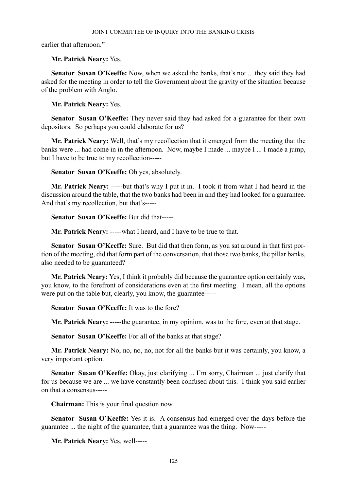earlier that afternoon."

## **Mr. Patrick Neary:** Yes.

**Senator Susan O'Keeffe:** Now, when we asked the banks, that's not ... they said they had asked for the meeting in order to tell the Government about the gravity of the situation because of the problem with Anglo.

**Mr. Patrick Neary:** Yes.

**Senator Susan O'Keeffe:** They never said they had asked for a guarantee for their own depositors. So perhaps you could elaborate for us?

**Mr. Patrick Neary:** Well, that's my recollection that it emerged from the meeting that the banks were ... had come in in the afternoon. Now, maybe I made ... maybe I ... I made a jump, but I have to be true to my recollection-----

**Senator Susan O'Keeffe:** Oh yes, absolutely.

**Mr. Patrick Neary:** -----but that's why I put it in. I took it from what I had heard in the discussion around the table, that the two banks had been in and they had looked for a guarantee. And that's my recollection, but that's-----

**Senator Susan O'Keeffe:** But did that-----

**Mr. Patrick Neary:** -----what I heard, and I have to be true to that.

**Senator Susan O'Keeffe:** Sure. But did that then form, as you sat around in that first portion of the meeting, did that form part of the conversation, that those two banks, the pillar banks, also needed to be guaranteed?

**Mr. Patrick Neary:** Yes, I think it probably did because the guarantee option certainly was, you know, to the forefront of considerations even at the first meeting. I mean, all the options were put on the table but, clearly, you know, the guarantee-----

**Senator Susan O'Keeffe:** It was to the fore?

**Mr. Patrick Neary:** -----the guarantee, in my opinion, was to the fore, even at that stage.

**Senator Susan O'Keeffe:** For all of the banks at that stage?

**Mr. Patrick Neary:** No, no, no, no, not for all the banks but it was certainly, you know, a very important option.

**Senator Susan O'Keeffe:** Okay, just clarifying ... I'm sorry, Chairman ... just clarify that for us because we are ... we have constantly been confused about this. I think you said earlier on that a consensus-----

**Chairman:** This is your final question now.

**Senator Susan O'Keeffe:** Yes it is. A consensus had emerged over the days before the guarantee ... the night of the guarantee, that a guarantee was the thing. Now-----

**Mr. Patrick Neary:** Yes, well-----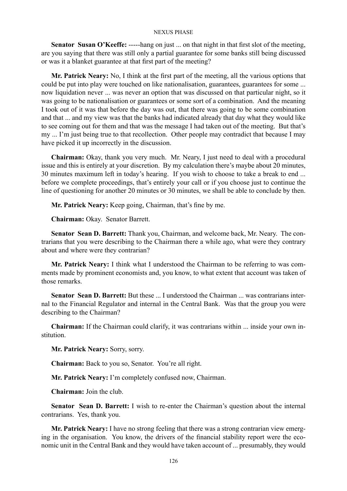**Senator Susan O'Keeffe:** -----hang on just ... on that night in that first slot of the meeting, are you saying that there was still only a partial guarantee for some banks still being discussed or was it a blanket guarantee at that first part of the meeting?

**Mr. Patrick Neary:** No, I think at the first part of the meeting, all the various options that could be put into play were touched on like nationalisation, guarantees, guarantees for some ... now liquidation never ... was never an option that was discussed on that particular night, so it was going to be nationalisation or guarantees or some sort of a combination. And the meaning I took out of it was that before the day was out, that there was going to be some combination and that ... and my view was that the banks had indicated already that day what they would like to see coming out for them and that was the message I had taken out of the meeting. But that's my ... I'm just being true to that recollection. Other people may contradict that because I may have picked it up incorrectly in the discussion.

**Chairman:** Okay, thank you very much. Mr. Neary, I just need to deal with a procedural issue and this is entirely at your discretion. By my calculation there's maybe about 20 minutes, 30 minutes maximum left in today's hearing. If you wish to choose to take a break to end ... before we complete proceedings, that's entirely your call or if you choose just to continue the line of questioning for another 20 minutes or 30 minutes, we shall be able to conclude by then.

**Mr. Patrick Neary:** Keep going, Chairman, that's fine by me.

**Chairman:** Okay. Senator Barrett.

**Senator Sean D. Barrett:** Thank you, Chairman, and welcome back, Mr. Neary. The contrarians that you were describing to the Chairman there a while ago, what were they contrary about and where were they contrarian?

**Mr. Patrick Neary:** I think what I understood the Chairman to be referring to was comments made by prominent economists and, you know, to what extent that account was taken of those remarks.

**Senator Sean D. Barrett:** But these ... I understood the Chairman ... was contrarians internal to the Financial Regulator and internal in the Central Bank. Was that the group you were describing to the Chairman?

**Chairman:** If the Chairman could clarify, it was contrarians within ... inside your own institution.

**Mr. Patrick Neary:** Sorry, sorry.

**Chairman:** Back to you so, Senator. You're all right.

**Mr. Patrick Neary:** I'm completely confused now, Chairman.

**Chairman:** Join the club.

**Senator Sean D. Barrett:** I wish to re-enter the Chairman's question about the internal contrarians. Yes, thank you.

**Mr. Patrick Neary:** I have no strong feeling that there was a strong contrarian view emerging in the organisation. You know, the drivers of the financial stability report were the economic unit in the Central Bank and they would have taken account of ... presumably, they would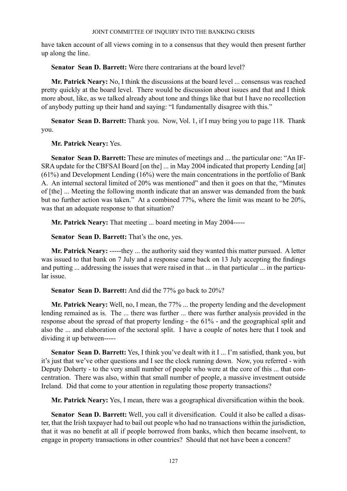have taken account of all views coming in to a consensus that they would then present further up along the line.

**Senator Sean D. Barrett:** Were there contrarians at the board level?

**Mr. Patrick Neary:** No, I think the discussions at the board level ... consensus was reached pretty quickly at the board level. There would be discussion about issues and that and I think more about, like, as we talked already about tone and things like that but I have no recollection of anybody putting up their hand and saying: "I fundamentally disagree with this."

**Senator Sean D. Barrett:** Thank you. Now, Vol. 1, if I may bring you to page 118. Thank you.

**Mr. Patrick Neary:** Yes.

**Senator Sean D. Barrett:** These are minutes of meetings and ... the particular one: "An IF-SRA update for the CBFSAI Board [on the] ... in May 2004 indicated that property Lending [at] (61%) and Development Lending (16%) were the main concentrations in the portfolio of Bank A. An internal sectoral limited of 20% was mentioned" and then it goes on that the, "Minutes of [the] ... Meeting the following month indicate that an answer was demanded from the bank but no further action was taken." At a combined 77%, where the limit was meant to be 20%, was that an adequate response to that situation?

**Mr. Patrick Neary:** That meeting ... board meeting in May 2004-----

**Senator Sean D. Barrett:** That's the one, yes.

**Mr. Patrick Neary:** -----they ... the authority said they wanted this matter pursued. A letter was issued to that bank on 7 July and a response came back on 13 July accepting the findings and putting ... addressing the issues that were raised in that ... in that particular ... in the particular issue.

**Senator Sean D. Barrett:** And did the 77% go back to 20%?

**Mr. Patrick Neary:** Well, no, I mean, the 77% ... the property lending and the development lending remained as is. The ... there was further ... there was further analysis provided in the response about the spread of that property lending - the 61% - and the geographical split and also the ... and elaboration of the sectoral split. I have a couple of notes here that I took and dividing it up between-----

**Senator Sean D. Barrett:** Yes, I think you've dealt with it I ... I'm satisfied, thank you, but it's just that we've other questions and I see the clock running down. Now, you referred - with Deputy Doherty - to the very small number of people who were at the core of this ... that concentration. There was also, within that small number of people, a massive investment outside Ireland. Did that come to your attention in regulating those property transactions?

**Mr. Patrick Neary:** Yes, I mean, there was a geographical diversification within the book.

**Senator Sean D. Barrett:** Well, you call it diversification. Could it also be called a disaster, that the Irish taxpayer had to bail out people who had no transactions within the jurisdiction, that it was no benefit at all if people borrowed from banks, which then became insolvent, to engage in property transactions in other countries? Should that not have been a concern?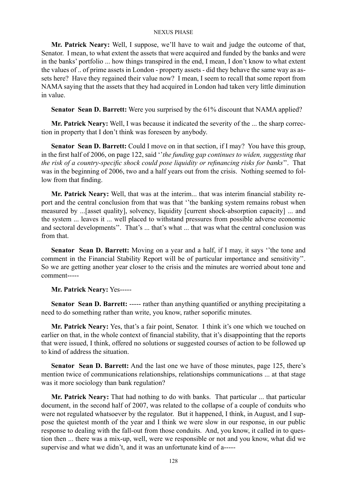**Mr. Patrick Neary:** Well, I suppose, we'll have to wait and judge the outcome of that, Senator. I mean, to what extent the assets that were acquired and funded by the banks and were in the banks' portfolio ... how things transpired in the end, I mean, I don't know to what extent the values of .. of prime assets in London - property assets - did they behave the same way as assets here? Have they regained their value now? I mean, I seem to recall that some report from NAMA saying that the assets that they had acquired in London had taken very little diminution in value.

**Senator Sean D. Barrett:** Were you surprised by the 61% discount that NAMA applied?

**Mr. Patrick Neary:** Well, I was because it indicated the severity of the ... the sharp correction in property that I don't think was foreseen by anybody.

**Senator Sean D. Barrett:** Could I move on in that section, if I may? You have this group, in the first half of 2006, on page 122, said ''*the funding gap continues to widen, suggesting that the risk of a country-specific shock could pose liquidity or refinancing risks for banks*''. That was in the beginning of 2006, two and a half years out from the crisis. Nothing seemed to follow from that finding.

**Mr. Patrick Neary:** Well, that was at the interim... that was interim financial stability report and the central conclusion from that was that ''the banking system remains robust when measured by ...[asset quality], solvency, liquidity [current shock-absorption capacity] ... and the system ... leaves it ... well placed to withstand pressures from possible adverse economic and sectoral developments". That's ... that's what ... that was what the central conclusion was from that.

**Senator Sean D. Barrett:** Moving on a year and a half, if I may, it says ''the tone and comment in the Financial Stability Report will be of particular importance and sensitivity''. So we are getting another year closer to the crisis and the minutes are worried about tone and comment-----

**Mr. Patrick Neary:** Yes-----

Senator Sean D. Barrett: ----- rather than anything quantified or anything precipitating a need to do something rather than write, you know, rather soporific minutes.

**Mr. Patrick Neary:** Yes, that's a fair point, Senator. I think it's one which we touched on earlier on that, in the whole context of financial stability, that it's disappointing that the reports that were issued, I think, offered no solutions or suggested courses of action to be followed up to kind of address the situation.

**Senator Sean D. Barrett:** And the last one we have of those minutes, page 125, there's mention twice of communications relationships, relationships communications ... at that stage was it more sociology than bank regulation?

**Mr. Patrick Neary:** That had nothing to do with banks. That particular ... that particular document, in the second half of 2007, was related to the collapse of a couple of conduits who were not regulated whatsoever by the regulator. But it happened, I think, in August, and I suppose the quietest month of the year and I think we were slow in our response, in our public response to dealing with the fall-out from those conduits. And, you know, it called in to question then ... there was a mix-up, well, were we responsible or not and you know, what did we supervise and what we didn't, and it was an unfortunate kind of a-----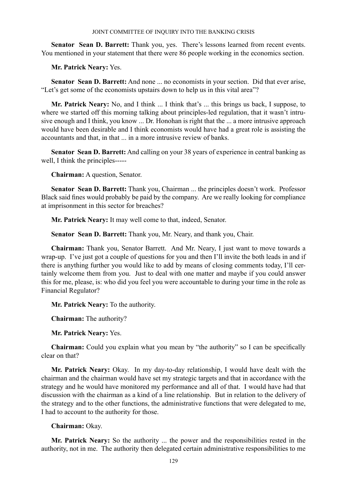**Senator Sean D. Barrett:** Thank you, yes. There's lessons learned from recent events. You mentioned in your statement that there were 86 people working in the economics section.

**Mr. Patrick Neary:** Yes.

**Senator Sean D. Barrett:** And none ... no economists in your section. Did that ever arise, "Let's get some of the economists upstairs down to help us in this vital area"?

**Mr. Patrick Neary:** No, and I think ... I think that's ... this brings us back, I suppose, to where we started off this morning talking about principles-led regulation, that it wasn't intrusive enough and I think, you know ... Dr. Honohan is right that the ... a more intrusive approach would have been desirable and I think economists would have had a great role is assisting the accountants and that in that in a more intrusive review of banks.

**Senator Sean D. Barrett:** And calling on your 38 years of experience in central banking as well, I think the principles-----

**Chairman:** A question, Senator.

**Senator Sean D. Barrett:** Thank you, Chairman ... the principles doesn't work. Professor Black said fines would probably be paid by the company. Are we really looking for compliance at imprisonment in this sector for breaches?

**Mr. Patrick Neary:** It may well come to that, indeed, Senator.

**Senator Sean D. Barrett:** Thank you, Mr. Neary, and thank you, Chair.

**Chairman:** Thank you, Senator Barrett. And Mr. Neary, I just want to move towards a wrap-up. I've just got a couple of questions for you and then I'll invite the both leads in and if there is anything further you would like to add by means of closing comments today, I'll certainly welcome them from you. Just to deal with one matter and maybe if you could answer this for me, please, is: who did you feel you were accountable to during your time in the role as Financial Regulator?

**Mr. Patrick Neary:** To the authority.

**Chairman:** The authority?

**Mr. Patrick Neary:** Yes.

**Chairman:** Could you explain what you mean by "the authority" so I can be specifically clear on that?

**Mr. Patrick Neary:** Okay. In my day-to-day relationship, I would have dealt with the chairman and the chairman would have set my strategic targets and that in accordance with the strategy and he would have monitored my performance and all of that. I would have had that discussion with the chairman as a kind of a line relationship. But in relation to the delivery of the strategy and to the other functions, the administrative functions that were delegated to me, I had to account to the authority for those.

**Chairman:** Okay.

**Mr. Patrick Neary:** So the authority ... the power and the responsibilities rested in the authority, not in me. The authority then delegated certain administrative responsibilities to me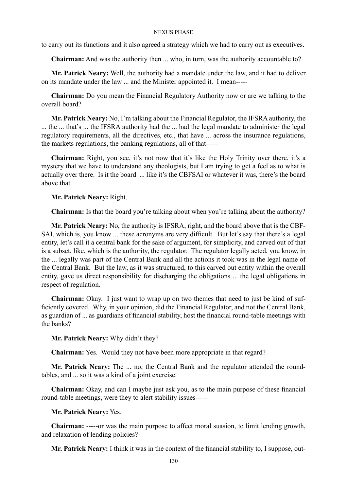to carry out its functions and it also agreed a strategy which we had to carry out as executives.

**Chairman:** And was the authority then ... who, in turn, was the authority accountable to?

**Mr. Patrick Neary:** Well, the authority had a mandate under the law, and it had to deliver on its mandate under the law ... and the Minister appointed it. I mean-----

**Chairman:** Do you mean the Financial Regulatory Authority now or are we talking to the overall board?

**Mr. Patrick Neary:** No, I'm talking about the Financial Regulator, the IFSRA authority, the ... the ... that's ... the IFSRA authority had the ... had the legal mandate to administer the legal regulatory requirements, all the directives, etc., that have ... across the insurance regulations, the markets regulations, the banking regulations, all of that-----

**Chairman:** Right, you see, it's not now that it's like the Holy Trinity over there, it's a mystery that we have to understand any theologists, but I am trying to get a feel as to what is actually over there. Is it the board ... like it's the CBFSAI or whatever it was, there's the board above that.

**Mr. Patrick Neary:** Right.

**Chairman:** Is that the board you're talking about when you're talking about the authority?

**Mr. Patrick Neary:** No, the authority is IFSRA, right, and the board above that is the CBF-SAI, which is, you know ... these acronyms are very difficult. But let's say that there's a legal entity, let's call it a central bank for the sake of argument, for simplicity, and carved out of that is a subset, like, which is the authority, the regulator. The regulator legally acted, you know, in the ... legally was part of the Central Bank and all the actions it took was in the legal name of the Central Bank. But the law, as it was structured, to this carved out entity within the overall entity, gave us direct responsibility for discharging the obligations ... the legal obligations in respect of regulation.

**Chairman:** Okay. I just want to wrap up on two themes that need to just be kind of sufficiently covered. Why, in your opinion, did the Financial Regulator, and not the Central Bank, as guardian of ... as guardians of financial stability, host the financial round-table meetings with the banks?

**Mr. Patrick Neary:** Why didn't they?

**Chairman:** Yes. Would they not have been more appropriate in that regard?

**Mr. Patrick Neary:** The ... no, the Central Bank and the regulator attended the roundtables, and ... so it was a kind of a joint exercise.

**Chairman:** Okay, and can I maybe just ask you, as to the main purpose of these financial round-table meetings, were they to alert stability issues-----

**Mr. Patrick Neary:** Yes.

**Chairman:** -----or was the main purpose to affect moral suasion, to limit lending growth, and relaxation of lending policies?

**Mr. Patrick Neary:** I think it was in the context of the financial stability to, I suppose, out-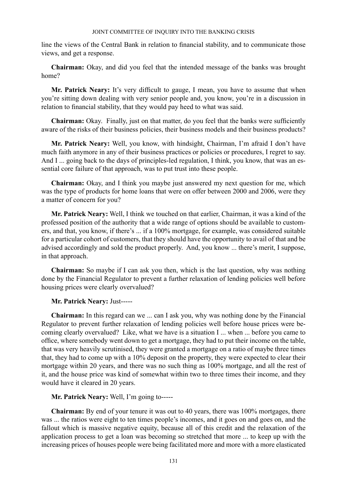line the views of the Central Bank in relation to financial stability, and to communicate those views, and get a response.

**Chairman:** Okay, and did you feel that the intended message of the banks was brought home?

**Mr. Patrick Neary:** It's very difficult to gauge, I mean, you have to assume that when you're sitting down dealing with very senior people and, you know, you're in a discussion in relation to financial stability, that they would pay heed to what was said.

**Chairman:** Okay. Finally, just on that matter, do you feel that the banks were sufficiently aware of the risks of their business policies, their business models and their business products?

**Mr. Patrick Neary:** Well, you know, with hindsight, Chairman, I'm afraid I don't have much faith anymore in any of their business practices or policies or procedures, I regret to say. And I ... going back to the days of principles-led regulation, I think, you know, that was an essential core failure of that approach, was to put trust into these people.

**Chairman:** Okay, and I think you maybe just answered my next question for me, which was the type of products for home loans that were on offer between 2000 and 2006, were they a matter of concern for you?

**Mr. Patrick Neary:** Well, I think we touched on that earlier, Chairman, it was a kind of the professed position of the authority that a wide range of options should be available to customers, and that, you know, if there's ... if a 100% mortgage, for example, was considered suitable for a particular cohort of customers, that they should have the opportunity to avail of that and be advised accordingly and sold the product properly. And, you know ... there's merit, I suppose, in that approach.

**Chairman:** So maybe if I can ask you then, which is the last question, why was nothing done by the Financial Regulator to prevent a further relaxation of lending policies well before housing prices were clearly overvalued?

## **Mr. Patrick Neary:** Just-----

**Chairman:** In this regard can we ... can I ask you, why was nothing done by the Financial Regulator to prevent further relaxation of lending policies well before house prices were becoming clearly overvalued? Like, what we have is a situation I ... when ... before you came to office, where somebody went down to get a mortgage, they had to put their income on the table, that was very heavily scrutinised, they were granted a mortgage on a ratio of maybe three times that, they had to come up with a 10% deposit on the property, they were expected to clear their mortgage within 20 years, and there was no such thing as 100% mortgage, and all the rest of it, and the house price was kind of somewhat within two to three times their income, and they would have it cleared in 20 years.

# **Mr. Patrick Neary:** Well, I'm going to-----

**Chairman:** By end of your tenure it was out to 40 years, there was 100% mortgages, there was ... the ratios were eight to ten times people's incomes, and it goes on and goes on, and the fallout which is massive negative equity, because all of this credit and the relaxation of the application process to get a loan was becoming so stretched that more ... to keep up with the increasing prices of houses people were being facilitated more and more with a more elasticated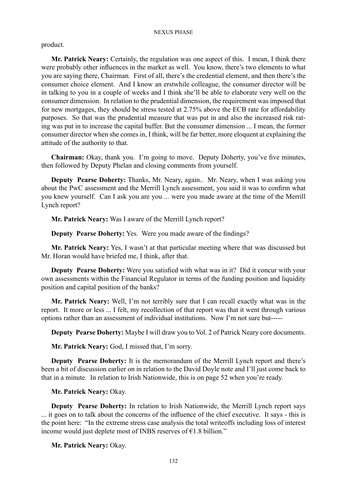product.

**Mr. Patrick Neary:** Certainly, the regulation was one aspect of this. I mean, I think there were probably other influences in the market as well. You know, there's two elements to what you are saying there, Chairman. First of all, there's the credential element, and then there's the consumer choice element. And I know an erstwhile colleague, the consumer director will be in talking to you in a couple of weeks and I think she'll be able to elaborate very well on the consumer dimension. In relation to the prudential dimension, the requirement was imposed that for new mortgages, they should be stress tested at 2.75% above the ECB rate for affordability purposes. So that was the prudential measure that was put in and also the increased risk rating was put in to increase the capital buffer. But the consumer dimension ... I mean, the former consumer director when she comes in, I think, will be far better, more eloquent at explaining the attitude of the authority to that.

**Chairman:** Okay, thank you. I'm going to move. Deputy Doherty, you've five minutes, then followed by Deputy Phelan and closing comments from yourself.

**Deputy Pearse Doherty:** Thanks, Mr. Neary, again.. Mr. Neary, when I was asking you about the PwC assessment and the Merrill Lynch assessment, you said it was to confirm what you knew yourself. Can I ask you are you ... were you made aware at the time of the Merrill Lynch report?

**Mr. Patrick Neary:** Was I aware of the Merrill Lynch report?

**Deputy Pearse Doherty:** Yes. Were you made aware of the findings?

**Mr. Patrick Neary:** Yes, I wasn't at that particular meeting where that was discussed but Mr. Horan would have briefed me, I think, after that.

**Deputy Pearse Doherty:** Were you satisfied with what was in it? Did it concur with your own assessments within the Financial Regulator in terms of the funding position and liquidity position and capital position of the banks?

**Mr. Patrick Neary:** Well, I'm not terribly sure that I can recall exactly what was in the report. It more or less ... I felt, my recollection of that report was that it went through various options rather than an assessment of individual institutions. Now I'm not sure but-----

**Deputy Pearse Doherty:** Maybe I will draw you to Vol. 2 of Patrick Neary core documents.

**Mr. Patrick Neary:** God, I missed that, I'm sorry.

**Deputy Pearse Doherty:** It is the memorandum of the Merrill Lynch report and there's been a bit of discussion earlier on in relation to the David Doyle note and I'll just come back to that in a minute. In relation to Irish Nationwide, this is on page 52 when you're ready.

**Mr. Patrick Neary:** Okay.

**Deputy Pearse Doherty:** In relation to Irish Nationwide, the Merrill Lynch report says ... it goes on to talk about the concerns of the influence of the chief executive. It says - this is the point here: "In the extreme stress case analysis the total writeoffs including loss of interest income would just deplete most of INBS reserves of €1.8 billion."

**Mr. Patrick Neary:** Okay.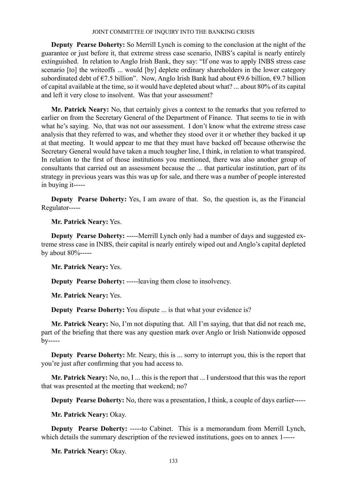**Deputy Pearse Doherty:** So Merrill Lynch is coming to the conclusion at the night of the guarantee or just before it, that extreme stress case scenario, INBS's capital is nearly entirely extinguished. In relation to Anglo Irish Bank, they say: "If one was to apply INBS stress case scenario [to] the writeoffs ... would [by] deplete ordinary shareholders in the lower category subordinated debt of  $\epsilon$ 7.5 billion". Now, Anglo Irish Bank had about  $\epsilon$ 9.6 billion,  $\epsilon$ 9.7 billion of capital available at the time, so it would have depleted about what? ... about 80% of its capital and left it very close to insolvent. Was that your assessment?

**Mr. Patrick Neary:** No, that certainly gives a context to the remarks that you referred to earlier on from the Secretary General of the Department of Finance. That seems to tie in with what he's saying. No, that was not our assessment. I don't know what the extreme stress case analysis that they referred to was, and whether they stood over it or whether they backed it up at that meeting. It would appear to me that they must have backed off because otherwise the Secretary General would have taken a much tougher line, I think, in relation to what transpired. In relation to the first of those institutions you mentioned, there was also another group of consultants that carried out an assessment because the ... that particular institution, part of its strategy in previous years was this was up for sale, and there was a number of people interested in buying it-----

**Deputy Pearse Doherty:** Yes, I am aware of that. So, the question is, as the Financial Regulator-----

**Mr. Patrick Neary:** Yes.

**Deputy Pearse Doherty:** -----Merrill Lynch only had a number of days and suggested extreme stress case in INBS, their capital is nearly entirely wiped out and Anglo's capital depleted by about 80%-----

**Mr. Patrick Neary:** Yes.

**Deputy Pearse Doherty:** -----leaving them close to insolvency.

**Mr. Patrick Neary:** Yes.

**Deputy Pearse Doherty:** You dispute ... is that what your evidence is?

**Mr. Patrick Neary:** No, I'm not disputing that. All I'm saying, that that did not reach me, part of the briefing that there was any question mark over Anglo or Irish Nationwide opposed by-----

**Deputy Pearse Doherty:** Mr. Neary, this is ... sorry to interrupt you, this is the report that you're just after confirming that you had access to.

**Mr. Patrick Neary:** No, no, I ... this is the report that ... I understood that this was the report that was presented at the meeting that weekend; no?

**Deputy Pearse Doherty:** No, there was a presentation, I think, a couple of days earlier-----

**Mr. Patrick Neary:** Okay.

**Deputy Pearse Doherty:** -----to Cabinet. This is a memorandum from Merrill Lynch, which details the summary description of the reviewed institutions, goes on to annex 1-----

**Mr. Patrick Neary:** Okay.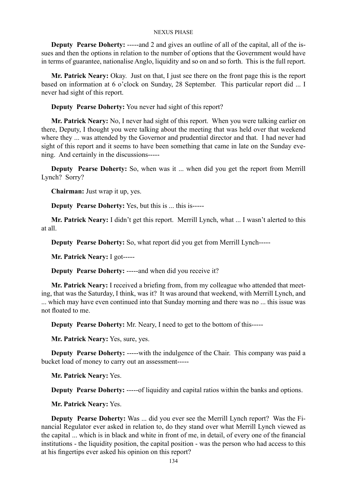**Deputy Pearse Doherty:** -----and 2 and gives an outline of all of the capital, all of the issues and then the options in relation to the number of options that the Government would have in terms of guarantee, nationalise Anglo, liquidity and so on and so forth. This is the full report.

**Mr. Patrick Neary:** Okay. Just on that, I just see there on the front page this is the report based on information at 6 o'clock on Sunday, 28 September. This particular report did ... I never had sight of this report.

**Deputy Pearse Doherty:** You never had sight of this report?

**Mr. Patrick Neary:** No, I never had sight of this report. When you were talking earlier on there, Deputy, I thought you were talking about the meeting that was held over that weekend where they ... was attended by the Governor and prudential director and that. I had never had sight of this report and it seems to have been something that came in late on the Sunday evening. And certainly in the discussions-----

**Deputy Pearse Doherty:** So, when was it ... when did you get the report from Merrill Lynch? Sorry?

**Chairman:** Just wrap it up, yes.

**Deputy Pearse Doherty:** Yes, but this is ... this is-----

**Mr. Patrick Neary:** I didn't get this report. Merrill Lynch, what ... I wasn't alerted to this at all.

**Deputy Pearse Doherty:** So, what report did you get from Merrill Lynch-----

**Mr. Patrick Neary:** I got-----

**Deputy Pearse Doherty:** -----and when did you receive it?

**Mr. Patrick Neary:** I received a briefing from, from my colleague who attended that meeting, that was the Saturday, I think, was it? It was around that weekend, with Merrill Lynch, and ... which may have even continued into that Sunday morning and there was no ... this issue was not floated to me.

**Deputy Pearse Doherty:** Mr. Neary, I need to get to the bottom of this-----

**Mr. Patrick Neary:** Yes, sure, yes.

**Deputy Pearse Doherty:** -----with the indulgence of the Chair. This company was paid a bucket load of money to carry out an assessment-----

**Mr. Patrick Neary:** Yes.

**Deputy Pearse Doherty:** -----of liquidity and capital ratios within the banks and options.

**Mr. Patrick Neary:** Yes.

**Deputy Pearse Doherty:** Was ... did you ever see the Merrill Lynch report? Was the Financial Regulator ever asked in relation to, do they stand over what Merrill Lynch viewed as the capital ... which is in black and white in front of me, in detail, of every one of the financial institutions - the liquidity position, the capital position - was the person who had access to this at his fingertips ever asked his opinion on this report?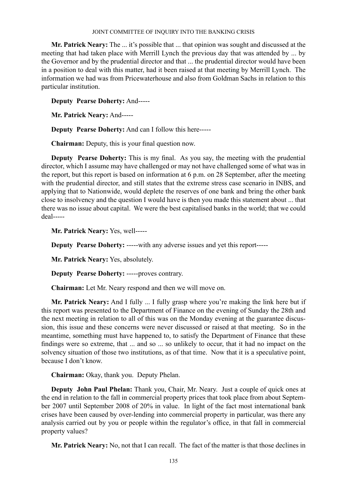**Mr. Patrick Neary:** The ... it's possible that ... that opinion was sought and discussed at the meeting that had taken place with Merrill Lynch the previous day that was attended by ... by the Governor and by the prudential director and that ... the prudential director would have been in a position to deal with this matter, had it been raised at that meeting by Merrill Lynch. The information we had was from Pricewaterhouse and also from Goldman Sachs in relation to this particular institution.

**Deputy Pearse Doherty:** And-----

**Mr. Patrick Neary:** And-----

**Deputy Pearse Doherty:** And can I follow this here-----

**Chairman:** Deputy, this is your final question now.

**Deputy Pearse Doherty:** This is my final. As you say, the meeting with the prudential director, which I assume may have challenged or may not have challenged some of what was in the report, but this report is based on information at 6 p.m. on 28 September, after the meeting with the prudential director, and still states that the extreme stress case scenario in INBS, and applying that to Nationwide, would deplete the reserves of one bank and bring the other bank close to insolvency and the question I would have is then you made this statement about ... that there was no issue about capital. We were the best capitalised banks in the world; that we could deal-----

**Mr. Patrick Neary:** Yes, well-----

**Deputy Pearse Doherty:** -----with any adverse issues and yet this report-----

**Mr. Patrick Neary:** Yes, absolutely.

**Deputy Pearse Doherty:** -----proves contrary.

**Chairman:** Let Mr. Neary respond and then we will move on.

**Mr. Patrick Neary:** And I fully ... I fully grasp where you're making the link here but if this report was presented to the Department of Finance on the evening of Sunday the 28th and the next meeting in relation to all of this was on the Monday evening at the guarantee discussion, this issue and these concerns were never discussed or raised at that meeting. So in the meantime, something must have happened to, to satisfy the Department of Finance that these findings were so extreme, that ... and so ... so unlikely to occur, that it had no impact on the solvency situation of those two institutions, as of that time. Now that it is a speculative point, because I don't know.

**Chairman:** Okay, thank you. Deputy Phelan.

**Deputy John Paul Phelan:** Thank you, Chair, Mr. Neary. Just a couple of quick ones at the end in relation to the fall in commercial property prices that took place from about September 2007 until September 2008 of 20% in value. In light of the fact most international bank crises have been caused by over-lending into commercial property in particular, was there any analysis carried out by you or people within the regulator's office, in that fall in commercial property values?

**Mr. Patrick Neary:** No, not that I can recall. The fact of the matter is that those declines in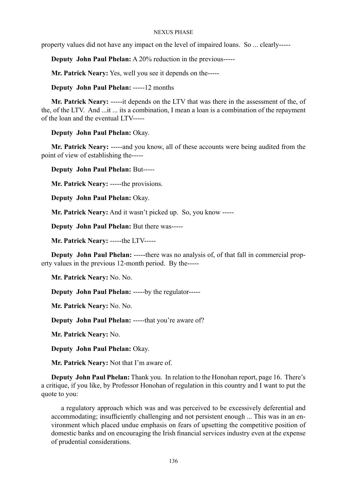property values did not have any impact on the level of impaired loans. So ... clearly-----

**Deputy John Paul Phelan:** A 20% reduction in the previous-----

**Mr. Patrick Neary:** Yes, well you see it depends on the-----

**Deputy John Paul Phelan:** -----12 months

**Mr. Patrick Neary:** -----it depends on the LTV that was there in the assessment of the, of the, of the LTV. And ...it ... its a combination, I mean a loan is a combination of the repayment of the loan and the eventual LTV-----

**Deputy John Paul Phelan:** Okay.

**Mr. Patrick Neary:** -----and you know, all of these accounts were being audited from the point of view of establishing the-----

**Deputy John Paul Phelan:** But-----

**Mr. Patrick Neary:** -----the provisions.

**Deputy John Paul Phelan:** Okay.

**Mr. Patrick Neary:** And it wasn't picked up. So, you know -----

**Deputy John Paul Phelan:** But there was-----

**Mr. Patrick Neary:** -----the LTV-----

**Deputy John Paul Phelan:** -----there was no analysis of, of that fall in commercial property values in the previous 12-month period. By the-----

**Mr. Patrick Neary:** No. No.

**Deputy John Paul Phelan:** -----by the regulator-----

**Mr. Patrick Neary:** No. No.

**Deputy John Paul Phelan:** -----that you're aware of?

**Mr. Patrick Neary:** No.

**Deputy John Paul Phelan:** Okay.

**Mr. Patrick Neary:** Not that I'm aware of.

**Deputy John Paul Phelan:** Thank you. In relation to the Honohan report, page 16. There's a critique, if you like, by Professor Honohan of regulation in this country and I want to put the quote to you:

a regulatory approach which was and was perceived to be excessively deferential and accommodating; insufficiently challenging and not persistent enough ... This was in an environment which placed undue emphasis on fears of upsetting the competitive position of domestic banks and on encouraging the Irish financial services industry even at the expense of prudential considerations.